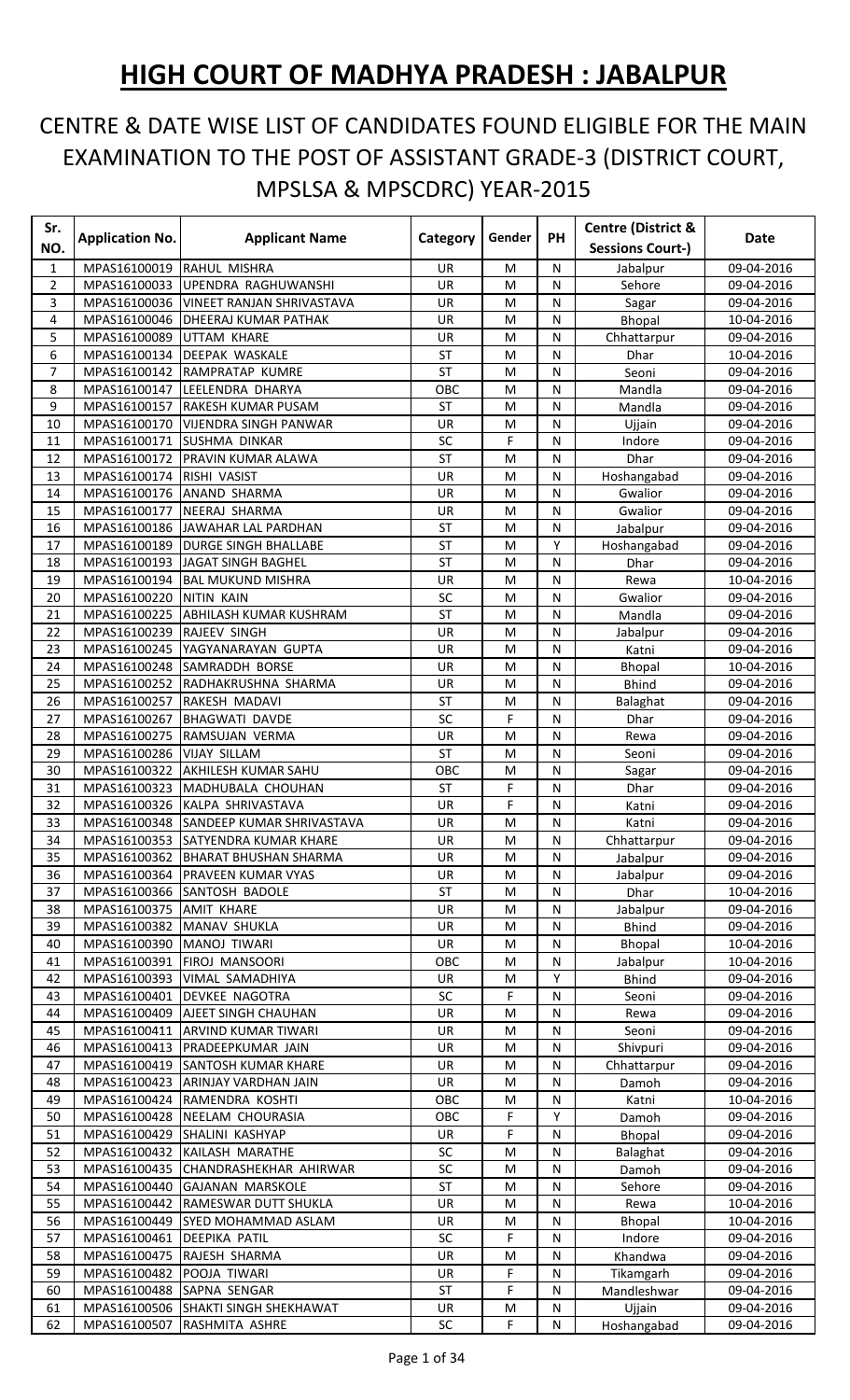## **HIGH COURT OF MADHYA PRADESH : JABALPUR**

## CENTRE & DATE WISE LIST OF CANDIDATES FOUND ELIGIBLE FOR THE MAIN EXAMINATION TO THE POST OF ASSISTANT GRADE-3 (DISTRICT COURT, MPSLSA & MPSCDRC) YEAR-2015

| Sr.          | <b>Application No.</b>       |                                                    | Category        | Gender | <b>PH</b> | <b>Centre (District &amp;</b> | <b>Date</b>              |
|--------------|------------------------------|----------------------------------------------------|-----------------|--------|-----------|-------------------------------|--------------------------|
| NO.          |                              | <b>Applicant Name</b>                              |                 |        |           | <b>Sessions Court-)</b>       |                          |
| $\mathbf{1}$ | MPAS16100019                 | RAHUL MISHRA                                       | <b>UR</b>       | M      | N         | Jabalpur                      | 09-04-2016               |
| 2            | MPAS16100033                 | UPENDRA RAGHUWANSHI                                | UR              | M      | N         | Sehore                        | 09-04-2016               |
| 3            | MPAS16100036                 | <b>VINEET RANJAN SHRIVASTAVA</b>                   | UR              | M      | N         | Sagar                         | 09-04-2016               |
| 4            |                              | MPAS16100046   DHEERAJ KUMAR PATHAK                | UR              | M      | N         | Bhopal                        | 10-04-2016               |
| 5            | MPAS16100089                 | UTTAM KHARE                                        | UR              | M      | N         | Chhattarpur                   | 09-04-2016               |
| 6            | MPAS16100134                 | <b>DEEPAK WASKALE</b>                              | ST              | M      | N         | Dhar                          | 10-04-2016               |
| 7            |                              | MPAS16100142 RAMPRATAP KUMRE                       | <b>ST</b>       | M      | N         | Seoni                         | 09-04-2016               |
| 8            |                              | MPAS16100147 LEELENDRA DHARYA                      | OBC             | M      | N         | Mandla                        | 09-04-2016               |
| 9            | MPAS16100157                 | RAKESH KUMAR PUSAM                                 | <b>ST</b>       | M      | N         | Mandla                        | 09-04-2016               |
| 10           |                              | MPAS16100170   VIJENDRA SINGH PANWAR               | UR              | M      | N         | Ujjain                        | 09-04-2016               |
| 11           | MPAS16100171                 | <b>SUSHMA DINKAR</b>                               | SC              | F      | N         | Indore                        | 09-04-2016               |
| 12           | MPAS16100172                 | PRAVIN KUMAR ALAWA                                 | <b>ST</b>       | M      | N         | Dhar                          | 09-04-2016               |
| 13           | MPAS16100174                 | RISHI VASIST                                       | UR              | M      | N         | Hoshangabad                   | 09-04-2016               |
| 14           | MPAS16100176                 | <b>ANAND SHARMA</b>                                | UR              | M      | N         | Gwalior                       | 09-04-2016               |
| 15           | MPAS16100177                 | NEERAJ SHARMA                                      | UR              | M      | N         | Gwalior                       | 09-04-2016               |
| 16           |                              | MPAS16100186 JAWAHAR LAL PARDHAN                   | <b>ST</b>       | M      | N         | Jabalpur                      | 09-04-2016               |
| 17           |                              | MPAS16100189 DURGE SINGH BHALLABE                  | <b>ST</b>       | M      | Υ         | Hoshangabad                   | 09-04-2016               |
| 18           |                              | MPAS16100193 JAGAT SINGH BAGHEL                    | <b>ST</b>       | M      | N         | Dhar                          | 09-04-2016               |
| 19           | MPAS16100194                 | <b>BAL MUKUND MISHRA</b>                           | UR              | M      | N         | Rewa                          | 10-04-2016               |
| 20           | MPAS16100220                 | <b>NITIN KAIN</b><br><b>ABHILASH KUMAR KUSHRAM</b> | SC<br><b>ST</b> | M      | N<br>N    | Gwalior                       | 09-04-2016               |
| 21           | MPAS16100225                 |                                                    |                 | M      |           | Mandla                        | 09-04-2016               |
| 22           | MPAS16100239 RAJEEV SINGH    |                                                    | UR              | M      | N         | Jabalpur                      | 09-04-2016               |
| 23           |                              | MPAS16100245   YAGYANARAYAN GUPTA                  | UR              | M      | N         | Katni                         | 09-04-2016               |
| 24           |                              | MPAS16100248 SAMRADDH BORSE                        | UR              | M      | N         | <b>Bhopal</b>                 | 10-04-2016               |
| 25<br>26     | MPAS16100252                 | RADHAKRUSHNA SHARMA                                | UR<br><b>ST</b> | M      | N         | <b>Bhind</b>                  | 09-04-2016               |
| 27           | MPAS16100257<br>MPAS16100267 | RAKESH MADAVI<br><b>BHAGWATI DAVDE</b>             | SC              | M<br>F | N<br>N    | Balaghat                      | 09-04-2016<br>09-04-2016 |
| 28           | MPAS16100275                 | RAMSUJAN VERMA                                     | UR              | M      | N         | Dhar<br>Rewa                  | 09-04-2016               |
| 29           | MPAS16100286                 | <b>VIJAY SILLAM</b>                                | <b>ST</b>       | M      | N         | Seoni                         | 09-04-2016               |
| 30           | MPAS16100322                 | <b>AKHILESH KUMAR SAHU</b>                         | OBC             | M      | N         | Sagar                         | 09-04-2016               |
| 31           | MPAS16100323                 | MADHUBALA CHOUHAN                                  | ST              | F      | N         | Dhar                          | 09-04-2016               |
| 32           |                              | MPAS16100326 KALPA SHRIVASTAVA                     | UR              | F      | N         | Katni                         | 09-04-2016               |
| 33           |                              | MPAS16100348 SANDEEP KUMAR SHRIVASTAVA             | <b>UR</b>       | M      | N         | Katni                         | 09-04-2016               |
| 34           |                              | MPAS16100353 SATYENDRA KUMAR KHARE                 | UR              | M      | N         | Chhattarpur                   | 09-04-2016               |
| 35           |                              | MPAS16100362 BHARAT BHUSHAN SHARMA                 | <b>UR</b>       | M      | N         | Jabalpur                      | 09-04-2016               |
| 36           |                              | MPAS16100364 PRAVEEN KUMAR VYAS                    | UR              | M      | N         | Jabalpur                      | 09-04-2016               |
| 37           |                              | MPAS16100366 SANTOSH BADOLE                        | ST              | M      | N         | Dhar                          | 10-04-2016               |
| 38           | MPAS16100375 AMIT KHARE      |                                                    | UR              | M      | N         | Jabalpur                      | 09-04-2016               |
| 39           | MPAS16100382                 | MANAV SHUKLA                                       | UR              | М      | N         | <b>Bhind</b>                  | 09-04-2016               |
| 40           | MPAS16100390                 | <b>MANOJ TIWARI</b>                                | UR              | M      | N         | <b>Bhopal</b>                 | 10-04-2016               |
| 41           | MPAS16100391                 | <b>FIROJ MANSOORI</b>                              | OBC             | M      | N         | Jabalpur                      | 10-04-2016               |
| 42           |                              | MPAS16100393   VIMAL SAMADHIYA                     | UR              | M      | Υ         | <b>Bhind</b>                  | 09-04-2016               |
| 43           | MPAS16100401                 | <b>DEVKEE NAGOTRA</b>                              | SC              | F      | N         | Seoni                         | 09-04-2016               |
| 44           | MPAS16100409                 | <b>AJEET SINGH CHAUHAN</b>                         | UR              | M      | N         | Rewa                          | 09-04-2016               |
| 45           | MPAS16100411                 | ARVIND KUMAR TIWARI                                | UR              | М      | N         | Seoni                         | 09-04-2016               |
| 46           |                              | MPAS16100413  PRADEEPKUMAR JAIN                    | UR              | M      | N         | Shivpuri                      | 09-04-2016               |
| 47           |                              | MPAS16100419 SANTOSH KUMAR KHARE                   | UR              | M      | N         | Chhattarpur                   | 09-04-2016               |
| 48           |                              | MPAS16100423 ARINJAY VARDHAN JAIN                  | UR              | M      | N         | Damoh                         | 09-04-2016               |
| 49           |                              | MPAS16100424 RAMENDRA KOSHTI                       | OBC             | M      | N         | Katni                         | 10-04-2016               |
| 50           |                              | MPAS16100428 NEELAM CHOURASIA                      | OBC             | F      | Y         | Damoh                         | 09-04-2016               |
| 51           |                              | MPAS16100429 SHALINI KASHYAP                       | UR              | F      | N         | Bhopal                        | 09-04-2016               |
| 52           |                              | MPAS16100432 KAILASH MARATHE                       | SC              | M      | N         | Balaghat                      | 09-04-2016               |
| 53           |                              | MPAS16100435 CHANDRASHEKHAR AHIRWAR                | SC              | M      | N         | Damoh                         | 09-04-2016               |
| 54           |                              | MPAS16100440 GAJANAN MARSKOLE                      | ST              | M      | N         | Sehore                        | 09-04-2016               |
| 55           |                              | MPAS16100442  RAMESWAR DUTT SHUKLA                 | UR              | M      | N         | Rewa                          | 10-04-2016               |
| 56           | MPAS16100449                 | <b>SYED MOHAMMAD ASLAM</b>                         | UR              | M      | N         | Bhopal                        | 10-04-2016               |
| 57           | MPAS16100461 DEEPIKA PATIL   |                                                    | SC              | F      | N         | Indore                        | 09-04-2016               |
| 58           |                              | MPAS16100475 RAJESH SHARMA                         | UR              | M      | N         | Khandwa                       | 09-04-2016               |
| 59           | MPAS16100482                 | POOJA TIWARI                                       | UR              | F      | N         | Tikamgarh                     | 09-04-2016               |
| 60           | MPAS16100488                 | SAPNA SENGAR                                       | ST              | F      | N         | Mandleshwar                   | 09-04-2016               |
| 61           | MPAS16100506                 | <b>SHAKTI SINGH SHEKHAWAT</b>                      | UR              | M      | N         | Ujjain                        | 09-04-2016               |
| 62           | MPAS16100507                 | RASHMITA ASHRE                                     | SC              | F      | N         | Hoshangabad                   | 09-04-2016               |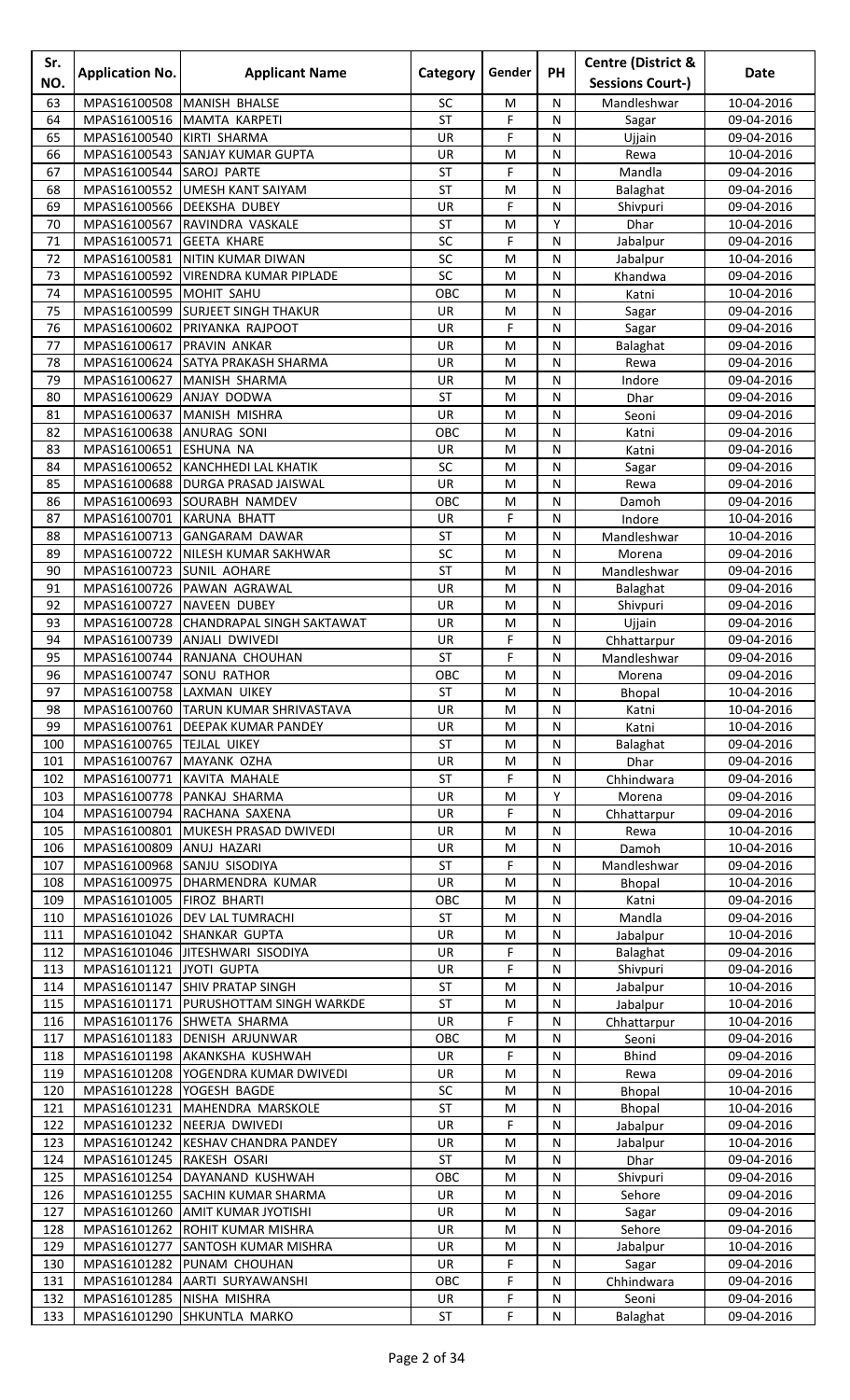| Sr.<br>NO. | <b>Application No.</b>                                | <b>Applicant Name</b>                                                   | Category         | Gender       | <b>PH</b>         | <b>Centre (District &amp;</b><br><b>Sessions Court-)</b> | Date                     |
|------------|-------------------------------------------------------|-------------------------------------------------------------------------|------------------|--------------|-------------------|----------------------------------------------------------|--------------------------|
| 63         | MPAS16100508                                          | MANISH BHALSE                                                           | SC               | M            | N                 | Mandleshwar                                              | 10-04-2016               |
| 64         | MPAS16100516                                          | MAMTA KARPETI                                                           | ST               | F            | N                 | Sagar                                                    | 09-04-2016               |
| 65         | MPAS16100540                                          | KIRTI SHARMA                                                            | UR               | F            | N                 | Ujjain                                                   | 09-04-2016               |
| 66         |                                                       | MPAS16100543 SANJAY KUMAR GUPTA                                         | UR               | M            | N                 | Rewa                                                     | 10-04-2016               |
| 67         | MPAS16100544 SAROJ PARTE                              |                                                                         | ST               | F            | ${\sf N}$         | Mandla                                                   | 09-04-2016               |
| 68         | MPAS16100552                                          | <b>UMESH KANT SAIYAM</b>                                                | <b>ST</b>        | M            | N                 | Balaghat                                                 | 09-04-2016               |
| 69         |                                                       | MPAS16100566 DEEKSHA DUBEY                                              | UR               | F            | N                 | Shivpuri                                                 | 09-04-2016               |
| 70         |                                                       | MPAS16100567 RAVINDRA VASKALE                                           | ST               | M            | Υ                 | Dhar                                                     | 10-04-2016               |
| 71         | MPAS16100571                                          | <b>GEETA KHARE</b>                                                      | SC               | F            | N                 | Jabalpur                                                 | 09-04-2016               |
| 72<br>73   |                                                       | MPAS16100581 NITIN KUMAR DIWAN<br>MPAS16100592   VIRENDRA KUMAR PIPLADE | SC<br>SC         | M<br>M       | N<br>$\mathsf{N}$ | Jabalpur                                                 | 10-04-2016               |
| 74         | MPAS16100595 MOHIT SAHU                               |                                                                         | OBC              | M            | N                 | Khandwa<br>Katni                                         | 09-04-2016<br>10-04-2016 |
| 75         | MPAS16100599                                          | <b>SURJEET SINGH THAKUR</b>                                             | UR               | M            | N                 | Sagar                                                    | 09-04-2016               |
| 76         | MPAS16100602                                          | <b>PRIYANKA RAJPOOT</b>                                                 | <b>UR</b>        | F            | N                 | Sagar                                                    | 09-04-2016               |
| 77         | MPAS16100617                                          | <b>PRAVIN ANKAR</b>                                                     | UR               | M            | N                 | Balaghat                                                 | 09-04-2016               |
| 78         |                                                       | MPAS16100624 SATYA PRAKASH SHARMA                                       | UR               | M            | N                 | Rewa                                                     | 09-04-2016               |
| 79         | MPAS16100627                                          | MANISH SHARMA                                                           | UR               | M            | $\mathsf{N}$      | Indore                                                   | 09-04-2016               |
| 80         | MPAS16100629 ANJAY DODWA                              |                                                                         | ST               | M            | N                 | Dhar                                                     | 09-04-2016               |
| 81         |                                                       | MPAS16100637 MANISH MISHRA                                              | UR               | M            | N                 | Seoni                                                    | 09-04-2016               |
| 82         | MPAS16100638 ANURAG SONI                              |                                                                         | OBC              | M            | N                 | Katni                                                    | 09-04-2016               |
| 83         | MPAS16100651                                          | <b>ESHUNA NA</b>                                                        | UR               | M            | N                 | Katni                                                    | 09-04-2016               |
| 84<br>85   | MPAS16100652                                          | <b>KANCHHEDI LAL KHATIK</b><br>MPAS16100688   DURGA PRASAD JAISWAL      | SC<br>UR         | M<br>M       | N<br>$\mathsf{N}$ | Sagar                                                    | 09-04-2016<br>09-04-2016 |
| 86         |                                                       | MPAS16100693 SOURABH NAMDEV                                             | OBC              | M            | N                 | Rewa<br>Damoh                                            | 09-04-2016               |
| 87         | MPAS16100701                                          | KARUNA BHATT                                                            | UR               | F            | N                 | Indore                                                   | 10-04-2016               |
| 88         | MPAS16100713                                          | <b>GANGARAM DAWAR</b>                                                   | <b>ST</b>        | M            | N                 | Mandleshwar                                              | 10-04-2016               |
| 89         | MPAS16100722                                          | NILESH KUMAR SAKHWAR                                                    | SC               | M            | N                 | Morena                                                   | 09-04-2016               |
| 90         | MPAS16100723                                          | <b>SUNIL AOHARE</b>                                                     | <b>ST</b>        | M            | N                 | Mandleshwar                                              | 09-04-2016               |
| 91         |                                                       | MPAS16100726 PAWAN AGRAWAL                                              | UR               | M            | N                 | Balaghat                                                 | 09-04-2016               |
| 92         | MPAS16100727                                          | NAVEEN DUBEY                                                            | UR               | M            | ${\sf N}$         | Shivpuri                                                 | 09-04-2016               |
| 93         | MPAS16100728                                          | CHANDRAPAL SINGH SAKTAWAT                                               | UR               | M            | N                 | Ujjain                                                   | 09-04-2016               |
| 94         |                                                       | MPAS16100739 ANJALI DWIVEDI                                             | UR               | F            | N                 | Chhattarpur                                              | 09-04-2016               |
| 95         |                                                       | MPAS16100744 RANJANA CHOUHAN                                            | ST               | F            | N<br>N            | Mandleshwar                                              | 09-04-2016               |
| 96<br>97   | MPAS16100747 SONU RATHOR<br>MPAS16100758 LAXMAN UIKEY |                                                                         | OBC<br><b>ST</b> | M<br>M       | N                 | Morena<br><b>Bhopal</b>                                  | 09-04-2016<br>10-04-2016 |
| 98         |                                                       | MPAS16100760 TARUN KUMAR SHRIVASTAVA                                    | UR               | M            | N                 | Katni                                                    | 10-04-2016               |
| 99         |                                                       | MPAS16100761 DEEPAK KUMAR PANDEY                                        | UR               | M            | N                 | Katni                                                    | 10-04-2016               |
| 100        | MPAS16100765  TEJLAL UIKEY                            |                                                                         | ST               | M            | N                 | Balaghat                                                 | 09-04-2016               |
| 101        | MPAS16100767 MAYANK OZHA                              |                                                                         | UR               | M            | N                 | Dhar                                                     | 09-04-2016               |
| 102        | MPAS16100771                                          | KAVITA MAHALE                                                           | ST               | F            | N                 | Chhindwara                                               | 09-04-2016               |
| 103        |                                                       | MPAS16100778 PANKAJ SHARMA                                              | UR               | M            | Y                 | Morena                                                   | 09-04-2016               |
| 104        |                                                       | MPAS16100794 RACHANA SAXENA                                             | UR               | F            | ${\sf N}$         | Chhattarpur                                              | 09-04-2016               |
| 105        | MPAS16100801                                          | MUKESH PRASAD DWIVEDI                                                   | UR               | M            | N                 | Rewa                                                     | 10-04-2016               |
| 106<br>107 | MPAS16100809                                          | ANUJ HAZARI<br>MPAS16100968 SANJU SISODIYA                              | UR<br>ST         | M<br>F       | N<br>N            | Damoh                                                    | 10-04-2016<br>09-04-2016 |
| 108        |                                                       | MPAS16100975 DHARMENDRA KUMAR                                           | UR               | M            | N                 | Mandleshwar<br>Bhopal                                    | 10-04-2016               |
| 109        | MPAS16101005 FIROZ BHARTI                             |                                                                         | OBC              | M            | N                 | Katni                                                    | 09-04-2016               |
| 110        |                                                       | MPAS16101026   DEV LAL TUMRACHI                                         | <b>ST</b>        | $\mathsf{M}$ | N                 | Mandla                                                   | 09-04-2016               |
| 111        |                                                       | MPAS16101042 SHANKAR GUPTA                                              | UR               | ${\sf M}$    | N                 | Jabalpur                                                 | 10-04-2016               |
| 112        |                                                       | MPAS16101046 JITESHWARI SISODIYA                                        | UR               | F            | N                 | Balaghat                                                 | 09-04-2016               |
| 113        | MPAS16101121 JYOTI GUPTA                              |                                                                         | UR               | F            | N                 | Shivpuri                                                 | 09-04-2016               |
| 114        |                                                       | MPAS16101147 SHIV PRATAP SINGH                                          | ST               | M            | N                 | Jabalpur                                                 | 10-04-2016               |
| 115        |                                                       | MPAS16101171 PURUSHOTTAM SINGH WARKDE                                   | ST               | M            | N                 | Jabalpur                                                 | 10-04-2016               |
| 116<br>117 |                                                       | MPAS16101176 SHWETA SHARMA                                              | UR<br>OBC        | F<br>M       | N<br>$\mathsf{N}$ | Chhattarpur                                              | 10-04-2016               |
| 118        |                                                       | MPAS16101183 DENISH ARJUNWAR<br>MPAS16101198 AKANKSHA KUSHWAH           | UR               | F            | N                 | Seoni<br><b>Bhind</b>                                    | 09-04-2016<br>09-04-2016 |
| 119        |                                                       | MPAS16101208   YOGENDRA KUMAR DWIVEDI                                   | <b>UR</b>        | M            | N                 | Rewa                                                     | 09-04-2016               |
| 120        | MPAS16101228 YOGESH BAGDE                             |                                                                         | SC               | M            | N                 | Bhopal                                                   | 10-04-2016               |
| 121        |                                                       | MPAS16101231 MAHENDRA MARSKOLE                                          | ST               | M            | N                 | Bhopal                                                   | 10-04-2016               |
| 122        |                                                       | MPAS16101232 NEERJA DWIVEDI                                             | UR               | F            | N                 | Jabalpur                                                 | 09-04-2016               |
| 123        |                                                       | MPAS16101242 KESHAV CHANDRA PANDEY                                      | UR               | M            | $\mathsf{N}$      | Jabalpur                                                 | 10-04-2016               |
| 124        | MPAS16101245 RAKESH OSARI                             |                                                                         | ST               | M            | N                 | Dhar                                                     | 09-04-2016               |
| 125        |                                                       | MPAS16101254 DAYANAND KUSHWAH                                           | OBC              | M            | N                 | Shivpuri                                                 | 09-04-2016               |
| 126        |                                                       | MPAS16101255 SACHIN KUMAR SHARMA                                        | UR               | М            | N                 | Sehore                                                   | 09-04-2016               |
| 127        | MPAS16101260                                          | <b>AMIT KUMAR JYOTISHI</b>                                              | UR               | M            | N                 | Sagar                                                    | 09-04-2016               |
| 128<br>129 |                                                       | MPAS16101262 ROHIT KUMAR MISHRA<br>MPAS16101277 SANTOSH KUMAR MISHRA    | UR<br>UR         | M<br>M       | N<br>N            | Sehore<br>Jabalpur                                       | 09-04-2016<br>10-04-2016 |
| 130        |                                                       | MPAS16101282 PUNAM CHOUHAN                                              | UR               | F            | N                 | Sagar                                                    | 09-04-2016               |
| 131        |                                                       | MPAS16101284 AARTI SURYAWANSHI                                          | OBC              | F            | N                 | Chhindwara                                               | 09-04-2016               |
| 132        | MPAS16101285 NISHA MISHRA                             |                                                                         | UR               | $\mathsf F$  | ${\sf N}$         | Seoni                                                    | 09-04-2016               |
| 133        |                                                       | MPAS16101290 SHKUNTLA MARKO                                             | ST               | F            | $\mathsf{N}$      | Balaghat                                                 | 09-04-2016               |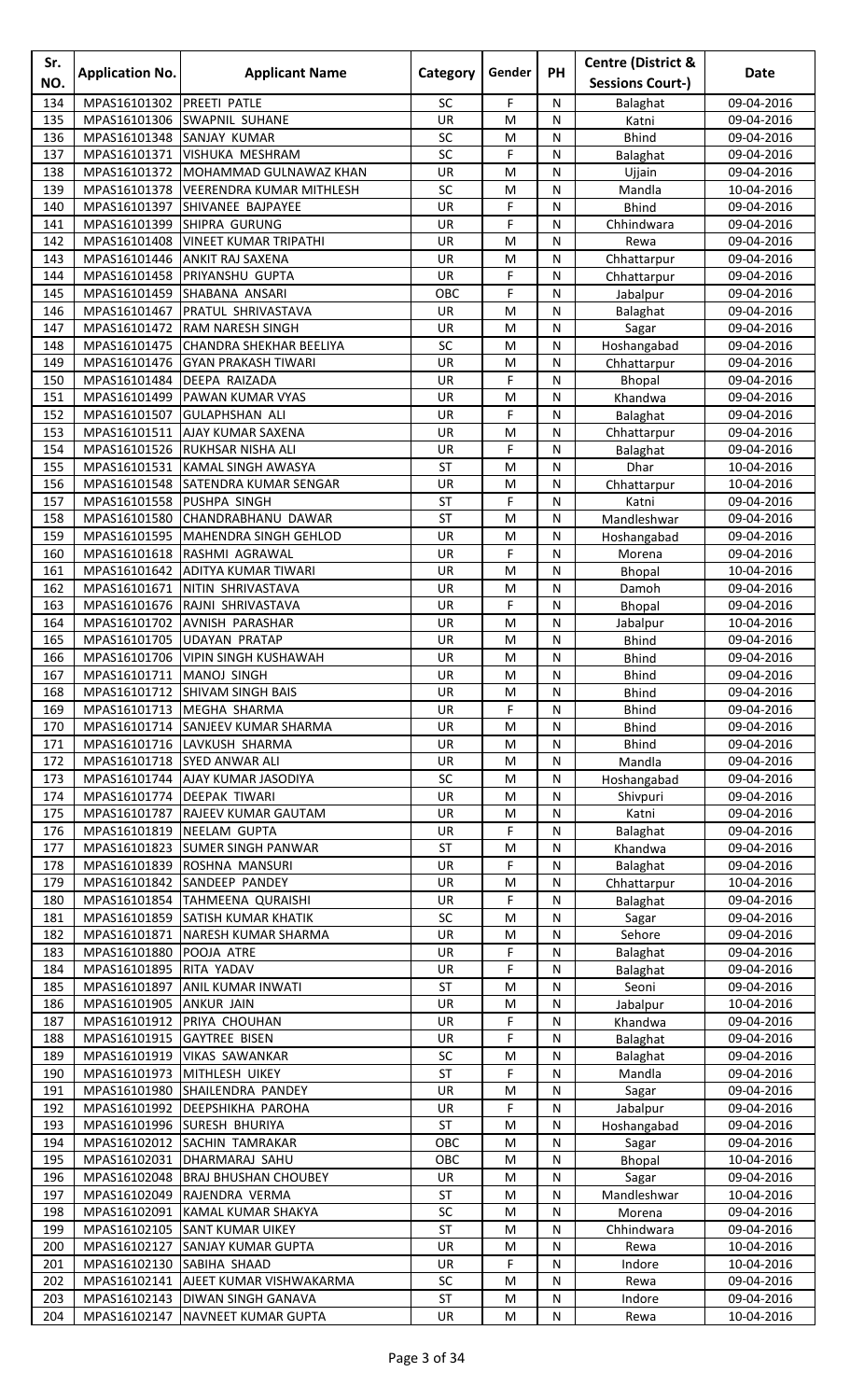| Sr.<br>NO. | <b>Application No.</b>       | <b>Applicant Name</b>                                      | Category               | Gender    | PH             | <b>Centre (District &amp;</b><br><b>Sessions Court-)</b> | Date                     |
|------------|------------------------------|------------------------------------------------------------|------------------------|-----------|----------------|----------------------------------------------------------|--------------------------|
| 134        | MPAS16101302                 | PREETI PATLE                                               | SC                     | F         | N              |                                                          | 09-04-2016               |
| 135        | MPAS16101306                 | <b>SWAPNIL SUHANE</b>                                      | UR                     | M         | N              | Balaghat<br>Katni                                        | 09-04-2016               |
| 136        | MPAS16101348                 | <b>SANJAY KUMAR</b>                                        | SC                     | M         | ${\sf N}$      | <b>Bhind</b>                                             | 09-04-2016               |
| 137        | MPAS16101371                 | VISHUKA MESHRAM                                            | SC                     | F         | N              | Balaghat                                                 | 09-04-2016               |
| 138        | MPAS16101372                 | MOHAMMAD GULNAWAZ KHAN                                     | UR                     | M         | N              | Ujjain                                                   | 09-04-2016               |
| 139        |                              | MPAS16101378   VEERENDRA KUMAR MITHLESH                    | SC                     | M         | N              | Mandla                                                   | 10-04-2016               |
| 140        | MPAS16101397                 | SHIVANEE BAJPAYEE                                          | UR                     | F         | N              | <b>Bhind</b>                                             | 09-04-2016               |
| 141        | MPAS16101399                 | <b>SHIPRA GURUNG</b>                                       | UR                     | F         | N              | Chhindwara                                               | 09-04-2016               |
| 142        | MPAS16101408                 | <b>VINEET KUMAR TRIPATHI</b>                               | UR                     | M         | ${\sf N}$      | Rewa                                                     | 09-04-2016               |
| 143        | MPAS16101446                 | <b>ANKIT RAJ SAXENA</b>                                    | UR                     | M         | N              | Chhattarpur                                              | 09-04-2016               |
| 144        | MPAS16101458                 | PRIYANSHU GUPTA                                            | UR                     | F         | N              | Chhattarpur                                              | 09-04-2016               |
| 145        | MPAS16101459                 | SHABANA ANSARI                                             | OBC                    | F         | N              | Jabalpur                                                 | 09-04-2016               |
| 146<br>147 | MPAS16101467<br>MPAS16101472 | PRATUL SHRIVASTAVA<br><b>RAM NARESH SINGH</b>              | UR<br>UR               | M<br>M    | N<br>N         | Balaghat<br>Sagar                                        | 09-04-2016<br>09-04-2016 |
| 148        |                              | MPAS16101475 CHANDRA SHEKHAR BEELIYA                       | SC                     | M         | N              | Hoshangabad                                              | 09-04-2016               |
| 149        | MPAS16101476                 | <b>GYAN PRAKASH TIWARI</b>                                 | UR                     | M         | ${\sf N}$      | Chhattarpur                                              | 09-04-2016               |
| 150        | MPAS16101484                 | DEEPA RAIZADA                                              | UR                     | F         | N              | Bhopal                                                   | 09-04-2016               |
| 151        | MPAS16101499                 | PAWAN KUMAR VYAS                                           | UR                     | M         | N              | Khandwa                                                  | 09-04-2016               |
| 152        | MPAS16101507                 | <b>GULAPHSHAN ALI</b>                                      | UR                     | F         | N              | Balaghat                                                 | 09-04-2016               |
| 153        | MPAS16101511                 | <b>AJAY KUMAR SAXENA</b>                                   | UR                     | M         | N              | Chhattarpur                                              | 09-04-2016               |
| 154        |                              | MPAS16101526 RUKHSAR NISHA ALI                             | UR                     | F         | N              | Balaghat                                                 | 09-04-2016               |
| 155        | MPAS16101531                 | KAMAL SINGH AWASYA                                         | <b>ST</b>              | M         | N              | Dhar                                                     | 10-04-2016               |
| 156        | MPAS16101548                 | SATENDRA KUMAR SENGAR                                      | UR                     | M         | N              | Chhattarpur                                              | 10-04-2016               |
| 157        | MPAS16101558                 | PUSHPA SINGH                                               | <b>ST</b><br><b>ST</b> | F         | N              | Katni                                                    | 09-04-2016               |
| 158<br>159 | MPAS16101580<br>MPAS16101595 | CHANDRABHANU DAWAR<br>MAHENDRA SINGH GEHLOD                | UR                     | M<br>M    | N<br>N         | Mandleshwar                                              | 09-04-2016<br>09-04-2016 |
| 160        | MPAS16101618                 | RASHMI AGRAWAL                                             | UR                     | F         | N              | Hoshangabad<br>Morena                                    | 09-04-2016               |
| 161        | MPAS16101642                 | <b>ADITYA KUMAR TIWARI</b>                                 | UR                     | M         | ${\sf N}$      | Bhopal                                                   | 10-04-2016               |
| 162        | MPAS16101671                 | NITIN SHRIVASTAVA                                          | UR                     | M         | N              | Damoh                                                    | 09-04-2016               |
| 163        | MPAS16101676                 | RAJNI SHRIVASTAVA                                          | UR                     | F         | N              | Bhopal                                                   | 09-04-2016               |
| 164        |                              | MPAS16101702 AVNISH PARASHAR                               | UR                     | M         | N              | Jabalpur                                                 | 10-04-2016               |
| 165        | MPAS16101705                 | <b>UDAYAN PRATAP</b>                                       | UR                     | M         | N              | <b>Bhind</b>                                             | 09-04-2016               |
| 166        | MPAS16101706                 | <b>VIPIN SINGH KUSHAWAH</b>                                | UR                     | M         | N              | <b>Bhind</b>                                             | 09-04-2016               |
| 167        | MPAS16101711 MANOJ SINGH     |                                                            | UR                     | M         | $\overline{N}$ | <b>Bhind</b>                                             | 09-04-2016               |
| 168        |                              | MPAS16101712 SHIVAM SINGH BAIS                             | UR                     | M         | N              | <b>Bhind</b>                                             | 09-04-2016               |
| 169        |                              | MPAS16101713 MEGHA SHARMA                                  | UR                     | F         | N              | <b>Bhind</b>                                             | 09-04-2016               |
| 170        | MPAS16101714                 | <b>SANJEEV KUMAR SHARMA</b>                                | <b>UR</b>              | M         | N              | <b>Bhind</b>                                             | 09-04-2016               |
| 171<br>172 |                              | MPAS16101716 LAVKUSH SHARMA<br>MPAS16101718 SYED ANWAR ALI | UR<br>UR               | M<br>M    | N<br>N         | <b>Bhind</b><br>Mandla                                   | 09-04-2016<br>09-04-2016 |
| 173        |                              | MPAS16101744   AJAY KUMAR JASODIYA                         | SC                     | M         | N              | Hoshangabad                                              | 09-04-2016               |
| 174        | MPAS16101774   DEEPAK TIWARI |                                                            | UR                     | M         | ${\sf N}$      | Shivpuri                                                 | 09-04-2016               |
| 175        |                              | MPAS16101787 RAJEEV KUMAR GAUTAM                           | UR                     | M         | N              | Katni                                                    | 09-04-2016               |
| 176        |                              | MPAS16101819 NEELAM GUPTA                                  | UR                     | F         | N              | Balaghat                                                 | 09-04-2016               |
| 177        |                              | MPAS16101823 SUMER SINGH PANWAR                            | ST                     | M         | N              | Khandwa                                                  | 09-04-2016               |
| 178        |                              | MPAS16101839 ROSHNA MANSURI                                | UR                     | F         | N              | Balaghat                                                 | 09-04-2016               |
| 179        |                              | MPAS16101842 SANDEEP PANDEY                                | <b>UR</b>              | M         | N              | Chhattarpur                                              | 10-04-2016               |
| 180        |                              | MPAS16101854 TAHMEENA QURAISHI                             | UR                     | F         | N              | Balaghat                                                 | 09-04-2016               |
| 181        |                              | MPAS16101859 SATISH KUMAR KHATIK                           | SC                     | M         | N              | Sagar                                                    | 09-04-2016               |
| 182        | MPAS16101871                 | <b>NARESH KUMAR SHARMA</b>                                 | UR                     | M         | N              | Sehore                                                   | 09-04-2016               |
| 183<br>184 | MPAS16101880<br>MPAS16101895 | POOJA ATRE<br>RITA YADAV                                   | <b>UR</b><br>UR        | F<br>F    | N<br>N         | Balaghat                                                 | 09-04-2016<br>09-04-2016 |
| 185        | MPAS16101897                 | ANIL KUMAR INWATI                                          | ST                     | M         | N              | Balaghat<br>Seoni                                        | 09-04-2016               |
| 186        | MPAS16101905 ANKUR JAIN      |                                                            | UR                     | ${\sf M}$ | ${\sf N}$      | Jabalpur                                                 | 10-04-2016               |
| 187        | MPAS16101912                 | PRIYA CHOUHAN                                              | UR                     | F         | N              | Khandwa                                                  | 09-04-2016               |
| 188        | MPAS16101915 GAYTREE BISEN   |                                                            | UR                     | F         | N              | Balaghat                                                 | 09-04-2016               |
| 189        | MPAS16101919                 | <b>VIKAS SAWANKAR</b>                                      | SC                     | M         | N              | Balaghat                                                 | 09-04-2016               |
| 190        | MPAS16101973                 | MITHLESH UIKEY                                             | ST                     | F         | N              | Mandla                                                   | 09-04-2016               |
| 191        | MPAS16101980                 | SHAILENDRA PANDEY                                          | UR                     | M         | N              | Sagar                                                    | 09-04-2016               |
| 192        |                              | MPAS16101992 DEEPSHIKHA PAROHA                             | <b>UR</b>              | F         | N              | Jabalpur                                                 | 09-04-2016               |
| 193        |                              | MPAS16101996 SURESH BHURIYA                                | <b>ST</b>              | M         | ${\sf N}$      | Hoshangabad                                              | 09-04-2016               |
| 194        | MPAS16102012                 | SACHIN TAMRAKAR                                            | OBC                    | M         | N              | Sagar                                                    | 09-04-2016               |
| 195        | MPAS16102031                 | DHARMARAJ SAHU                                             | OBC                    | M         | N              | <b>Bhopal</b>                                            | 10-04-2016               |
| 196        | MPAS16102048                 | <b>BRAJ BHUSHAN CHOUBEY</b><br>RAJENDRA VERMA              | UR                     | M         | N              | Sagar                                                    | 09-04-2016               |
| 197<br>198 | MPAS16102049<br>MPAS16102091 | KAMAL KUMAR SHAKYA                                         | <b>ST</b><br>SC        | M<br>M    | N<br>N         | Mandleshwar<br>Morena                                    | 10-04-2016<br>09-04-2016 |
| 199        |                              | MPAS16102105 SANT KUMAR UIKEY                              | <b>ST</b>              | ${\sf M}$ | ${\sf N}$      | Chhindwara                                               | 09-04-2016               |
| 200        | MPAS16102127                 | <b>SANJAY KUMAR GUPTA</b>                                  | UR                     | M         | N              | Rewa                                                     | 10-04-2016               |
| 201        | MPAS16102130                 | SABIHA SHAAD                                               | UR.                    | F         | N              | Indore                                                   | 10-04-2016               |
| 202        |                              | MPAS16102141   AJEET KUMAR VISHWAKARMA                     | SC                     | M         | N              | Rewa                                                     | 09-04-2016               |
| 203        |                              | MPAS16102143   DIWAN SINGH GANAVA                          | $\mathsf{ST}\,$        | ${\sf M}$ | ${\sf N}$      | Indore                                                   | 09-04-2016               |
| 204        |                              | MPAS16102147   NAVNEET KUMAR GUPTA                         | UR                     | M         | N              | Rewa                                                     | 10-04-2016               |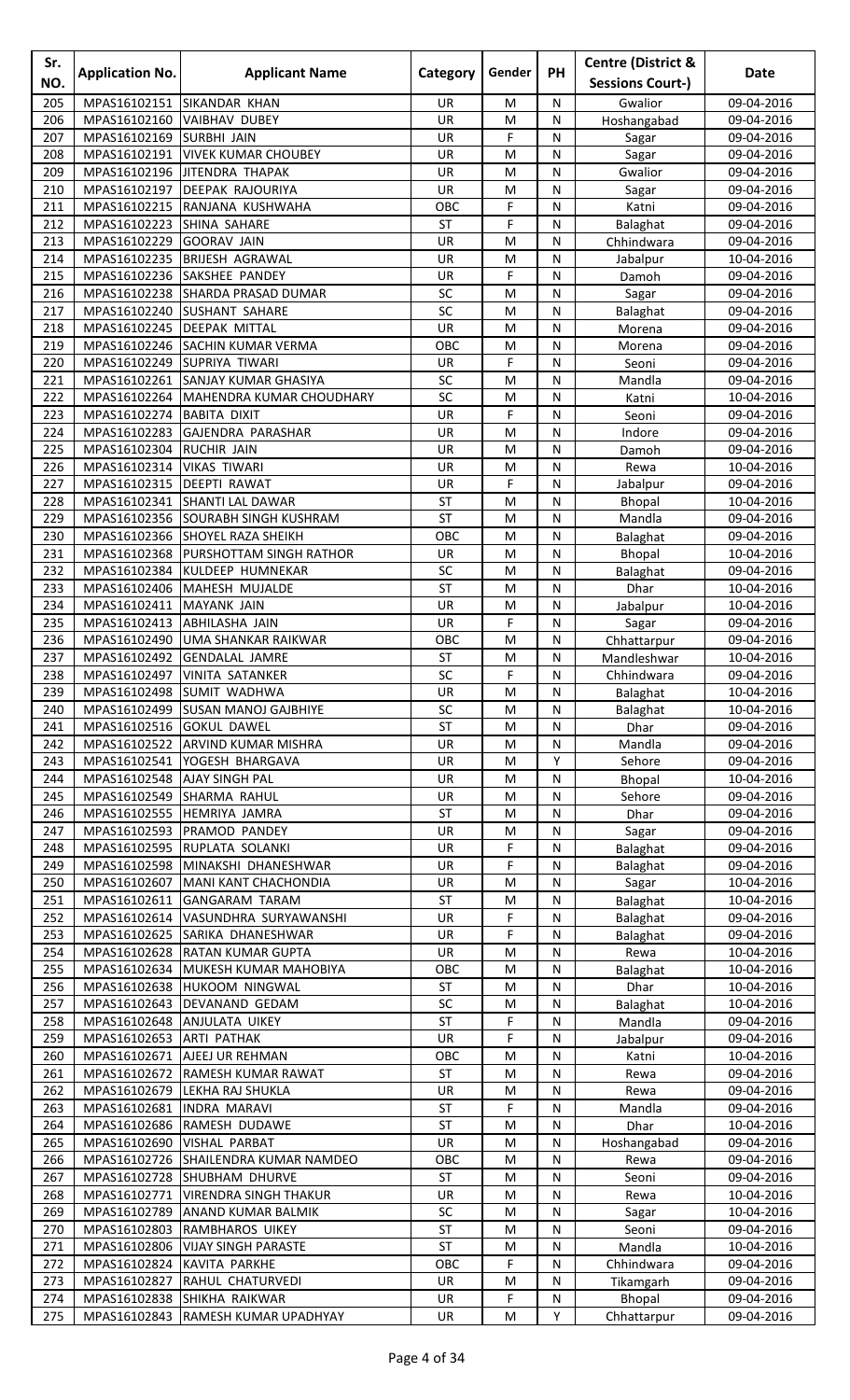| Sr.<br>NO. | <b>Application No.</b>       | <b>Applicant Name</b>                                            | Category         | Gender                   | <b>PH</b>         | <b>Centre (District &amp;</b><br><b>Sessions Court-)</b> | Date                     |
|------------|------------------------------|------------------------------------------------------------------|------------------|--------------------------|-------------------|----------------------------------------------------------|--------------------------|
| 205        | MPAS16102151                 | <b>SIKANDAR KHAN</b>                                             | UR               | M                        | N                 | Gwalior                                                  | 09-04-2016               |
| 206        | MPAS16102160                 | <b>VAIBHAV DUBEY</b>                                             | UR               | M                        | N                 | Hoshangabad                                              | 09-04-2016               |
| 207        | MPAS16102169 SURBHI JAIN     |                                                                  | UR               | F                        | N                 | Sagar                                                    | 09-04-2016               |
| 208        |                              | MPAS16102191   VIVEK KUMAR CHOUBEY                               | UR               | M                        | N                 | Sagar                                                    | 09-04-2016               |
| 209        |                              | MPAS16102196 JITENDRA THAPAK                                     | UR               | M                        | ${\sf N}$         | Gwalior                                                  | 09-04-2016               |
| 210        | MPAS16102197                 | <b>DEEPAK RAJOURIYA</b>                                          | UR               | M                        | N                 | Sagar                                                    | 09-04-2016               |
| 211<br>212 | MPAS16102223                 | MPAS16102215 RANJANA KUSHWAHA<br>SHINA SAHARE                    | OBC<br><b>ST</b> | F<br>F                   | N<br>$\mathsf{N}$ | Katni                                                    | 09-04-2016               |
| 213        | MPAS16102229                 | <b>GOORAV JAIN</b>                                               | UR               | M                        | N                 | Balaghat<br>Chhindwara                                   | 09-04-2016<br>09-04-2016 |
| 214        |                              | MPAS16102235 BRIJESH AGRAWAL                                     | UR               | M                        | N                 | Jabalpur                                                 | 10-04-2016               |
| 215        |                              | MPAS16102236 SAKSHEE PANDEY                                      | UR               | F                        | $\mathsf{N}$      | Damoh                                                    | 09-04-2016               |
| 216        |                              | MPAS16102238 SHARDA PRASAD DUMAR                                 | SC               | M                        | N                 | Sagar                                                    | 09-04-2016               |
| 217        | MPAS16102240                 | <b>SUSHANT SAHARE</b>                                            | SC               | M                        | N                 | Balaghat                                                 | 09-04-2016               |
| 218        |                              | MPAS16102245   DEEPAK MITTAL                                     | <b>UR</b>        | M                        | N                 | Morena                                                   | 09-04-2016               |
| 219        |                              | MPAS16102246 SACHIN KUMAR VERMA                                  | OBC              | M                        | N                 | Morena                                                   | 09-04-2016               |
| 220<br>221 |                              | MPAS16102249 SUPRIYA TIWARI<br>MPAS16102261 SANJAY KUMAR GHASIYA | UR<br>SC         | F<br>M                   | N<br>${\sf N}$    | Seoni<br>Mandla                                          | 09-04-2016<br>09-04-2016 |
| 222        | MPAS16102264                 | MAHENDRA KUMAR CHOUDHARY                                         | SC               | M                        | N                 | Katni                                                    | 10-04-2016               |
| 223        | MPAS16102274                 | <b>BABITA DIXIT</b>                                              | UR               | F                        | N                 | Seoni                                                    | 09-04-2016               |
| 224        | MPAS16102283                 | GAJENDRA PARASHAR                                                | UR               | M                        | N                 | Indore                                                   | 09-04-2016               |
| 225        | MPAS16102304                 | <b>RUCHIR JAIN</b>                                               | UR               | M                        | N                 | Damoh                                                    | 09-04-2016               |
| 226        | MPAS16102314                 | <b>VIKAS TIWARI</b>                                              | UR               | M                        | N                 | Rewa                                                     | 10-04-2016               |
| 227        | MPAS16102315  DEEPTI RAWAT   |                                                                  | UR               | F                        | $\mathsf{N}$      | Jabalpur                                                 | 09-04-2016               |
| 228        | MPAS16102341                 | <b>SHANTI LAL DAWAR</b>                                          | ST               | M                        | N                 | Bhopal                                                   | 10-04-2016               |
| 229        | MPAS16102356                 | <b>SOURABH SINGH KUSHRAM</b>                                     | <b>ST</b>        | M                        | N                 | Mandla                                                   | 09-04-2016               |
| 230<br>231 | MPAS16102366<br>MPAS16102368 | <b>SHOYEL RAZA SHEIKH</b><br>PURSHOTTAM SINGH RATHOR             | OBC<br>UR        | M<br>M                   | N<br>N            | Balaghat                                                 | 09-04-2016<br>10-04-2016 |
| 232        | MPAS16102384                 | KULDEEP HUMNEKAR                                                 | SC               | M                        | N                 | <b>Bhopal</b><br>Balaghat                                | 09-04-2016               |
| 233        |                              | MPAS16102406 MAHESH MUJALDE                                      | <b>ST</b>        | M                        | N                 | Dhar                                                     | 10-04-2016               |
| 234        | MPAS16102411                 | <b>MAYANK JAIN</b>                                               | UR               | M                        | ${\sf N}$         | Jabalpur                                                 | 10-04-2016               |
| 235        | MPAS16102413                 | <b>ABHILASHA JAIN</b>                                            | UR               | F                        | N                 | Sagar                                                    | 09-04-2016               |
| 236        | MPAS16102490                 | <b>UMA SHANKAR RAIKWAR</b>                                       | OBC              | M                        | N                 | Chhattarpur                                              | 09-04-2016               |
| 237        |                              | MPAS16102492 GENDALAL JAMRE                                      | <b>ST</b>        | M                        | N                 | Mandleshwar                                              | 10-04-2016               |
| 238        |                              | MPAS16102497 VINITA SATANKER                                     | SC               | F                        | $\mathsf{N}$      | Chhindwara                                               | 09-04-2016               |
| 239<br>240 |                              | MPAS16102498 SUMIT WADHWA<br>MPAS16102499 SUSAN MANOJ GAJBHIYE   | <b>UR</b><br>SC  | M<br>M                   | N<br>N            | Balaghat<br>Balaghat                                     | 10-04-2016<br>10-04-2016 |
| 241        | MPAS16102516 GOKUL DAWEL     |                                                                  | ST               | M                        | N                 | Dhar                                                     | 09-04-2016               |
| 242        |                              | MPAS16102522 ARVIND KUMAR MISHRA                                 | UR               | M                        | N                 | Mandla                                                   | 09-04-2016               |
| 243        | MPAS16102541                 | YOGESH BHARGAVA                                                  | UR               | M                        | Υ                 | Sehore                                                   | 09-04-2016               |
| 244        | MPAS16102548 AJAY SINGH PAL  |                                                                  | UR               | M                        | N                 | <b>Bhopal</b>                                            | 10-04-2016               |
| 245        |                              | MPAS16102549 SHARMA RAHUL                                        | UR               | M                        | N                 | Sehore                                                   | 09-04-2016               |
| 246        |                              | MPAS16102555 HEMRIYA JAMRA                                       | ST               | M                        | ${\sf N}$         | Dhar                                                     | 09-04-2016               |
| 247        |                              | MPAS16102593 PRAMOD PANDEY<br>MPAS16102595 RUPLATA SOLANKI       | UR               | M<br>F                   | N                 | Sagar                                                    | 09-04-2016<br>09-04-2016 |
| 248<br>249 |                              | MPAS16102598 MINAKSHI DHANESHWAR                                 | UR<br>UR         | F                        | N<br>N            | Balaghat<br>Balaghat                                     | 09-04-2016               |
| 250        |                              | MPAS16102607 MANI KANT CHACHONDIA                                | UR               | M                        | N                 | Sagar                                                    | 10-04-2016               |
| 251        |                              | MPAS16102611 GANGARAM TARAM                                      | <b>ST</b>        | M                        | N                 | Balaghat                                                 | 10-04-2016               |
| 252        |                              | MPAS16102614 VASUNDHRA SURYAWANSHI                               | UR               | F                        | N                 | Balaghat                                                 | 09-04-2016               |
| 253        |                              | MPAS16102625 SARIKA DHANESHWAR                                   | UR               | F                        | N                 | Balaghat                                                 | 09-04-2016               |
| 254        |                              | MPAS16102628 RATAN KUMAR GUPTA                                   | UR               | M                        | N                 | Rewa                                                     | 10-04-2016               |
| 255        |                              | MPAS16102634 MUKESH KUMAR MAHOBIYA                               | OBC              | M                        | N                 | Balaghat                                                 | 10-04-2016               |
| 256        |                              | MPAS16102638 HUKOOM NINGWAL                                      | ST               | M                        | N                 | Dhar                                                     | 10-04-2016               |
| 257<br>258 |                              | MPAS16102643 DEVANAND GEDAM<br>MPAS16102648 ANJULATA UIKEY       | SC<br><b>ST</b>  | M<br>F                   | N<br>N            | Balaghat<br>Mandla                                       | 10-04-2016<br>09-04-2016 |
| 259        | MPAS16102653 ARTI PATHAK     |                                                                  | UR               | F                        | $\mathsf{N}$      | Jabalpur                                                 | 09-04-2016               |
| 260        |                              | MPAS16102671 AJEEJ UR REHMAN                                     | OBC              | M                        | N                 | Katni                                                    | 10-04-2016               |
| 261        |                              | MPAS16102672 RAMESH KUMAR RAWAT                                  | ST               | M                        | N                 | Rewa                                                     | 09-04-2016               |
| 262        |                              | MPAS16102679 LEKHA RAJ SHUKLA                                    | UR               | M                        | N                 | Rewa                                                     | 09-04-2016               |
| 263        | MPAS16102681  INDRA MARAVI   |                                                                  | ST               | F                        | N                 | Mandla                                                   | 09-04-2016               |
| 264        |                              | MPAS16102686 RAMESH DUDAWE                                       | <b>ST</b>        | M                        | N                 | Dhar                                                     | 10-04-2016               |
| 265<br>266 | MPAS16102690 VISHAL PARBAT   | MPAS16102726 SHAILENDRA KUMAR NAMDEO                             | UR<br>OBC        | M<br>M                   | N<br>N            | Hoshangabad<br>Rewa                                      | 09-04-2016<br>09-04-2016 |
| 267        |                              | MPAS16102728 SHUBHAM DHURVE                                      | <b>ST</b>        | M                        | N                 | Seoni                                                    | 09-04-2016               |
| 268        | MPAS16102771                 | <b>VIRENDRA SINGH THAKUR</b>                                     | UR               | M                        | N                 | Rewa                                                     | 10-04-2016               |
| 269        | MPAS16102789                 | <b>ANAND KUMAR BALMIK</b>                                        | SC               | M                        | N                 | Sagar                                                    | 10-04-2016               |
| 270        |                              | MPAS16102803 RAMBHAROS UIKEY                                     | <b>ST</b>        | M                        | N                 | Seoni                                                    | 09-04-2016               |
| 271        |                              | MPAS16102806   VIJAY SINGH PARASTE                               | ST               | M                        | N                 | Mandla                                                   | 10-04-2016               |
| 272        | MPAS16102824 KAVITA PARKHE   |                                                                  | OBC              | F                        | N                 | Chhindwara                                               | 09-04-2016               |
| 273        |                              | MPAS16102827 RAHUL CHATURVEDI<br>MPAS16102838 SHIKHA RAIKWAR     | UR               | M                        | N                 | Tikamgarh                                                | 09-04-2016               |
| 274<br>275 |                              | MPAS16102843 RAMESH KUMAR UPADHYAY                               | UR<br>UR         | $\mathsf F$<br>${\sf M}$ | ${\sf N}$<br>Υ    | Bhopal<br>Chhattarpur                                    | 09-04-2016<br>09-04-2016 |
|            |                              |                                                                  |                  |                          |                   |                                                          |                          |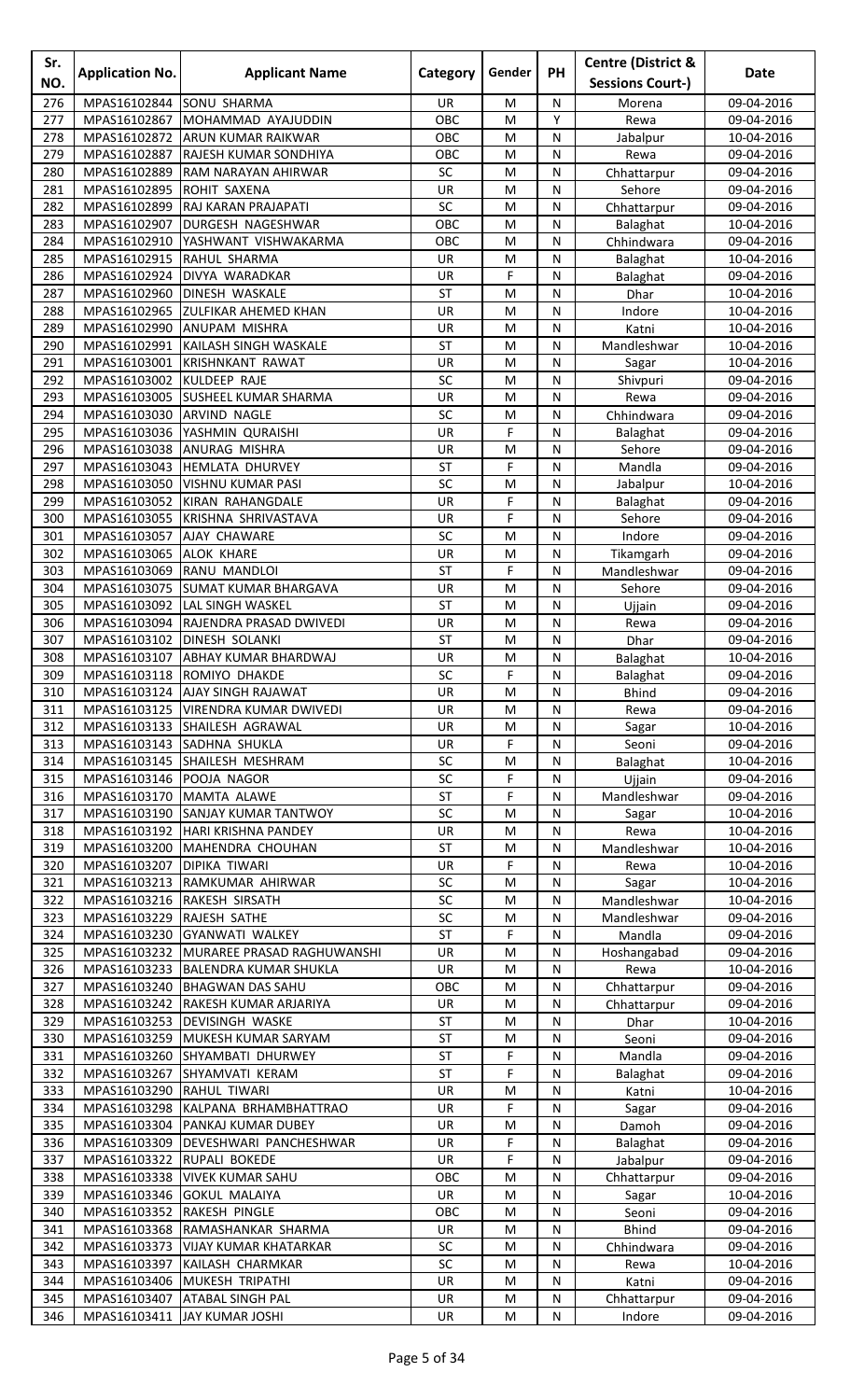| Sr.<br>NO. | <b>Application No.</b>       | <b>Applicant Name</b>                                                  | Category        | Gender    | PH             | <b>Centre (District &amp;</b><br><b>Sessions Court-)</b> | Date                     |
|------------|------------------------------|------------------------------------------------------------------------|-----------------|-----------|----------------|----------------------------------------------------------|--------------------------|
| 276        | MPAS16102844                 | <b>SONU SHARMA</b>                                                     | <b>UR</b>       | M         | N              | Morena                                                   | 09-04-2016               |
| 277        | MPAS16102867                 | MOHAMMAD AYAJUDDIN                                                     | OBC             | M         | Y              | Rewa                                                     | 09-04-2016               |
| 278        | MPAS16102872                 | <b>ARUN KUMAR RAIKWAR</b>                                              | OBC             | M         | ${\sf N}$      | Jabalpur                                                 | 10-04-2016               |
| 279        | MPAS16102887                 | RAJESH KUMAR SONDHIYA                                                  | OBC             | M         | N              | Rewa                                                     | 09-04-2016               |
| 280        | MPAS16102889                 | RAM NARAYAN AHIRWAR                                                    | SC              | M         | N              | Chhattarpur                                              | 09-04-2016               |
| 281        | MPAS16102895                 | <b>ROHIT SAXENA</b>                                                    | UR              | M         | N              | Sehore                                                   | 09-04-2016               |
| 282        | MPAS16102899                 | <b>RAJ KARAN PRAJAPATI</b>                                             | SC              | M         | N              | Chhattarpur                                              | 09-04-2016               |
| 283        | MPAS16102907                 | DURGESH NAGESHWAR                                                      | OBC             | M         | N              | Balaghat                                                 | 10-04-2016               |
| 284        | MPAS16102910                 | YASHWANT VISHWAKARMA                                                   | OBC             | M         | N              | Chhindwara                                               | 09-04-2016               |
| 285<br>286 |                              | MPAS16102915 RAHUL SHARMA                                              | UR              | M<br>F    | N<br>N         | Balaghat                                                 | 10-04-2016               |
| 287        | MPAS16102924<br>MPAS16102960 | DIVYA WARADKAR<br>DINESH WASKALE                                       | UR<br>ST        | M         | N              | Balaghat<br>Dhar                                         | 09-04-2016<br>10-04-2016 |
| 288        | MPAS16102965                 | <b>ZULFIKAR AHEMED KHAN</b>                                            | UR              | M         | N              | Indore                                                   | 10-04-2016               |
| 289        | MPAS16102990                 | <b>ANUPAM MISHRA</b>                                                   | UR              | M         | N              | Katni                                                    | 10-04-2016               |
| 290        | MPAS16102991                 | KAILASH SINGH WASKALE                                                  | <b>ST</b>       | M         | N              | Mandleshwar                                              | 10-04-2016               |
| 291        | MPAS16103001                 | <b>KRISHNKANT RAWAT</b>                                                | UR              | M         | ${\sf N}$      | Sagar                                                    | 10-04-2016               |
| 292        | MPAS16103002                 | KULDEEP RAJE                                                           | SC              | M         | N              | Shivpuri                                                 | 09-04-2016               |
| 293        | MPAS16103005                 | <b>SUSHEEL KUMAR SHARMA</b>                                            | UR              | M         | N              | Rewa                                                     | 09-04-2016               |
| 294        | MPAS16103030                 | <b>ARVIND NAGLE</b>                                                    | SC              | M         | N              | Chhindwara                                               | 09-04-2016               |
| 295        | MPAS16103036                 | YASHMIN QURAISHI                                                       | UR              | F         | N              | Balaghat                                                 | 09-04-2016               |
| 296        |                              | MPAS16103038 ANURAG MISHRA                                             | UR              | M         | N              | Sehore                                                   | 09-04-2016               |
| 297        | MPAS16103043                 | HEMLATA DHURVEY                                                        | <b>ST</b>       | F         | N              | Mandla                                                   | 09-04-2016               |
| 298<br>299 | MPAS16103050<br>MPAS16103052 | <b>VISHNU KUMAR PASI</b><br>KIRAN RAHANGDALE                           | SC<br>UR        | M<br>F    | N<br>N         | Jabalpur                                                 | 10-04-2016               |
| 300        | MPAS16103055                 | KRISHNA SHRIVASTAVA                                                    | UR              | F         | N              | Balaghat<br>Sehore                                       | 09-04-2016<br>09-04-2016 |
| 301        | MPAS16103057                 | AJAY CHAWARE                                                           | SC              | M         | N              | Indore                                                   | 09-04-2016               |
| 302        | MPAS16103065                 | <b>ALOK KHARE</b>                                                      | UR              | M         | N              | Tikamgarh                                                | 09-04-2016               |
| 303        | MPAS16103069                 | RANU MANDLOI                                                           | <b>ST</b>       | F         | ${\sf N}$      | Mandleshwar                                              | 09-04-2016               |
| 304        | MPAS16103075                 | <b>SUMAT KUMAR BHARGAVA</b>                                            | UR              | M         | N              | Sehore                                                   | 09-04-2016               |
| 305        |                              | MPAS16103092 LAL SINGH WASKEL                                          | <b>ST</b>       | M         | N              | Ujjain                                                   | 09-04-2016               |
| 306        | MPAS16103094                 | <b>RAJENDRA PRASAD DWIVEDI</b>                                         | UR              | M         | N              | Rewa                                                     | 09-04-2016               |
| 307        |                              | MPAS16103102 DINESH SOLANKI                                            | ST              | M         | N              | Dhar                                                     | 09-04-2016               |
| 308        |                              | MPAS16103107 ABHAY KUMAR BHARDWAJ                                      | UR              | M         | N              | Balaghat                                                 | 10-04-2016               |
| 309        |                              | MPAS16103118 ROMIYO DHAKDE                                             | $\overline{SC}$ | F         | $\overline{N}$ | Balaghat                                                 | 09-04-2016               |
| 310        |                              | MPAS16103124 AJAY SINGH RAJAWAT                                        | UR              | M         | N              | <b>Bhind</b>                                             | 09-04-2016               |
| 311<br>312 |                              | MPAS16103125   VIRENDRA KUMAR DWIVEDI<br>MPAS16103133 SHAILESH AGRAWAL | UR<br><b>UR</b> | M<br>M    | N<br>N         | Rewa<br>Sagar                                            | 09-04-2016<br>10-04-2016 |
| 313        |                              | MPAS16103143 SADHNA SHUKLA                                             | UR              | F         | N              | Seoni                                                    | 09-04-2016               |
| 314        |                              | MPAS16103145 SHAILESH MESHRAM                                          | SC              | M         | N              | Balaghat                                                 | 10-04-2016               |
| 315        | MPAS16103146 POOJA NAGOR     |                                                                        | SC              | F         | N              | Ujjain                                                   | 09-04-2016               |
| 316        | MPAS16103170                 | MAMTA ALAWE                                                            | ST              | F         | ${\sf N}$      | Mandleshwar                                              | 09-04-2016               |
| 317        | MPAS16103190                 | <b>SANJAY KUMAR TANTWOY</b>                                            | SC              | M         | N              | Sagar                                                    | 10-04-2016               |
| 318        |                              | MPAS16103192   HARI KRISHNA PANDEY                                     | UR              | M         | N              | Rewa                                                     | 10-04-2016               |
| 319        |                              | MPAS16103200 MAHENDRA CHOUHAN                                          | ST              | M         | N              | Mandleshwar                                              | 10-04-2016               |
| 320        | MPAS16103207 DIPIKA TIWARI   |                                                                        | UR              | F         | N              | Rewa                                                     | 10-04-2016               |
| 321        |                              | MPAS16103213 RAMKUMAR AHIRWAR                                          | SC              | M         | N              | Sagar                                                    | 10-04-2016               |
| 322        |                              | MPAS16103216 RAKESH SIRSATH                                            | SC              | ${\sf M}$ | ${\sf N}$      | Mandleshwar                                              | 10-04-2016               |
| 323        | MPAS16103229 RAJESH SATHE    |                                                                        | SC<br><b>ST</b> | M<br>F    | N              | Mandleshwar                                              | 09-04-2016               |
| 324<br>325 | MPAS16103230                 | <b>GYANWATI WALKEY</b><br>MPAS16103232 MURAREE PRASAD RAGHUWANSHI      | UR              | M         | N<br>N         | Mandla<br>Hoshangabad                                    | 09-04-2016<br>09-04-2016 |
| 326        |                              | MPAS16103233 BALENDRA KUMAR SHUKLA                                     | UR              | M         | N              | Rewa                                                     | 10-04-2016               |
| 327        |                              | MPAS16103240 BHAGWAN DAS SAHU                                          | OBC             | M         | N              | Chhattarpur                                              | 09-04-2016               |
| 328        |                              | MPAS16103242 RAKESH KUMAR ARJARIYA                                     | UR              | ${\sf M}$ | N              | Chhattarpur                                              | 09-04-2016               |
| 329        |                              | MPAS16103253 DEVISINGH WASKE                                           | ST              | M         | N              | Dhar                                                     | 10-04-2016               |
| 330        | MPAS16103259                 | MUKESH KUMAR SARYAM                                                    | <b>ST</b>       | M         | N              | Seoni                                                    | 09-04-2016               |
| 331        | MPAS16103260                 | SHYAMBATI DHURWEY                                                      | ST              | F         | N              | Mandla                                                   | 09-04-2016               |
| 332        | MPAS16103267                 | <b>SHYAMVATI KERAM</b>                                                 | ST              | F         | N              | Balaghat                                                 | 09-04-2016               |
| 333        | MPAS16103290                 | <b>RAHUL TIWARI</b>                                                    | UR              | M         | N              | Katni                                                    | 10-04-2016               |
| 334        | MPAS16103298                 | KALPANA BRHAMBHATTRAO                                                  | <b>UR</b>       | F         | N              | Sagar                                                    | 09-04-2016               |
| 335<br>336 | MPAS16103304<br>MPAS16103309 | PANKAJ KUMAR DUBEY<br>DEVESHWARI PANCHESHWAR                           | UR<br>UR        | M<br>F    | ${\sf N}$<br>N | Damoh                                                    | 09-04-2016<br>09-04-2016 |
| 337        | MPAS16103322                 | RUPALI BOKEDE                                                          | <b>UR</b>       | F         | N              | Balaghat<br>Jabalpur                                     | 09-04-2016               |
| 338        | MPAS16103338                 | <b>VIVEK KUMAR SAHU</b>                                                | OBC             | M         | N              | Chhattarpur                                              | 09-04-2016               |
| 339        | MPAS16103346                 | <b>GOKUL MALAIYA</b>                                                   | UR              | M         | N              | Sagar                                                    | 10-04-2016               |
| 340        | MPAS16103352 RAKESH PINGLE   |                                                                        | OBC             | M         | N              | Seoni                                                    | 09-04-2016               |
| 341        |                              | MPAS16103368 RAMASHANKAR SHARMA                                        | UR              | ${\sf M}$ | ${\sf N}$      | <b>Bhind</b>                                             | 09-04-2016               |
| 342        |                              | MPAS16103373 VIJAY KUMAR KHATARKAR                                     | SC              | M         | N              | Chhindwara                                               | 09-04-2016               |
| 343        |                              | MPAS16103397 KAILASH CHARMKAR                                          | SC              | M         | N              | Rewa                                                     | 10-04-2016               |
| 344        |                              | MPAS16103406 MUKESH TRIPATHI                                           | UR              | M         | N              | Katni                                                    | 09-04-2016               |
| 345        |                              | MPAS16103407 ATABAL SINGH PAL                                          | UR              | M         | ${\sf N}$      | Chhattarpur                                              | 09-04-2016               |
| 346        |                              | MPAS16103411 JAY KUMAR JOSHI                                           | UR              | M         | N              | Indore                                                   | 09-04-2016               |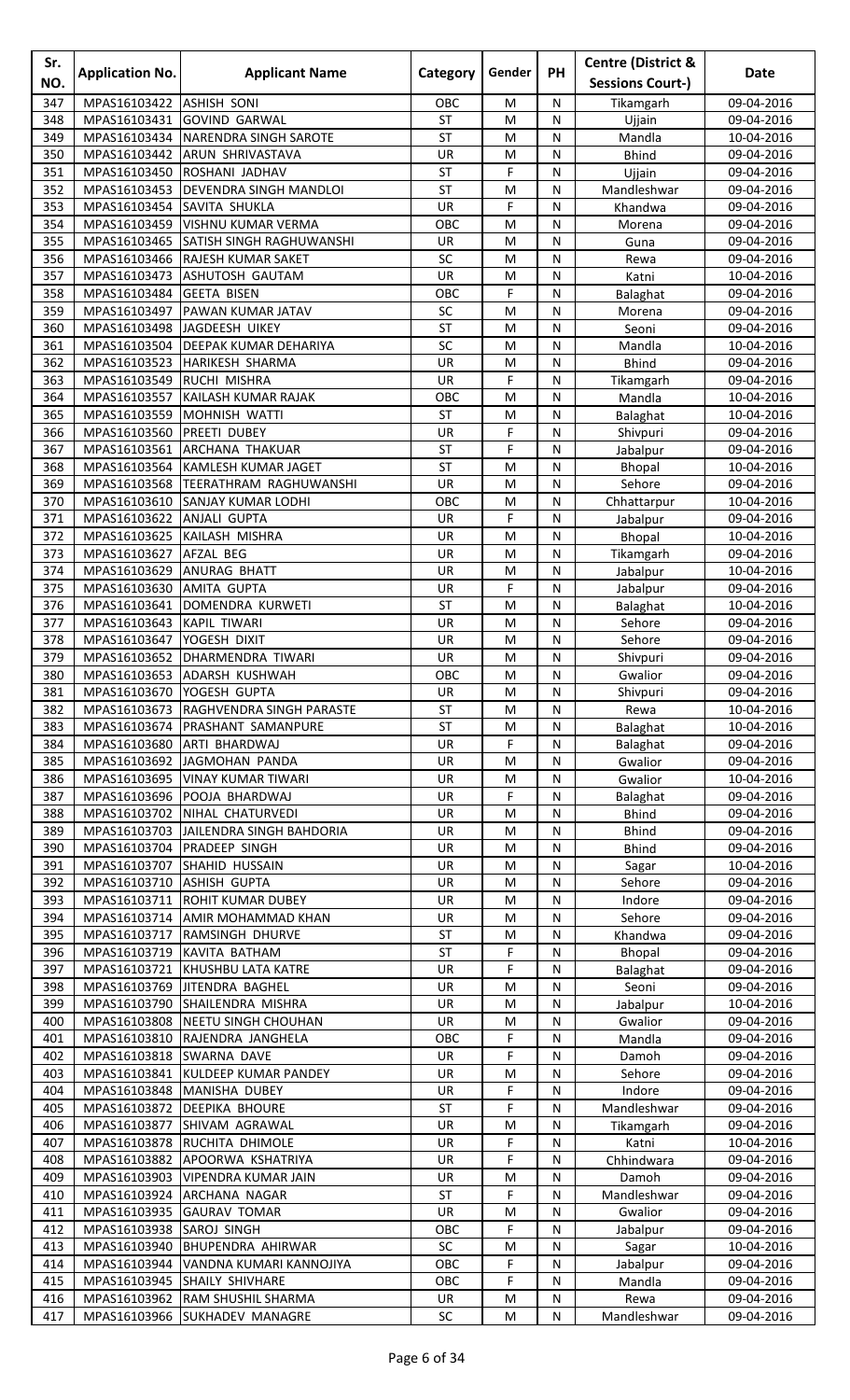| Sr.<br>NO. | <b>Application No.</b>                   | <b>Applicant Name</b>                                          | Category        | Gender    | <b>PH</b> | <b>Centre (District &amp;</b><br><b>Sessions Court-)</b> | Date                     |
|------------|------------------------------------------|----------------------------------------------------------------|-----------------|-----------|-----------|----------------------------------------------------------|--------------------------|
| 347        | MPAS16103422                             | <b>ASHISH SONI</b>                                             | OBC             | M         | N         |                                                          | 09-04-2016               |
| 348        | MPAS16103431                             | <b>GOVIND GARWAL</b>                                           | <b>ST</b>       | M         | N         | Tikamgarh<br>Ujjain                                      | 09-04-2016               |
| 349        | MPAS16103434                             | NARENDRA SINGH SAROTE                                          | <b>ST</b>       | M         | N         | Mandla                                                   | 10-04-2016               |
| 350        | MPAS16103442                             | <b>ARUN SHRIVASTAVA</b>                                        | UR              | M         | ${\sf N}$ | <b>Bhind</b>                                             | 09-04-2016               |
| 351        | MPAS16103450                             | ROSHANI JADHAV                                                 | <b>ST</b>       | F         | N         | Ujjain                                                   | 09-04-2016               |
| 352        | MPAS16103453                             | <b>DEVENDRA SINGH MANDLOI</b>                                  | <b>ST</b>       | M         | N         | Mandleshwar                                              | 09-04-2016               |
| 353        | MPAS16103454                             | SAVITA SHUKLA                                                  | <b>UR</b>       | F         | N         | Khandwa                                                  | 09-04-2016               |
| 354        | MPAS16103459                             | <b>VISHNU KUMAR VERMA</b>                                      | OBC             | M         | N         | Morena                                                   | 09-04-2016               |
| 355        |                                          | MPAS16103465 SATISH SINGH RAGHUWANSHI                          | UR              | M         | N         | Guna                                                     | 09-04-2016               |
| 356        |                                          | MPAS16103466 RAJESH KUMAR SAKET                                | SC              | M         | N         | Rewa                                                     | 09-04-2016               |
| 357        |                                          | MPAS16103473 ASHUTOSH GAUTAM                                   | UR              | M         | N         | Katni                                                    | 10-04-2016               |
| 358        | MPAS16103484                             | <b>GEETA BISEN</b>                                             | OBC             | F         | N         | Balaghat                                                 | 09-04-2016               |
| 359<br>360 | MPAS16103497<br>MPAS16103498             | <b>PAWAN KUMAR JATAV</b><br>JAGDEESH UIKEY                     | SC<br>ST        | M<br>M    | N<br>N    | Morena                                                   | 09-04-2016<br>09-04-2016 |
| 361        |                                          | MPAS16103504 DEEPAK KUMAR DEHARIYA                             | SC              | M         | N         | Seoni<br>Mandla                                          | 10-04-2016               |
| 362        |                                          | MPAS16103523 HARIKESH SHARMA                                   | UR              | M         | N         | <b>Bhind</b>                                             | 09-04-2016               |
| 363        | MPAS16103549                             | <b>RUCHI MISHRA</b>                                            | UR              | F         | N         | <b>Tikamgarh</b>                                         | 09-04-2016               |
| 364        | MPAS16103557                             | KAILASH KUMAR RAJAK                                            | OBC             | M         | N         | Mandla                                                   | 10-04-2016               |
| 365        | MPAS16103559                             | MOHNISH WATTI                                                  | ST              | M         | N         | Balaghat                                                 | 10-04-2016               |
| 366        | MPAS16103560                             | <b>PREETI DUBEY</b>                                            | UR              | F         | N         | Shivpuri                                                 | 09-04-2016               |
| 367        | MPAS16103561                             | <b>ARCHANA THAKUAR</b>                                         | <b>ST</b>       | F         | N         | Jabalpur                                                 | 09-04-2016               |
| 368        | MPAS16103564                             | KAMLESH KUMAR JAGET                                            | <b>ST</b>       | M         | N         | Bhopal                                                   | 10-04-2016               |
| 369        | MPAS16103568                             | TEERATHRAM RAGHUWANSHI                                         | UR              | M         | ${\sf N}$ | Sehore                                                   | 09-04-2016               |
| 370        | MPAS16103610                             | SANJAY KUMAR LODHI                                             | OBC             | M         | N         | Chhattarpur                                              | 10-04-2016               |
| 371        | MPAS16103622                             | <b>ANJALI GUPTA</b>                                            | UR              | F         | N         | Jabalpur                                                 | 09-04-2016               |
| 372        | MPAS16103625                             | KAILASH MISHRA                                                 | <b>UR</b>       | M         | N         | Bhopal                                                   | 10-04-2016               |
| 373<br>374 | MPAS16103627<br>MPAS16103629             | AFZAL BEG<br><b>ANURAG BHATT</b>                               | UR<br>UR        | M<br>M    | N<br>N    | Tikamgarh                                                | 09-04-2016<br>10-04-2016 |
| 375        | MPAS16103630                             | <b>AMITA GUPTA</b>                                             | UR              | F         | ${\sf N}$ | Jabalpur<br>Jabalpur                                     | 09-04-2016               |
| 376        | MPAS16103641                             | DOMENDRA KURWETI                                               | <b>ST</b>       | M         | N         | Balaghat                                                 | 10-04-2016               |
| 377        | MPAS16103643                             | <b>KAPIL TIWARI</b>                                            | UR              | M         | N         | Sehore                                                   | 09-04-2016               |
| 378        | MPAS16103647                             | YOGESH DIXIT                                                   | <b>UR</b>       | M         | N         | Sehore                                                   | 09-04-2016               |
| 379        |                                          | MPAS16103652 DHARMENDRA TIWARI                                 | UR              | M         | N         | Shivpuri                                                 | 09-04-2016               |
| 380        |                                          | MPAS16103653 ADARSH KUSHWAH                                    | OBC             | M         | N         | Gwalior                                                  | 09-04-2016               |
| 381        | MPAS16103670 YOGESH GUPTA                |                                                                | <b>UR</b>       | M         | N         | Shivpuri                                                 | 09-04-2016               |
| 382        |                                          | MPAS16103673 RAGHVENDRA SINGH PARASTE                          | ST              | M         | N         | Rewa                                                     | 10-04-2016               |
| 383        |                                          | MPAS16103674   PRASHANT SAMANPURE                              | ST              | M         | N         | Balaghat                                                 | 10-04-2016               |
| 384        | MPAS16103680                             | ARTI BHARDWAJ                                                  | <b>UR</b>       | F         | N         | Balaghat                                                 | 09-04-2016               |
| 385<br>386 | MPAS16103692<br>MPAS16103695             | JAGMOHAN PANDA<br><b>VINAY KUMAR TIWARI</b>                    | UR<br>UR        | M<br>M    | N<br>N    | Gwalior                                                  | 09-04-2016<br>10-04-2016 |
| 387        |                                          | MPAS16103696 POOJA BHARDWAJ                                    | UR              | F         | N         | Gwalior<br>Balaghat                                      | 09-04-2016               |
| 388        |                                          | MPAS16103702 NIHAL CHATURVEDI                                  | UR              | M         | N         | <b>Bhind</b>                                             | 09-04-2016               |
| 389        |                                          | MPAS16103703 JAILENDRA SINGH BAHDORIA                          | UR              | M         | N         | <b>Bhind</b>                                             | 09-04-2016               |
| 390        |                                          | MPAS16103704 PRADEEP SINGH                                     | <b>UR</b>       | M         | N         | <b>Bhind</b>                                             | 09-04-2016               |
| 391        |                                          | MPAS16103707 SHAHID HUSSAIN                                    | UR              | M         | N         | Sagar                                                    | 10-04-2016               |
| 392        | MPAS16103710 ASHISH GUPTA                |                                                                | UR              | M         | N         | Sehore                                                   | 09-04-2016               |
| 393        |                                          | MPAS16103711   ROHIT KUMAR DUBEY                               | UR              | M         | N         | Indore                                                   | 09-04-2016               |
| 394        |                                          | MPAS16103714 AMIR MOHAMMAD KHAN                                | UR              | M         | ${\sf N}$ | Sehore                                                   | 09-04-2016               |
| 395        |                                          | MPAS16103717 RAMSINGH DHURVE                                   | ST              | M         | N         | Khandwa                                                  | 09-04-2016               |
| 396        |                                          | MPAS16103719 KAVITA BATHAM                                     | <b>ST</b>       | F         | N         | <b>Bhopal</b>                                            | 09-04-2016               |
| 397        |                                          | MPAS16103721 KHUSHBU LATA KATRE                                | UR              | F         | N         | Balaghat                                                 | 09-04-2016               |
| 398<br>399 |                                          | MPAS16103769 JITENDRA BAGHEL<br>MPAS16103790 SHAILENDRA MISHRA | UR<br><b>UR</b> | M<br>M    | N<br>N    | Seoni                                                    | 09-04-2016<br>10-04-2016 |
| 400        |                                          | MPAS16103808 NEETU SINGH CHOUHAN                               | UR              | ${\sf M}$ | ${\sf N}$ | Jabalpur<br>Gwalior                                      | 09-04-2016               |
| 401        |                                          | MPAS16103810 RAJENDRA JANGHELA                                 | OBC             | F         | N         | Mandla                                                   | 09-04-2016               |
| 402        | MPAS16103818 SWARNA DAVE                 |                                                                | UR              | F         | N         | Damoh                                                    | 09-04-2016               |
| 403        |                                          | MPAS16103841 KULDEEP KUMAR PANDEY                              | UR              | M         | N         | Sehore                                                   | 09-04-2016               |
| 404        |                                          | MPAS16103848 MANISHA DUBEY                                     | UR              | F         | N         | Indore                                                   | 09-04-2016               |
| 405        |                                          | MPAS16103872 DEEPIKA BHOURE                                    | <b>ST</b>       | F         | N         | Mandleshwar                                              | 09-04-2016               |
| 406        |                                          | MPAS16103877 SHIVAM AGRAWAL                                    | UR              | M         | N         | Tikamgarh                                                | 09-04-2016               |
| 407        |                                          | MPAS16103878 RUCHITA DHIMOLE                                   | UR              | F         | N         | Katni                                                    | 10-04-2016               |
| 408        | MPAS16103882                             | <b>APOORWA KSHATRIYA</b>                                       | UR              | F         | N         | Chhindwara                                               | 09-04-2016               |
| 409        | MPAS16103903                             | <b>VIPENDRA KUMAR JAIN</b>                                     | UR              | M         | N         | Damoh                                                    | 09-04-2016               |
| 410        | MPAS16103924                             | <b>ARCHANA NAGAR</b>                                           | ST              | F         | N         | Mandleshwar                                              | 09-04-2016               |
| 411        | MPAS16103935                             | <b>GAURAV TOMAR</b>                                            | UR              | M<br>F    | N<br>N    | Gwalior                                                  | 09-04-2016               |
| 412<br>413 | MPAS16103938 SAROJ SINGH<br>MPAS16103940 | <b>BHUPENDRA AHIRWAR</b>                                       | OBC<br>SC       | M         | ${\sf N}$ | Jabalpur<br>Sagar                                        | 09-04-2016<br>10-04-2016 |
| 414        | MPAS16103944                             | VANDNA KUMARI KANNOJIYA                                        | OBC             | F         | N         | Jabalpur                                                 | 09-04-2016               |
| 415        |                                          | MPAS16103945 SHAILY SHIVHARE                                   | OBC             | F         | N         | Mandla                                                   | 09-04-2016               |
| 416        |                                          | MPAS16103962 RAM SHUSHIL SHARMA                                | UR              | M         | ${\sf N}$ | Rewa                                                     | 09-04-2016               |
| 417        |                                          | MPAS16103966 SUKHADEV MANAGRE                                  | SC              | M         | N         | Mandleshwar                                              | 09-04-2016               |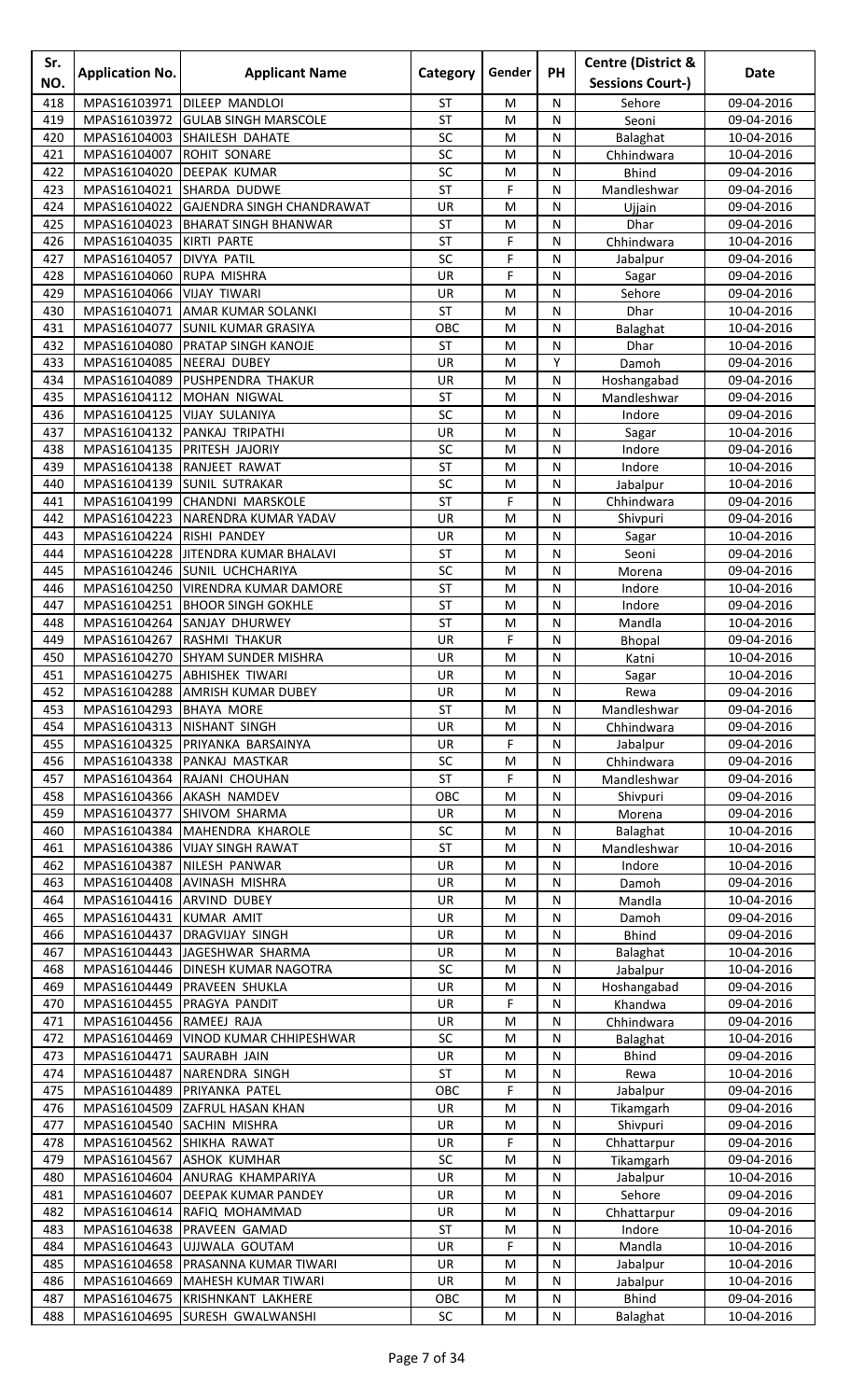| Sr.<br>NO. | <b>Application No.</b>                    | <b>Applicant Name</b>                                                 | Category               | Gender    | <b>PH</b>         | <b>Centre (District &amp;</b><br><b>Sessions Court-)</b> | Date                     |
|------------|-------------------------------------------|-----------------------------------------------------------------------|------------------------|-----------|-------------------|----------------------------------------------------------|--------------------------|
| 418        | MPAS16103971                              | DILEEP MANDLOI                                                        | <b>ST</b>              | M         | N                 | Sehore                                                   | 09-04-2016               |
| 419        | MPAS16103972                              | <b>GULAB SINGH MARSCOLE</b>                                           | <b>ST</b>              | M         | N                 | Seoni                                                    | 09-04-2016               |
| 420        | MPAS16104003                              | SHAILESH DAHATE                                                       | SC                     | M         | N                 | Balaghat                                                 | 10-04-2016               |
| 421        | MPAS16104007                              | <b>ROHIT SONARE</b>                                                   | SC                     | M         | N                 | Chhindwara                                               | 10-04-2016               |
| 422        | MPAS16104020                              | <b>DEEPAK KUMAR</b>                                                   | SC                     | M         | ${\sf N}$         | <b>Bhind</b>                                             | 09-04-2016               |
| 423        | MPAS16104021                              | SHARDA DUDWE                                                          | <b>ST</b>              | F         | N                 | Mandleshwar                                              | 09-04-2016               |
| 424<br>425 | MPAS16104023                              | MPAS16104022 GAJENDRA SINGH CHANDRAWAT<br><b>BHARAT SINGH BHANWAR</b> | UR<br><b>ST</b>        | M<br>M    | N<br>N            | Ujjain<br>Dhar                                           | 09-04-2016               |
| 426        | MPAS16104035                              | KIRTI PARTE                                                           | <b>ST</b>              | F         | N                 | Chhindwara                                               | 09-04-2016<br>10-04-2016 |
| 427        | MPAS16104057                              | <b>DIVYA PATIL</b>                                                    | SC                     | F         | N                 | Jabalpur                                                 | 09-04-2016               |
| 428        | MPAS16104060                              | RUPA MISHRA                                                           | UR                     | F         | ${\sf N}$         | Sagar                                                    | 09-04-2016               |
| 429        | MPAS16104066                              | <b>VIJAY TIWARI</b>                                                   | UR                     | M         | N                 | Sehore                                                   | 09-04-2016               |
| 430        | MPAS16104071                              | AMAR KUMAR SOLANKI                                                    | <b>ST</b>              | M         | N                 | Dhar                                                     | 10-04-2016               |
| 431        | MPAS16104077                              | <b>SUNIL KUMAR GRASIYA</b>                                            | OBC                    | M         | N                 | Balaghat                                                 | 10-04-2016               |
| 432        | MPAS16104080                              | <b>PRATAP SINGH KANOJE</b>                                            | <b>ST</b>              | M         | N                 | Dhar                                                     | 10-04-2016               |
| 433<br>434 | MPAS16104085 NEERAJ DUBEY<br>MPAS16104089 | <b>PUSHPENDRA THAKUR</b>                                              | UR<br>UR               | M<br>M    | Y<br>${\sf N}$    | Damoh<br>Hoshangabad                                     | 09-04-2016<br>09-04-2016 |
| 435        | MPAS16104112                              | MOHAN NIGWAL                                                          | <b>ST</b>              | M         | N                 | Mandleshwar                                              | 09-04-2016               |
| 436        | MPAS16104125                              | <b>VIJAY SULANIYA</b>                                                 | SC                     | M         | N                 | Indore                                                   | 09-04-2016               |
| 437        | MPAS16104132                              | <b>PANKAJ TRIPATHI</b>                                                | UR                     | M         | N                 | Sagar                                                    | 10-04-2016               |
| 438        | MPAS16104135                              | PRITESH JAJORIY                                                       | SC                     | M         | N                 | Indore                                                   | 09-04-2016               |
| 439        | MPAS16104138                              | <b>RANJEET RAWAT</b>                                                  | <b>ST</b>              | M         | N                 | Indore                                                   | 10-04-2016               |
| 440        | MPAS16104139                              | <b>SUNIL SUTRAKAR</b>                                                 | SC                     | M         | N                 | Jabalpur                                                 | 10-04-2016               |
| 441        | MPAS16104199                              | <b>CHANDNI MARSKOLE</b>                                               | <b>ST</b>              | F         | N                 | Chhindwara                                               | 09-04-2016               |
| 442<br>443 | MPAS16104223<br>MPAS16104224              | NARENDRA KUMAR YADAV<br>RISHI PANDEY                                  | UR<br>UR               | M<br>M    | N<br>N            | Shivpuri<br>Sagar                                        | 09-04-2016<br>10-04-2016 |
| 444        | MPAS16104228                              | JITENDRA KUMAR BHALAVI                                                | <b>ST</b>              | M         | N                 | Seoni                                                    | 09-04-2016               |
| 445        |                                           | MPAS16104246 SUNIL UCHCHARIYA                                         | SC                     | M         | N                 | Morena                                                   | 09-04-2016               |
| 446        | MPAS16104250                              | <b>VIRENDRA KUMAR DAMORE</b>                                          | <b>ST</b>              | M         | N                 | Indore                                                   | 10-04-2016               |
| 447        | MPAS16104251                              | <b>BHOOR SINGH GOKHLE</b>                                             | <b>ST</b>              | M         | ${\sf N}$         | Indore                                                   | 09-04-2016               |
| 448        | MPAS16104264                              | SANJAY DHURWEY                                                        | <b>ST</b>              | M         | N                 | Mandla                                                   | 10-04-2016               |
| 449        | MPAS16104267                              | <b>RASHMI THAKUR</b>                                                  | UR                     | F         | N                 | Bhopal                                                   | 09-04-2016               |
| 450        | MPAS16104270                              | <b>SHYAM SUNDER MISHRA</b>                                            | UR                     | M         | N                 | Katni                                                    | 10-04-2016               |
| 451<br>452 |                                           | MPAS16104275 ABHISHEK TIWARI<br>MPAS16104288   AMRISH KUMAR DUBEY     | UR<br><b>UR</b>        | M<br>M    | $\mathsf{N}$<br>N | Sagar<br>Rewa                                            | 10-04-2016<br>09-04-2016 |
| 453        | MPAS16104293 BHAYA MORE                   |                                                                       | <b>ST</b>              | M         | N                 | Mandleshwar                                              | 09-04-2016               |
| 454        |                                           | MPAS16104313 NISHANT SINGH                                            | UR                     | M         | N                 | Chhindwara                                               | 09-04-2016               |
| 455        | MPAS16104325                              | PRIYANKA BARSAINYA                                                    | UR                     | F         | N                 | Jabalpur                                                 | 09-04-2016               |
| 456        | MPAS16104338                              | PANKAJ MASTKAR                                                        | SC                     | M         | N                 | Chhindwara                                               | 09-04-2016               |
| 457        | MPAS16104364                              | RAJANI CHOUHAN                                                        | ST                     | F         | N                 | Mandleshwar                                              | 09-04-2016               |
| 458        |                                           | MPAS16104366 AKASH NAMDEV                                             | OBC                    | M         | N                 | Shivpuri                                                 | 09-04-2016               |
| 459<br>460 | MPAS16104377                              | SHIVOM SHARMA                                                         | UR<br>SC               | ${\sf M}$ | ${\sf N}$         | Morena                                                   | 09-04-2016<br>10-04-2016 |
| 461        |                                           | MPAS16104384 MAHENDRA KHAROLE<br>MPAS16104386 VIJAY SINGH RAWAT       | ST                     | M<br>M    | N<br>N            | Balaghat<br>Mandleshwar                                  | 10-04-2016               |
| 462        |                                           | MPAS16104387 NILESH PANWAR                                            | UR                     | M         | N                 | Indore                                                   | 10-04-2016               |
| 463        | MPAS16104408                              | <b>AVINASH MISHRA</b>                                                 | UR                     | M         | N                 | Damoh                                                    | 09-04-2016               |
| 464        | MPAS16104416 ARVIND DUBEY                 |                                                                       | UR                     | M         | N                 | Mandla                                                   | 10-04-2016               |
| 465        | MPAS16104431 KUMAR AMIT                   |                                                                       | UR                     | ${\sf M}$ | N                 | Damoh                                                    | 09-04-2016               |
| 466        |                                           | MPAS16104437   DRAGVIJAY SINGH                                        | UR                     | ${\sf M}$ | N                 | <b>Bhind</b>                                             | 09-04-2016               |
| 467        |                                           | MPAS16104443 JAGESHWAR SHARMA                                         | UR                     | M         | N                 | Balaghat                                                 | 10-04-2016               |
| 468<br>469 | MPAS16104449                              | MPAS16104446   DINESH KUMAR NAGOTRA<br><b>PRAVEEN SHUKLA</b>          | SC<br>UR               | M<br>M    | N<br>N            | Jabalpur                                                 | 10-04-2016<br>09-04-2016 |
| 470        |                                           | MPAS16104455 PRAGYA PANDIT                                            | UR                     | F         | N                 | Hoshangabad<br>Khandwa                                   | 09-04-2016               |
| 471        | MPAS16104456 RAMEEJ RAJA                  |                                                                       | UR                     | M         | N                 | Chhindwara                                               | 09-04-2016               |
| 472        |                                           | MPAS16104469 VINOD KUMAR CHHIPESHWAR                                  | SC                     | ${\sf M}$ | ${\sf N}$         | Balaghat                                                 | 10-04-2016               |
| 473        | MPAS16104471                              | SAURABH JAIN                                                          | UR                     | M         | N                 | <b>Bhind</b>                                             | 09-04-2016               |
| 474        |                                           | MPAS16104487 NARENDRA SINGH                                           | ST                     | M         | N                 | Rewa                                                     | 10-04-2016               |
| 475        | MPAS16104489                              | PRIYANKA PATEL                                                        | OBC                    | F         | N                 | Jabalpur                                                 | 09-04-2016               |
| 476        | MPAS16104509                              | <b>ZAFRUL HASAN KHAN</b>                                              | UR                     | M         | N                 | Tikamgarh                                                | 09-04-2016               |
| 477<br>478 | MPAS16104562 SHIKHA RAWAT                 | MPAS16104540 SACHIN MISHRA                                            | <b>UR</b><br><b>UR</b> | M<br>F    | N<br>N            | Shivpuri<br>Chhattarpur                                  | 09-04-2016<br>09-04-2016 |
| 479        | MPAS16104567                              | <b>ASHOK KUMHAR</b>                                                   | SC                     | M         | N                 | Tikamgarh                                                | 09-04-2016               |
| 480        | MPAS16104604                              | ANURAG KHAMPARIYA                                                     | UR                     | M         | N                 | Jabalpur                                                 | 10-04-2016               |
| 481        | MPAS16104607                              | <b>DEEPAK KUMAR PANDEY</b>                                            | <b>UR</b>              | M         | N                 | Sehore                                                   | 09-04-2016               |
| 482        | MPAS16104614                              | RAFIQ MOHAMMAD                                                        | UR                     | M         | N                 | Chhattarpur                                              | 09-04-2016               |
| 483        | MPAS16104638                              | <b>PRAVEEN GAMAD</b>                                                  | ST                     | M         | N                 | Indore                                                   | 10-04-2016               |
| 484        |                                           | MPAS16104643 UJJWALA GOUTAM                                           | UR                     | F         | N                 | Mandla                                                   | 10-04-2016               |
| 485<br>486 | MPAS16104658                              | PRASANNA KUMAR TIWARI<br>MPAS16104669 MAHESH KUMAR TIWARI             | UR<br>UR               | M<br>M    | N<br>N            | Jabalpur                                                 | 10-04-2016<br>10-04-2016 |
| 487        |                                           | MPAS16104675 KRISHNKANT LAKHERE                                       | OBC                    | M         | ${\sf N}$         | Jabalpur<br>Bhind                                        | 09-04-2016               |
| 488        |                                           | MPAS16104695 SURESH GWALWANSHI                                        | SC                     | M         | ${\sf N}$         | Balaghat                                                 | 10-04-2016               |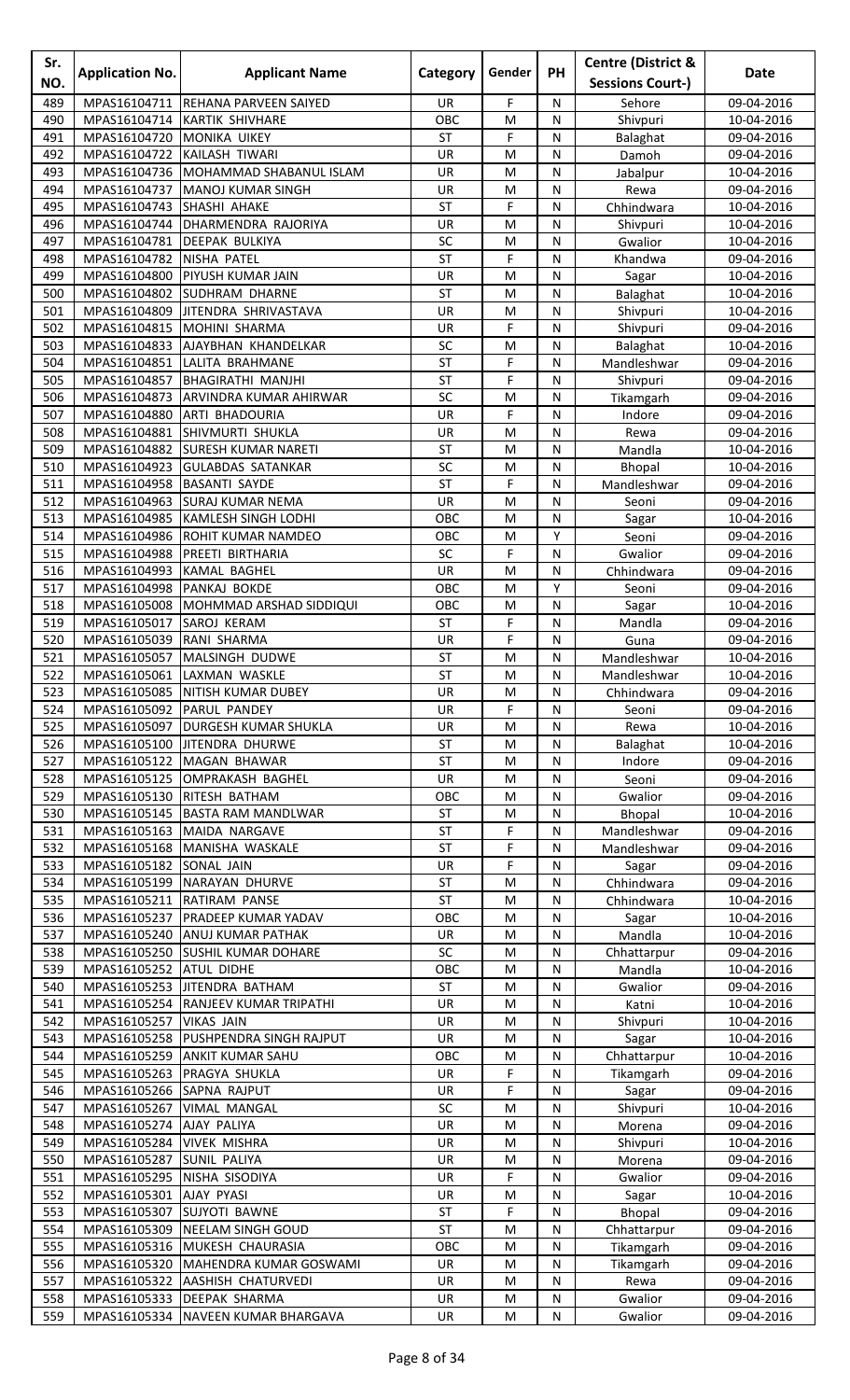| Sr.<br>NO. | <b>Application No.</b>                   | <b>Applicant Name</b>                                         | Category        | Gender | <b>PH</b>         | <b>Centre (District &amp;</b><br><b>Sessions Court-)</b> | Date                     |
|------------|------------------------------------------|---------------------------------------------------------------|-----------------|--------|-------------------|----------------------------------------------------------|--------------------------|
| 489        | MPAS16104711                             | <b>REHANA PARVEEN SAIYED</b>                                  | UR              | F      | N                 | Sehore                                                   | 09-04-2016               |
| 490        | MPAS16104714                             | <b>KARTIK SHIVHARE</b>                                        | OBC             | M      | N                 | Shivpuri                                                 | 10-04-2016               |
| 491        | MPAS16104720                             | <b>MONIKA UIKEY</b>                                           | <b>ST</b>       | F      | N                 | Balaghat                                                 | 09-04-2016               |
| 492        |                                          | MPAS16104722 KAILASH TIWARI                                   | UR              | M      | N                 | Damoh                                                    | 09-04-2016               |
| 493        |                                          | MPAS16104736 MOHAMMAD SHABANUL ISLAM                          | UR              | M      | ${\sf N}$         | Jabalpur                                                 | 10-04-2016               |
| 494        | MPAS16104737                             | <b>MANOJ KUMAR SINGH</b>                                      | UR              | M      | N                 | Rewa                                                     | 09-04-2016               |
| 495        | MPAS16104743 SHASHI AHAKE                |                                                               | ST              | F      | N                 | Chhindwara                                               | 10-04-2016               |
| 496        |                                          | MPAS16104744 DHARMENDRA RAJORIYA                              | UR              | M      | N                 | Shivpuri                                                 | 10-04-2016               |
| 497        |                                          | MPAS16104781 DEEPAK BULKIYA                                   | SC              | M      | N                 | Gwalior                                                  | 10-04-2016               |
| 498<br>499 | MPAS16104782 NISHA PATEL<br>MPAS16104800 | <b>PIYUSH KUMAR JAIN</b>                                      | <b>ST</b><br>UR | F<br>M | N<br>$\mathsf{N}$ | Khandwa                                                  | 09-04-2016<br>10-04-2016 |
| 500        | MPAS16104802                             | <b>SUDHRAM DHARNE</b>                                         | ST              | M      | N                 | Sagar<br>Balaghat                                        | 10-04-2016               |
| 501        | MPAS16104809                             | JITENDRA SHRIVASTAVA                                          | UR              | M      | N                 | Shivpuri                                                 | 10-04-2016               |
| 502        | MPAS16104815                             | MOHINI SHARMA                                                 | UR              | F      | N                 | Shivpuri                                                 | 09-04-2016               |
| 503        | MPAS16104833                             | AJAYBHAN KHANDELKAR                                           | SC              | M      | N                 | Balaghat                                                 | 10-04-2016               |
| 504        | MPAS16104851                             | LALITA BRAHMANE                                               | <b>ST</b>       | F      | N                 | Mandleshwar                                              | 09-04-2016               |
| 505        | MPAS16104857                             | <b>BHAGIRATHI MANJHI</b>                                      | <b>ST</b>       | F      | $\mathsf{N}$      | Shivpuri                                                 | 09-04-2016               |
| 506        | MPAS16104873                             | ARVINDRA KUMAR AHIRWAR                                        | SC              | M      | N                 | Tikamgarh                                                | 09-04-2016               |
| 507        | MPAS16104880                             | ARTI BHADOURIA                                                | UR              | F      | N                 | Indore                                                   | 09-04-2016               |
| 508        | MPAS16104881                             | <b>SHIVMURTI SHUKLA</b>                                       | UR              | M      | N                 | Rewa                                                     | 09-04-2016               |
| 509<br>510 | MPAS16104882<br>MPAS16104923             | <b>SURESH KUMAR NARETI</b><br><b>GULABDAS SATANKAR</b>        | ST<br>SC        | M<br>M | N<br>N            | Mandla<br>Bhopal                                         | 10-04-2016<br>10-04-2016 |
| 511        | MPAS16104958                             | <b>BASANTI SAYDE</b>                                          | <b>ST</b>       | F      | $\mathsf{N}$      | Mandleshwar                                              | 09-04-2016               |
| 512        |                                          | MPAS16104963 SURAJ KUMAR NEMA                                 | UR              | M      | N                 | Seoni                                                    | 09-04-2016               |
| 513        | MPAS16104985                             | <b>KAMLESH SINGH LODHI</b>                                    | OBC             | M      | N                 | Sagar                                                    | 10-04-2016               |
| 514        | MPAS16104986                             | <b>ROHIT KUMAR NAMDEO</b>                                     | овс             | M      | Υ                 | Seoni                                                    | 09-04-2016               |
| 515        | MPAS16104988                             | PREETI BIRTHARIA                                              | SC              | F      | N                 | Gwalior                                                  | 09-04-2016               |
| 516        | MPAS16104993                             | <b>KAMAL BAGHEL</b>                                           | UR              | M      | N                 | Chhindwara                                               | 09-04-2016               |
| 517        | MPAS16104998 PANKAJ BOKDE                |                                                               | OBC             | M      | Υ                 | Seoni                                                    | 09-04-2016               |
| 518        | MPAS16105008                             | MOHMMAD ARSHAD SIDDIQUI                                       | OBC             | M      | ${\sf N}$         | Sagar                                                    | 10-04-2016               |
| 519        | MPAS16105017                             | SAROJ KERAM                                                   | <b>ST</b>       | F      | N                 | Mandla                                                   | 09-04-2016               |
| 520<br>521 | MPAS16105039                             | RANI SHARMA<br>MPAS16105057 MALSINGH DUDWE                    | UR<br><b>ST</b> | F<br>M | N<br>N            | Guna                                                     | 09-04-2016<br>10-04-2016 |
| 522        |                                          | MPAS16105061 LAXMAN WASKLE                                    | <b>ST</b>       | M      | $\mathsf{N}$      | Mandleshwar<br>Mandleshwar                               | 10-04-2016               |
| 523        |                                          | MPAS16105085 NITISH KUMAR DUBEY                               | <b>UR</b>       | M      | N                 | Chhindwara                                               | 09-04-2016               |
| 524        | MPAS16105092 PARUL PANDEY                |                                                               | UR              | F      | N                 | Seoni                                                    | 09-04-2016               |
| 525        |                                          | MPAS16105097   DURGESH KUMAR SHUKLA                           | UR              | M      | N                 | Rewa                                                     | 10-04-2016               |
| 526        | MPAS16105100                             | <b>JITENDRA DHURWE</b>                                        | ST              | M      | N                 | Balaghat                                                 | 10-04-2016               |
| 527        |                                          | MPAS16105122 MAGAN BHAWAR                                     | <b>ST</b>       | M      | N                 | Indore                                                   | 09-04-2016               |
| 528        |                                          | MPAS16105125 OMPRAKASH BAGHEL                                 | UR              | M      | N                 | Seoni                                                    | 09-04-2016               |
| 529        |                                          | MPAS16105130 RITESH BATHAM                                    | OBC             | M      | N                 | Gwalior                                                  | 09-04-2016               |
| 530<br>531 |                                          | MPAS16105145 BASTA RAM MANDLWAR<br>MPAS16105163 MAIDA NARGAVE | ST<br>ST        | M<br>F | ${\sf N}$<br>N    | Bhopal<br>Mandleshwar                                    | 10-04-2016<br>09-04-2016 |
| 532        |                                          | MPAS16105168 MANISHA WASKALE                                  | ST              | F      | N                 | Mandleshwar                                              | 09-04-2016               |
| 533        | MPAS16105182 SONAL JAIN                  |                                                               | UR              | F      | N                 | Sagar                                                    | 09-04-2016               |
| 534        |                                          | MPAS16105199 NARAYAN DHURVE                                   | <b>ST</b>       | M      | N                 | Chhindwara                                               | 09-04-2016               |
| 535        |                                          | MPAS16105211 RATIRAM PANSE                                    | <b>ST</b>       | M      | N                 | Chhindwara                                               | 10-04-2016               |
| 536        |                                          | MPAS16105237   PRADEEP KUMAR YADAV                            | OBC             | M      | N                 | Sagar                                                    | 10-04-2016               |
| 537        |                                          | MPAS16105240 ANUJ KUMAR PATHAK                                | UR              | M      | N                 | Mandla                                                   | 10-04-2016               |
| 538        |                                          | MPAS16105250 SUSHIL KUMAR DOHARE                              | SC              | M      | N                 | Chhattarpur                                              | 09-04-2016               |
| 539        | MPAS16105252 ATUL DIDHE                  |                                                               | OBC             | M      | N                 | Mandla                                                   | 10-04-2016               |
| 540        |                                          | MPAS16105253 JITENDRA BATHAM                                  | ST              | M      | N                 | Gwalior                                                  | 09-04-2016               |
| 541<br>542 | MPAS16105257 VIKAS JAIN                  | MPAS16105254 RANJEEV KUMAR TRIPATHI                           | UR<br>UR        | M<br>M | N<br>N            | Katni<br>Shivpuri                                        | 10-04-2016<br>10-04-2016 |
| 543        |                                          | MPAS16105258 PUSHPENDRA SINGH RAJPUT                          | UR              | M      | ${\sf N}$         | Sagar                                                    | 10-04-2016               |
| 544        |                                          | MPAS16105259 ANKIT KUMAR SAHU                                 | OBC             | M      | N                 | Chhattarpur                                              | 10-04-2016               |
| 545        |                                          | MPAS16105263 PRAGYA SHUKLA                                    | <b>UR</b>       | F      | N                 | Tikamgarh                                                | 09-04-2016               |
| 546        | MPAS16105266 SAPNA RAJPUT                |                                                               | UR              | F      | N                 | Sagar                                                    | 09-04-2016               |
| 547        |                                          | MPAS16105267 VIMAL MANGAL                                     | SC              | M      | N                 | Shivpuri                                                 | 10-04-2016               |
| 548        | MPAS16105274 AJAY PALIYA                 |                                                               | UR              | M      | N                 | Morena                                                   | 09-04-2016               |
| 549        | MPAS16105284 VIVEK MISHRA                |                                                               | UR              | M      | $\mathsf{N}$      | Shivpuri                                                 | 10-04-2016               |
| 550        | MPAS16105287 SUNIL PALIYA                |                                                               | UR              | M      | N                 | Morena                                                   | 09-04-2016               |
| 551<br>552 | MPAS16105301                             | MPAS16105295 NISHA SISODIYA<br><b>AJAY PYASI</b>              | UR<br>UR        | F<br>M | N<br>N            | Gwalior                                                  | 09-04-2016               |
| 553        | MPAS16105307                             | <b>SUJYOTI BAWNE</b>                                          | ST              | F      | N                 | Sagar<br><b>Bhopal</b>                                   | 10-04-2016<br>09-04-2016 |
| 554        |                                          | MPAS16105309 NEELAM SINGH GOUD                                | ST              | M      | N                 | Chhattarpur                                              | 09-04-2016               |
| 555        |                                          | MPAS16105316 MUKESH CHAURASIA                                 | OBC             | M      | N                 | Tikamgarh                                                | 09-04-2016               |
| 556        |                                          | MPAS16105320 MAHENDRA KUMAR GOSWAMI                           | UR              | M      | N                 | Tikamgarh                                                | 09-04-2016               |
| 557        |                                          | MPAS16105322 AASHISH CHATURVEDI                               | UR              | M      | N                 | Rewa                                                     | 09-04-2016               |
| 558        |                                          | MPAS16105333 DEEPAK SHARMA                                    | UR              | M      | ${\sf N}$         | Gwalior                                                  | 09-04-2016               |
| 559        |                                          | MPAS16105334 NAVEEN KUMAR BHARGAVA                            | UR              | M      | N                 | Gwalior                                                  | 09-04-2016               |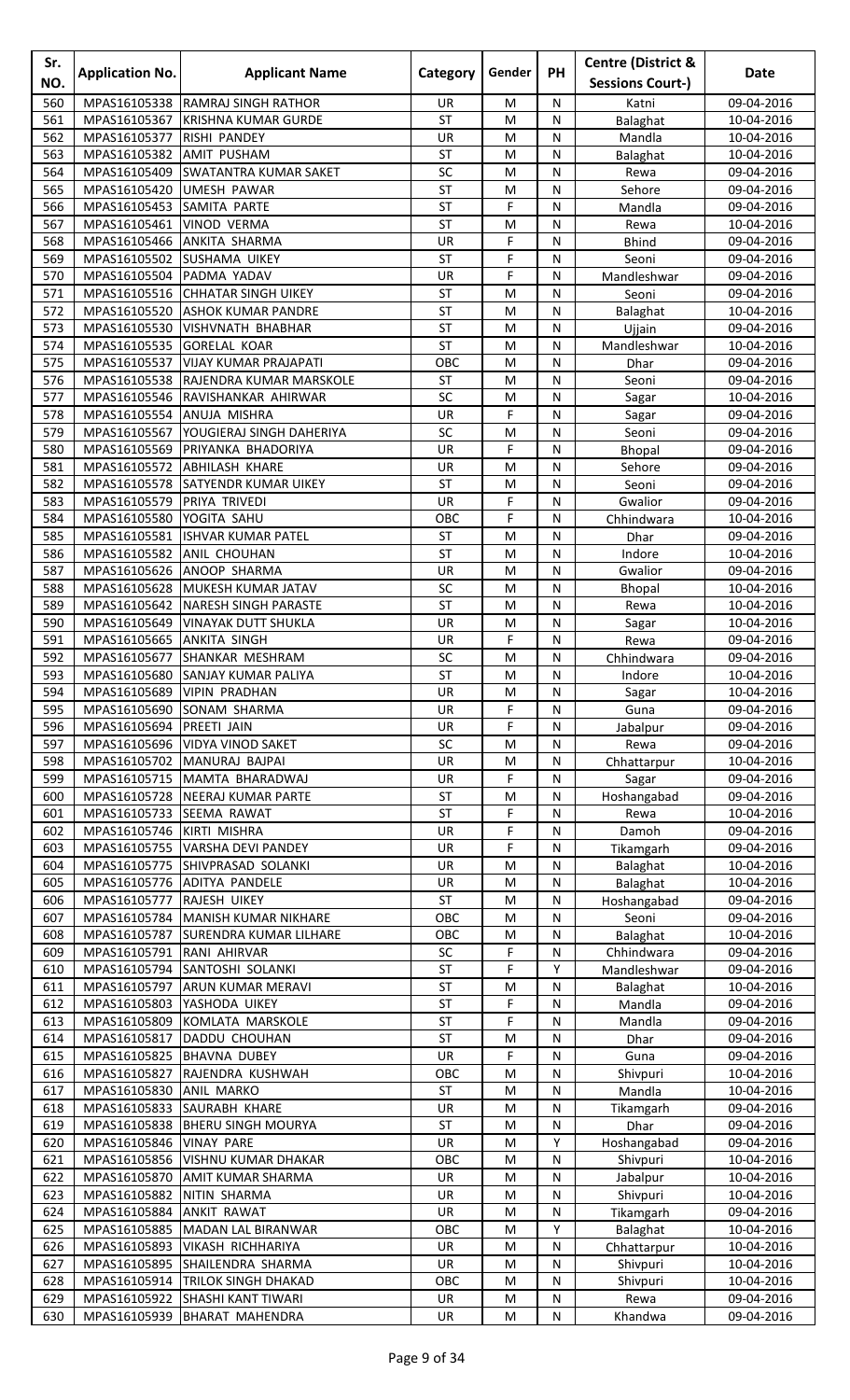| Sr.<br>NO. | <b>Application No.</b>                                | <b>Applicant Name</b>                                 | Category               | Gender                                                                                                     | <b>PH</b>         | <b>Centre (District &amp;</b><br><b>Sessions Court-)</b> | Date                     |
|------------|-------------------------------------------------------|-------------------------------------------------------|------------------------|------------------------------------------------------------------------------------------------------------|-------------------|----------------------------------------------------------|--------------------------|
| 560        | MPAS16105338                                          | <b>RAMRAJ SINGH RATHOR</b>                            | UR                     | M                                                                                                          | N                 | Katni                                                    | 09-04-2016               |
| 561        | MPAS16105367                                          | <b>KRISHNA KUMAR GURDE</b>                            | <b>ST</b>              | M                                                                                                          | N                 | Balaghat                                                 | 10-04-2016               |
| 562        | MPAS16105377                                          | <b>RISHI PANDEY</b>                                   | UR                     | M                                                                                                          | N                 | Mandla                                                   | 10-04-2016               |
| 563        | MPAS16105382                                          | <b>AMIT PUSHAM</b>                                    | <b>ST</b>              | M                                                                                                          | $\mathsf{N}$      | Balaghat                                                 | 10-04-2016               |
| 564        | MPAS16105409                                          | <b>SWATANTRA KUMAR SAKET</b>                          | SC                     | M                                                                                                          | $\mathsf{N}$      | Rewa                                                     | 09-04-2016               |
| 565        | MPAS16105420                                          | <b>UMESH PAWAR</b>                                    | <b>ST</b>              | M                                                                                                          | N                 | Sehore                                                   | 09-04-2016               |
| 566<br>567 | MPAS16105453<br>MPAS16105461                          | <b>SAMITA PARTE</b><br><b>VINOD VERMA</b>             | <b>ST</b><br><b>ST</b> | F<br>M                                                                                                     | N<br>N            | Mandla<br>Rewa                                           | 09-04-2016<br>10-04-2016 |
| 568        |                                                       | MPAS16105466 ANKITA SHARMA                            | UR                     | F                                                                                                          | N                 | <b>Bhind</b>                                             | 09-04-2016               |
| 569        |                                                       | MPAS16105502 SUSHAMA UIKEY                            | <b>ST</b>              | F                                                                                                          | $\mathsf{N}$      | Seoni                                                    | 09-04-2016               |
| 570        | MPAS16105504                                          | PADMA YADAV                                           | UR                     | F                                                                                                          | N                 | Mandleshwar                                              | 09-04-2016               |
| 571        | MPAS16105516                                          | <b>CHHATAR SINGH UIKEY</b>                            | ST                     | M                                                                                                          | N                 | Seoni                                                    | 09-04-2016               |
| 572        | MPAS16105520<br>MPAS16105530                          | <b>ASHOK KUMAR PANDRE</b>                             | ST<br>ST               | M                                                                                                          | N                 | Balaghat                                                 | 10-04-2016               |
| 573<br>574 | MPAS16105535                                          | <b>VISHVNATH BHABHAR</b><br><b>GORELAL KOAR</b>       | ST                     | M<br>M                                                                                                     | N<br>N            | Ujjain<br>Mandleshwar                                    | 09-04-2016<br>10-04-2016 |
| 575        |                                                       | MPAS16105537   VIJAY KUMAR PRAJAPATI                  | OBC                    | M                                                                                                          | N                 | Dhar                                                     | 09-04-2016               |
| 576        | MPAS16105538                                          | <b>RAJENDRA KUMAR MARSKOLE</b>                        | ST                     | M                                                                                                          | N                 | Seoni                                                    | 09-04-2016               |
| 577        | MPAS16105546                                          | RAVISHANKAR AHIRWAR                                   | SC                     | M                                                                                                          | N                 | Sagar                                                    | 10-04-2016               |
| 578        | MPAS16105554                                          | ANUJA MISHRA                                          | UR                     | F                                                                                                          | N                 | Sagar                                                    | 09-04-2016               |
| 579        | MPAS16105567                                          | YOUGIERAJ SINGH DAHERIYA                              | SC                     | M<br>F                                                                                                     | N<br>N            | Seoni                                                    | 09-04-2016               |
| 580<br>581 | MPAS16105569                                          | PRIYANKA BHADORIYA<br>MPAS16105572 ABHILASH KHARE     | UR<br>UR               | M                                                                                                          | N                 | Bhopal<br>Sehore                                         | 09-04-2016<br>09-04-2016 |
| 582        | MPAS16105578                                          | <b>SATYENDR KUMAR UIKEY</b>                           | <b>ST</b>              | M                                                                                                          | ${\sf N}$         | Seoni                                                    | 09-04-2016               |
| 583        | MPAS16105579                                          | PRIYA TRIVEDI                                         | UR                     | F                                                                                                          | N                 | Gwalior                                                  | 09-04-2016               |
| 584        | MPAS16105580                                          | YOGITA SAHU                                           | OBC                    | F                                                                                                          | N                 | Chhindwara                                               | 10-04-2016               |
| 585        | MPAS16105581                                          | <b>ISHVAR KUMAR PATEL</b>                             | ST                     | M                                                                                                          | N                 | Dhar                                                     | 09-04-2016               |
| 586        | MPAS16105582                                          | <b>ANIL CHOUHAN</b>                                   | <b>ST</b>              | M                                                                                                          | N                 | Indore                                                   | 10-04-2016               |
| 587<br>588 | MPAS16105626<br>MPAS16105628                          | ANOOP SHARMA<br>MUKESH KUMAR JATAV                    | UR<br>SC               | M<br>M                                                                                                     | N<br>$\mathsf{N}$ | Gwalior<br>Bhopal                                        | 09-04-2016<br>10-04-2016 |
| 589        | MPAS16105642                                          | NARESH SINGH PARASTE                                  | <b>ST</b>              | M                                                                                                          | N                 | Rewa                                                     | 10-04-2016               |
| 590        | MPAS16105649                                          | <b>VINAYAK DUTT SHUKLA</b>                            | UR                     | M                                                                                                          | N                 | Sagar                                                    | 10-04-2016               |
| 591        | MPAS16105665 ANKITA SINGH                             |                                                       | UR                     | F                                                                                                          | N                 | Rewa                                                     | 09-04-2016               |
| 592        |                                                       | MPAS16105677 SHANKAR MESHRAM                          | SC                     | M                                                                                                          | N                 | Chhindwara                                               | 09-04-2016               |
|            |                                                       | 593   MPAS16105680 SANJAY KUMAR PALIYA                | <b>ST</b>              | $\mathsf{M}% _{T}=\mathsf{M}_{T}\!\left( a,b\right) ,\ \mathsf{M}_{T}=\mathsf{M}_{T}\!\left( a,b\right) ,$ | ${\sf N}$         | Indore                                                   | 10-04-2016               |
| 594        |                                                       | MPAS16105689 VIPIN PRADHAN                            | UR                     | M<br>F                                                                                                     | N                 | Sagar                                                    | 10-04-2016               |
| 595<br>596 | MPAS16105690<br>MPAS16105694                          | <b>SONAM SHARMA</b><br><b>PREETI JAIN</b>             | UR<br>UR               | F                                                                                                          | N<br>N            | Guna<br>Jabalpur                                         | 09-04-2016<br>09-04-2016 |
| 597        | MPAS16105696                                          | <b>VIDYA VINOD SAKET</b>                              | SC                     | M                                                                                                          | N                 | Rewa                                                     | 09-04-2016               |
| 598        | MPAS16105702                                          | MANURAJ BAJPAI                                        | UR                     | M                                                                                                          | N                 | Chhattarpur                                              | 10-04-2016               |
| 599        |                                                       | MPAS16105715 MAMTA BHARADWAJ                          | UR                     | F                                                                                                          | N                 | Sagar                                                    | 09-04-2016               |
| 600        |                                                       | MPAS16105728 NEERAJ KUMAR PARTE                       | ST                     | M                                                                                                          | N                 | Hoshangabad                                              | 09-04-2016               |
| 601        | MPAS16105733 SEEMA RAWAT<br>MPAS16105746 KIRTI MISHRA |                                                       | ST                     | F<br>F                                                                                                     | N                 | Rewa                                                     | 10-04-2016               |
| 602<br>603 |                                                       | MPAS16105755 VARSHA DEVI PANDEY                       | UR<br><b>UR</b>        | F                                                                                                          | N<br>N            | Damoh<br>Tikamgarh                                       | 09-04-2016<br>09-04-2016 |
| 604        |                                                       | MPAS16105775 SHIVPRASAD SOLANKI                       | UR                     | M                                                                                                          | N                 | Balaghat                                                 | 10-04-2016               |
| 605        |                                                       | MPAS16105776 ADITYA PANDELE                           | UR                     | M                                                                                                          | N                 | Balaghat                                                 | 10-04-2016               |
| 606        | MPAS16105777 RAJESH UIKEY                             |                                                       | <b>ST</b>              | M                                                                                                          | N                 | Hoshangabad                                              | 09-04-2016               |
| 607        |                                                       | MPAS16105784 MANISH KUMAR NIKHARE                     | OBC                    | M                                                                                                          | ${\sf N}$         | Seoni                                                    | 09-04-2016               |
| 608        |                                                       | MPAS16105787 SURENDRA KUMAR LILHARE                   | OBC                    | M                                                                                                          | N                 | Balaghat                                                 | 10-04-2016               |
| 609<br>610 | MPAS16105791 RANI AHIRVAR                             | MPAS16105794 SANTOSHI SOLANKI                         | SC<br><b>ST</b>        | F<br>F                                                                                                     | N<br>Υ            | Chhindwara<br>Mandleshwar                                | 09-04-2016<br>09-04-2016 |
| 611        | MPAS16105797                                          | <b>ARUN KUMAR MERAVI</b>                              | ST                     | M                                                                                                          | N                 | Balaghat                                                 | 10-04-2016               |
| 612        |                                                       | MPAS16105803 YASHODA UIKEY                            | <b>ST</b>              | F                                                                                                          | N                 | Mandla                                                   | 09-04-2016               |
| 613        |                                                       | MPAS16105809 KOMLATA MARSKOLE                         | <b>ST</b>              | F                                                                                                          | $\mathsf{N}$      | Mandla                                                   | 09-04-2016               |
| 614        | MPAS16105817                                          | DADDU CHOUHAN                                         | ST                     | M                                                                                                          | N                 | Dhar                                                     | 09-04-2016               |
| 615        |                                                       | MPAS16105825 BHAVNA DUBEY                             | UR                     | F                                                                                                          | N                 | Guna                                                     | 09-04-2016               |
| 616        |                                                       | MPAS16105827 RAJENDRA KUSHWAH                         | OBC<br><b>ST</b>       | M<br>M                                                                                                     | N                 | Shivpuri                                                 | 10-04-2016<br>10-04-2016 |
| 617<br>618 | MPAS16105830                                          | <b>ANIL MARKO</b><br>MPAS16105833 SAURABH KHARE       | UR                     | M                                                                                                          | N<br>N            | Mandla<br>Tikamgarh                                      | 09-04-2016               |
| 619        |                                                       | MPAS16105838  BHERU SINGH MOURYA                      | <b>ST</b>              | M                                                                                                          | N                 | Dhar                                                     | 09-04-2016               |
| 620        | MPAS16105846 VINAY PARE                               |                                                       | UR                     | M                                                                                                          | Υ                 | Hoshangabad                                              | 09-04-2016               |
| 621        | MPAS16105856                                          | <b>VISHNU KUMAR DHAKAR</b>                            | OBC                    | M                                                                                                          | N                 | Shivpuri                                                 | 10-04-2016               |
| 622        | MPAS16105870                                          | <b>AMIT KUMAR SHARMA</b>                              | UR                     | M                                                                                                          | N                 | Jabalpur                                                 | 10-04-2016               |
| 623        | MPAS16105882                                          | <b>NITIN SHARMA</b>                                   | UR                     | M                                                                                                          | N                 | Shivpuri                                                 | 10-04-2016               |
| 624<br>625 | MPAS16105884                                          | <b>ANKIT RAWAT</b><br>MPAS16105885 MADAN LAL BIRANWAR | UR<br>OBC              | M<br>M                                                                                                     | N<br>Υ            | Tikamgarh<br>Balaghat                                    | 09-04-2016<br>10-04-2016 |
| 626        |                                                       | MPAS16105893 VIKASH RICHHARIYA                        | UR                     | M                                                                                                          | ${\sf N}$         | Chhattarpur                                              | 10-04-2016               |
| 627        | MPAS16105895                                          | SHAILENDRA SHARMA                                     | UR                     | M                                                                                                          | N                 | Shivpuri                                                 | 10-04-2016               |
| 628        |                                                       | MPAS16105914   TRILOK SINGH DHAKAD                    | OBC                    | M                                                                                                          | N                 | Shivpuri                                                 | 10-04-2016               |
| 629        |                                                       | MPAS16105922 SHASHI KANT TIWARI                       | UR                     | ${\sf M}$                                                                                                  | ${\sf N}$         | Rewa                                                     | 09-04-2016               |
| 630        |                                                       | MPAS16105939 BHARAT MAHENDRA                          | UR                     | M                                                                                                          | N                 | Khandwa                                                  | 09-04-2016               |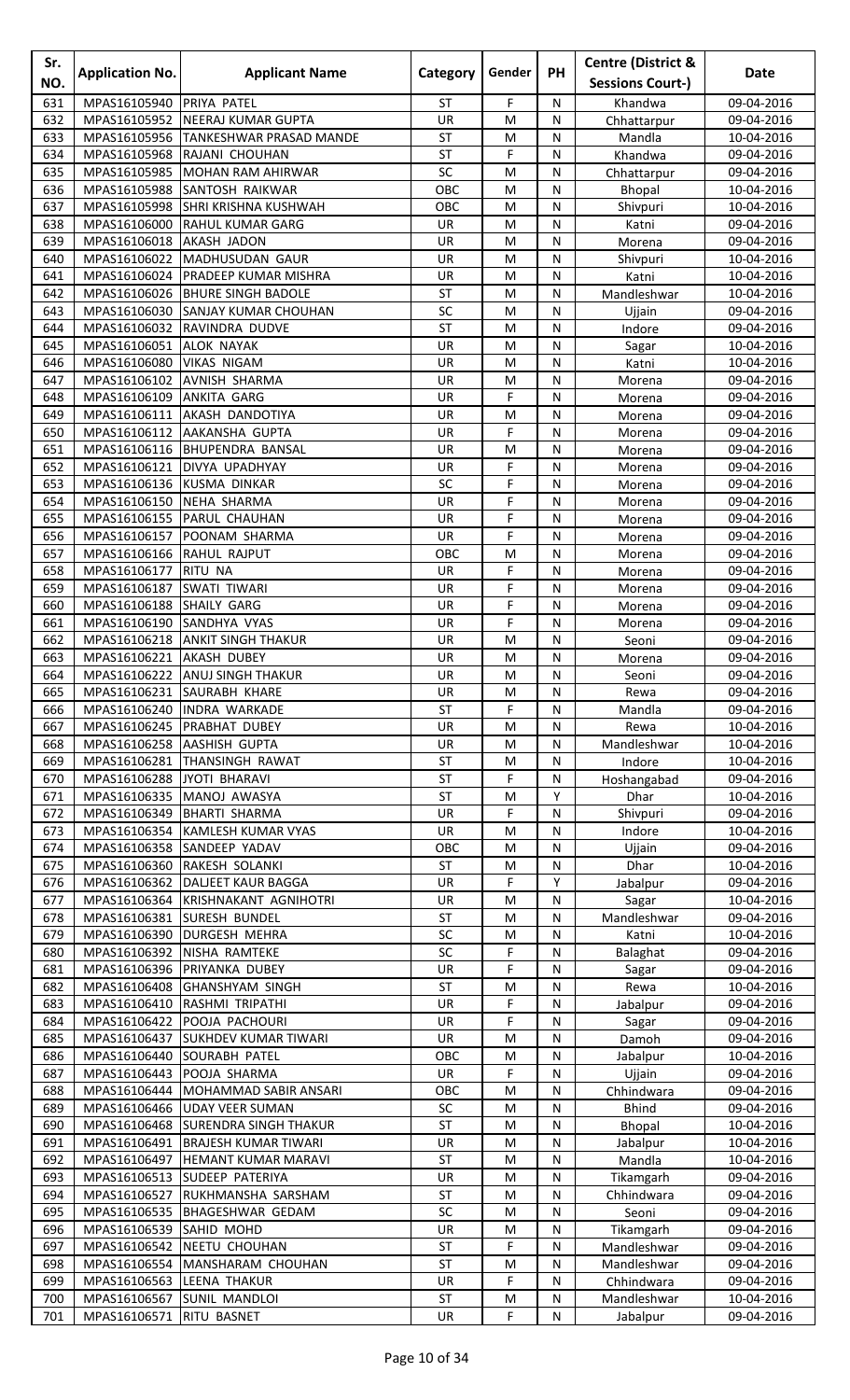| Sr.        | <b>Application No.</b>                   | <b>Applicant Name</b>                                             | Category        | Gender         | <b>PH</b>      | <b>Centre (District &amp;</b> | Date                     |
|------------|------------------------------------------|-------------------------------------------------------------------|-----------------|----------------|----------------|-------------------------------|--------------------------|
| NO.        |                                          |                                                                   |                 |                |                | <b>Sessions Court-)</b>       |                          |
| 631        | MPAS16105940                             | PRIYA PATEL                                                       | <b>ST</b>       | F              | N              | Khandwa                       | 09-04-2016               |
| 632        | MPAS16105952<br>MPAS16105956             | NEERAJ KUMAR GUPTA<br><b>TANKESHWAR PRASAD MANDE</b>              | UR<br><b>ST</b> | M              | N<br>N         | Chhattarpur                   | 09-04-2016               |
| 633<br>634 | MPAS16105968                             | RAJANI CHOUHAN                                                    | <b>ST</b>       | M<br>F         | ${\sf N}$      | Mandla<br>Khandwa             | 10-04-2016<br>09-04-2016 |
| 635        | MPAS16105985                             | MOHAN RAM AHIRWAR                                                 | SC              | M              | N              | Chhattarpur                   | 09-04-2016               |
| 636        | MPAS16105988                             | SANTOSH RAIKWAR                                                   | OBC             | M              | N              | Bhopal                        | 10-04-2016               |
| 637        | MPAS16105998                             | <b>SHRI KRISHNA KUSHWAH</b>                                       | OBC             | M              | N              | Shivpuri                      | 10-04-2016               |
| 638        | MPAS16106000                             | <b>RAHUL KUMAR GARG</b>                                           | UR              | M              | N              | Katni                         | 09-04-2016               |
| 639        | MPAS16106018 AKASH JADON                 |                                                                   | UR              | M              | N              | Morena                        | 09-04-2016               |
| 640        |                                          | MPAS16106022 MADHUSUDAN GAUR                                      | UR              | M              | N              | Shivpuri                      | 10-04-2016               |
| 641        | MPAS16106024                             | <b>PRADEEP KUMAR MISHRA</b>                                       | UR              | M              | N              | Katni                         | 10-04-2016               |
| 642        | MPAS16106026                             | <b>BHURE SINGH BADOLE</b>                                         | <b>ST</b><br>SC | M              | N              | Mandleshwar                   | 10-04-2016               |
| 643<br>644 | MPAS16106030<br>MPAS16106032             | <b>SANJAY KUMAR CHOUHAN</b><br>RAVINDRA DUDVE                     | <b>ST</b>       | M<br>M         | N<br>N         | Ujjain<br>Indore              | 09-04-2016<br>09-04-2016 |
| 645        | MPAS16106051                             | <b>ALOK NAYAK</b>                                                 | UR              | M              | N              | Sagar                         | 10-04-2016               |
| 646        | MPAS16106080                             | <b>VIKAS NIGAM</b>                                                | UR              | M              | N              | Katni                         | 10-04-2016               |
| 647        | MPAS16106102                             | <b>AVNISH SHARMA</b>                                              | UR              | M              | N              | Morena                        | 09-04-2016               |
| 648        | MPAS16106109                             | ANKITA GARG                                                       | UR              | F              | N              | Morena                        | 09-04-2016               |
| 649        | MPAS16106111                             | <b>AKASH DANDOTIYA</b>                                            | UR              | M              | N              | Morena                        | 09-04-2016               |
| 650        | MPAS16106112                             | <b>AAKANSHA GUPTA</b>                                             | UR              | F              | N              | Morena                        | 09-04-2016               |
| 651        | MPAS16106116                             | <b>BHUPENDRA BANSAL</b>                                           | UR              | M              | N              | Morena                        | 09-04-2016               |
| 652<br>653 | MPAS16106121<br>MPAS16106136             | <b>DIVYA UPADHYAY</b><br><b>KUSMA DINKAR</b>                      | UR<br>SC        | F<br>F         | N<br>${\sf N}$ | Morena<br>Morena              | 09-04-2016<br>09-04-2016 |
| 654        | MPAS16106150                             | NEHA SHARMA                                                       | UR              | F              | N              | Morena                        | 09-04-2016               |
| 655        | MPAS16106155                             | PARUL CHAUHAN                                                     | UR              | F              | N              | Morena                        | 09-04-2016               |
| 656        | MPAS16106157                             | POONAM SHARMA                                                     | <b>UR</b>       | F              | N              | Morena                        | 09-04-2016               |
| 657        | MPAS16106166                             | <b>RAHUL RAJPUT</b>                                               | OBC             | M              | N              | Morena                        | 09-04-2016               |
| 658        | MPAS16106177                             | <b>RITU NA</b>                                                    | UR              | F              | N              | Morena                        | 09-04-2016               |
| 659        | MPAS16106187                             | <b>SWATI TIWARI</b>                                               | UR              | F              | ${\sf N}$      | Morena                        | 09-04-2016               |
| 660        | MPAS16106188                             | <b>SHAILY GARG</b>                                                | UR              | F              | N              | Morena                        | 09-04-2016               |
| 661        | MPAS16106190                             | SANDHYA VYAS                                                      | UR              | F              | N              | Morena                        | 09-04-2016               |
| 662<br>663 | MPAS16106218<br>MPAS16106221 AKASH DUBEY | <b>ANKIT SINGH THAKUR</b>                                         | UR.<br>UR       | M<br>M         | N<br>N         | Seoni<br>Morena               | 09-04-2016<br>09-04-2016 |
| 664        |                                          | MPAS16106222 ANUJ SINGH THAKUR                                    | UR              | M              | ${\sf N}$      | Seoni                         | 09-04-2016               |
| 665        |                                          | MPAS16106231 SAURABH KHARE                                        | <b>UR</b>       | M              | N              | Rewa                          | 09-04-2016               |
| 666        | MPAS16106240                             | <b>INDRA WARKADE</b>                                              | ST              | F              | N              | Mandla                        | 09-04-2016               |
| 667        |                                          | MPAS16106245 PRABHAT DUBEY                                        | UR              | M              | N              | Rewa                          | 10-04-2016               |
| 668        | MPAS16106258                             | <b>AASHISH GUPTA</b>                                              | UR              | M              | N              | Mandleshwar                   | 10-04-2016               |
| 669        | MPAS16106281                             | THANSINGH RAWAT                                                   | ST              | M              | N              | Indore                        | 10-04-2016               |
| 670        | MPAS16106288 JYOTI BHARAVI               |                                                                   | ST              | F              | N              | Hoshangabad                   | 09-04-2016               |
| 671<br>672 | MPAS16106335<br>MPAS16106349             | MANOJ AWASYA<br><b>BHARTI SHARMA</b>                              | <b>ST</b><br>UR | M<br>F         | Y<br>N         | Dhar<br>Shivpuri              | 10-04-2016<br>09-04-2016 |
| 673        | MPAS16106354                             | KAMLESH KUMAR VYAS                                                | UR              | M              | N              | Indore                        | 10-04-2016               |
| 674        | MPAS16106358                             | SANDEEP YADAV                                                     | OBC             | M              | N              | Ujjain                        | 09-04-2016               |
| 675        | MPAS16106360                             | RAKESH SOLANKI                                                    | ST              | M              | N              | Dhar                          | 10-04-2016               |
| 676        |                                          | MPAS16106362   DALJEET KAUR BAGGA                                 | UR              | F              | Y              | Jabalpur                      | 09-04-2016               |
| 677        |                                          | MPAS16106364 KRISHNAKANT AGNIHOTRI                                | UR              | M              | N              | Sagar                         | 10-04-2016               |
| 678        | MPAS16106381                             | <b>SURESH BUNDEL</b>                                              | <b>ST</b>       | M              | ${\sf N}$      | Mandleshwar                   | 09-04-2016               |
| 679        | MPAS16106390                             | <b>DURGESH MEHRA</b>                                              | SC              | M              | N              | Katni                         | 10-04-2016               |
| 680<br>681 | MPAS16106392<br>MPAS16106396             | NISHA RAMTEKE<br>PRIYANKA DUBEY                                   | SC<br>UR        | F<br>F         | N<br>N         | Balaghat                      | 09-04-2016               |
| 682        | MPAS16106408                             | <b>GHANSHYAM SINGH</b>                                            | ST              | M              | N              | Sagar<br>Rewa                 | 09-04-2016<br>10-04-2016 |
| 683        | MPAS16106410                             | RASHMI TRIPATHI                                                   | UR              | F              | N              | Jabalpur                      | 09-04-2016               |
| 684        | MPAS16106422                             | POOJA PACHOURI                                                    | UR              | F              | ${\sf N}$      | Sagar                         | 09-04-2016               |
| 685        | MPAS16106437                             | <b>SUKHDEV KUMAR TIWARI</b>                                       | UR              | M              | N              | Damoh                         | 09-04-2016               |
| 686        | MPAS16106440                             | SOURABH PATEL                                                     | OBC             | M              | N              | Jabalpur                      | 10-04-2016               |
| 687        | MPAS16106443                             | POOJA SHARMA                                                      | UR              | F              | N              | Ujjain                        | 09-04-2016               |
| 688        | MPAS16106444                             | <b>MOHAMMAD SABIR ANSARI</b>                                      | OBC             | M              | N              | Chhindwara                    | 09-04-2016               |
| 689        | MPAS16106466                             | <b>UDAY VEER SUMAN</b>                                            | SC<br><b>ST</b> | M              | N              | <b>Bhind</b>                  | 09-04-2016               |
| 690<br>691 | MPAS16106491                             | MPAS16106468 SURENDRA SINGH THAKUR<br><b>BRAJESH KUMAR TIWARI</b> | UR              | M<br>M         | N<br>N         | Bhopal<br>Jabalpur            | 10-04-2016<br>10-04-2016 |
| 692        | MPAS16106497                             | <b>HEMANT KUMAR MARAVI</b>                                        | <b>ST</b>       | M              | N              | Mandla                        | 10-04-2016               |
| 693        | MPAS16106513                             | SUDEEP PATERIYA                                                   | UR              | M              | N              | Tikamgarh                     | 09-04-2016               |
| 694        | MPAS16106527                             | RUKHMANSHA SARSHAM                                                | <b>ST</b>       | M              | N              | Chhindwara                    | 09-04-2016               |
| 695        | MPAS16106535                             | BHAGESHWAR GEDAM                                                  | SC              | M              | N              | Seoni                         | 09-04-2016               |
| 696        | MPAS16106539 SAHID MOHD                  |                                                                   | UR              | M              | N              | Tikamgarh                     | 09-04-2016               |
| 697        | MPAS16106542                             | <b>NEETU CHOUHAN</b>                                              | ST              | F              | N              | Mandleshwar                   | 09-04-2016               |
| 698        | MPAS16106554                             | MANSHARAM CHOUHAN                                                 | <b>ST</b>       | M              | N              | Mandleshwar                   | 09-04-2016               |
| 699<br>700 | MPAS16106563 LEENA THAKUR                | MPAS16106567 SUNIL MANDLOI                                        | UR<br>ST        | F<br>${\sf M}$ | N<br>${\sf N}$ | Chhindwara                    | 09-04-2016<br>10-04-2016 |
| 701        | MPAS16106571 RITU BASNET                 |                                                                   | UR              | F              | N              | Mandleshwar<br>Jabalpur       | 09-04-2016               |
|            |                                          |                                                                   |                 |                |                |                               |                          |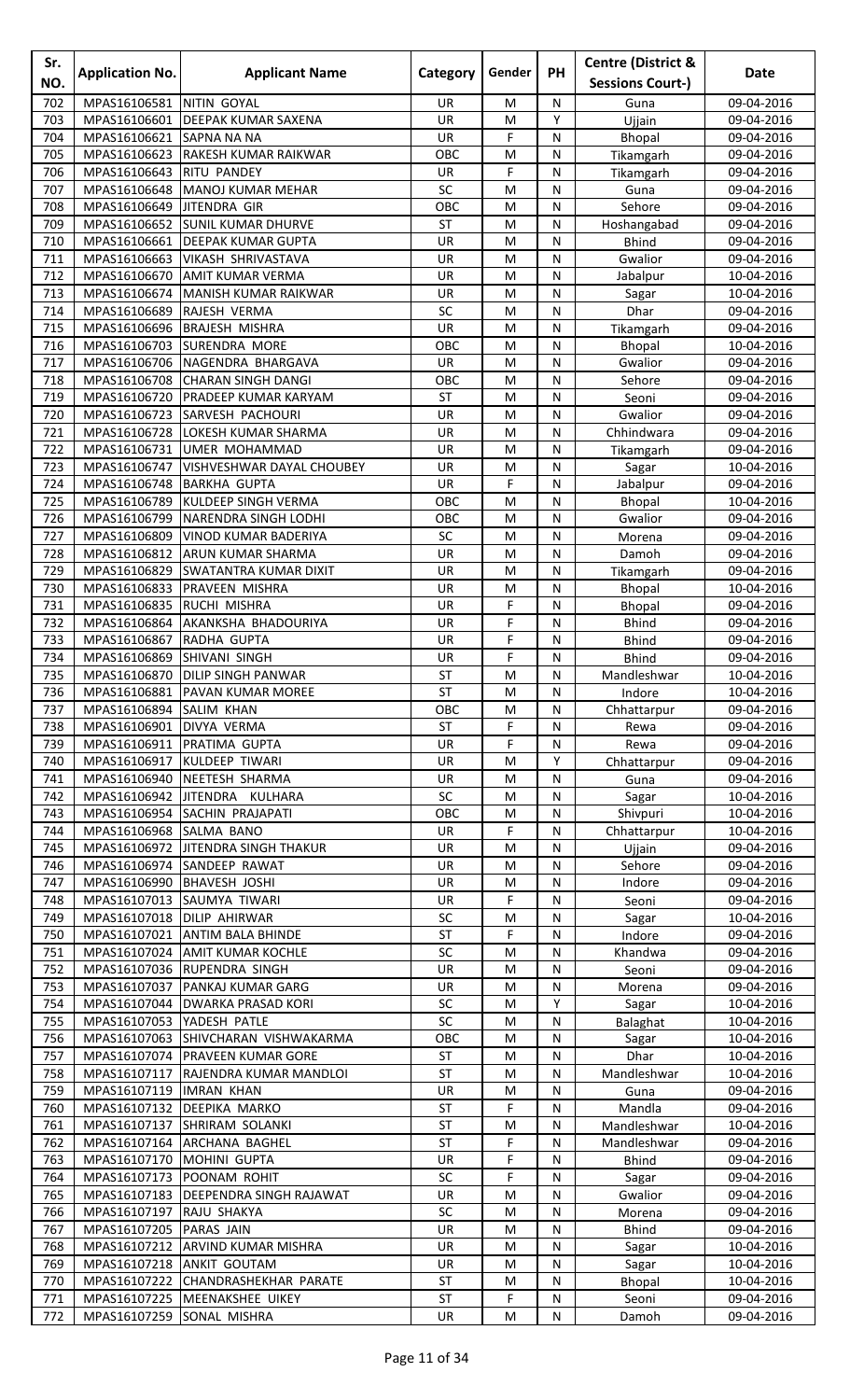| Sr.<br>NO. | <b>Application No.</b>       | <b>Applicant Name</b>                                    | Category         | Gender      | PH                           | <b>Centre (District &amp;</b><br><b>Sessions Court-)</b> | Date                     |
|------------|------------------------------|----------------------------------------------------------|------------------|-------------|------------------------------|----------------------------------------------------------|--------------------------|
| 702        | MPAS16106581                 | NITIN GOYAL                                              | UR               | М           | N                            | Guna                                                     | 09-04-2016               |
| 703        | MPAS16106601                 | <b>DEEPAK KUMAR SAXENA</b>                               | UR               | M           | Y                            | Ujjain                                                   | 09-04-2016               |
| 704        | MPAS16106621                 | <b>SAPNA NA NA</b>                                       | UR               | F           | ${\sf N}$                    | Bhopal                                                   | 09-04-2016               |
| 705        | MPAS16106623                 | <b>RAKESH KUMAR RAIKWAR</b>                              | OBC              | M           | N                            | Tikamgarh                                                | 09-04-2016               |
| 706        | MPAS16106643                 | <b>RITU PANDEY</b>                                       | UR               | F           | N                            | Tikamgarh                                                | 09-04-2016               |
| 707        | MPAS16106648                 | MANOJ KUMAR MEHAR                                        | SC               | M           | N                            | Guna<br>Sehore                                           | 09-04-2016<br>09-04-2016 |
| 708<br>709 | MPAS16106649                 | JITENDRA GIR<br>MPAS16106652 SUNIL KUMAR DHURVE          | OBC<br><b>ST</b> | M<br>M      | N<br>N                       | Hoshangabad                                              | 09-04-2016               |
| 710        | MPAS16106661                 | <b>DEEPAK KUMAR GUPTA</b>                                | UR               | M           | N                            | <b>Bhind</b>                                             | 09-04-2016               |
| 711        | MPAS16106663                 | VIKASH SHRIVASTAVA                                       | UR               | M           | N                            | Gwalior                                                  | 09-04-2016               |
| 712        | MPAS16106670                 | <b>AMIT KUMAR VERMA</b>                                  | UR               | M           | N                            | Jabalpur                                                 | 10-04-2016               |
| 713        | MPAS16106674                 | MANISH KUMAR RAIKWAR                                     | UR               | M           | N                            | Sagar                                                    | 10-04-2016               |
| 714        | MPAS16106689                 | RAJESH VERMA                                             | SC               | M           | N                            | Dhar                                                     | 09-04-2016               |
| 715        | MPAS16106696                 | <b>BRAJESH MISHRA</b>                                    | UR               | M           | N                            | Tikamgarh                                                | 09-04-2016               |
| 716<br>717 | MPAS16106703<br>MPAS16106706 | <b>SURENDRA MORE</b><br>NAGENDRA BHARGAVA                | OBC<br>UR        | M<br>M      | N<br>${\sf N}$               | Bhopal<br>Gwalior                                        | 10-04-2016<br>09-04-2016 |
| 718        | MPAS16106708                 | <b>CHARAN SINGH DANGI</b>                                | OBC              | M           | N                            | Sehore                                                   | 09-04-2016               |
| 719        | MPAS16106720                 | PRADEEP KUMAR KARYAM                                     | ST               | M           | N                            | Seoni                                                    | 09-04-2016               |
| 720        | MPAS16106723                 | <b>SARVESH PACHOURI</b>                                  | UR               | M           | N                            | Gwalior                                                  | 09-04-2016               |
| 721        | MPAS16106728                 | LOKESH KUMAR SHARMA                                      | UR               | M           | N                            | Chhindwara                                               | 09-04-2016               |
| 722        | MPAS16106731                 | UMER MOHAMMAD                                            | UR               | M           | N                            | Tikamgarh                                                | 09-04-2016               |
| 723        | MPAS16106747                 | VISHVESHWAR DAYAL CHOUBEY                                | UR               | M           | N                            | Sagar                                                    | 10-04-2016               |
| 724        | MPAS16106748                 | <b>BARKHA GUPTA</b>                                      | UR               | F           | N                            | Jabalpur                                                 | 09-04-2016               |
| 725<br>726 | MPAS16106789<br>MPAS16106799 | KULDEEP SINGH VERMA<br>NARENDRA SINGH LODHI              | OBC<br>OBC       | M<br>M      | N<br>N                       | <b>Bhopal</b><br>Gwalior                                 | 10-04-2016               |
| 727        | MPAS16106809                 | VINOD KUMAR BADERIYA                                     | SC               | M           | N                            | Morena                                                   | 09-04-2016<br>09-04-2016 |
| 728        | MPAS16106812                 | <b>ARUN KUMAR SHARMA</b>                                 | UR               | M           | N                            | Damoh                                                    | 09-04-2016               |
| 729        | MPAS16106829                 | <b>SWATANTRA KUMAR DIXIT</b>                             | UR               | M           | ${\sf N}$                    | Tikamgarh                                                | 09-04-2016               |
| 730        | MPAS16106833                 | PRAVEEN MISHRA                                           | UR               | M           | N                            | Bhopal                                                   | 10-04-2016               |
| 731        | MPAS16106835                 | <b>RUCHI MISHRA</b>                                      | UR               | F           | N                            | <b>Bhopal</b>                                            | 09-04-2016               |
| 732        | MPAS16106864                 | AKANKSHA BHADOURIYA                                      | <b>UR</b>        | F           | N                            | <b>Bhind</b>                                             | 09-04-2016               |
| 733        | MPAS16106867                 | RADHA GUPTA                                              | UR               | F           | N                            | <b>Bhind</b>                                             | 09-04-2016               |
| 734<br>735 | MPAS16106869                 | <b>SHIVANI SINGH</b><br>MPAS16106870 DILIP SINGH PANWAR  | UR<br>ST         | F<br>M      | N<br>$\overline{\mathsf{N}}$ | <b>Bhind</b>                                             | 09-04-2016<br>10-04-2016 |
| 736        | MPAS16106881                 | <b>PAVAN KUMAR MOREE</b>                                 | ST               | M           | N                            | Mandleshwar<br>Indore                                    | 10-04-2016               |
| 737        | MPAS16106894                 | <b>SALIM KHAN</b>                                        | OBC              | M           | N                            | Chhattarpur                                              | 09-04-2016               |
| 738        | MPAS16106901                 | DIVYA VERMA                                              | ST               | F           | N                            | Rewa                                                     | 09-04-2016               |
| 739        | MPAS16106911                 | PRATIMA GUPTA                                            | UR               | F           | N                            | Rewa                                                     | 09-04-2016               |
| 740        | MPAS16106917                 | KULDEEP TIWARI                                           | UR               | M           | Υ                            | Chhattarpur                                              | 09-04-2016               |
| 741        | MPAS16106940                 | NEETESH SHARMA                                           | <b>UR</b>        | M           | N                            | Guna                                                     | 09-04-2016               |
| 742        | MPAS16106942                 | JITENDRA KULHARA                                         | SC               | M           | ${\sf N}$                    | Sagar                                                    | 10-04-2016               |
| 743<br>744 | MPAS16106954<br>MPAS16106968 | <b>SACHIN PRAJAPATI</b><br>SALMA BANO                    | OBC<br><b>UR</b> | M<br>F      | N<br>N                       | Shivpuri<br>Chhattarpur                                  | 10-04-2016<br>10-04-2016 |
| 745        |                              | MPAS16106972 JITENDRA SINGH THAKUR                       | UR               | M           | N                            | Ujjain                                                   | 09-04-2016               |
| 746        |                              | MPAS16106974 SANDEEP RAWAT                               | UR               | M           | N                            | Sehore                                                   | 09-04-2016               |
| 747        | MPAS16106990                 | <b>BHAVESH JOSHI</b>                                     | <b>UR</b>        | M           | N                            | Indore                                                   | 09-04-2016               |
| 748        |                              | MPAS16107013 SAUMYA TIWARI                               | UR               | F           | N                            | Seoni                                                    | 09-04-2016               |
| 749        | MPAS16107018                 | <b>DILIP AHIRWAR</b>                                     | SC               | M           | N                            | Sagar                                                    | 10-04-2016               |
| 750        | MPAS16107021                 | <b>ANTIM BALA BHINDE</b>                                 | <b>ST</b>        | F           | N                            | Indore                                                   | 09-04-2016               |
| 751<br>752 | MPAS16107024                 | <b>JAMIT KUMAR KOCHLE</b><br>MPAS16107036 RUPENDRA SINGH | SC<br>UR         | M<br>М      | N<br>N                       | Khandwa<br>Seoni                                         | 09-04-2016<br>09-04-2016 |
| 753        |                              | MPAS16107037 PANKAJ KUMAR GARG                           | <b>UR</b>        | M           | N                            | Morena                                                   | 09-04-2016               |
| 754        |                              | MPAS16107044 DWARKA PRASAD KORI                          | SC               | ${\sf M}$   | Υ                            | Sagar                                                    | 10-04-2016               |
| 755        | MPAS16107053                 | YADESH PATLE                                             | SC               | M           | N                            | Balaghat                                                 | 10-04-2016               |
| 756        | MPAS16107063                 | SHIVCHARAN VISHWAKARMA                                   | OBC              | M           | N                            | Sagar                                                    | 10-04-2016               |
| 757        | MPAS16107074                 | <b>PRAVEEN KUMAR GORE</b>                                | ST               | M           | N                            | Dhar                                                     | 10-04-2016               |
| 758        | MPAS16107117                 | RAJENDRA KUMAR MANDLOI                                   | ST               | M           | N                            | Mandleshwar                                              | 10-04-2016               |
| 759<br>760 | MPAS16107119                 | <b>IMRAN KHAN</b><br>MPAS16107132 DEEPIKA MARKO          | UR<br><b>ST</b>  | M<br>F      | N<br>N                       | Guna<br>Mandla                                           | 09-04-2016<br>09-04-2016 |
| 761        | MPAS16107137                 | <b>SHRIRAM SOLANKI</b>                                   | <b>ST</b>        | M           | N                            | Mandleshwar                                              | 10-04-2016               |
| 762        | MPAS16107164                 | ARCHANA BAGHEL                                           | <b>ST</b>        | F           | N                            | Mandleshwar                                              | 09-04-2016               |
| 763        | MPAS16107170                 | MOHINI GUPTA                                             | UR               | F           | N                            | <b>Bhind</b>                                             | 09-04-2016               |
| 764        | MPAS16107173                 | <b>POONAM ROHIT</b>                                      | SC               | F           | N                            | Sagar                                                    | 09-04-2016               |
| 765        | MPAS16107183                 | <b>DEEPENDRA SINGH RAJAWAT</b>                           | UR               | M           | N                            | Gwalior                                                  | 09-04-2016               |
| 766        | MPAS16107197                 | RAJU SHAKYA                                              | SC               | M           | N                            | Morena                                                   | 09-04-2016               |
| 767        | MPAS16107205                 | <b>PARAS JAIN</b>                                        | UR               | ${\sf M}$   | ${\sf N}$                    | <b>Bhind</b>                                             | 09-04-2016               |
| 768<br>769 | MPAS16107212<br>MPAS16107218 | <b>ARVIND KUMAR MISHRA</b><br><b>ANKIT GOUTAM</b>        | UR<br>UR.        | M<br>M      | N<br>N                       | Sagar                                                    | 10-04-2016<br>10-04-2016 |
| 770        |                              | MPAS16107222 CHANDRASHEKHAR PARATE                       | <b>ST</b>        | M           | N                            | Sagar<br><b>Bhopal</b>                                   | 10-04-2016               |
| 771        |                              | MPAS16107225 MEENAKSHEE UIKEY                            | ST               | $\mathsf F$ | ${\sf N}$                    | Seoni                                                    | 09-04-2016               |
| 772        | MPAS16107259 SONAL MISHRA    |                                                          | UR               | M           | ${\sf N}$                    | Damoh                                                    | 09-04-2016               |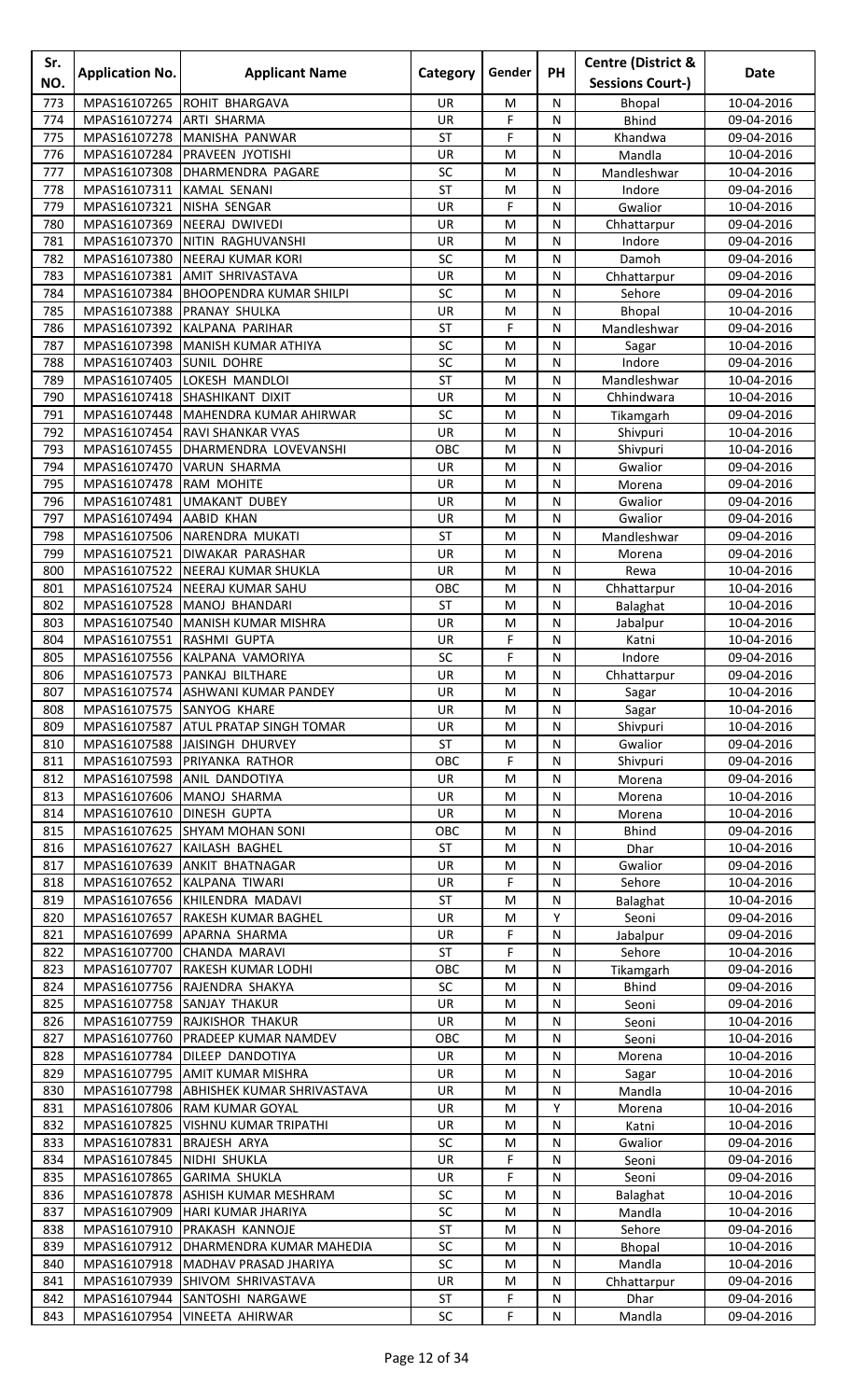| Sr.<br>NO. | <b>Application No.</b>       | <b>Applicant Name</b>                                             | Category        | Gender         | <b>PH</b>      | <b>Centre (District &amp;</b><br><b>Sessions Court-)</b> | Date                     |
|------------|------------------------------|-------------------------------------------------------------------|-----------------|----------------|----------------|----------------------------------------------------------|--------------------------|
| 773        | MPAS16107265                 | <b>ROHIT BHARGAVA</b>                                             | UR.             | M              | N              | Bhopal                                                   | 10-04-2016               |
| 774        | MPAS16107274                 | <b>ARTI SHARMA</b>                                                | UR              | F              | N              | <b>Bhind</b>                                             | 09-04-2016               |
| 775        | MPAS16107278                 | MANISHA PANWAR                                                    | <b>ST</b>       | F              | N              | Khandwa                                                  | 09-04-2016               |
| 776        | MPAS16107284                 | <b>PRAVEEN JYOTISHI</b>                                           | UR              | M              | N              | Mandla                                                   | 10-04-2016               |
| 777<br>778 | MPAS16107308<br>MPAS16107311 | DHARMENDRA PAGARE<br><b>KAMAL SENANI</b>                          | SC<br><b>ST</b> | M<br>M         | ${\sf N}$<br>N | Mandleshwar<br>Indore                                    | 10-04-2016<br>09-04-2016 |
| 779        | MPAS16107321                 | NISHA SENGAR                                                      | UR              | F              | N              | Gwalior                                                  | 10-04-2016               |
| 780        | MPAS16107369                 | NEERAJ DWIVEDI                                                    | <b>UR</b>       | M              | N              | Chhattarpur                                              | 09-04-2016               |
| 781        | MPAS16107370                 | NITIN RAGHUVANSHI                                                 | UR              | M              | N              | Indore                                                   | 09-04-2016               |
| 782        | MPAS16107380                 | <b>NEERAJ KUMAR KORI</b>                                          | SC              | M              | N              | Damoh                                                    | 09-04-2016               |
| 783        | MPAS16107381                 | <b>AMIT SHRIVASTAVA</b>                                           | UR              | M              | ${\sf N}$      | Chhattarpur                                              | 09-04-2016               |
| 784<br>785 | MPAS16107384<br>MPAS16107388 | <b>BHOOPENDRA KUMAR SHILPI</b><br>PRANAY SHULKA                   | SC<br>UR        | M<br>M         | N<br>N         | Sehore<br>Bhopal                                         | 09-04-2016<br>10-04-2016 |
| 786        | MPAS16107392                 | KALPANA PARIHAR                                                   | <b>ST</b>       | F              | N              | Mandleshwar                                              | 09-04-2016               |
| 787        | MPAS16107398                 | <b>MANISH KUMAR ATHIYA</b>                                        | SC              | M              | N              | Sagar                                                    | 10-04-2016               |
| 788        | MPAS16107403 SUNIL DOHRE     |                                                                   | SC              | M              | N              | Indore                                                   | 09-04-2016               |
| 789        |                              | MPAS16107405 LOKESH MANDLOI                                       | <b>ST</b>       | M              | N              | Mandleshwar                                              | 10-04-2016               |
| 790        | MPAS16107418                 | <b>SHASHIKANT DIXIT</b>                                           | UR              | M              | N              | Chhindwara                                               | 10-04-2016               |
| 791<br>792 | MPAS16107448<br>MPAS16107454 | MAHENDRA KUMAR AHIRWAR<br><b>RAVI SHANKAR VYAS</b>                | SC<br><b>UR</b> | M<br>M         | N<br>N         | Tikamgarh<br>Shivpuri                                    | 09-04-2016<br>10-04-2016 |
| 793        | MPAS16107455                 | DHARMENDRA LOVEVANSHI                                             | OBC             | M              | N              | Shivpuri                                                 | 10-04-2016               |
| 794        | MPAS16107470                 | <b>VARUN SHARMA</b>                                               | UR              | M              | N              | Gwalior                                                  | 09-04-2016               |
| 795        | MPAS16107478                 | <b>RAM MOHITE</b>                                                 | UR              | M              | N              | Morena                                                   | 09-04-2016               |
| 796        | MPAS16107481                 | <b>UMAKANT DUBEY</b>                                              | UR              | M              | N              | Gwalior                                                  | 09-04-2016               |
| 797        | MPAS16107494                 | <b>AABID KHAN</b>                                                 | UR              | M              | N              | Gwalior                                                  | 09-04-2016               |
| 798        | MPAS16107506                 | NARENDRA MUKATI                                                   | <b>ST</b>       | M              | N              | Mandleshwar                                              | 09-04-2016               |
| 799<br>800 | MPAS16107521<br>MPAS16107522 | DIWAKAR PARASHAR<br><b>NEERAJ KUMAR SHUKLA</b>                    | UR<br>UR        | M<br>M         | N<br>N         | Morena<br>Rewa                                           | 09-04-2016<br>10-04-2016 |
| 801        | MPAS16107524                 | <b>NEERAJ KUMAR SAHU</b>                                          | OBC             | M              | N              | Chhattarpur                                              | 10-04-2016               |
| 802        | MPAS16107528                 | MANOJ BHANDARI                                                    | <b>ST</b>       | M              | ${\sf N}$      | <b>Balaghat</b>                                          | 10-04-2016               |
| 803        | MPAS16107540                 | MANISH KUMAR MISHRA                                               | UR              | M              | N              | Jabalpur                                                 | 10-04-2016               |
| 804        | MPAS16107551                 | <b>RASHMI GUPTA</b>                                               | UR              | F              | N              | Katni                                                    | 10-04-2016               |
| 805        |                              | MPAS16107556 KALPANA VAMORIYA                                     | SC              | F              | N              | Indore                                                   | 09-04-2016               |
| 806<br>807 |                              | MPAS16107573 PANKAJ BILTHARE<br>MPAS16107574 ASHWANI KUMAR PANDEY | UR<br><b>UR</b> | M<br>M         | N<br>N         | Chhattarpur<br>Sagar                                     | 09-04-2016<br>10-04-2016 |
| 808        | MPAS16107575 SANYOG KHARE    |                                                                   | <b>UR</b>       | M              | N              | Sagar                                                    | 10-04-2016               |
| 809        |                              | MPAS16107587 ATUL PRATAP SINGH TOMAR                              | UR              | M              | N              | Shivpuri                                                 | 10-04-2016               |
| 810        | MPAS16107588                 | <b>JAISINGH DHURVEY</b>                                           | ST              | M              | N              | Gwalior                                                  | 09-04-2016               |
| 811        | MPAS16107593                 | <b>PRIYANKA RATHOR</b>                                            | OBC             | F              | N              | Shivpuri                                                 | 09-04-2016               |
| 812        | MPAS16107598                 | ANIL DANDOTIYA                                                    | UR              | M              | N              | Morena                                                   | 09-04-2016               |
| 813<br>814 | MPAS16107610 DINESH GUPTA    | MPAS16107606 MANOJ SHARMA                                         | UR<br>UR        | M<br>${\sf M}$ | N<br>${\sf N}$ | Morena<br>Morena                                         | 10-04-2016<br>10-04-2016 |
| 815        |                              | MPAS16107625 SHYAM MOHAN SONI                                     | OBC             | M              | N              | <b>Bhind</b>                                             | 09-04-2016               |
| 816        | MPAS16107627                 | KAILASH BAGHEL                                                    | ST              | M              | N              | Dhar                                                     | 10-04-2016               |
| 817        | MPAS16107639                 | <b>ANKIT BHATNAGAR</b>                                            | <b>UR</b>       | M              | N              | Gwalior                                                  | 09-04-2016               |
| 818        | MPAS16107652                 | KALPANA TIWARI                                                    | UR              | F              | N              | Sehore                                                   | 10-04-2016               |
| 819        |                              | MPAS16107656 KHILENDRA MADAVI                                     | <b>ST</b>       | M              | N              | Balaghat                                                 | 10-04-2016               |
| 820        |                              | MPAS16107657 RAKESH KUMAR BAGHEL                                  | UR<br>UR        | M<br>F         | Υ<br>${\sf N}$ | Seoni                                                    | 09-04-2016               |
| 821<br>822 | MPAS16107700                 | MPAS16107699 APARNA SHARMA<br>CHANDA MARAVI                       | ST              | F              | N              | Jabalpur<br>Sehore                                       | 09-04-2016<br>10-04-2016 |
| 823        | MPAS16107707                 | <b>RAKESH KUMAR LODHI</b>                                         | OBC             | M              | N              | Tikamgarh                                                | 09-04-2016               |
| 824        | MPAS16107756                 | RAJENDRA SHAKYA                                                   | SC              | M              | N              | <b>Bhind</b>                                             | 09-04-2016               |
| 825        |                              | MPAS16107758 SANJAY THAKUR                                        | UR              | M              | N              | Seoni                                                    | 09-04-2016               |
| 826        |                              | MPAS16107759 RAJKISHOR THAKUR                                     | UR              | M              | N              | Seoni                                                    | 10-04-2016               |
| 827        | MPAS16107760                 | <b>PRADEEP KUMAR NAMDEV</b>                                       | OBC             | ${\sf M}$      | ${\sf N}$      | Seoni                                                    | 10-04-2016               |
| 828<br>829 | MPAS16107784                 | <b>DILEEP DANDOTIYA</b><br>MPAS16107795 AMIT KUMAR MISHRA         | UR<br>UR        | M<br>M         | N<br>N         | Morena<br>Sagar                                          | 10-04-2016<br>10-04-2016 |
| 830        | MPAS16107798                 | <b>ABHISHEK KUMAR SHRIVASTAVA</b>                                 | UR              | M              | N              | Mandla                                                   | 10-04-2016               |
| 831        |                              | MPAS16107806 RAM KUMAR GOYAL                                      | UR              | M              | Y              | Morena                                                   | 10-04-2016               |
| 832        |                              | MPAS16107825   VISHNU KUMAR TRIPATHI                              | <b>UR</b>       | M              | N              | Katni                                                    | 10-04-2016               |
| 833        | MPAS16107831                 | <b>BRAJESH ARYA</b>                                               | SC              | M              | N              | Gwalior                                                  | 09-04-2016               |
| 834        | MPAS16107845                 | NIDHI SHUKLA                                                      | UR              | F              | N              | Seoni                                                    | 09-04-2016               |
| 835        | MPAS16107865                 | <b>GARIMA SHUKLA</b>                                              | UR              | F              | N              | Seoni                                                    | 09-04-2016               |
| 836<br>837 | MPAS16107878<br>MPAS16107909 | <b>ASHISH KUMAR MESHRAM</b><br><b>HARI KUMAR JHARIYA</b>          | SC<br>SC        | M<br>M         | N<br>N         | Balaghat<br>Mandla                                       | 10-04-2016<br>10-04-2016 |
| 838        | MPAS16107910                 | <b>PRAKASH KANNOJE</b>                                            | ST              | M              | N              | Sehore                                                   | 09-04-2016               |
| 839        |                              | MPAS16107912   DHARMENDRA KUMAR MAHEDIA                           | SC              | ${\sf M}$      | N              | Bhopal                                                   | 10-04-2016               |
| 840        | MPAS16107918                 | MADHAV PRASAD JHARIYA                                             | SC              | M              | N              | Mandla                                                   | 10-04-2016               |
| 841        |                              | MPAS16107939 SHIVOM SHRIVASTAVA                                   | UR              | M              | N              | Chhattarpur                                              | 09-04-2016               |
| 842        |                              | MPAS16107944 SANTOSHI NARGAWE                                     | ST              | F              | ${\sf N}$      | Dhar                                                     | 09-04-2016               |
| 843        |                              | MPAS16107954 VINEETA AHIRWAR                                      | SC              | F              | N              | Mandla                                                   | 09-04-2016               |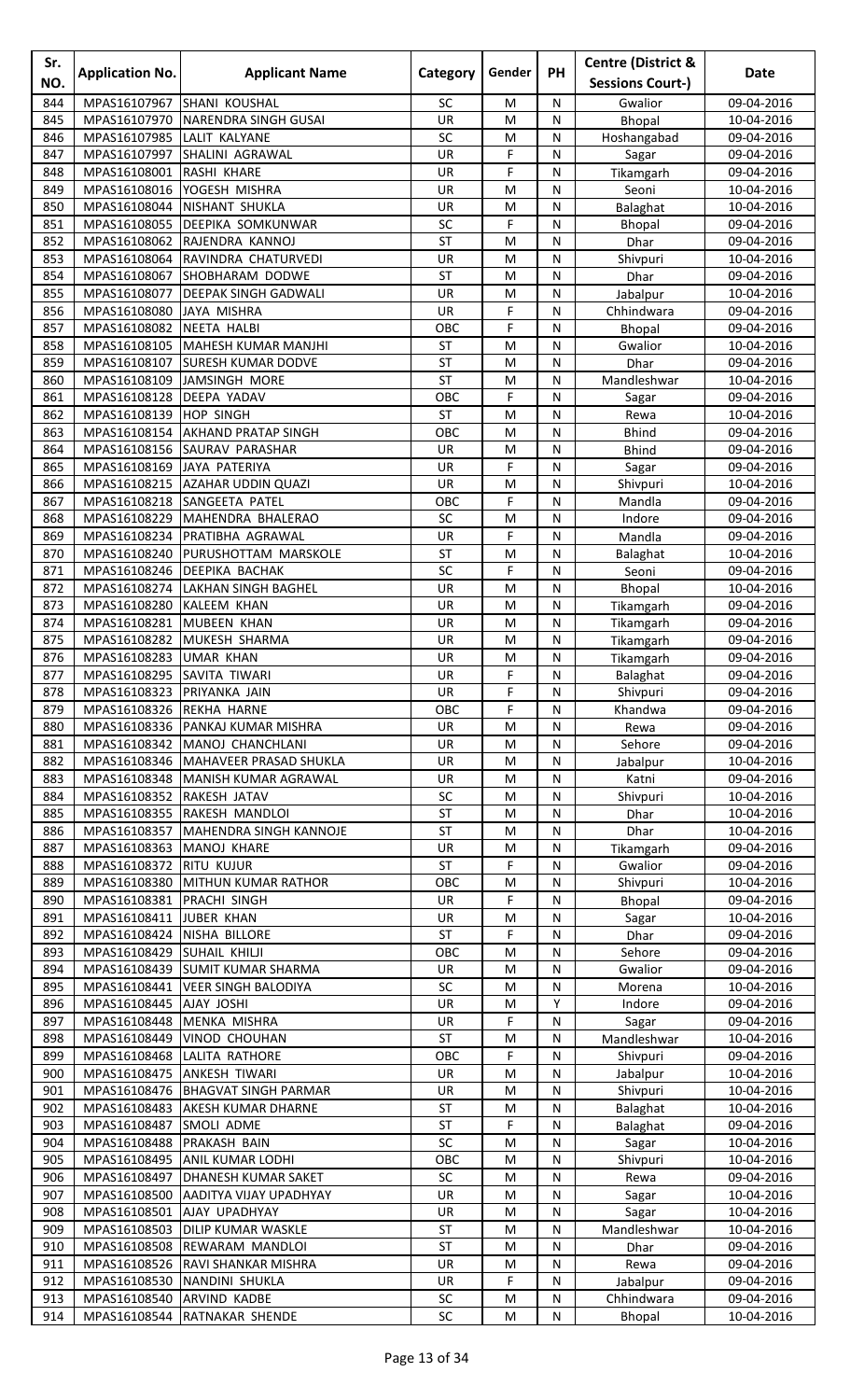| Sr.<br>NO. | <b>Application No.</b>                  | <b>Applicant Name</b>                                  | Category        | Gender | <b>PH</b>         | <b>Centre (District &amp;</b><br><b>Sessions Court-)</b> | Date                     |
|------------|-----------------------------------------|--------------------------------------------------------|-----------------|--------|-------------------|----------------------------------------------------------|--------------------------|
| 844        | MPAS16107967                            | <b>SHANI KOUSHAL</b>                                   | SC              | M      | N                 | Gwalior                                                  | 09-04-2016               |
| 845        | MPAS16107970                            | <b>NARENDRA SINGH GUSAI</b>                            | UR              | M      | N                 | Bhopal                                                   | 10-04-2016               |
| 846        | MPAS16107985                            | <b>LALIT KALYANE</b>                                   | SC              | M      | N                 | Hoshangabad                                              | 09-04-2016               |
| 847        |                                         | MPAS16107997 SHALINI AGRAWAL                           | UR              | F      | N                 | Sagar                                                    | 09-04-2016               |
| 848        | MPAS16108001                            | RASHI KHARE                                            | UR              | F      | ${\sf N}$         | Tikamgarh                                                | 09-04-2016               |
| 849        | MPAS16108016                            | YOGESH MISHRA                                          | UR              | M      | N<br>N            | Seoni                                                    | 10-04-2016               |
| 850<br>851 | MPAS16108044                            | NISHANT SHUKLA<br>MPAS16108055 DEEPIKA SOMKUNWAR       | UR<br>SC        | M<br>F | N                 | Balaghat<br>Bhopal                                       | 10-04-2016<br>09-04-2016 |
| 852        |                                         | MPAS16108062 RAJENDRA KANNOJ                           | <b>ST</b>       | M      | N                 | Dhar                                                     | 09-04-2016               |
| 853        |                                         | MPAS16108064 RAVINDRA CHATURVEDI                       | UR              | M      | N                 | Shivpuri                                                 | 10-04-2016               |
| 854        |                                         | MPAS16108067 SHOBHARAM DODWE                           | <b>ST</b>       | M      | $\mathsf{N}$      | Dhar                                                     | 09-04-2016               |
| 855        | MPAS16108077                            | <b>DEEPAK SINGH GADWALI</b>                            | UR              | M      | N                 | Jabalpur                                                 | 10-04-2016               |
| 856        | MPAS16108080                            | JAYA MISHRA                                            | <b>UR</b>       | F      | N                 | Chhindwara                                               | 09-04-2016               |
| 857<br>858 | MPAS16108082<br>MPAS16108105            | <b>NEETA HALBI</b><br>MAHESH KUMAR MANJHI              | OBC<br>ST       | F<br>M | N<br>N            | Bhopal<br>Gwalior                                        | 09-04-2016<br>10-04-2016 |
| 859        |                                         | MPAS16108107 SURESH KUMAR DODVE                        | <b>ST</b>       | M      | N                 | Dhar                                                     | 09-04-2016               |
| 860        |                                         | MPAS16108109 JAMSINGH MORE                             | <b>ST</b>       | M      | $\mathsf{N}$      | Mandleshwar                                              | 10-04-2016               |
| 861        | MPAS16108128                            | <b>DEEPA YADAV</b>                                     | OBC             | F      | N                 | Sagar                                                    | 09-04-2016               |
| 862        | MPAS16108139                            | <b>HOP SINGH</b>                                       | ST              | M      | N                 | Rewa                                                     | 10-04-2016               |
| 863        | MPAS16108154                            | <b>AKHAND PRATAP SINGH</b>                             | OBC             | M      | N                 | <b>Bhind</b>                                             | 09-04-2016               |
| 864        | MPAS16108156                            | <b>SAURAV PARASHAR</b>                                 | UR              | M      | N                 | <b>Bhind</b>                                             | 09-04-2016               |
| 865<br>866 | MPAS16108169 JAYA PATERIYA              | MPAS16108215 AZAHAR UDDIN QUAZI                        | UR<br>UR        | F<br>M | N<br>$\mathsf{N}$ | Sagar<br>Shivpuri                                        | 09-04-2016<br>10-04-2016 |
| 867        |                                         | MPAS16108218 SANGEETA PATEL                            | OBC             | F      | N                 | Mandla                                                   | 09-04-2016               |
| 868        | MPAS16108229                            | MAHENDRA BHALERAO                                      | SC              | M      | N                 | Indore                                                   | 09-04-2016               |
| 869        | MPAS16108234                            | <b>PRATIBHA AGRAWAL</b>                                | UR              | F      | N                 | Mandla                                                   | 09-04-2016               |
| 870        | MPAS16108240                            | PURUSHOTTAM MARSKOLE                                   | ST              | M      | N                 | Balaghat                                                 | 10-04-2016               |
| 871        | MPAS16108246                            | <b>DEEPIKA BACHAK</b>                                  | SC              | F      | N                 | Seoni                                                    | 09-04-2016               |
| 872        |                                         | MPAS16108274   LAKHAN SINGH BAGHEL                     | UR              | M      | N                 | Bhopal                                                   | 10-04-2016               |
| 873<br>874 | MPAS16108280<br>MPAS16108281            | KALEEM KHAN<br><b>MUBEEN KHAN</b>                      | UR<br>UR        | M<br>M | ${\sf N}$<br>N    | Tikamgarh<br>Tikamgarh                                   | 09-04-2016<br>09-04-2016 |
| 875        | MPAS16108282                            | MUKESH SHARMA                                          | UR              | M      | N                 | Tikamgarh                                                | 09-04-2016               |
| 876        | MPAS16108283 UMAR KHAN                  |                                                        | UR              | M      | N                 | Tikamgarh                                                | 09-04-2016               |
| 877        | MPAS16108295 SAVITA TIWARI              |                                                        | UR              | F      | N                 | Balaghat                                                 | 09-04-2016               |
| 878        | MPAS16108323 PRIYANKA JAIN              |                                                        | <b>UR</b>       | F      | N                 | Shivpuri                                                 | 09-04-2016               |
| 879        | MPAS16108326 REKHA HARNE                |                                                        | OBC             | F      | N                 | Khandwa                                                  | 09-04-2016               |
| 880<br>881 | MPAS16108342                            | MPAS16108336   PANKAJ KUMAR MISHRA<br>MANOJ CHANCHLANI | UR<br><b>UR</b> | M<br>M | N<br>N            | Rewa<br>Sehore                                           | 09-04-2016<br>09-04-2016 |
| 882        | MPAS16108346                            | MAHAVEER PRASAD SHUKLA                                 | UR              | M      | N                 | Jabalpur                                                 | 10-04-2016               |
| 883        |                                         | MPAS16108348 MANISH KUMAR AGRAWAL                      | UR              | M      | N                 | Katni                                                    | 09-04-2016               |
| 884        | MPAS16108352 RAKESH JATAV               |                                                        | SC              | M      | N                 | Shivpuri                                                 | 10-04-2016               |
| 885        |                                         | MPAS16108355 RAKESH MANDLOI                            | <b>ST</b>       | M      | ${\sf N}$         | Dhar                                                     | 10-04-2016               |
| 886        |                                         | MPAS16108357 MAHENDRA SINGH KANNOJE                    | ST              | M      | N                 | Dhar                                                     | 10-04-2016               |
| 887        | MPAS16108363 MANOJ KHARE                |                                                        | UR<br><b>ST</b> | M<br>F | N<br>N            | Tikamgarh                                                | 09-04-2016               |
| 888<br>889 | MPAS16108372 RITU KUJUR<br>MPAS16108380 | MITHUN KUMAR RATHOR                                    | OBC             | M      | N                 | Gwalior<br>Shivpuri                                      | 09-04-2016<br>10-04-2016 |
| 890        | MPAS16108381                            | <b>PRACHI SINGH</b>                                    | UR              | F      | N                 | Bhopal                                                   | 09-04-2016               |
| 891        | MPAS16108411 JUBER KHAN                 |                                                        | UR              | M      | $\mathsf{N}$      | Sagar                                                    | 10-04-2016               |
| 892        | MPAS16108424 NISHA BILLORE              |                                                        | <b>ST</b>       | F      | N                 | Dhar                                                     | 09-04-2016               |
| 893        | MPAS16108429 SUHAIL KHILJI              |                                                        | OBC             | M      | N                 | Sehore                                                   | 09-04-2016               |
| 894        |                                         | MPAS16108439 SUMIT KUMAR SHARMA                        | UR              | M      | N                 | Gwalior                                                  | 09-04-2016               |
| 895<br>896 | MPAS16108445 AJAY JOSHI                 | MPAS16108441   VEER SINGH BALODIYA                     | SC<br>UR        | M<br>M | N<br>Y            | Morena<br>Indore                                         | 10-04-2016<br>09-04-2016 |
| 897        |                                         | MPAS16108448 MENKA MISHRA                              | UR              | F      | N                 | Sagar                                                    | 09-04-2016               |
| 898        |                                         | MPAS16108449   VINOD CHOUHAN                           | <b>ST</b>       | M      | $\mathsf{N}$      | Mandleshwar                                              | 10-04-2016               |
| 899        | MPAS16108468                            | LALITA RATHORE                                         | OBC             | F      | N                 | Shivpuri                                                 | 09-04-2016               |
| 900        |                                         | MPAS16108475 ANKESH TIWARI                             | <b>UR</b>       | M      | N                 | Jabalpur                                                 | 10-04-2016               |
| 901        |                                         | MPAS16108476   BHAGVAT SINGH PARMAR                    | UR              | M      | N                 | Shivpuri                                                 | 10-04-2016               |
| 902        | MPAS16108483                            | <b>AKESH KUMAR DHARNE</b>                              | ST              | M      | N                 | Balaghat                                                 | 10-04-2016               |
| 903<br>904 | MPAS16108487<br>MPAS16108488            | <b>SMOLI ADME</b><br><b>PRAKASH BAIN</b>               | <b>ST</b><br>SC | F<br>M | N<br>$\mathsf{N}$ | Balaghat<br>Sagar                                        | 09-04-2016<br>10-04-2016 |
| 905        |                                         | MPAS16108495 ANIL KUMAR LODHI                          | OBC             | M      | N                 | Shivpuri                                                 | 10-04-2016               |
| 906        |                                         | MPAS16108497   DHANESH KUMAR SAKET                     | SC              | M      | N                 | Rewa                                                     | 09-04-2016               |
| 907        | MPAS16108500                            | AADITYA VIJAY UPADHYAY                                 | <b>UR</b>       | М      | N                 | Sagar                                                    | 10-04-2016               |
| 908        | MPAS16108501                            | AJAY UPADHYAY                                          | UR              | M      | N                 | Sagar                                                    | 10-04-2016               |
| 909        | MPAS16108503                            | <b>DILIP KUMAR WASKLE</b>                              | <b>ST</b>       | M      | N                 | Mandleshwar                                              | 10-04-2016               |
| 910<br>911 | MPAS16108508                            | REWARAM MANDLOI<br>MPAS16108526 RAVI SHANKAR MISHRA    | <b>ST</b><br>UR | M<br>M | N<br>N            | Dhar<br>Rewa                                             | 09-04-2016<br>09-04-2016 |
| 912        |                                         | MPAS16108530 NANDINI SHUKLA                            | UR              | F      | N                 | Jabalpur                                                 | 09-04-2016               |
| 913        | MPAS16108540 ARVIND KADBE               |                                                        | ${\sf SC}$      | M      | ${\sf N}$         | Chhindwara                                               | 09-04-2016               |
| 914        |                                         | MPAS16108544 RATNAKAR SHENDE                           | SC              | M      | $\mathsf{N}$      | Bhopal                                                   | 10-04-2016               |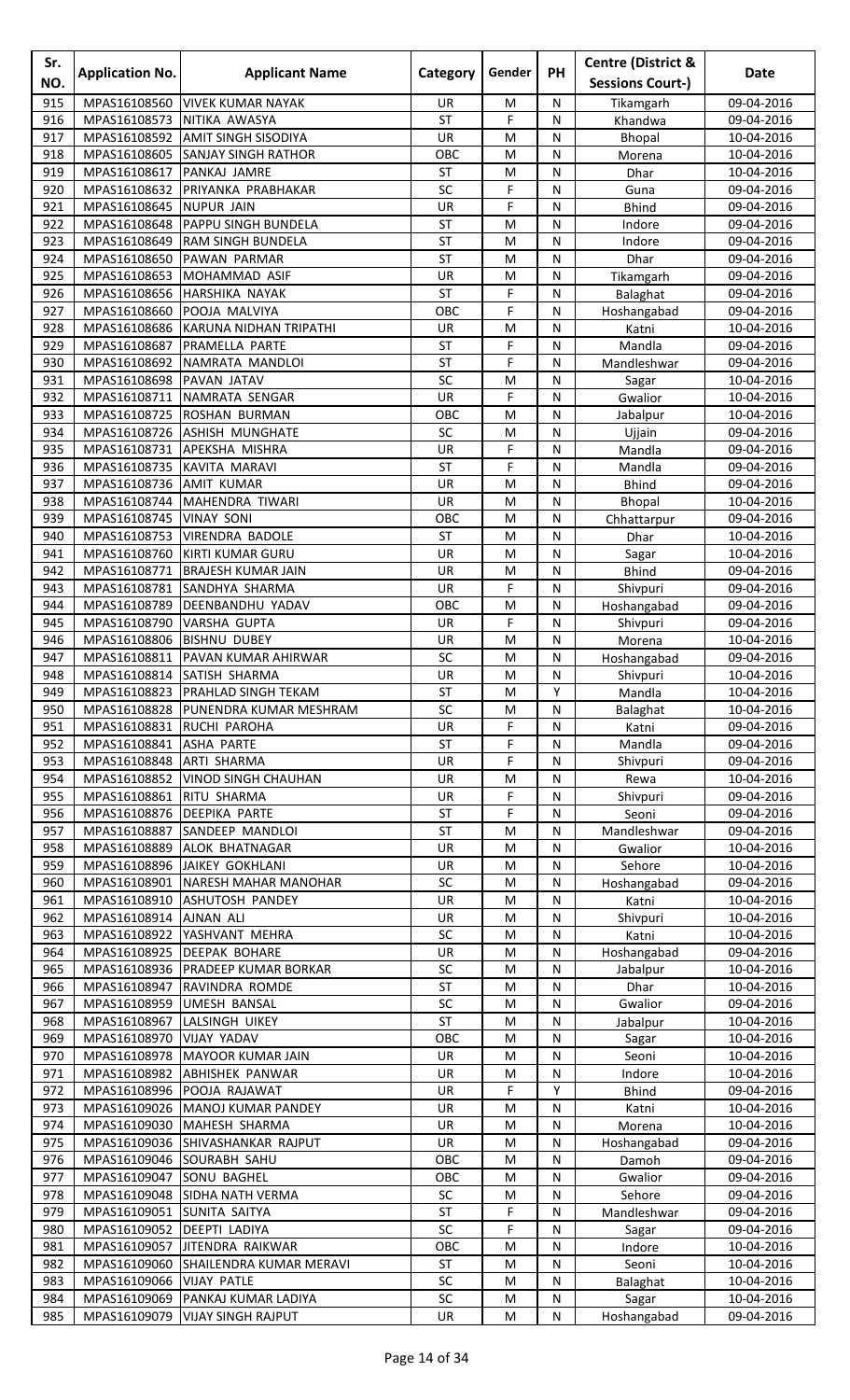| Sr.<br>NO. | <b>Application No.</b>                     | <b>Applicant Name</b>                                                     | Category         | Gender                 | <b>PH</b>      | <b>Centre (District &amp;</b><br><b>Sessions Court-)</b> | Date                     |
|------------|--------------------------------------------|---------------------------------------------------------------------------|------------------|------------------------|----------------|----------------------------------------------------------|--------------------------|
| 915        | MPAS16108560                               | <b>VIVEK KUMAR NAYAK</b>                                                  | UR.              | M                      | N              | Tikamgarh                                                | 09-04-2016               |
| 916        | MPAS16108573                               | NITIKA AWASYA                                                             | <b>ST</b>        | F                      | N              | Khandwa                                                  | 09-04-2016               |
| 917        | MPAS16108592                               | <b>AMIT SINGH SISODIYA</b>                                                | UR               | M                      | N              | Bhopal                                                   | 10-04-2016               |
| 918        | MPAS16108605                               | <b>SANJAY SINGH RATHOR</b>                                                | OBC              | M                      | N              | Morena                                                   | 10-04-2016               |
| 919        | MPAS16108617                               | PANKAJ JAMRE                                                              | ST               | M                      | ${\sf N}$      | Dhar                                                     | 10-04-2016               |
| 920<br>921 | MPAS16108632<br>MPAS16108645               | PRIYANKA PRABHAKAR<br><b>NUPUR JAIN</b>                                   | SC<br>UR         | F<br>F                 | N<br>N         | Guna<br><b>Bhind</b>                                     | 09-04-2016<br>09-04-2016 |
| 922        | MPAS16108648                               | <b>PAPPU SINGH BUNDELA</b>                                                | <b>ST</b>        | M                      | N              | Indore                                                   | 09-04-2016               |
| 923        | MPAS16108649                               | <b>RAM SINGH BUNDELA</b>                                                  | <b>ST</b>        | M                      | N              | Indore                                                   | 09-04-2016               |
| 924        | MPAS16108650                               | <b>PAWAN PARMAR</b>                                                       | <b>ST</b>        | M                      | N              | Dhar                                                     | 09-04-2016               |
| 925        | MPAS16108653                               | MOHAMMAD ASIF                                                             | UR               | M                      | ${\sf N}$      | Tikamgarh                                                | 09-04-2016               |
| 926        | MPAS16108656                               | HARSHIKA NAYAK                                                            | <b>ST</b>        | F                      | N              | Balaghat                                                 | 09-04-2016               |
| 927<br>928 | MPAS16108660<br>MPAS16108686               | POOJA MALVIYA<br>KARUNA NIDHAN TRIPATHI                                   | OBC<br><b>UR</b> | F<br>M                 | N<br>N         | Hoshangabad<br>Katni                                     | 09-04-2016<br>10-04-2016 |
| 929        | MPAS16108687                               | PRAMELLA PARTE                                                            | <b>ST</b>        | F                      | N              | Mandla                                                   | 09-04-2016               |
| 930        | MPAS16108692                               | NAMRATA MANDLOI                                                           | <b>ST</b>        | F                      | N              | Mandleshwar                                              | 09-04-2016               |
| 931        | MPAS16108698                               | PAVAN JATAV                                                               | SC               | M                      | N              | Sagar                                                    | 10-04-2016               |
| 932        | MPAS16108711                               | NAMRATA SENGAR                                                            | UR               | F                      | N              | Gwalior                                                  | 10-04-2016               |
| 933        | MPAS16108725                               | ROSHAN BURMAN                                                             | OBC              | M                      | N              | Jabalpur                                                 | 10-04-2016               |
| 934<br>935 | MPAS16108726<br>MPAS16108731               | <b>ASHISH MUNGHATE</b><br><b>APEKSHA MISHRA</b>                           | SC<br>UR         | м<br>F                 | N<br>N         | Ujjain<br>Mandla                                         | 09-04-2016<br>09-04-2016 |
| 936        | MPAS16108735                               | <b>KAVITA MARAVI</b>                                                      | <b>ST</b>        | F                      | N              | Mandla                                                   | 09-04-2016               |
| 937        | MPAS16108736                               | <b>AMIT KUMAR</b>                                                         | UR               | M                      | N              | <b>Bhind</b>                                             | 09-04-2016               |
| 938        | MPAS16108744                               | MAHENDRA TIWARI                                                           | UR               | M                      | N              | Bhopal                                                   | 10-04-2016               |
| 939        | MPAS16108745                               | <b>VINAY SONI</b>                                                         | OBC              | M                      | N              | Chhattarpur                                              | 09-04-2016               |
| 940        | MPAS16108753                               | <b>VIRENDRA BADOLE</b>                                                    | ST               | M                      | N              | Dhar                                                     | 10-04-2016               |
| 941<br>942 | MPAS16108760<br>MPAS16108771               | <b>KIRTI KUMAR GURU</b><br><b>BRAJESH KUMAR JAIN</b>                      | UR<br>UR         | M<br>M                 | N<br>N         | Sagar<br><b>Bhind</b>                                    | 10-04-2016<br>09-04-2016 |
| 943        |                                            | MPAS16108781 SANDHYA SHARMA                                               | UR               | F                      | N              | Shivpuri                                                 | 09-04-2016               |
| 944        |                                            | MPAS16108789 DEENBANDHU YADAV                                             | OBC              | M                      | ${\sf N}$      | Hoshangabad                                              | 09-04-2016               |
| 945        | MPAS16108790                               | <b>VARSHA GUPTA</b>                                                       | UR               | F                      | N              | Shivpuri                                                 | 09-04-2016               |
| 946        | MPAS16108806                               | <b>BISHNU DUBEY</b>                                                       | UR               | M                      | N              | Morena                                                   | 10-04-2016               |
| 947        |                                            | MPAS16108811   PAVAN KUMAR AHIRWAR                                        | SC               | M                      | N              | Hoshangabad                                              | 09-04-2016               |
| 948        |                                            | MPAS16108814 SATISH SHARMA                                                | UR<br><b>ST</b>  | M<br>M                 | N<br>Y         | Shivpuri                                                 | 10-04-2016               |
| 949<br>950 |                                            | MPAS16108823   PRAHLAD SINGH TEKAM<br>MPAS16108828 PUNENDRA KUMAR MESHRAM | SC               | M                      | N              | Mandla<br>Balaghat                                       | 10-04-2016<br>10-04-2016 |
| 951        | MPAS16108831 RUCHI PAROHA                  |                                                                           | UR               | F                      | N              | Katni                                                    | 09-04-2016               |
| 952        | MPAS16108841                               | <b>ASHA PARTE</b>                                                         | ST               | F                      | N              | Mandla                                                   | 09-04-2016               |
| 953        | MPAS16108848                               | <b>ARTI SHARMA</b>                                                        | <b>UR</b>        | F                      | N              | Shivpuri                                                 | 09-04-2016               |
| 954        | MPAS16108852                               | VINOD SINGH CHAUHAN                                                       | UR               | M                      | N              | Rewa                                                     | 10-04-2016               |
| 955<br>956 | MPAS16108861<br>MPAS16108876 DEEPIKA PARTE | <b>RITU SHARMA</b>                                                        | UR<br><b>ST</b>  | F<br>F                 | N<br>${\sf N}$ | Shivpuri<br>Seoni                                        | 09-04-2016<br>09-04-2016 |
| 957        | MPAS16108887                               | SANDEEP MANDLOI                                                           | <b>ST</b>        | M                      | N              | Mandleshwar                                              | 09-04-2016               |
| 958        | MPAS16108889                               | <b>ALOK BHATNAGAR</b>                                                     | UR               | M                      | N              | Gwalior                                                  | 10-04-2016               |
| 959        |                                            | MPAS16108896 JJAIKEY GOKHLANI                                             | <b>UR</b>        | M                      | N              | Sehore                                                   | 10-04-2016               |
| 960        |                                            | MPAS16108901 NARESH MAHAR MANOHAR                                         | SC               | M                      | N              | Hoshangabad                                              | 09-04-2016               |
| 961        |                                            | MPAS16108910 ASHUTOSH PANDEY                                              | UR               | M                      | N              | Katni                                                    | 10-04-2016               |
| 962<br>963 | MPAS16108914 AJNAN ALI                     | MPAS16108922 YASHVANT MEHRA                                               | UR<br>SC         | ${\sf M}$<br>${\sf M}$ | N<br>N         | Shivpuri<br>Katni                                        | 10-04-2016<br>10-04-2016 |
| 964        |                                            | MPAS16108925 DEEPAK BOHARE                                                | UR               | M                      | N              | Hoshangabad                                              | 09-04-2016               |
| 965        |                                            | MPAS16108936   PRADEEP KUMAR BORKAR                                       | SC               | M                      | N              | Jabalpur                                                 | 10-04-2016               |
| 966        | MPAS16108947                               | RAVINDRA ROMDE                                                            | ST               | M                      | N              | Dhar                                                     | 10-04-2016               |
| 967        | MPAS16108959                               | <b>UMESH BANSAL</b>                                                       | SC               | M                      | N              | Gwalior                                                  | 09-04-2016               |
| 968        | MPAS16108967                               | LALSINGH UIKEY                                                            | ST               | M                      | N              | Jabalpur                                                 | 10-04-2016               |
| 969<br>970 | MPAS16108970                               | <b>VIJAY YADAV</b><br>MPAS16108978 MAYOOR KUMAR JAIN                      | OBC<br>UR        | ${\sf M}$<br>M         | ${\sf N}$<br>N | Sagar<br>Seoni                                           | 10-04-2016<br>10-04-2016 |
| 971        | MPAS16108982                               | <b>ABHISHEK PANWAR</b>                                                    | UR               | M                      | N              | Indore                                                   | 10-04-2016               |
| 972        |                                            | MPAS16108996 POOJA RAJAWAT                                                | UR               | F                      | Y              | <b>Bhind</b>                                             | 09-04-2016               |
| 973        |                                            | MPAS16109026   MANOJ KUMAR PANDEY                                         | UR               | M                      | N              | Katni                                                    | 10-04-2016               |
| 974        | MPAS16109030                               | MAHESH SHARMA                                                             | <b>UR</b>        | M                      | N              | Morena                                                   | 10-04-2016               |
| 975        |                                            | MPAS16109036 SHIVASHANKAR RAJPUT                                          | UR               | ${\sf M}$              | N              | Hoshangabad                                              | 09-04-2016               |
| 976<br>977 | MPAS16109047 SONU BAGHEL                   | MPAS16109046 SOURABH SAHU                                                 | OBC<br>OBC       | M<br>M                 | N<br>N         | Damoh<br>Gwalior                                         | 09-04-2016<br>09-04-2016 |
| 978        | MPAS16109048                               | <b>SIDHA NATH VERMA</b>                                                   | SC               | M                      | N              | Sehore                                                   | 09-04-2016               |
| 979        | MPAS16109051                               | <b>SUNITA SAITYA</b>                                                      | <b>ST</b>        | F                      | N              | Mandleshwar                                              | 09-04-2016               |
| 980        | MPAS16109052 DEEPTI LADIYA                 |                                                                           | SC               | F                      | N              | Sagar                                                    | 09-04-2016               |
| 981        |                                            | MPAS16109057 JITENDRA RAIKWAR                                             | OBC              | M                      | N              | Indore                                                   | 10-04-2016               |
| 982        | MPAS16109060<br>MPAS16109066 VIJAY PATLE   | SHAILENDRA KUMAR MERAVI                                                   | ST               | M                      | N              | Seoni                                                    | 10-04-2016               |
| 983<br>984 |                                            | MPAS16109069 PANKAJ KUMAR LADIYA                                          | SC<br>$\sf SC$   | M<br>${\sf M}$         | N<br>${\sf N}$ | Balaghat<br>Sagar                                        | 10-04-2016<br>10-04-2016 |
| 985        |                                            | MPAS16109079 VIJAY SINGH RAJPUT                                           | UR               | M                      | ${\sf N}$      | Hoshangabad                                              | 09-04-2016               |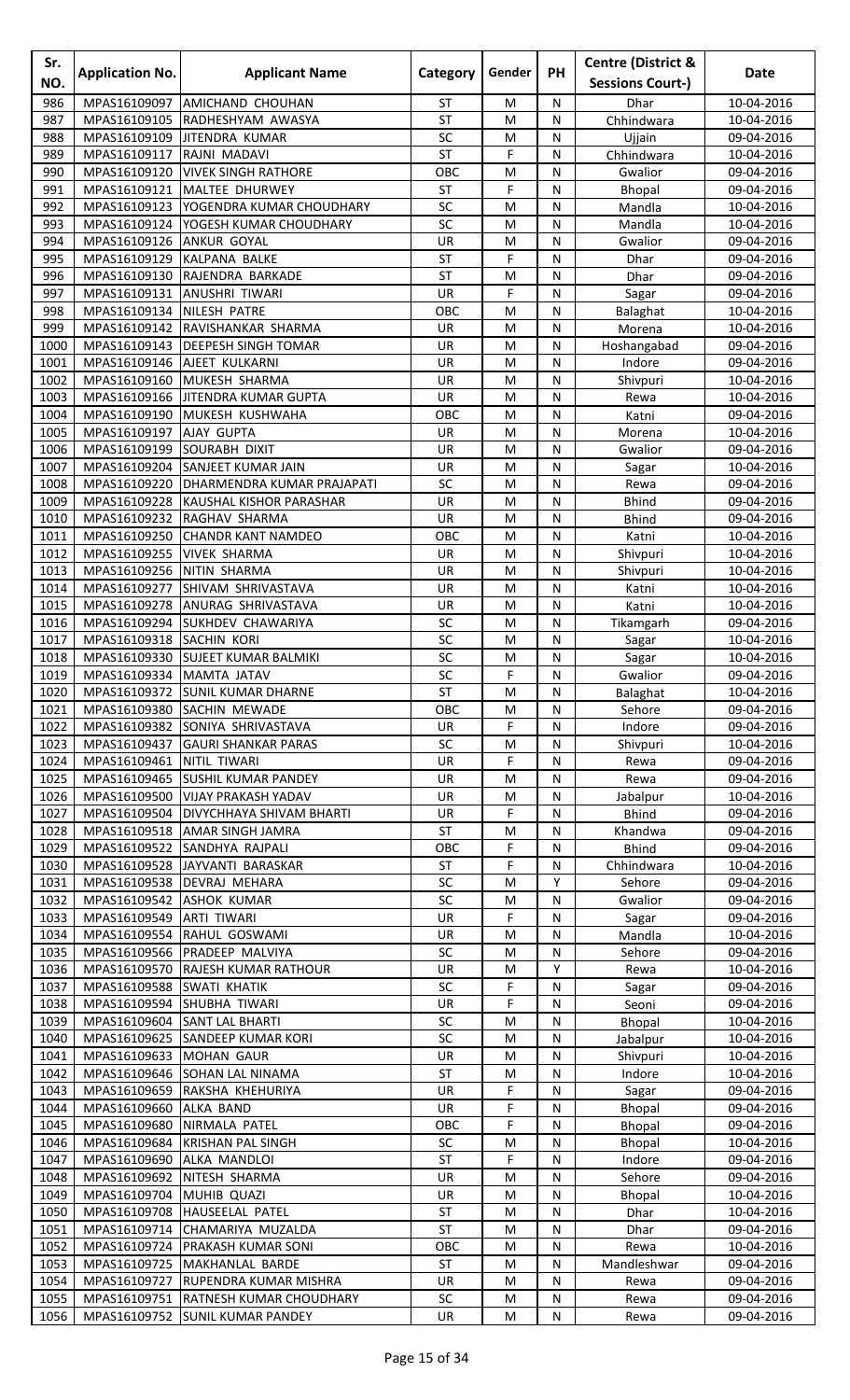| Sr.<br>NO.   | <b>Application No.</b>            | <b>Applicant Name</b>                                                                   | Category               | Gender         | PH                | <b>Centre (District &amp;</b><br><b>Sessions Court-)</b> | Date                     |
|--------------|-----------------------------------|-----------------------------------------------------------------------------------------|------------------------|----------------|-------------------|----------------------------------------------------------|--------------------------|
|              |                                   |                                                                                         |                        |                |                   |                                                          |                          |
| 986<br>987   | MPAS16109105                      | MPAS16109097 AMICHAND CHOUHAN<br>RADHESHYAM AWASYA                                      | <b>ST</b><br><b>ST</b> | M<br>M         | N<br>N            | <b>Dhar</b><br>Chhindwara                                | 10-04-2016<br>10-04-2016 |
| 988          | MPAS16109109                      | <b>JITENDRA KUMAR</b>                                                                   | SC                     | M              | N                 | Ujjain                                                   | 09-04-2016               |
| 989          | MPAS16109117                      | RAJNI MADAVI                                                                            | <b>ST</b>              | F              | N                 | Chhindwara                                               | 10-04-2016               |
| 990          | MPAS16109120                      | <b>VIVEK SINGH RATHORE</b>                                                              | OBC                    | M              | N                 | Gwalior                                                  | 09-04-2016               |
| 991          | MPAS16109121                      | MALTEE DHURWEY                                                                          | <b>ST</b>              | F              | N                 | Bhopal                                                   | 09-04-2016               |
| 992          |                                   | MPAS16109123   YOGENDRA KUMAR CHOUDHARY                                                 | SC                     | M              | N                 | Mandla                                                   | 10-04-2016               |
| 993          |                                   | MPAS16109124   YOGESH KUMAR CHOUDHARY                                                   | SC                     | M              | ${\sf N}$         | Mandla                                                   | 10-04-2016               |
| 994          | MPAS16109126 ANKUR GOYAL          |                                                                                         | UR                     | M              | N                 | Gwalior                                                  | 09-04-2016               |
| 995          |                                   | MPAS16109129 KALPANA BALKE                                                              | <b>ST</b>              | F              | N                 | Dhar                                                     | 09-04-2016               |
| 996          |                                   | MPAS16109130 RAJENDRA BARKADE                                                           | <b>ST</b><br>UR        | M<br>F         | N<br>$\mathsf{N}$ | Dhar                                                     | 09-04-2016               |
| 997<br>998   | MPAS16109134                      | MPAS16109131 ANUSHRI TIWARI<br>NILESH PATRE                                             | OBC                    | M              | N                 | Sagar<br>Balaghat                                        | 09-04-2016<br>10-04-2016 |
| 999          |                                   | MPAS16109142 RAVISHANKAR SHARMA                                                         | UR                     | M              | N                 | Morena                                                   | 10-04-2016               |
| 1000         |                                   | MPAS16109143   DEEPESH SINGH TOMAR                                                      | <b>UR</b>              | M              | N                 | Hoshangabad                                              | 09-04-2016               |
| 1001         |                                   | MPAS16109146 AJEET KULKARNI                                                             | UR                     | M              | N                 | Indore                                                   | 09-04-2016               |
| 1002         |                                   | MPAS16109160 MUKESH SHARMA                                                              | UR                     | M              | N                 | Shivpuri                                                 | 10-04-2016               |
| 1003         |                                   | MPAS16109166 JITENDRA KUMAR GUPTA                                                       | UR                     | M              | ${\sf N}$         | Rewa                                                     | 10-04-2016               |
| 1004         | MPAS16109190                      | MUKESH KUSHWAHA                                                                         | OBC                    | M              | N                 | Katni                                                    | 09-04-2016               |
| 1005         | MPAS16109197 AJAY GUPTA           |                                                                                         | <b>UR</b>              | M              | ${\sf N}$         | Morena                                                   | 10-04-2016               |
| 1006<br>1007 | MPAS16109199 SOURABH DIXIT        | MPAS16109204 SANJEET KUMAR JAIN                                                         | <b>UR</b><br>UR        | M<br>M         | N<br>N            | Gwalior                                                  | 09-04-2016<br>10-04-2016 |
| 1008         |                                   | MPAS16109220   DHARMENDRA KUMAR PRAJAPATI                                               | SC                     | M              | N                 | Sagar<br>Rewa                                            | 09-04-2016               |
| 1009         |                                   | MPAS16109228   KAUSHAL KISHOR PARASHAR                                                  | UR                     | M              | ${\sf N}$         | <b>Bhind</b>                                             | 09-04-2016               |
| 1010         | MPAS16109232                      | RAGHAV SHARMA                                                                           | UR                     | M              | N                 | <b>Bhind</b>                                             | 09-04-2016               |
| 1011         | MPAS16109250                      | <b>CHANDR KANT NAMDEO</b>                                                               | OBC                    | M              | ${\sf N}$         | Katni                                                    | 10-04-2016               |
| 1012         | MPAS16109255                      | <b>VIVEK SHARMA</b>                                                                     | UR                     | M              | N                 | Shivpuri                                                 | 10-04-2016               |
| 1013         | MPAS16109256                      | NITIN SHARMA                                                                            | UR                     | M              | N                 | Shivpuri                                                 | 10-04-2016               |
| 1014         | MPAS16109277                      | SHIVAM SHRIVASTAVA                                                                      | UR                     | M              | N                 | Katni                                                    | 10-04-2016               |
| 1015         |                                   | MPAS16109278 ANURAG SHRIVASTAVA                                                         | UR                     | M              | N                 | Katni                                                    | 10-04-2016               |
| 1016         |                                   | MPAS16109294 SUKHDEV CHAWARIYA                                                          | SC                     | M              | N                 | Tikamgarh                                                | 09-04-2016               |
| 1017<br>1018 | MPAS16109318 SACHIN KORI          | MPAS16109330 SUJEET KUMAR BALMIKI                                                       | SC<br>SC               | M<br>M         | N<br>N            | Sagar<br>Sagar                                           | 10-04-2016<br>10-04-2016 |
|              | 1019   MPAS16109334   MAMTA JATAV |                                                                                         | SC                     | F              | $\mathsf{N}$      | Gwalior                                                  | 09-04-2016               |
| 1020         |                                   | MPAS16109372 SUNIL KUMAR DHARNE                                                         | <b>ST</b>              | M              | N                 | Balaghat                                                 | 10-04-2016               |
| 1021         |                                   | MPAS16109380 SACHIN MEWADE                                                              | OBC                    | M              | N                 | Sehore                                                   | 09-04-2016               |
| 1022         |                                   | MPAS16109382 SONIYA SHRIVASTAVA                                                         | <b>UR</b>              | F              | ${\sf N}$         | Indore                                                   | 09-04-2016               |
| 1023         |                                   | MPAS16109437 GAURI SHANKAR PARAS                                                        | SC                     | M              | N                 | Shivpuri                                                 | 10-04-2016               |
| 1024         | MPAS16109461 NITIL TIWARI         |                                                                                         | UR                     | F              | ${\sf N}$         | Rewa                                                     | 09-04-2016               |
| 1025         |                                   | MPAS16109465 SUSHIL KUMAR PANDEY                                                        | <b>UR</b>              | M              | N                 | Rewa                                                     | 09-04-2016               |
| 1026<br>1027 |                                   | MPAS16109500 VIJAY PRAKASH YADAV<br>MPAS16109504   DIVYCHHAYA SHIVAM BHARTI             | UR<br><b>UR</b>        | M<br>F         | N<br>N            | Jabalpur                                                 | 10-04-2016<br>09-04-2016 |
| 1028         |                                   | MPAS16109518 AMAR SINGH JAMRA                                                           | <b>ST</b>              | M              | ${\sf N}$         | <b>Bhind</b><br>Khandwa                                  | 09-04-2016               |
| 1029         |                                   | MPAS16109522 SANDHYA RAJPALI                                                            | OBC                    | F              | ${\sf N}$         | <b>Bhind</b>                                             | 09-04-2016               |
| 1030         |                                   | MPAS16109528 JAYVANTI BARASKAR                                                          | <b>ST</b>              | F              | N                 | Chhindwara                                               | 10-04-2016               |
| 1031         |                                   | MPAS16109538 DEVRAJ MEHARA                                                              | SC                     | M              | Y                 | Sehore                                                   | 09-04-2016               |
| 1032         | MPAS16109542 ASHOK KUMAR          |                                                                                         | SC                     | M              | N                 | Gwalior                                                  | 09-04-2016               |
| 1033         | MPAS16109549 ARTI TIWARI          |                                                                                         | UR                     | F              | ${\sf N}$         | Sagar                                                    | 09-04-2016               |
| 1034         |                                   | MPAS16109554 RAHUL GOSWAMI                                                              | <b>UR</b>              | M              | N                 | Mandla                                                   | 10-04-2016               |
| 1035         |                                   | MPAS16109566 PRADEEP MALVIYA                                                            | SC                     | M              | N                 | Sehore                                                   | 09-04-2016               |
| 1036<br>1037 | MPAS16109588 SWATI KHATIK         | MPAS16109570 RAJESH KUMAR RATHOUR                                                       | UR<br>SC               | M<br>F         | Y<br>N            | Rewa<br>Sagar                                            | 10-04-2016<br>09-04-2016 |
| 1038         |                                   | MPAS16109594 SHUBHA TIWARI                                                              | UR                     | F              | N                 | Seoni                                                    | 09-04-2016               |
| 1039         |                                   | MPAS16109604 SANT LAL BHARTI                                                            | SC                     | M              | N                 | Bhopal                                                   | 10-04-2016               |
| 1040         |                                   | MPAS16109625 SANDEEP KUMAR KORI                                                         | SC                     | M              | N                 | Jabalpur                                                 | 10-04-2016               |
| 1041         | MPAS16109633 MOHAN GAUR           |                                                                                         | UR                     | M              | N                 | Shivpuri                                                 | 10-04-2016               |
| 1042         |                                   | MPAS16109646 SOHAN LAL NINAMA                                                           | <b>ST</b>              | M              | ${\sf N}$         | Indore                                                   | 10-04-2016               |
| 1043         |                                   | MPAS16109659 RAKSHA KHEHURIYA                                                           | UR                     | F              | N                 | Sagar                                                    | 09-04-2016               |
| 1044         | MPAS16109660 ALKA BAND            |                                                                                         | <b>UR</b>              | F              | N                 | Bhopal                                                   | 09-04-2016               |
| 1045         |                                   | MPAS16109680 NIRMALA PATEL                                                              | OBC                    | F              | N                 | Bhopal                                                   | 09-04-2016               |
| 1046<br>1047 | MPAS16109690 ALKA MANDLOI         | MPAS16109684 KRISHAN PAL SINGH                                                          | SC<br><b>ST</b>        | M<br>F         | N<br>$\mathsf{N}$ | Bhopal<br>Indore                                         | 10-04-2016<br>09-04-2016 |
| 1048         |                                   | MPAS16109692 NITESH SHARMA                                                              | UR                     | M              | N                 | Sehore                                                   | 09-04-2016               |
| 1049         | MPAS16109704 MUHIB QUAZI          |                                                                                         | UR                     | M              | N                 | <b>Bhopal</b>                                            | 10-04-2016               |
| 1050         |                                   | MPAS16109708 HAUSEELAL PATEL                                                            | <b>ST</b>              | M              | N                 | Dhar                                                     | 10-04-2016               |
| 1051         |                                   | MPAS16109714 CHAMARIYA MUZALDA                                                          | <b>ST</b>              | M              | N                 | Dhar                                                     | 09-04-2016               |
| 1052         |                                   | MPAS16109724 PRAKASH KUMAR SONI                                                         | OBC                    | M              | N                 | Rewa                                                     | 10-04-2016               |
| 1053         |                                   | MPAS16109725 MAKHANLAL BARDE                                                            | <b>ST</b>              | M              | ${\sf N}$         | Mandleshwar                                              | 09-04-2016               |
| 1054         |                                   | MPAS16109727 RUPENDRA KUMAR MISHRA                                                      | UR                     | M              | N                 | Rewa                                                     | 09-04-2016               |
|              |                                   | 1055   MPAS16109751   RATNESH KUMAR CHOUDHARY<br>1056   MPAS16109752 SUNIL KUMAR PANDEY | ${\sf SC}$<br>UR       | ${\sf M}$<br>M | ${\sf N}$<br>N    | Rewa<br>Rewa                                             | 09-04-2016<br>09-04-2016 |
|              |                                   |                                                                                         |                        |                |                   |                                                          |                          |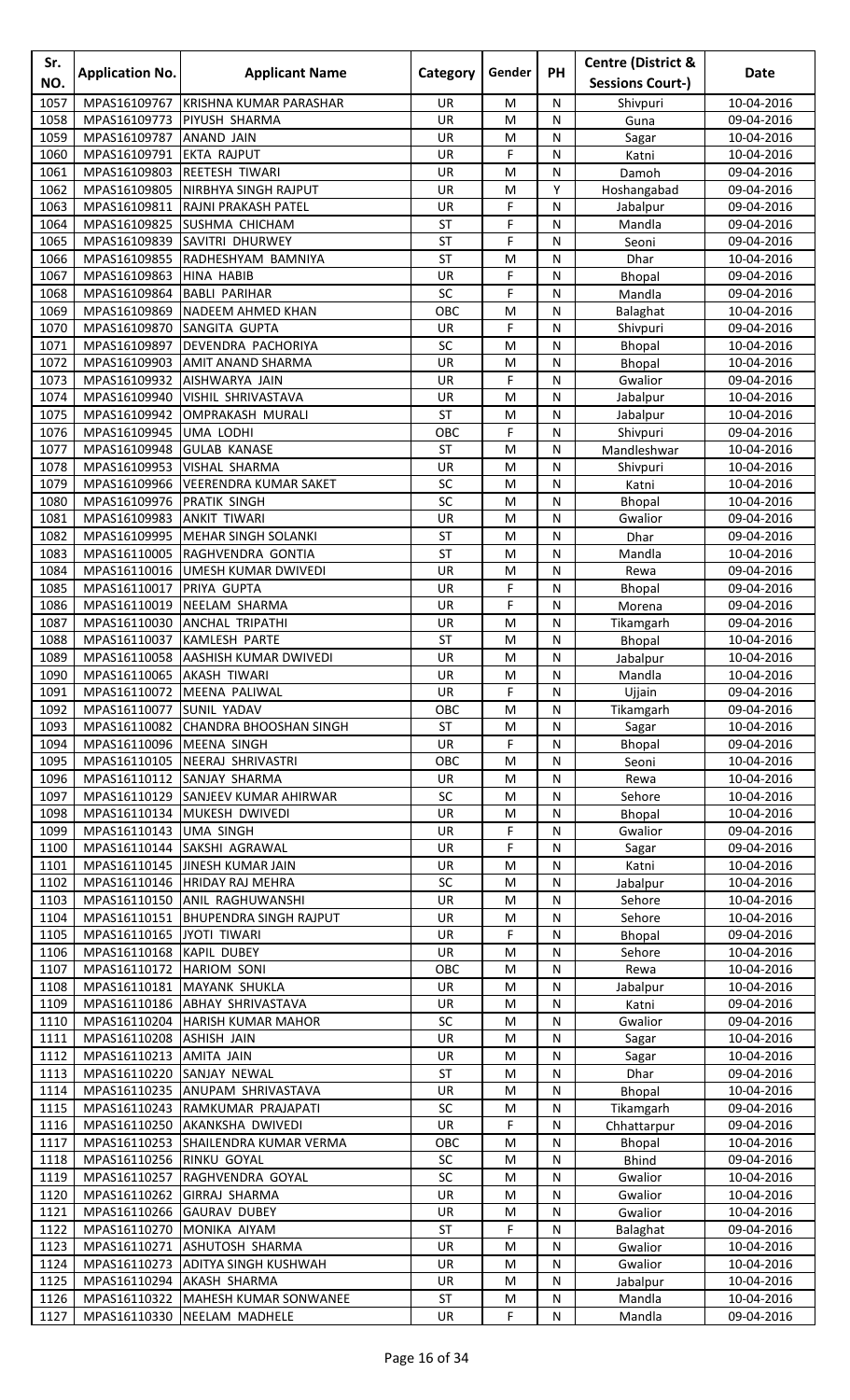| Sr.<br>NO.   | <b>Application No.</b>                 | <b>Applicant Name</b>                                              | Category         | Gender         | <b>PH</b>      | <b>Centre (District &amp;</b><br><b>Sessions Court-)</b> | Date                     |
|--------------|----------------------------------------|--------------------------------------------------------------------|------------------|----------------|----------------|----------------------------------------------------------|--------------------------|
| 1057         | MPAS16109767                           | <b>KRISHNA KUMAR PARASHAR</b>                                      | UR.              | M              | N              | Shivpuri                                                 | 10-04-2016               |
| 1058         | MPAS16109773                           | PIYUSH SHARMA                                                      | UR               | M              | N              | Guna                                                     | 09-04-2016               |
| 1059         | MPAS16109787                           | <b>ANAND JAIN</b>                                                  | UR               | M              | N              | Sagar                                                    | 10-04-2016               |
| 1060         | MPAS16109791                           | <b>EKTA RAJPUT</b>                                                 | UR               | F              | N              | Katni                                                    | 10-04-2016               |
| 1061<br>1062 | MPAS16109803<br>MPAS16109805           | <b>REETESH TIWARI</b><br>NIRBHYA SINGH RAJPUT                      | UR<br>UR         | M<br>M         | ${\sf N}$<br>Y | Damoh                                                    | 09-04-2016<br>09-04-2016 |
| 1063         | MPAS16109811                           | RAJNI PRAKASH PATEL                                                | UR               | F              | N              | Hoshangabad<br>Jabalpur                                  | 09-04-2016               |
| 1064         | MPAS16109825                           | <b>SUSHMA CHICHAM</b>                                              | <b>ST</b>        | F              | N              | Mandla                                                   | 09-04-2016               |
| 1065         | MPAS16109839                           | <b>SAVITRI DHURWEY</b>                                             | <b>ST</b>        | F              | N              | Seoni                                                    | 09-04-2016               |
| 1066         | MPAS16109855                           | RADHESHYAM BAMNIYA                                                 | <b>ST</b>        | M              | N              | Dhar                                                     | 10-04-2016               |
| 1067         | MPAS16109863                           | <b>HINA HABIB</b>                                                  | UR               | F              | ${\sf N}$      | Bhopal                                                   | 09-04-2016               |
| 1068<br>1069 | MPAS16109864<br>MPAS16109869           | <b>BABLI PARIHAR</b><br>NADEEM AHMED KHAN                          | SC<br>OBC        | F<br>M         | N<br>N         | Mandla                                                   | 09-04-2016<br>10-04-2016 |
| 1070         | MPAS16109870                           | SANGITA GUPTA                                                      | UR               | F              | N              | Balaghat<br>Shivpuri                                     | 09-04-2016               |
| 1071         | MPAS16109897                           | DEVENDRA PACHORIYA                                                 | SC               | M              | N              | Bhopal                                                   | 10-04-2016               |
| 1072         | MPAS16109903                           | <b>AMIT ANAND SHARMA</b>                                           | UR               | M              | N              | Bhopal                                                   | 10-04-2016               |
| 1073         | MPAS16109932                           | AISHWARYA JAIN                                                     | UR               | F              | ${\sf N}$      | Gwalior                                                  | 09-04-2016               |
| 1074         | MPAS16109940                           | VISHIL SHRIVASTAVA                                                 | UR               | M              | N              | Jabalpur                                                 | 10-04-2016               |
| 1075         | MPAS16109942                           | <b>OMPRAKASH MURALI</b>                                            | <b>ST</b><br>OBC | M<br>F         | N<br>N         | Jabalpur                                                 | 10-04-2016<br>09-04-2016 |
| 1076<br>1077 | MPAS16109945<br>MPAS16109948           | UMA LODHI<br><b>GULAB KANASE</b>                                   | <b>ST</b>        | M              | N              | Shivpuri<br>Mandleshwar                                  | 10-04-2016               |
| 1078         | MPAS16109953                           | VISHAL SHARMA                                                      | UR               | M              | N              | Shivpuri                                                 | 10-04-2016               |
| 1079         | MPAS16109966                           | <b>VEERENDRA KUMAR SAKET</b>                                       | SC               | M              | N              | Katni                                                    | 10-04-2016               |
| 1080         | MPAS16109976                           | PRATIK SINGH                                                       | SC               | M              | N              | <b>Bhopal</b>                                            | 10-04-2016               |
| 1081         | MPAS16109983                           | <b>ANKIT TIWARI</b>                                                | UR               | M              | N              | Gwalior                                                  | 09-04-2016               |
| 1082         | MPAS16109995                           | MEHAR SINGH SOLANKI                                                | <b>ST</b>        | M              | N              | <b>Dhar</b>                                              | 09-04-2016               |
| 1083<br>1084 | MPAS16110005<br>MPAS16110016           | RAGHVENDRA GONTIA<br>UMESH KUMAR DWIVEDI                           | <b>ST</b><br>UR  | M<br>M         | N<br>N         | Mandla<br>Rewa                                           | 10-04-2016<br>09-04-2016 |
| 1085         | MPAS16110017                           | PRIYA GUPTA                                                        | UR               | F              | N              | Bhopal                                                   | 09-04-2016               |
| 1086         | MPAS16110019                           | NEELAM SHARMA                                                      | UR               | F              | ${\sf N}$      | Morena                                                   | 09-04-2016               |
| 1087         | MPAS16110030                           | <b>ANCHAL TRIPATHI</b>                                             | UR               | M              | N              | Tikamgarh                                                | 09-04-2016               |
| 1088         | MPAS16110037                           | KAMLESH PARTE                                                      | <b>ST</b>        | M              | N              | <b>Bhopal</b>                                            | 10-04-2016               |
| 1089         |                                        | MPAS16110058 AASHISH KUMAR DWIVEDI                                 | UR               | M              | N              | Jabalpur                                                 | 10-04-2016               |
| 1090         | MPAS16110065 AKASH TIWARI              |                                                                    | UR               | M              | N              | Mandla                                                   | 10-04-2016               |
| 1091<br>1092 | MPAS16110077 SUNIL YADAV               | MPAS16110072 MEENA PALIWAL                                         | <b>UR</b><br>OBC | F<br>M         | N<br>N         | Ujjain<br>Tikamgarh                                      | 09-04-2016<br>09-04-2016 |
| 1093         |                                        | MPAS16110082 CHANDRA BHOOSHAN SINGH                                | <b>ST</b>        | M              | N              | Sagar                                                    | 10-04-2016               |
| 1094         | MPAS16110096                           | <b>MEENA SINGH</b>                                                 | <b>UR</b>        | F              | N              | <b>Bhopal</b>                                            | 09-04-2016               |
| 1095         | MPAS16110105                           | <b>INEERAJ SHRIVASTRI</b>                                          | OBC              | M              | N              | Seoni                                                    | 10-04-2016               |
| 1096         | MPAS16110112                           | SANJAY SHARMA                                                      | UR               | M              | N              | Rewa                                                     | 10-04-2016               |
| 1097         |                                        | MPAS16110129 SANJEEV KUMAR AHIRWAR                                 | SC               | M              | N              | Sehore                                                   | 10-04-2016               |
| 1098<br>1099 | MPAS16110134<br>MPAS16110143 UMA SINGH | MUKESH DWIVEDI                                                     | UR<br>UR         | ${\sf M}$<br>F | ${\sf N}$<br>N | Bhopal<br>Gwalior                                        | 10-04-2016<br>09-04-2016 |
| 1100         | MPAS16110144                           | SAKSHI AGRAWAL                                                     | UR               | F              | N              | Sagar                                                    | 09-04-2016               |
| 1101         |                                        | MPAS16110145 JINESH KUMAR JAIN                                     | <b>UR</b>        | M              | N              | Katni                                                    | 10-04-2016               |
| 1102         |                                        | MPAS16110146 HRIDAY RAJ MEHRA                                      | SC               | M              | N              | Jabalpur                                                 | 10-04-2016               |
| 1103         |                                        | MPAS16110150 ANIL RAGHUWANSHI                                      | UR               | M              | N              | Sehore                                                   | 10-04-2016               |
| 1104         |                                        | MPAS16110151 BHUPENDRA SINGH RAJPUT                                | UR               | M              | N              | Sehore                                                   | 10-04-2016               |
| 1105         | MPAS16110165 JYOTI TIWARI              |                                                                    | UR               | F              | N              | Bhopal                                                   | 09-04-2016               |
| 1106<br>1107 | MPAS16110168<br>MPAS16110172           | <b>KAPIL DUBEY</b><br><b>HARIOM SONI</b>                           | UR<br>OBC        | M<br>M         | N<br>N         | Sehore<br>Rewa                                           | 10-04-2016<br>10-04-2016 |
| 1108         | MPAS16110181                           | MAYANK SHUKLA                                                      | UR               | M              | N              | Jabalpur                                                 | 10-04-2016               |
| 1109         |                                        | MPAS16110186 ABHAY SHRIVASTAVA                                     | UR               | M              | N              | Katni                                                    | 09-04-2016               |
| 1110         |                                        | MPAS16110204 HARISH KUMAR MAHOR                                    | SC               | M              | N              | Gwalior                                                  | 09-04-2016               |
| 1111         | MPAS16110208 ASHISH JAIN               |                                                                    | UR               | ${\sf M}$      | ${\sf N}$      | Sagar                                                    | 10-04-2016               |
| 1112         | MPAS16110213 AMITA JAIN                |                                                                    | UR               | M              | N              | Sagar                                                    | 10-04-2016               |
| 1113         | MPAS16110220                           | SANJAY NEWAL                                                       | ST               | M              | N              | Dhar                                                     | 09-04-2016               |
| 1114<br>1115 |                                        | MPAS16110235 ANUPAM SHRIVASTAVA<br>MPAS16110243 RAMKUMAR PRAJAPATI | UR<br>SC         | M<br>M         | N<br>N         | Bhopal<br>Tikamgarh                                      | 10-04-2016<br>09-04-2016 |
| 1116         | MPAS16110250                           | AKANKSHA DWIVEDI                                                   | <b>UR</b>        | F              | N              | Chhattarpur                                              | 09-04-2016               |
| 1117         |                                        | MPAS16110253 SHAILENDRA KUMAR VERMA                                | OBC              | M              | N              | Bhopal                                                   | 10-04-2016               |
| 1118         | MPAS16110256 RINKU GOYAL               |                                                                    | SC               | M              | N              | <b>Bhind</b>                                             | 09-04-2016               |
| 1119         | MPAS16110257                           | RAGHVENDRA GOYAL                                                   | SC               | M              | N              | Gwalior                                                  | 10-04-2016               |
| 1120         | MPAS16110262                           | <b>GIRRAJ SHARMA</b>                                               | <b>UR</b>        | M              | N              | Gwalior                                                  | 10-04-2016               |
| 1121<br>1122 | MPAS16110266<br>MPAS16110270           | <b>GAURAV DUBEY</b><br><b>MONIKA AIYAM</b>                         | UR<br><b>ST</b>  | M<br>F         | N<br>N         | Gwalior                                                  | 10-04-2016<br>09-04-2016 |
| 1123         | MPAS16110271                           | <b>ASHUTOSH SHARMA</b>                                             | UR               | M              | N              | <b>Balaghat</b><br>Gwalior                               | 10-04-2016               |
| 1124         |                                        | MPAS16110273 ADITYA SINGH KUSHWAH                                  | UR               | M              | N              | Gwalior                                                  | 10-04-2016               |
| 1125         |                                        | MPAS16110294 AKASH SHARMA                                          | UR               | M              | N              | Jabalpur                                                 | 10-04-2016               |
|              |                                        | 1126   MPAS16110322   MAHESH KUMAR SONWANEE                        | ST               | M              | ${\sf N}$      | Mandla                                                   | 10-04-2016               |
| 1127         |                                        | MPAS16110330 NEELAM MADHELE                                        | UR               | F              | N              | Mandla                                                   | 09-04-2016               |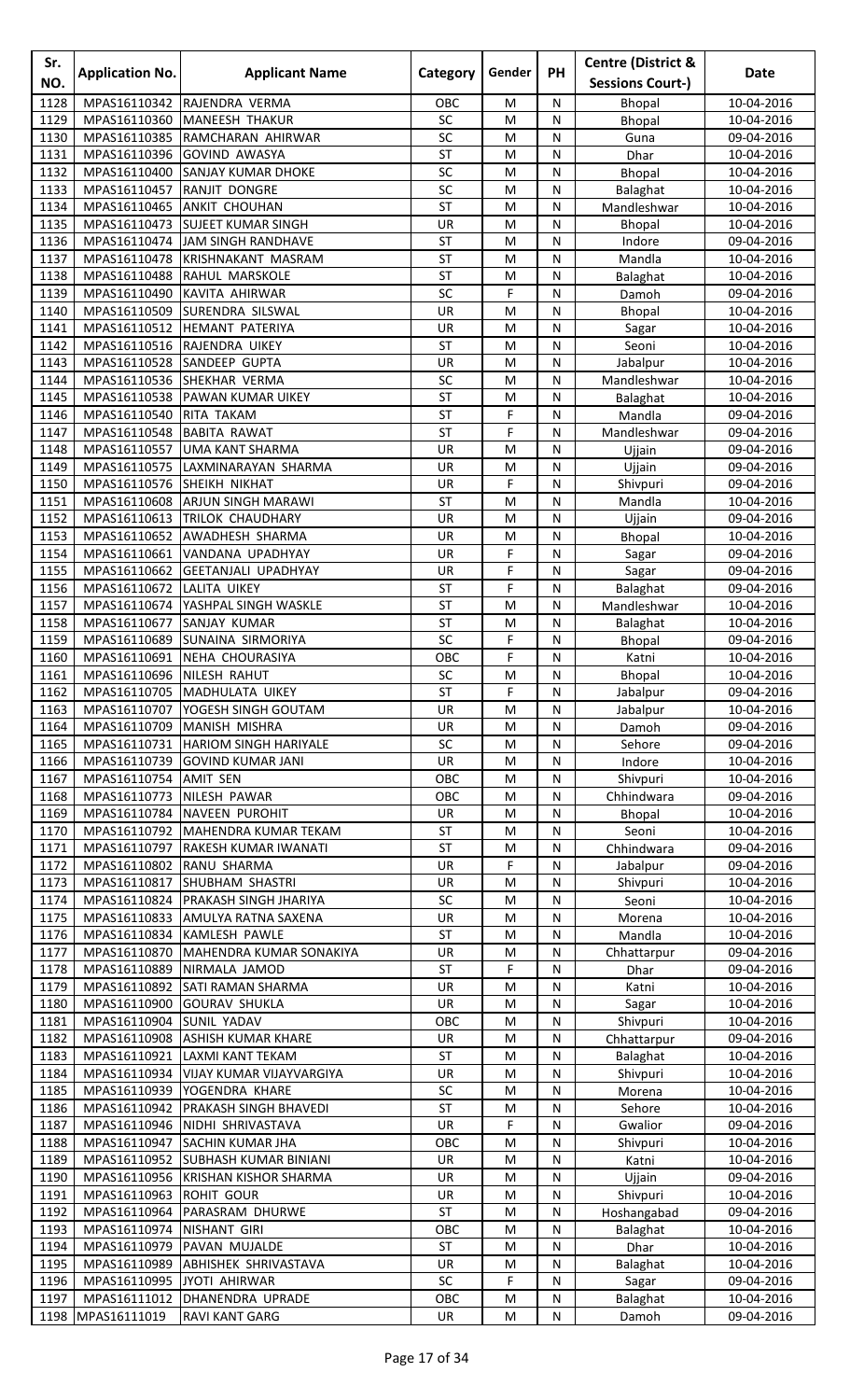| Sr.<br>NO.   | <b>Application No.</b>       | <b>Applicant Name</b>                                                | Category        | Gender | <b>PH</b>      | <b>Centre (District &amp;</b><br><b>Sessions Court-)</b> | Date                     |
|--------------|------------------------------|----------------------------------------------------------------------|-----------------|--------|----------------|----------------------------------------------------------|--------------------------|
| 1128         | MPAS16110342                 | RAJENDRA VERMA                                                       | OBC             | M      | N              | <b>Bhopal</b>                                            | 10-04-2016               |
| 1129         | MPAS16110360                 | <b>MANEESH THAKUR</b>                                                | SC              | M      | N              | <b>Bhopal</b>                                            | 10-04-2016               |
| 1130         | MPAS16110385                 | RAMCHARAN AHIRWAR                                                    | SC              | M      | N              | Guna                                                     | 09-04-2016               |
| 1131         | MPAS16110396                 | <b>GOVIND AWASYA</b>                                                 | <b>ST</b>       | M      | N              | Dhar                                                     | 10-04-2016               |
| 1132         | MPAS16110400                 | <b>SANJAY KUMAR DHOKE</b>                                            | SC              | M      | ${\sf N}$      | Bhopal                                                   | 10-04-2016               |
| 1133         | MPAS16110457                 | RANJIT DONGRE                                                        | SC              | M      | N              | Balaghat                                                 | 10-04-2016               |
| 1134<br>1135 | MPAS16110465                 | <b>ANKIT CHOUHAN</b>                                                 | <b>ST</b>       | M      | N<br>N         | Mandleshwar                                              | 10-04-2016               |
| 1136         | MPAS16110473<br>MPAS16110474 | <b>SUJEET KUMAR SINGH</b><br>JAM SINGH RANDHAVE                      | UR<br>ST        | M<br>M | N              | <b>Bhopal</b><br>Indore                                  | 10-04-2016<br>09-04-2016 |
| 1137         | MPAS16110478                 | <b>KRISHNAKANT MASRAM</b>                                            | <b>ST</b>       | M      | N              | Mandla                                                   | 10-04-2016               |
| 1138         |                              | MPAS16110488 RAHUL MARSKOLE                                          | <b>ST</b>       | M      | ${\sf N}$      | Balaghat                                                 | 10-04-2016               |
| 1139         | MPAS16110490                 | KAVITA AHIRWAR                                                       | SC              | F      | N              | Damoh                                                    | 09-04-2016               |
| 1140         | MPAS16110509                 | <b>SURENDRA SILSWAL</b>                                              | UR              | M      | N              | Bhopal                                                   | 10-04-2016               |
| 1141         |                              | MPAS16110512 HEMANT PATERIYA                                         | UR              | M      | N              | Sagar                                                    | 10-04-2016               |
| 1142         |                              | MPAS16110516 RAJENDRA UIKEY                                          | ST              | M      | N              | Seoni                                                    | 10-04-2016               |
| 1143         |                              | MPAS16110528 SANDEEP GUPTA                                           | UR              | M      | N              | Jabalpur                                                 | 10-04-2016               |
| 1144<br>1145 | MPAS16110538                 | MPAS16110536 SHEKHAR VERMA<br>PAWAN KUMAR UIKEY                      | SC<br><b>ST</b> | M<br>M | N<br>N         | Mandleshwar                                              | 10-04-2016<br>10-04-2016 |
| 1146         | MPAS16110540                 | RITA TAKAM                                                           | ST              | F      | N              | Balaghat<br>Mandla                                       | 09-04-2016               |
| 1147         | MPAS16110548                 | <b>BABITA RAWAT</b>                                                  | <b>ST</b>       | F      | N              | Mandleshwar                                              | 09-04-2016               |
| 1148         | MPAS16110557                 | UMA KANT SHARMA                                                      | UR              | M      | N              | Ujjain                                                   | 09-04-2016               |
| 1149         | MPAS16110575                 | LAXMINARAYAN SHARMA                                                  | UR              | M      | N              | Ujjain                                                   | 09-04-2016               |
| 1150         | MPAS16110576                 | <b>SHEIKH NIKHAT</b>                                                 | UR              | F      | N              | Shivpuri                                                 | 09-04-2016               |
| 1151         | MPAS16110608                 | <b>ARJUN SINGH MARAWI</b>                                            | <b>ST</b>       | M      | N              | Mandla                                                   | 10-04-2016               |
| 1152         | MPAS16110613                 | <b>TRILOK CHAUDHARY</b>                                              | UR              | M      | N              | Ujjain                                                   | 09-04-2016               |
| 1153         | MPAS16110652                 | AWADHESH SHARMA                                                      | <b>UR</b>       | M      | N              | <b>Bhopal</b>                                            | 10-04-2016               |
| 1154<br>1155 | MPAS16110661<br>MPAS16110662 | VANDANA UPADHYAY<br><b>GEETANJALI UPADHYAY</b>                       | UR<br>UR        | F<br>F | N<br>N         | Sagar                                                    | 09-04-2016<br>09-04-2016 |
| 1156         | MPAS16110672                 | LALITA UIKEY                                                         | <b>ST</b>       | F      | N              | Sagar<br>Balaghat                                        | 09-04-2016               |
| 1157         | MPAS16110674                 | YASHPAL SINGH WASKLE                                                 | <b>ST</b>       | M      | N              | Mandleshwar                                              | 10-04-2016               |
| 1158         | MPAS16110677                 | SANJAY KUMAR                                                         | ST              | M      | N              | Balaghat                                                 | 10-04-2016               |
| 1159         | MPAS16110689                 | <b>SUNAINA SIRMORIYA</b>                                             | SC              | F      | N              | Bhopal                                                   | 09-04-2016               |
| 1160         |                              | MPAS16110691 NEHA CHOURASIYA                                         | OBC             | F      | N              | Katni                                                    | 10-04-2016               |
| 1161         | MPAS16110696 NILESH RAHUT    |                                                                      | SC              | M      | N              | Bhopal                                                   | 10-04-2016               |
| 1162         |                              | MPAS16110705   MADHULATA UIKEY                                       | <b>ST</b>       | F      | N              | Jabalpur                                                 | 09-04-2016               |
| 1163<br>1164 |                              | MPAS16110707   YOGESH SINGH GOUTAM                                   | UR<br>UR        | M      | N<br>N         | Jabalpur                                                 | 10-04-2016               |
| 1165         | MPAS16110731                 | MPAS16110709 MANISH MISHRA<br><b>HARIOM SINGH HARIYALE</b>           | SC              | M<br>M | N              | Damoh<br>Sehore                                          | 09-04-2016<br>09-04-2016 |
| 1166         | MPAS16110739                 | <b>GOVIND KUMAR JANI</b>                                             | <b>UR</b>       | M      | N              | Indore                                                   | 10-04-2016               |
| 1167         | MPAS16110754                 | <b>AMIT SEN</b>                                                      | OBC             | M      | N              | Shivpuri                                                 | 10-04-2016               |
| 1168         | MPAS16110773                 | NILESH PAWAR                                                         | OBC             | M      | N              | Chhindwara                                               | 09-04-2016               |
| 1169         |                              | MPAS16110784 NAVEEN PUROHIT                                          | UR              | M      | ${\sf N}$      | Bhopal                                                   | 10-04-2016               |
| 1170         |                              | MPAS16110792 MAHENDRA KUMAR TEKAM                                    | <b>ST</b>       | M      | N              | Seoni                                                    | 10-04-2016               |
| 1171         |                              | MPAS16110797 RAKESH KUMAR IWANATI                                    | <b>ST</b>       | M      | N              | Chhindwara                                               | 09-04-2016               |
| 1172         | MPAS16110802 RANU SHARMA     |                                                                      | <b>UR</b>       | F      | N              | Jabalpur                                                 | 09-04-2016               |
| 1173<br>1174 |                              | MPAS16110817 SHUBHAM SHASTRI<br>MPAS16110824   PRAKASH SINGH JHARIYA | UR<br>SC        | M<br>M | N<br>N         | Shivpuri                                                 | 10-04-2016<br>10-04-2016 |
| 1175         |                              | MPAS16110833 AMULYA RATNA SAXENA                                     | UR              | M      | N              | Seoni<br>Morena                                          | 10-04-2016               |
| 1176         |                              | MPAS16110834 KAMLESH PAWLE                                           | <b>ST</b>       | M      | N              | Mandla                                                   | 10-04-2016               |
| 1177         | MPAS16110870                 | MAHENDRA KUMAR SONAKIYA                                              | UR              | M      | N              | Chhattarpur                                              | 09-04-2016               |
| 1178         | MPAS16110889                 | NIRMALA JAMOD                                                        | <b>ST</b>       | F      | N              | Dhar                                                     | 09-04-2016               |
| 1179         |                              | MPAS16110892 SATI RAMAN SHARMA                                       | UR              | M      | N              | Katni                                                    | 10-04-2016               |
| 1180         | MPAS16110900                 | <b>GOURAV SHUKLA</b>                                                 | UR              | M      | N              | Sagar                                                    | 10-04-2016               |
| 1181         | MPAS16110904 SUNIL YADAV     |                                                                      | OBC             | M      | N              | Shivpuri                                                 | 10-04-2016               |
| 1182<br>1183 | MPAS16110921                 | MPAS16110908 ASHISH KUMAR KHARE<br><b>LAXMI KANT TEKAM</b>           | UR<br><b>ST</b> | M<br>M | ${\sf N}$<br>N | Chhattarpur<br>Balaghat                                  | 09-04-2016<br>10-04-2016 |
| 1184         |                              | MPAS16110934   VIJAY KUMAR VIJAYVARGIYA                              | <b>UR</b>       | M      | N              | Shivpuri                                                 | 10-04-2016               |
| 1185         |                              | MPAS16110939 YOGENDRA KHARE                                          | SC              | M      | N              | Morena                                                   | 10-04-2016               |
| 1186         | MPAS16110942                 | <b>PRAKASH SINGH BHAVEDI</b>                                         | <b>ST</b>       | M      | N              | Sehore                                                   | 10-04-2016               |
| 1187         | MPAS16110946                 | NIDHI SHRIVASTAVA                                                    | UR              | F      | N              | Gwalior                                                  | 09-04-2016               |
| 1188         |                              | MPAS16110947 SACHIN KUMAR JHA                                        | OBC             | M      | N              | Shivpuri                                                 | 10-04-2016               |
| 1189         |                              | MPAS16110952 SUBHASH KUMAR BINIANI                                   | UR              | M      | N              | Katni                                                    | 10-04-2016               |
| 1190         | MPAS16110956                 | <b>KRISHAN KISHOR SHARMA</b>                                         | UR              | M      | N              | Ujjain                                                   | 09-04-2016               |
| 1191<br>1192 | MPAS16110963<br>MPAS16110964 | <b>ROHIT GOUR</b><br>PARASRAM DHURWE                                 | UR<br><b>ST</b> | M<br>M | N<br>N         | Shivpuri                                                 | 10-04-2016               |
| 1193         | MPAS16110974                 | <b>NISHANT GIRI</b>                                                  | OBC             | M      | N              | Hoshangabad<br>Balaghat                                  | 09-04-2016<br>10-04-2016 |
| 1194         |                              | MPAS16110979 PAVAN MUJALDE                                           | <b>ST</b>       | M      | N              | Dhar                                                     | 10-04-2016               |
| 1195         |                              | MPAS16110989 ABHISHEK SHRIVASTAVA                                    | UR              | M      | N              | Balaghat                                                 | 10-04-2016               |
| 1196         | MPAS16110995 JYOTI AHIRWAR   |                                                                      | SC              | F      | N              | Sagar                                                    | 09-04-2016               |
|              |                              | 1197   MPAS16111012   DHANENDRA UPRADE                               | OBC             | M      | ${\sf N}$      | Balaghat                                                 | 10-04-2016               |
|              | 1198 MPAS16111019            | <b>RAVI KANT GARG</b>                                                | UR              | M      | ${\sf N}$      | Damoh                                                    | 09-04-2016               |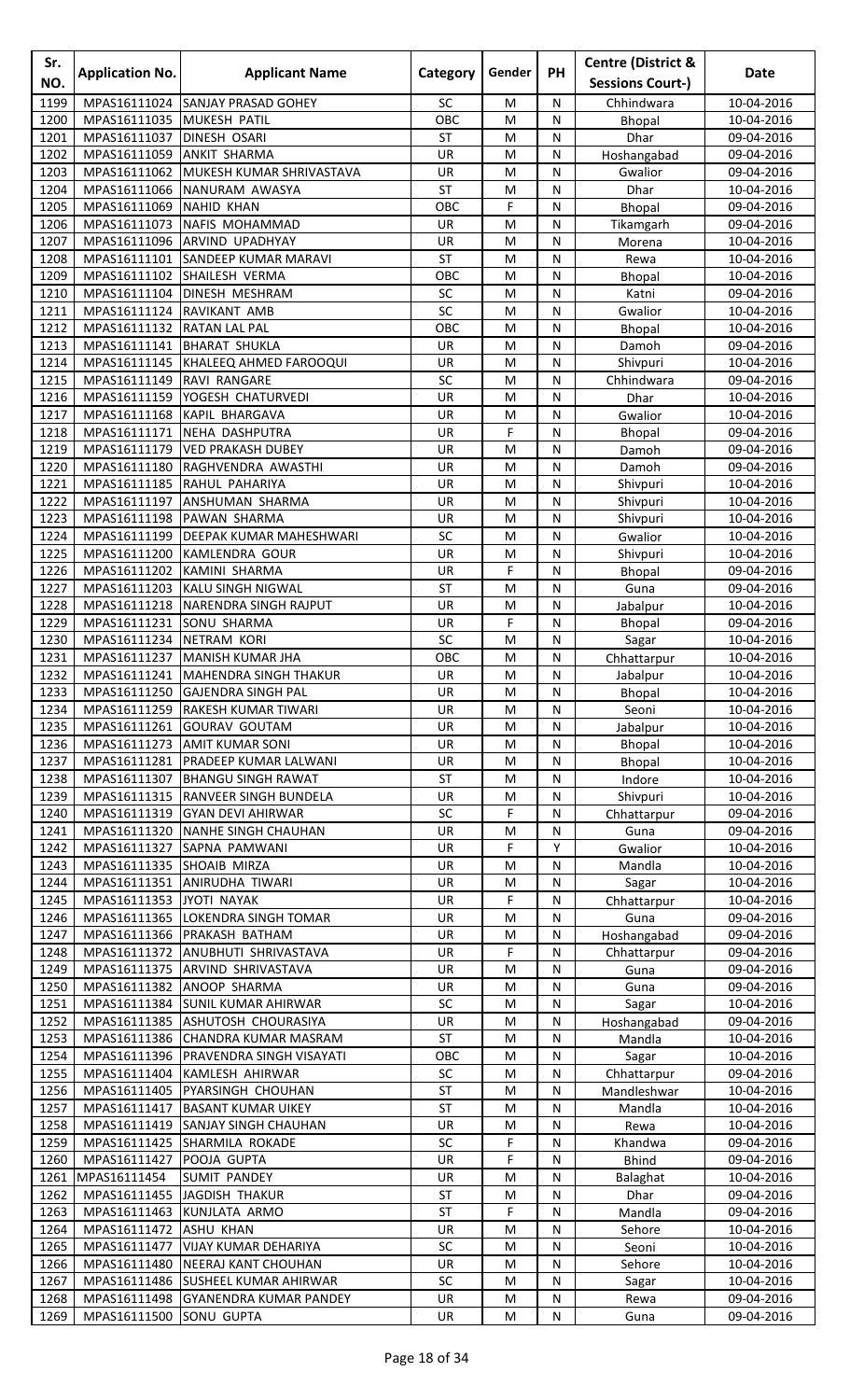| Sr.<br>NO.   | <b>Application No.</b>       | <b>Applicant Name</b>                                                            | Category        | Gender    | PH             | <b>Centre (District &amp;</b><br><b>Sessions Court-)</b> | <b>Date</b>              |
|--------------|------------------------------|----------------------------------------------------------------------------------|-----------------|-----------|----------------|----------------------------------------------------------|--------------------------|
| 1199         | MPAS16111024                 | SANJAY PRASAD GOHEY                                                              | SC              | M         | N              | Chhindwara                                               | 10-04-2016               |
| 1200         | MPAS16111035                 | <b>MUKESH PATIL</b>                                                              | OBC             | M         | N              | Bhopal                                                   | 10-04-2016               |
| 1201         | MPAS16111037                 | <b>DINESH OSARI</b>                                                              | <b>ST</b>       | M         | N              | <b>Dhar</b>                                              | 09-04-2016               |
| 1202         | MPAS16111059                 | <b>ANKIT SHARMA</b>                                                              | UR              | M         | N              | Hoshangabad                                              | 09-04-2016               |
| 1203         | MPAS16111062                 | MUKESH KUMAR SHRIVASTAVA                                                         | UR              | M         | ${\sf N}$      | Gwalior                                                  | 09-04-2016               |
| 1204         | MPAS16111066                 | NANURAM AWASYA                                                                   | <b>ST</b>       | M         | N              | <b>Dhar</b>                                              | 10-04-2016               |
| 1205         | MPAS16111069                 | <b>NAHID KHAN</b>                                                                | OBC             | F         | N              | Bhopal                                                   | 09-04-2016               |
| 1206         | MPAS16111073                 | NAFIS MOHAMMAD                                                                   | <b>UR</b>       | M         | N              | Tikamgarh                                                | 09-04-2016               |
| 1207<br>1208 | MPAS16111096                 | <b>ARVIND UPADHYAY</b><br>MPAS16111101 SANDEEP KUMAR MARAVI                      | UR<br><b>ST</b> | M<br>M    | N<br>N         | Morena<br>Rewa                                           | 10-04-2016<br>10-04-2016 |
| 1209         |                              | MPAS16111102 SHAILESH VERMA                                                      | OBC             | M         | ${\sf N}$      | Bhopal                                                   | 10-04-2016               |
| 1210         | MPAS16111104                 | <b>DINESH MESHRAM</b>                                                            | SC              | M         | N              | Katni                                                    | 09-04-2016               |
| 1211         | MPAS16111124                 | RAVIKANT AMB                                                                     | SC              | M         | N              | Gwalior                                                  | 10-04-2016               |
| 1212         | MPAS16111132 RATAN LAL PAL   |                                                                                  | OBC             | M         | N              | Bhopal                                                   | 10-04-2016               |
| 1213         | MPAS16111141                 | <b>BHARAT SHUKLA</b>                                                             | UR              | M         | N              | Damoh                                                    | 09-04-2016               |
| 1214         |                              | MPAS16111145  KHALEEQ AHMED FAROOQUI                                             | UR              | M         | N              | Shivpuri                                                 | 10-04-2016               |
| 1215         | MPAS16111149                 | RAVI RANGARE                                                                     | SC              | M         | N              | Chhindwara                                               | 09-04-2016               |
| 1216         | MPAS16111159                 | <b>YOGESH CHATURVEDI</b>                                                         | UR              | M         | N              | Dhar                                                     | 10-04-2016               |
| 1217         | MPAS16111168                 | KAPIL BHARGAVA<br><b>NEHA DASHPUTRA</b>                                          | UR              | M<br>F    | N<br>N         | Gwalior                                                  | 10-04-2016               |
| 1218<br>1219 | MPAS16111171<br>MPAS16111179 | <b>VED PRAKASH DUBEY</b>                                                         | UR<br>UR        | M         | N              | Bhopal<br>Damoh                                          | 09-04-2016<br>09-04-2016 |
| 1220         | MPAS16111180                 | RAGHVENDRA AWASTHI                                                               | UR              | M         | N              | Damoh                                                    | 09-04-2016               |
| 1221         | MPAS16111185                 | RAHUL PAHARIYA                                                                   | UR              | M         | N              | Shivpuri                                                 | 10-04-2016               |
| 1222         | MPAS16111197                 | ANSHUMAN SHARMA                                                                  | UR              | M         | N              | Shivpuri                                                 | 10-04-2016               |
| 1223         | MPAS16111198                 | PAWAN SHARMA                                                                     | UR              | M         | N              | Shivpuri                                                 | 10-04-2016               |
| 1224         | MPAS16111199                 | DEEPAK KUMAR MAHESHWARI                                                          | SC              | M         | N              | Gwalior                                                  | 10-04-2016               |
| 1225         | MPAS16111200                 | KAMLENDRA GOUR                                                                   | UR              | M         | N              | Shivpuri                                                 | 10-04-2016               |
| 1226         | MPAS16111202                 | KAMINI SHARMA                                                                    | UR              | F         | N              | Bhopal                                                   | 09-04-2016               |
| 1227         | MPAS16111203                 | <b>KALU SINGH NIGWAL</b>                                                         | <b>ST</b>       | M         | N              | Guna                                                     | 09-04-2016               |
| 1228<br>1229 | MPAS16111218<br>MPAS16111231 | NARENDRA SINGH RAJPUT<br>SONU SHARMA                                             | UR<br>UR        | M<br>F    | ${\sf N}$<br>N | Jabalpur                                                 | 10-04-2016<br>09-04-2016 |
| 1230         | MPAS16111234                 | NETRAM KORI                                                                      | SC              | M         | N              | Bhopal<br>Sagar                                          | 10-04-2016               |
| 1231         |                              | MPAS16111237 MANISH KUMAR JHA                                                    | OBC             | M         | N              | Chhattarpur                                              | 10-04-2016               |
| 1232         |                              | MPAS16111241   MAHENDRA SINGH THAKUR                                             | UR              | M         | N              | Jabalpur                                                 | 10-04-2016               |
| 1233         |                              | MPAS16111250 GAJENDRA SINGH PAL                                                  | <b>UR</b>       | M         | N              | Bhopal                                                   | 10-04-2016               |
| 1234         |                              | MPAS16111259 RAKESH KUMAR TIWARI                                                 | UR              | M         | ${\sf N}$      | Seoni                                                    | 10-04-2016               |
| 1235         | MPAS16111261                 | <b>GOURAV GOUTAM</b>                                                             | UR              | M         | N              | Jabalpur                                                 | 10-04-2016               |
| 1236         | MPAS16111273                 | <b>AMIT KUMAR SONI</b>                                                           | UR              | M         | ${\sf N}$      | <b>Bhopal</b>                                            | 10-04-2016               |
| 1237         | MPAS16111281                 | <b>PRADEEP KUMAR LALWANI</b>                                                     | UR              | M         | ${\sf N}$      | Bhopal                                                   | 10-04-2016               |
| 1238<br>1239 | MPAS16111307                 | <b>BHANGU SINGH RAWAT</b><br>MPAS16111315 RANVEER SINGH BUNDELA                  | ST<br>UR        | M<br>M    | N<br>N         | Indore<br>Shivpuri                                       | 10-04-2016<br>10-04-2016 |
| 1240         |                              | MPAS16111319 GYAN DEVI AHIRWAR                                                   | SC              | F         | ${\sf N}$      | Chhattarpur                                              | 09-04-2016               |
| 1241         |                              | MPAS16111320 NANHE SINGH CHAUHAN                                                 | UR              | M         | ${\sf N}$      | Guna                                                     | 09-04-2016               |
| 1242         |                              | MPAS16111327 SAPNA PAMWANI                                                       | UR              | F         | Υ              | Gwalior                                                  | 10-04-2016               |
| 1243         | MPAS16111335 SHOAIB MIRZA    |                                                                                  | UR              | M         | N              | Mandla                                                   | 10-04-2016               |
| 1244         | MPAS16111351                 | ANIRUDHA TIWARI                                                                  | UR              | M         | N              | Sagar                                                    | 10-04-2016               |
| 1245         | MPAS16111353 JYOTI NAYAK     |                                                                                  | UR              | F         | N              | Chhattarpur                                              | 10-04-2016               |
| 1246         |                              | MPAS16111365 LOKENDRA SINGH TOMAR                                                | UR              | M         | N              | Guna                                                     | 09-04-2016               |
| 1247         |                              | MPAS16111366 PRAKASH BATHAM                                                      | UR              | ${\sf M}$ | ${\sf N}$      | Hoshangabad                                              | 09-04-2016               |
| 1248<br>1249 |                              | MPAS16111372 ANUBHUTI SHRIVASTAVA<br>MPAS16111375 ARVIND SHRIVASTAVA             | UR<br>UR        | F<br>M    | N<br>N         | Chhattarpur<br>Guna                                      | 09-04-2016<br>09-04-2016 |
| 1250         |                              | MPAS16111382 ANOOP SHARMA                                                        | UR              | M         | N              | Guna                                                     | 09-04-2016               |
| 1251         |                              | MPAS16111384 SUNIL KUMAR AHIRWAR                                                 | SC              | M         | N              | Sagar                                                    | 10-04-2016               |
| 1252         |                              | MPAS16111385 ASHUTOSH CHOURASIYA                                                 | UR              | M         | N              | Hoshangabad                                              | 09-04-2016               |
| 1253         |                              | MPAS16111386 CHANDRA KUMAR MASRAM                                                | <b>ST</b>       | M         | ${\sf N}$      | Mandla                                                   | 10-04-2016               |
| 1254         |                              | MPAS16111396   PRAVENDRA SINGH VISAYATI                                          | OBC             | M         | N              | Sagar                                                    | 10-04-2016               |
| 1255         | MPAS16111404                 | KAMLESH AHIRWAR                                                                  | SC              | M         | N              | Chhattarpur                                              | 09-04-2016               |
| 1256         | MPAS16111405                 | PYARSINGH CHOUHAN                                                                | <b>ST</b>       | M         | N              | Mandleshwar                                              | 10-04-2016               |
| 1257         | MPAS16111417                 | <b>BASANT KUMAR UIKEY</b>                                                        | <b>ST</b>       | M         | N              | Mandla                                                   | 10-04-2016               |
| 1258<br>1259 |                              | MPAS16111419 SANJAY SINGH CHAUHAN<br>MPAS16111425 SHARMILA ROKADE                | UR<br>SC        | M<br>F    | N<br>${\sf N}$ | Rewa<br>Khandwa                                          | 10-04-2016<br>09-04-2016 |
| 1260         | MPAS16111427                 | POOJA GUPTA                                                                      | UR              | F         | ${\sf N}$      | <b>Bhind</b>                                             | 09-04-2016               |
| 1261         | MPAS16111454                 | <b>SUMIT PANDEY</b>                                                              | UR              | M         | N              | Balaghat                                                 | 10-04-2016               |
| 1262         | MPAS16111455                 | JAGDISH THAKUR                                                                   | ST              | M         | N              | Dhar                                                     | 09-04-2016               |
| 1263         | MPAS16111463                 | KUNJLATA ARMO                                                                    | ST              | F         | N              | Mandla                                                   | 09-04-2016               |
| 1264         | MPAS16111472                 | <b>ASHU KHAN</b>                                                                 | UR              | M         | N              | Sehore                                                   | 10-04-2016               |
| 1265         | MPAS16111477                 | <b>VIJAY KUMAR DEHARIYA</b>                                                      | SC              | M         | N              | Seoni                                                    | 10-04-2016               |
| 1266         | MPAS16111480                 | NEERAJ KANT CHOUHAN                                                              | UR              | M         | N              | Sehore                                                   | 10-04-2016               |
| 1267         |                              | MPAS16111486 SUSHEEL KUMAR AHIRWAR<br>1268   MPAS16111498 GYANENDRA KUMAR PANDEY | SC<br>UR        | M         | N<br>${\sf N}$ | Sagar                                                    | 10-04-2016               |
| 1269         | MPAS16111500 SONU GUPTA      |                                                                                  | UR              | M<br>M    | N              | Rewa<br>Guna                                             | 09-04-2016<br>09-04-2016 |
|              |                              |                                                                                  |                 |           |                |                                                          |                          |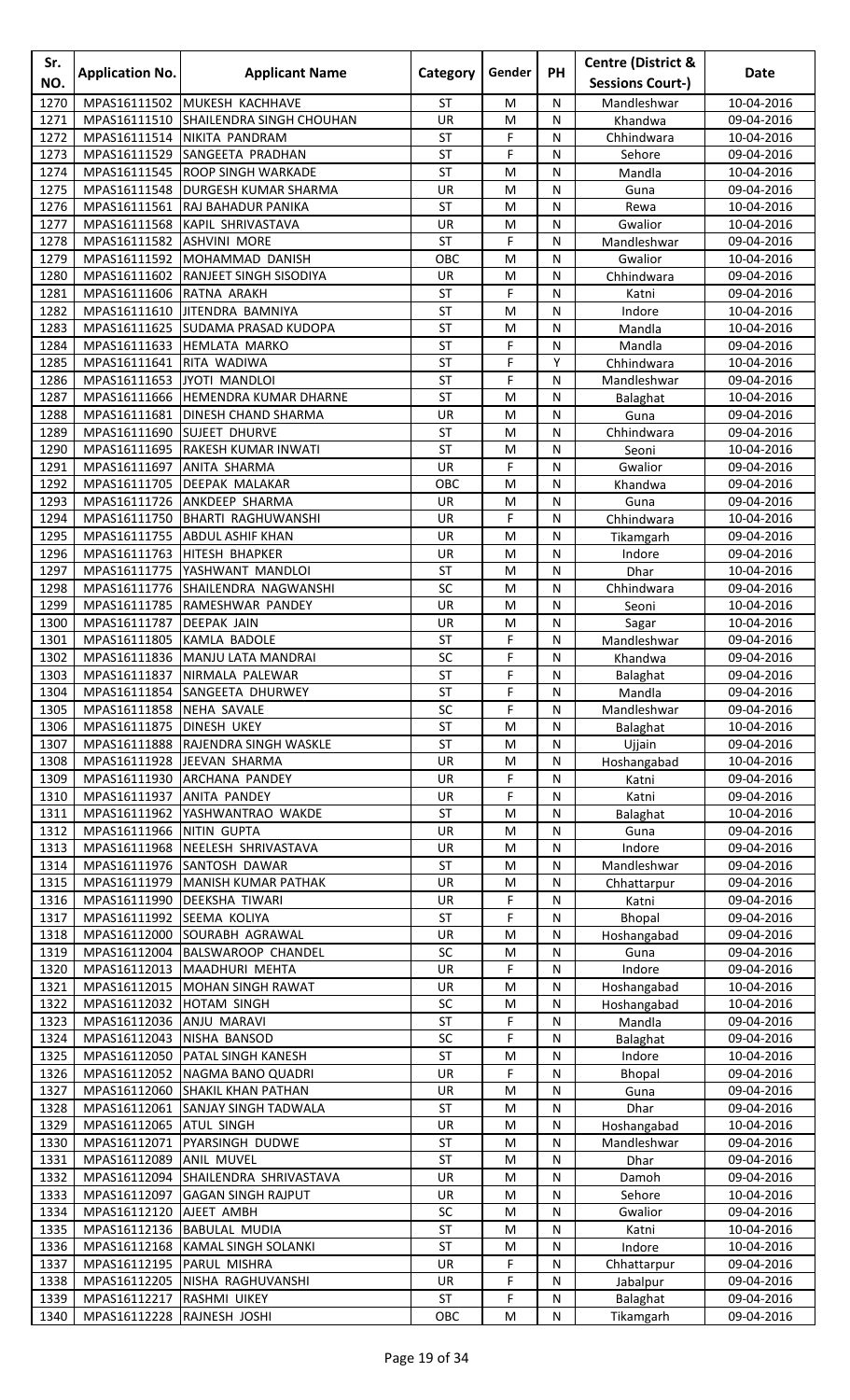| Sr.<br>NO.   | <b>Application No.</b>                   | <b>Applicant Name</b>                                               | Category        | Gender         | <b>PH</b>      | <b>Centre (District &amp;</b><br><b>Sessions Court-)</b> | Date                     |
|--------------|------------------------------------------|---------------------------------------------------------------------|-----------------|----------------|----------------|----------------------------------------------------------|--------------------------|
| 1270         | MPAS16111502                             | MUKESH KACHHAVE                                                     | <b>ST</b>       | M              | N              | Mandleshwar                                              | 10-04-2016               |
| 1271         | MPAS16111510                             | <b>SHAILENDRA SINGH CHOUHAN</b>                                     | <b>UR</b>       | M              | N              | Khandwa                                                  | 09-04-2016               |
| 1272         | MPAS16111514                             | NIKITA PANDRAM                                                      | ST              | F              | N              | Chhindwara                                               | 10-04-2016               |
| 1273         | MPAS16111529                             | <b>SANGEETA PRADHAN</b>                                             | ST              | F              | N              | Sehore                                                   | 09-04-2016               |
| 1274         | MPAS16111545                             | <b>ROOP SINGH WARKADE</b>                                           | <b>ST</b>       | M              | N              | Mandla                                                   | 10-04-2016               |
| 1275         | MPAS16111548                             | <b>DURGESH KUMAR SHARMA</b>                                         | UR              | M              | N              | Guna                                                     | 09-04-2016               |
| 1276         | MPAS16111561                             | <b>RAJ BAHADUR PANIKA</b>                                           | ST              | M              | N              | Rewa                                                     | 10-04-2016               |
| 1277         | MPAS16111568                             | KAPIL SHRIVASTAVA                                                   | UR              | M              | N              | Gwalior                                                  | 10-04-2016               |
| 1278         | MPAS16111582                             | <b>ASHVINI MORE</b>                                                 | ST              | F              | N              | Mandleshwar                                              | 09-04-2016               |
| 1279         | MPAS16111592                             | MOHAMMAD DANISH                                                     | OBC             | M              | N              | Gwalior                                                  | 10-04-2016               |
| 1280         |                                          | MPAS16111602 RANJEET SINGH SISODIYA                                 | UR<br><b>ST</b> | M<br>F         | ${\sf N}$<br>N | Chhindwara                                               | 09-04-2016               |
| 1281<br>1282 | MPAS16111606 RATNA ARAKH<br>MPAS16111610 | JITENDRA BAMNIYA                                                    | <b>ST</b>       | M              | N              | Katni<br>Indore                                          | 09-04-2016<br>10-04-2016 |
| 1283         |                                          | MPAS16111625 SUDAMA PRASAD KUDOPA                                   | <b>ST</b>       | M              | N              | Mandla                                                   | 10-04-2016               |
| 1284         | MPAS16111633                             | <b>HEMLATA MARKO</b>                                                | ST              | F              | N              | Mandla                                                   | 09-04-2016               |
| 1285         | MPAS16111641                             | RITA WADIWA                                                         | <b>ST</b>       | F              | Y              | Chhindwara                                               | 10-04-2016               |
| 1286         | MPAS16111653                             | JYOTI MANDLOI                                                       | <b>ST</b>       | F              | N              | Mandleshwar                                              | 09-04-2016               |
| 1287         |                                          | MPAS16111666 HEMENDRA KUMAR DHARNE                                  | <b>ST</b>       | M              | N              | Balaghat                                                 | 10-04-2016               |
| 1288         | MPAS16111681                             | <b>DINESH CHAND SHARMA</b>                                          | UR              | M              | N              | Guna                                                     | 09-04-2016               |
| 1289         | MPAS16111690                             | <b>SUJEET DHURVE</b>                                                | ST              | M              | N              | Chhindwara                                               | 09-04-2016               |
| 1290         | MPAS16111695                             | RAKESH KUMAR INWATI                                                 | ST              | M              | N              | Seoni                                                    | 10-04-2016               |
| 1291         | MPAS16111697                             | ANITA SHARMA                                                        | UR              | F              | N              | Gwalior                                                  | 09-04-2016               |
| 1292<br>1293 | MPAS16111705<br>MPAS16111726             | <b>DEEPAK MALAKAR</b><br><b>ANKDEEP SHARMA</b>                      | OBC<br>UR       | M<br>M         | N<br>N         | Khandwa<br>Guna                                          | 09-04-2016<br>09-04-2016 |
| 1294         | MPAS16111750                             | <b>BHARTI RAGHUWANSHI</b>                                           | UR              | F              | N              | Chhindwara                                               | 10-04-2016               |
| 1295         | MPAS16111755                             | <b>ABDUL ASHIF KHAN</b>                                             | <b>UR</b>       | M              | N              | Tikamgarh                                                | 09-04-2016               |
| 1296         | MPAS16111763                             | HITESH BHAPKER                                                      | UR              | M              | N              | Indore                                                   | 09-04-2016               |
| 1297         | MPAS16111775                             | YASHWANT MANDLOI                                                    | ST              | M              | N              | <b>Dhar</b>                                              | 10-04-2016               |
| 1298         |                                          | MPAS16111776 SHAILENDRA NAGWANSHI                                   | SC              | M              | N              | Chhindwara                                               | 09-04-2016               |
| 1299         |                                          | MPAS16111785 RAMESHWAR PANDEY                                       | UR              | M              | N              | Seoni                                                    | 10-04-2016               |
| 1300         | MPAS16111787                             | <b>DEEPAK JAIN</b>                                                  | UR              | M              | N              | Sagar                                                    | 10-04-2016               |
| 1301         | MPAS16111805                             | KAMLA BADOLE                                                        | ST              | F              | N              | Mandleshwar                                              | 09-04-2016               |
| 1302         |                                          | MPAS16111836 MANJU LATA MANDRAI                                     | SC              | F              | N              | Khandwa                                                  | 09-04-2016               |
| 1303         |                                          | MPAS16111837 NIRMALA PALEWAR                                        | <b>ST</b>       | F              | N              | Balaghat                                                 | 09-04-2016               |
| 1304<br>1305 | MPAS16111858 NEHA SAVALE                 | MPAS16111854 SANGEETA DHURWEY                                       | <b>ST</b><br>SC | F<br>F         | N<br>N         | Mandla<br>Mandleshwar                                    | 09-04-2016<br>09-04-2016 |
| 1306         | MPAS16111875   DINESH UKEY               |                                                                     | <b>ST</b>       | M              | N              | Balaghat                                                 | 10-04-2016               |
| 1307         | MPAS16111888                             | <b>RAJENDRA SINGH WASKLE</b>                                        | <b>ST</b>       | M              | N              | Ujjain                                                   | 09-04-2016               |
| 1308         |                                          | MPAS16111928 JEEVAN SHARMA                                          | <b>UR</b>       | M              | N              | Hoshangabad                                              | 10-04-2016               |
| 1309         |                                          | MPAS16111930 ARCHANA PANDEY                                         | UR              | F              | N              | Katni                                                    | 09-04-2016               |
| 1310         | MPAS16111937 ANITA PANDEY                |                                                                     | UR              | F              | N              | Katni                                                    | 09-04-2016               |
| 1311         |                                          | MPAS16111962 YASHWANTRAO WAKDE                                      | <b>ST</b>       | M              | ${\sf N}$      | Balaghat                                                 | 10-04-2016               |
| 1312         | MPAS16111966 NITIN GUPTA                 |                                                                     | UR              | M              | N              | Guna                                                     | 09-04-2016               |
| 1313         |                                          | MPAS16111968 NEELESH SHRIVASTAVA                                    | UR              | M              | N              | Indore                                                   | 09-04-2016               |
| 1314         |                                          | MPAS16111976 SANTOSH DAWAR                                          | <b>ST</b><br>UR | M              | N              | Mandleshwar                                              | 09-04-2016               |
| 1315<br>1316 |                                          | MPAS16111979 MANISH KUMAR PATHAK<br>MPAS16111990 DEEKSHA TIWARI     | UR              | M<br>F         | N<br>N         | Chhattarpur<br>Katni                                     | 09-04-2016<br>09-04-2016 |
| 1317         | MPAS16111992 SEEMA KOLIYA                |                                                                     | <b>ST</b>       | F              | N              | Bhopal                                                   | 09-04-2016               |
| 1318         |                                          | MPAS16112000 SOURABH AGRAWAL                                        | UR              | M              | N              | Hoshangabad                                              | 09-04-2016               |
| 1319         |                                          | MPAS16112004 BALSWAROOP CHANDEL                                     | SC              | M              | N              | Guna                                                     | 09-04-2016               |
| 1320         | MPAS16112013                             | MAADHURI MEHTA                                                      | UR              | F              | N              | Indore                                                   | 09-04-2016               |
| 1321         | MPAS16112015                             | <b>MOHAN SINGH RAWAT</b>                                            | UR              | M              | N              | Hoshangabad                                              | 10-04-2016               |
| 1322         | MPAS16112032                             | <b>HOTAM SINGH</b>                                                  | SC              | M              | N              | Hoshangabad                                              | 10-04-2016               |
| 1323         | MPAS16112036 ANJU MARAVI                 |                                                                     | <b>ST</b>       | F              | N              | Mandla                                                   | 09-04-2016               |
| 1324         | MPAS16112043 NISHA BANSOD                |                                                                     | SC              | F              | ${\sf N}$      | Balaghat                                                 | 09-04-2016               |
| 1325<br>1326 |                                          | MPAS16112050   PATAL SINGH KANESH<br>MPAS16112052 NAGMA BANO QUADRI | <b>ST</b><br>UR | M<br>F         | N<br>N         | Indore                                                   | 10-04-2016<br>09-04-2016 |
| 1327         |                                          | MPAS16112060 SHAKIL KHAN PATHAN                                     | UR              | M              | N              | Bhopal<br>Guna                                           | 09-04-2016               |
| 1328         |                                          | MPAS16112061 SANJAY SINGH TADWALA                                   | <b>ST</b>       | M              | N              | Dhar                                                     | 09-04-2016               |
| 1329         | MPAS16112065 ATUL SINGH                  |                                                                     | UR              | M              | N              | Hoshangabad                                              | 10-04-2016               |
| 1330         | MPAS16112071                             | PYARSINGH DUDWE                                                     | <b>ST</b>       | M              | N              | Mandleshwar                                              | 09-04-2016               |
| 1331         | MPAS16112089                             | <b>ANIL MUVEL</b>                                                   | <b>ST</b>       | M              | N              | Dhar                                                     | 09-04-2016               |
| 1332         | MPAS16112094                             | SHAILENDRA SHRIVASTAVA                                              | UR              | M              | N              | Damoh                                                    | 09-04-2016               |
| 1333         | MPAS16112097                             | <b>GAGAN SINGH RAJPUT</b>                                           | <b>UR</b>       | M              | N              | Sehore                                                   | 10-04-2016               |
| 1334         | MPAS16112120                             | AJEET AMBH                                                          | SC              | M              | N              | Gwalior                                                  | 09-04-2016               |
| 1335         | MPAS16112136                             | <b>BABULAL MUDIA</b>                                                | <b>ST</b>       | M              | N              | Katni                                                    | 10-04-2016               |
| 1336<br>1337 | MPAS16112195 PARUL MISHRA                | MPAS16112168 KAMAL SINGH SOLANKI                                    | <b>ST</b><br>UR | M<br>F         | N              | Indore                                                   | 10-04-2016               |
| 1338         |                                          | MPAS16112205 NISHA RAGHUVANSHI                                      | UR              | F              | N<br>N         | Chhattarpur<br>Jabalpur                                  | 09-04-2016<br>09-04-2016 |
| 1339         | MPAS16112217 RASHMI UIKEY                |                                                                     | ST              | $\overline{F}$ | ${\sf N}$      | Balaghat                                                 | 09-04-2016               |
| 1340         | MPAS16112228 RAJNESH JOSHI               |                                                                     | OBC             | M              | ${\sf N}$      | Tikamgarh                                                | 09-04-2016               |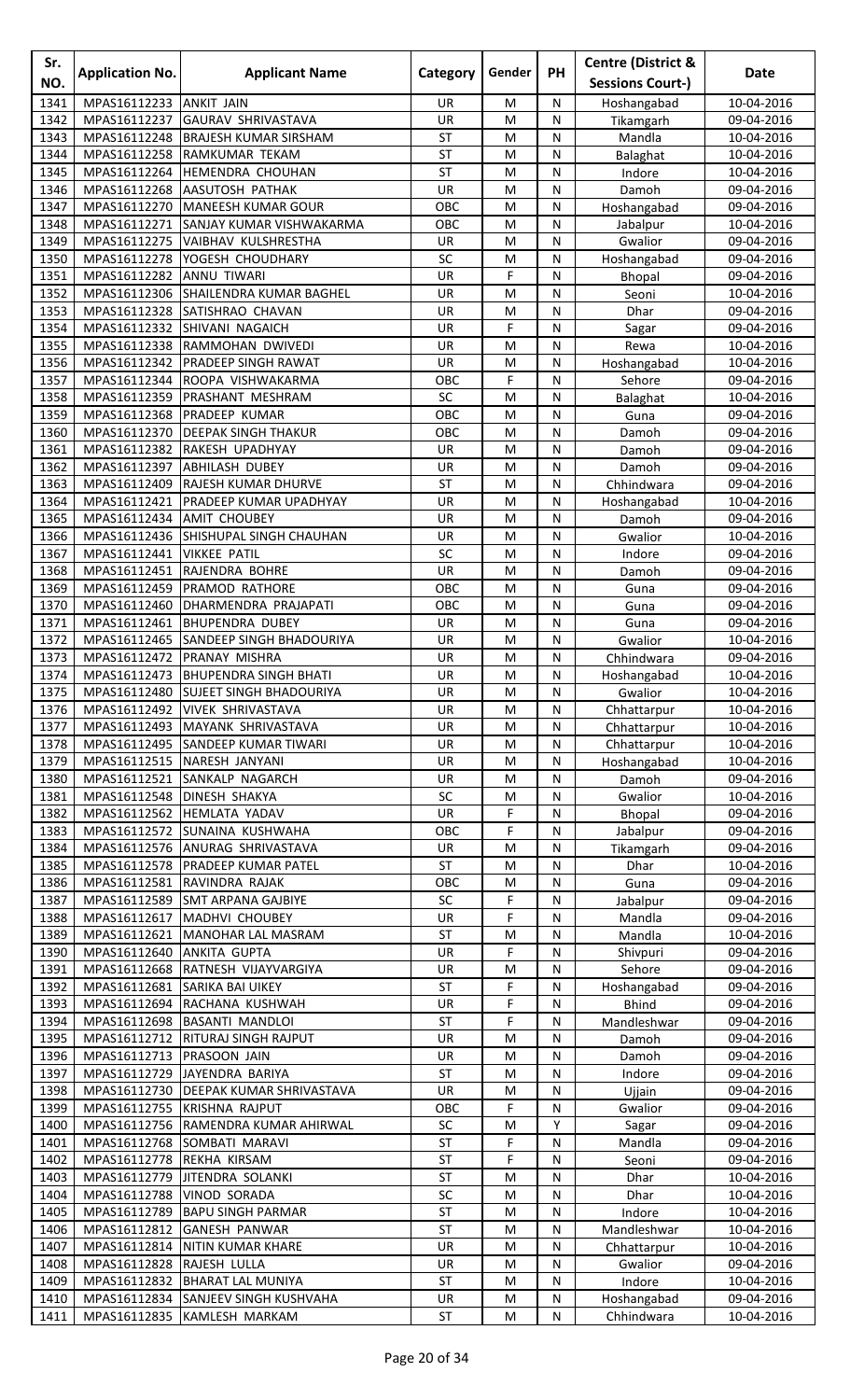| Sr.          | <b>Application No.</b>       | <b>Applicant Name</b>                                          | Category  | Gender | PH             | <b>Centre (District &amp;</b> | <b>Date</b>              |
|--------------|------------------------------|----------------------------------------------------------------|-----------|--------|----------------|-------------------------------|--------------------------|
| NO.          |                              |                                                                |           |        |                | <b>Sessions Court-)</b>       |                          |
| 1341         | MPAS16112233                 | <b>ANKIT JAIN</b>                                              | UR        | M      | N              | Hoshangabad                   | 10-04-2016               |
| 1342         | MPAS16112237                 | <b>GAURAV SHRIVASTAVA</b>                                      | UR        | M      | N              | Tikamgarh                     | 09-04-2016               |
| 1343         | MPAS16112248                 | <b>BRAJESH KUMAR SIRSHAM</b>                                   | <b>ST</b> | M      | ${\sf N}$      | Mandla                        | 10-04-2016               |
| 1344         | MPAS16112258                 | RAMKUMAR TEKAM                                                 | <b>ST</b> | M      | N              | Balaghat                      | 10-04-2016               |
| 1345         | MPAS16112264                 | <b>HEMENDRA CHOUHAN</b>                                        | <b>ST</b> | M      | N              | Indore                        | 10-04-2016               |
| 1346<br>1347 | MPAS16112268<br>MPAS16112270 | <b>AASUTOSH PATHAK</b><br>MANEESH KUMAR GOUR                   | UR<br>OBC | M<br>M | N<br>N         | Damoh<br>Hoshangabad          | 09-04-2016<br>09-04-2016 |
| 1348         | MPAS16112271                 | SANJAY KUMAR VISHWAKARMA                                       | OBC       | M      | N              | Jabalpur                      | 10-04-2016               |
| 1349         |                              | MPAS16112275 VAIBHAV KULSHRESTHA                               | UR        | M      | ${\sf N}$      | Gwalior                       | 09-04-2016               |
| 1350         | MPAS16112278                 | YOGESH CHOUDHARY                                               | SC        | M      | N              | Hoshangabad                   | 09-04-2016               |
| 1351         | MPAS16112282                 | <b>ANNU TIWARI</b>                                             | UR        | F      | N              | <b>Bhopal</b>                 | 09-04-2016               |
| 1352         | MPAS16112306                 | <b>SHAILENDRA KUMAR BAGHEL</b>                                 | <b>UR</b> | M      | N              | Seoni                         | 10-04-2016               |
| 1353         | MPAS16112328                 | <b>SATISHRAO CHAVAN</b>                                        | UR        | M      | N              | Dhar                          | 09-04-2016               |
| 1354         | MPAS16112332                 | SHIVANI NAGAICH                                                | UR        | F      | N              | Sagar                         | 09-04-2016               |
| 1355         |                              | MPAS16112338 RAMMOHAN DWIVEDI                                  | UR        | M      | N              | Rewa                          | 10-04-2016               |
| 1356         | MPAS16112342                 | PRADEEP SINGH RAWAT                                            | UR        | M      | ${\sf N}$      | Hoshangabad                   | 10-04-2016               |
| 1357         | MPAS16112344                 | ROOPA VISHWAKARMA                                              | OBC       | F      | N              | Sehore                        | 09-04-2016               |
| 1358         | MPAS16112359                 | <b>PRASHANT MESHRAM</b>                                        | SC        | M      | N              | Balaghat                      | 10-04-2016               |
| 1359         | MPAS16112368                 | <b>PRADEEP KUMAR</b>                                           | OBC       | M      | N              | Guna                          | 09-04-2016               |
| 1360<br>1361 | MPAS16112370<br>MPAS16112382 | <b>DEEPAK SINGH THAKUR</b><br>RAKESH UPADHYAY                  | OBC<br>UR | M<br>M | N<br>N         | Damoh<br>Damoh                | 09-04-2016<br>09-04-2016 |
| 1362         | MPAS16112397                 | <b>ABHILASH DUBEY</b>                                          | UR        | M      | N              | Damoh                         | 09-04-2016               |
| 1363         | MPAS16112409                 | RAJESH KUMAR DHURVE                                            | <b>ST</b> | M      | N              | Chhindwara                    | 09-04-2016               |
| 1364         | MPAS16112421                 | PRADEEP KUMAR UPADHYAY                                         | UR        | M      | N              | Hoshangabad                   | 10-04-2016               |
| 1365         | MPAS16112434                 | <b>AMIT CHOUBEY</b>                                            | <b>UR</b> | M      | N              | Damoh                         | 09-04-2016               |
| 1366         | MPAS16112436                 | SHISHUPAL SINGH CHAUHAN                                        | UR        | M      | N              | Gwalior                       | 10-04-2016               |
| 1367         | MPAS16112441                 | <b>VIKKEE PATIL</b>                                            | SC        | M      | N              | Indore                        | 09-04-2016               |
| 1368         | MPAS16112451                 | RAJENDRA BOHRE                                                 | UR        | M      | ${\sf N}$      | Damoh                         | 09-04-2016               |
| 1369         | MPAS16112459                 | PRAMOD RATHORE                                                 | OBC       | M      | ${\sf N}$      | Guna                          | 09-04-2016               |
| 1370         | MPAS16112460                 | DHARMENDRA PRAJAPATI                                           | OBC       | M      | N              | Guna                          | 09-04-2016               |
| 1371         | MPAS16112461                 | <b>BHUPENDRA DUBEY</b>                                         | <b>UR</b> | M      | N              | Guna                          | 09-04-2016               |
| 1372         | MPAS16112465                 | <b>SANDEEP SINGH BHADOURIYA</b>                                | UR        | M      | N              | Gwalior                       | 10-04-2016               |
| 1373         |                              | MPAS16112472 PRANAY MISHRA                                     | UR        | M      | N              | Chhindwara                    | 09-04-2016               |
| 1374         |                              | MPAS16112473 BHUPENDRA SINGH BHATI                             | UR        | M      | $\overline{N}$ | Hoshangabad                   | 10-04-2016               |
| 1375         |                              | MPAS16112480 SUJEET SINGH BHADOURIYA                           | UR        | M      | N              | Gwalior                       | 10-04-2016               |
| 1376         |                              | MPAS16112492 VIVEK SHRIVASTAVA                                 | UR        | M      | N              | Chhattarpur                   | 10-04-2016               |
| 1377         | MPAS16112493                 | MAYANK SHRIVASTAVA                                             | UR        | M      | N              | Chhattarpur                   | 10-04-2016               |
| 1378         | MPAS16112495                 | <b>SANDEEP KUMAR TIWARI</b>                                    | UR        | M      | N              | Chhattarpur                   | 10-04-2016               |
| 1379         |                              | MPAS16112515 NARESH JANYANI                                    | UR        | M      | N              | Hoshangabad                   | 10-04-2016               |
| 1380<br>1381 | MPAS16112521                 | <b>SANKALP NAGARCH</b><br>MPAS16112548 DINESH SHAKYA           | UR<br>SC  | M<br>M | N<br>${\sf N}$ | Damoh<br>Gwalior              | 09-04-2016<br>10-04-2016 |
| 1382         | MPAS16112562                 | <b>HEMLATA YADAV</b>                                           | UR        | F      | N              | Bhopal                        | 09-04-2016               |
| 1383         |                              | MPAS16112572 SUNAINA KUSHWAHA                                  | OBC       | F      | N              | Jabalpur                      | 09-04-2016               |
| 1384         |                              | MPAS16112576 ANURAG SHRIVASTAVA                                | UR        | M      | N              | Tikamgarh                     | 09-04-2016               |
| 1385         |                              | MPAS16112578   PRADEEP KUMAR PATEL                             | <b>ST</b> | M      | N              | Dhar                          | 10-04-2016               |
| 1386         |                              | MPAS16112581 RAVINDRA RAJAK                                    | OBC       | M      | N              | Guna                          | 09-04-2016               |
| 1387         |                              | MPAS16112589 SMT ARPANA GAJBIYE                                | SC        | F      | ${\sf N}$      | Jabalpur                      | 09-04-2016               |
| 1388         |                              | MPAS16112617 MADHVI CHOUBEY                                    | UR        | F      | N              | Mandla                        | 09-04-2016               |
| 1389         | MPAS16112621                 | MANOHAR LAL MASRAM                                             | <b>ST</b> | M      | N              | Mandla                        | 10-04-2016               |
| 1390         | MPAS16112640                 | <b>ANKITA GUPTA</b>                                            | UR        | F      | N              | Shivpuri                      | 09-04-2016               |
| 1391         |                              | MPAS16112668 RATNESH VIJAYVARGIYA                              | UR        | M      | N              | Sehore                        | 09-04-2016               |
| 1392         |                              | MPAS16112681 SARIKA BAI UIKEY                                  | <b>ST</b> | F      | N              | Hoshangabad                   | 09-04-2016               |
| 1393         |                              | MPAS16112694 RACHANA KUSHWAH                                   | UR        | F      | ${\sf N}$      | <b>Bhind</b>                  | 09-04-2016               |
| 1394         |                              | MPAS16112698 BASANTI MANDLOI                                   | ST        | F      | N              | Mandleshwar                   | 09-04-2016               |
| 1395         | MPAS16112712                 | <b>RITURAJ SINGH RAJPUT</b>                                    | UR        | M      | N              | Damoh                         | 09-04-2016               |
| 1396         | MPAS16112713                 | <b>PRASOON JAIN</b>                                            | UR        | M      | N              | Damoh                         | 09-04-2016               |
| 1397         | MPAS16112729                 | JAYENDRA BARIYA                                                | ST        | M      | N              | Indore                        | 09-04-2016               |
| 1398<br>1399 | MPAS16112730                 | <b>DEEPAK KUMAR SHRIVASTAVA</b><br>MPAS16112755 KRISHNA RAJPUT | UR<br>OBC | M<br>F | N<br>N         | Ujjain<br>Gwalior             | 09-04-2016<br>09-04-2016 |
| 1400         | MPAS16112756                 | RAMENDRA KUMAR AHIRWAL                                         | SC        | M      | Υ              | Sagar                         | 09-04-2016               |
| 1401         | MPAS16112768                 | SOMBATI MARAVI                                                 | <b>ST</b> | F      | N              | Mandla                        | 09-04-2016               |
| 1402         | MPAS16112778                 | REKHA KIRSAM                                                   | <b>ST</b> | F      | N              | Seoni                         | 09-04-2016               |
| 1403         | MPAS16112779                 | <b>JITENDRA SOLANKI</b>                                        | <b>ST</b> | M      | N              | Dhar                          | 10-04-2016               |
| 1404         | MPAS16112788                 | <b>VINOD SORADA</b>                                            | SC        | M      | N              | Dhar                          | 10-04-2016               |
| 1405         | MPAS16112789                 | <b>BAPU SINGH PARMAR</b>                                       | <b>ST</b> | M      | N              | Indore                        | 10-04-2016               |
| 1406         | MPAS16112812                 | <b>GANESH PANWAR</b>                                           | <b>ST</b> | M      | ${\sf N}$      | Mandleshwar                   | 10-04-2016               |
| 1407         |                              | MPAS16112814 NITIN KUMAR KHARE                                 | UR        | M      | N              | Chhattarpur                   | 10-04-2016               |
| 1408         | MPAS16112828                 | RAJESH LULLA                                                   | UR        | M      | N              | Gwalior                       | 09-04-2016               |
| 1409         |                              | MPAS16112832 BHARAT LAL MUNIYA                                 | <b>ST</b> | M      | N              | Indore                        | 10-04-2016               |
| 1410         |                              | MPAS16112834 SANJEEV SINGH KUSHVAHA                            | UR        | M      | ${\sf N}$      | Hoshangabad                   | 09-04-2016               |
| 1411         |                              | MPAS16112835 KAMLESH MARKAM                                    | ST        | M      | N              | Chhindwara                    | 10-04-2016               |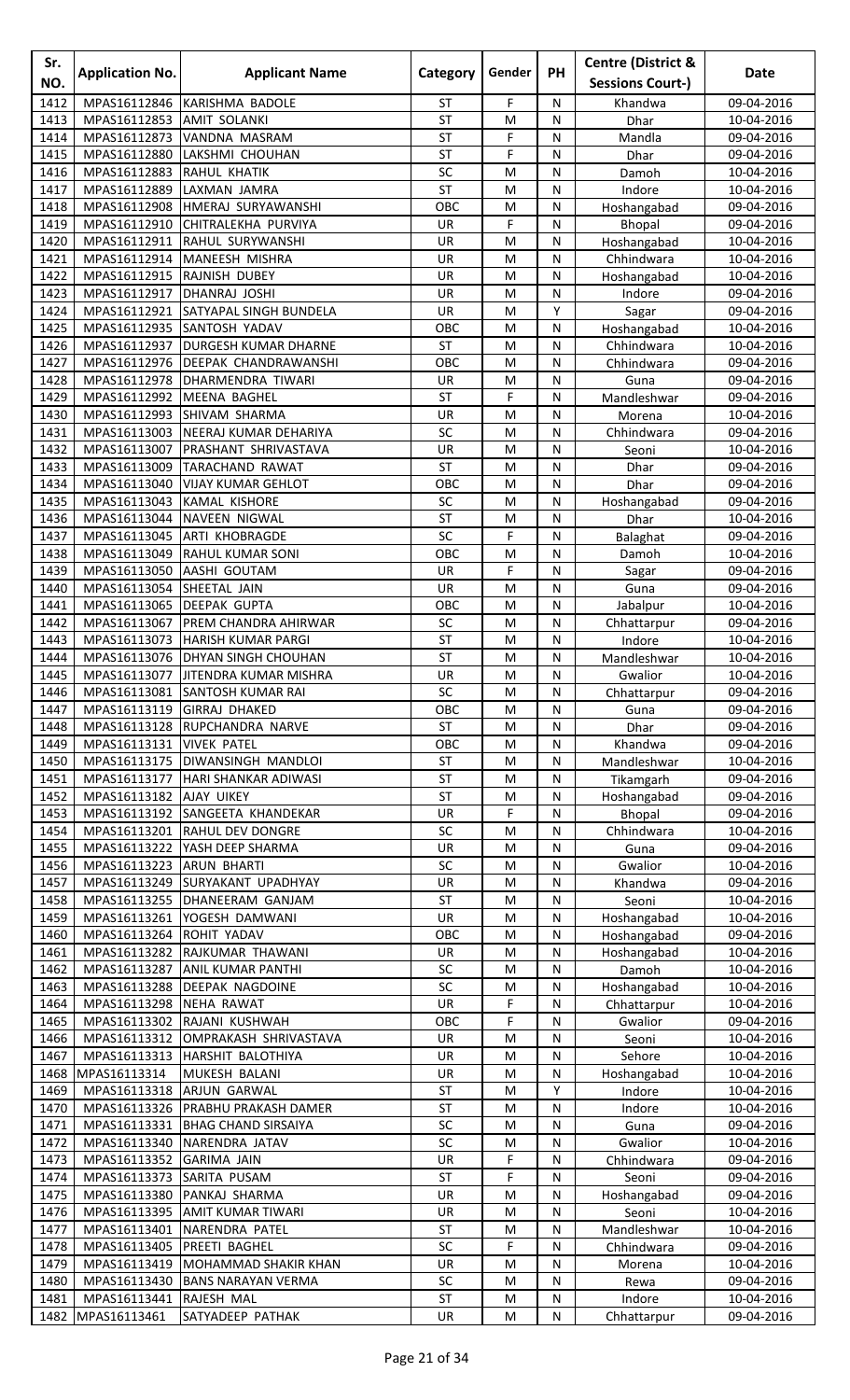| Sr.<br>NO.   | <b>Application No.</b>                     | <b>Applicant Name</b>                          | <b>Category</b> | Gender    | PH        | <b>Centre (District &amp;</b><br><b>Sessions Court-)</b> | <b>Date</b>              |
|--------------|--------------------------------------------|------------------------------------------------|-----------------|-----------|-----------|----------------------------------------------------------|--------------------------|
| 1412         | MPAS16112846                               | KARISHMA BADOLE                                | ST              | F         | N         |                                                          | 09-04-2016               |
| 1413         | MPAS16112853                               | <b>AMIT SOLANKI</b>                            | ST              | M         | N         | Khandwa<br>Dhar                                          | 10-04-2016               |
| 1414         | MPAS16112873                               | VANDNA MASRAM                                  | <b>ST</b>       | F         | N         | Mandla                                                   | 09-04-2016               |
| 1415         | MPAS16112880                               | LAKSHMI CHOUHAN                                | <b>ST</b>       | F         | ${\sf N}$ | Dhar                                                     | 09-04-2016               |
| 1416         | MPAS16112883                               | <b>RAHUL KHATIK</b>                            | SC              | M         | N         | Damoh                                                    | 10-04-2016               |
| 1417         | MPAS16112889                               | LAXMAN JAMRA                                   | <b>ST</b>       | M         | N         | Indore                                                   | 10-04-2016               |
| 1418         | MPAS16112908                               | HMERAJ SURYAWANSHI                             | OBC             | M         | N         | Hoshangabad                                              | 09-04-2016               |
| 1419         | MPAS16112910                               | CHITRALEKHA PURVIYA                            | <b>UR</b>       | F         | N         | Bhopal                                                   | 09-04-2016               |
| 1420         | MPAS16112911                               | <b>RAHUL SURYWANSHI</b>                        | UR              | M         | N         | Hoshangabad                                              | 10-04-2016               |
| 1421         | MPAS16112914                               | MANEESH MISHRA                                 | UR              | M         | N         | Chhindwara                                               | 10-04-2016               |
| 1422<br>1423 | MPAS16112915 RAJNISH DUBEY<br>MPAS16112917 | DHANRAJ JOSHI                                  | UR<br>UR        | M<br>M    | N<br>N    | Hoshangabad<br>Indore                                    | 10-04-2016               |
| 1424         | MPAS16112921                               | <b>SATYAPAL SINGH BUNDELA</b>                  | <b>UR</b>       | M         | Υ         | Sagar                                                    | 09-04-2016<br>09-04-2016 |
| 1425         |                                            | MPAS16112935 SANTOSH YADAV                     | OBC             | M         | N         | Hoshangabad                                              | 10-04-2016               |
| 1426         | MPAS16112937                               | <b>DURGESH KUMAR DHARNE</b>                    | <b>ST</b>       | M         | N         | Chhindwara                                               | 10-04-2016               |
| 1427         |                                            | MPAS16112976 DEEPAK CHANDRAWANSHI              | OBC             | M         | N         | Chhindwara                                               | 09-04-2016               |
| 1428         | MPAS16112978                               | <b>DHARMENDRA TIWARI</b>                       | UR              | M         | N         | Guna                                                     | 09-04-2016               |
| 1429         | MPAS16112992                               | <b>MEENA BAGHEL</b>                            | ST              | F         | N         | Mandleshwar                                              | 09-04-2016               |
| 1430         | MPAS16112993                               | SHIVAM SHARMA                                  | <b>UR</b>       | M         | N         | Morena                                                   | 10-04-2016               |
| 1431         | MPAS16113003                               | NEERAJ KUMAR DEHARIYA                          | SC              | M         | N         | Chhindwara                                               | 09-04-2016               |
| 1432         | MPAS16113007                               | <b>PRASHANT SHRIVASTAVA</b>                    | UR              | M         | N         | Seoni                                                    | 10-04-2016               |
| 1433         | MPAS16113009                               | <b>TARACHAND RAWAT</b>                         | <b>ST</b>       | M         | N         | Dhar                                                     | 09-04-2016               |
| 1434         | MPAS16113040                               | <b>VIJAY KUMAR GEHLOT</b>                      | OBC             | M         | ${\sf N}$ | Dhar                                                     | 09-04-2016               |
| 1435<br>1436 | MPAS16113043<br>MPAS16113044               | <b>KAMAL KISHORE</b><br><b>NAVEEN NIGWAL</b>   | SC<br><b>ST</b> | M<br>M    | N<br>N    | Hoshangabad<br>Dhar                                      | 09-04-2016<br>10-04-2016 |
| 1437         | MPAS16113045                               | ARTI KHOBRAGDE                                 | SC              | F         | N         | Balaghat                                                 | 09-04-2016               |
| 1438         | MPAS16113049                               | <b>RAHUL KUMAR SONI</b>                        | OBC             | M         | N         | Damoh                                                    | 10-04-2016               |
| 1439         | MPAS16113050                               | AASHI GOUTAM                                   | UR              | F         | N         | Sagar                                                    | 09-04-2016               |
| 1440         | MPAS16113054                               | SHEETAL JAIN                                   | UR              | M         | ${\sf N}$ | Guna                                                     | 09-04-2016               |
| 1441         | MPAS16113065                               | <b>DEEPAK GUPTA</b>                            | OBC             | M         | N         | Jabalpur                                                 | 10-04-2016               |
| 1442         | MPAS16113067                               | <b>PREM CHANDRA AHIRWAR</b>                    | SC              | M         | N         | Chhattarpur                                              | 09-04-2016               |
| 1443         | MPAS16113073                               | <b>HARISH KUMAR PARGI</b>                      | <b>ST</b>       | M         | N         | Indore                                                   | 10-04-2016               |
| 1444         |                                            | MPAS16113076   DHYAN SINGH CHOUHAN             | <b>ST</b>       | M         | N         | Mandleshwar                                              | 10-04-2016               |
| 1445         |                                            | MPAS16113077 JITENDRA KUMAR MISHRA             | UR              | ${\sf M}$ | ${\sf N}$ | Gwalior                                                  | 10-04-2016               |
| 1446         |                                            | MPAS16113081 SANTOSH KUMAR RAI                 | SC              | M         | N         | Chhattarpur                                              | 09-04-2016               |
| 1447         |                                            | MPAS16113119 GIRRAJ DHAKED<br>RUPCHANDRA NARVE | OBC             | M         | N         | Guna                                                     | 09-04-2016               |
| 1448<br>1449 | MPAS16113128<br>MPAS16113131   VIVEK PATEL |                                                | ST<br>OBC       | M<br>M    | N<br>N    | Dhar<br>Khandwa                                          | 09-04-2016<br>09-04-2016 |
| 1450         | MPAS16113175                               | <b>DIWANSINGH MANDLOI</b>                      | ST              | M         | N         | Mandleshwar                                              | 10-04-2016               |
| 1451         | MPAS16113177                               | HARI SHANKAR ADIWASI                           | <b>ST</b>       | M         | N         | Tikamgarh                                                | 09-04-2016               |
| 1452         | MPAS16113182                               | <b>AJAY UIKEY</b>                              | <b>ST</b>       | M         | N         | Hoshangabad                                              | 09-04-2016               |
| 1453         |                                            | MPAS16113192 SANGEETA KHANDEKAR                | UR              | F         | N         | Bhopal                                                   | 09-04-2016               |
| 1454         |                                            | MPAS16113201 RAHUL DEV DONGRE                  | SC              | M         | N         | Chhindwara                                               | 10-04-2016               |
| 1455         |                                            | MPAS16113222 YASH DEEP SHARMA                  | UR              | M         | N         | Guna                                                     | 09-04-2016               |
| 1456         | MPAS16113223 ARUN BHARTI                   |                                                | SC              | M         | N         | Gwalior                                                  | 10-04-2016               |
| 1457         |                                            | MPAS16113249 SURYAKANT UPADHYAY                | UR              | M         | N         | Khandwa                                                  | 09-04-2016               |
| 1458         |                                            | MPAS16113255 DHANEERAM GANJAM                  | <b>ST</b>       | M         | ${\sf N}$ | Seoni                                                    | 10-04-2016               |
| 1459         |                                            | MPAS16113261 YOGESH DAMWANI                    | UR              | M         | ${\sf N}$ | Hoshangabad                                              | 10-04-2016               |
| 1460<br>1461 | MPAS16113264<br>MPAS16113282               | <b>ROHIT YADAV</b>                             | OBC             | M         | N         | Hoshangabad                                              | 09-04-2016               |
| 1462         | MPAS16113287                               | RAJKUMAR THAWANI<br><b>ANIL KUMAR PANTHI</b>   | UR<br>SC        | M<br>M    | N<br>N    | Hoshangabad<br>Damoh                                     | 10-04-2016<br>10-04-2016 |
| 1463         | MPAS16113288                               | <b>DEEPAK NAGDOINE</b>                         | SC              | M         | N         | Hoshangabad                                              | 10-04-2016               |
| 1464         | MPAS16113298 NEHA RAWAT                    |                                                | UR              | F         | N         | Chhattarpur                                              | 10-04-2016               |
| 1465         | MPAS16113302                               | RAJANI KUSHWAH                                 | OBC             | F         | ${\sf N}$ | Gwalior                                                  | 09-04-2016               |
| 1466         | MPAS16113312                               | OMPRAKASH SHRIVASTAVA                          | UR              | M         | N         | Seoni                                                    | 10-04-2016               |
| 1467         | MPAS16113313                               | <b>HARSHIT BALOTHIYA</b>                       | UR              | M         | N         | Sehore                                                   | 10-04-2016               |
| 1468         | MPAS16113314                               | MUKESH BALANI                                  | UR              | M         | N         | Hoshangabad                                              | 10-04-2016               |
| 1469         | MPAS16113318                               | <b>ARJUN GARWAL</b>                            | <b>ST</b>       | M         | Y         | Indore                                                   | 10-04-2016               |
| 1470         | MPAS16113326                               | <b>PRABHU PRAKASH DAMER</b>                    | <b>ST</b>       | M         | N         | Indore                                                   | 10-04-2016               |
| 1471         | MPAS16113331                               | <b>BHAG CHAND SIRSAIYA</b>                     | SC              | M         | ${\sf N}$ | Guna                                                     | 09-04-2016               |
| 1472         | MPAS16113340                               | NARENDRA JATAV                                 | SC              | M         | ${\sf N}$ | Gwalior                                                  | 10-04-2016               |
| 1473<br>1474 | MPAS16113352<br>MPAS16113373               | <b>GARIMA JAIN</b><br>SARITA PUSAM             | UR<br><b>ST</b> | F<br>F    | N<br>N    | Chhindwara<br>Seoni                                      | 09-04-2016<br>09-04-2016 |
| 1475         | MPAS16113380                               | PANKAJ SHARMA                                  | UR              | M         | N         | Hoshangabad                                              | 09-04-2016               |
| 1476         | MPAS16113395                               | <b>AMIT KUMAR TIWARI</b>                       | UR              | M         | N         | Seoni                                                    | 10-04-2016               |
| 1477         | MPAS16113401                               | NARENDRA PATEL                                 | <b>ST</b>       | M         | N         | Mandleshwar                                              | 10-04-2016               |
| 1478         | MPAS16113405                               | <b>PREETI BAGHEL</b>                           | SC              | F         | ${\sf N}$ | Chhindwara                                               | 09-04-2016               |
| 1479         | MPAS16113419                               | MOHAMMAD SHAKIR KHAN                           | UR              | M         | N         | Morena                                                   | 10-04-2016               |
| 1480         |                                            | MPAS16113430   BANS NARAYAN VERMA              | SC              | M         | N         | Rewa                                                     | 09-04-2016               |
|              | 1481   MPAS16113441   RAJESH MAL           |                                                | ST              | M         | ${\sf N}$ | Indore                                                   | 10-04-2016               |
|              | 1482 MPAS16113461                          | SATYADEEP PATHAK                               | UR              | M         | N         | Chhattarpur                                              | 09-04-2016               |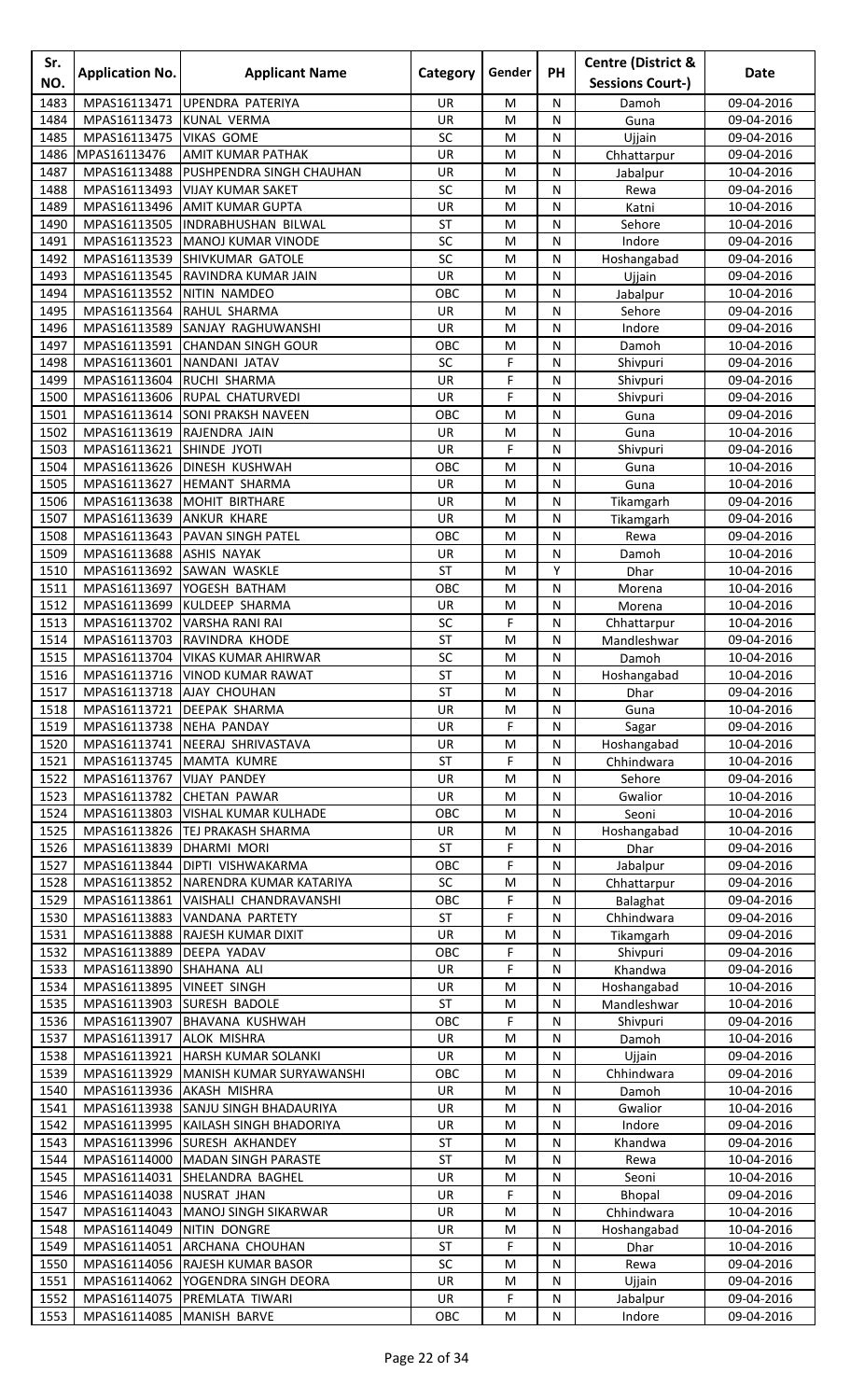| Sr.<br>NO.   | <b>Application No.</b>                    | <b>Applicant Name</b>                     | Category        | Gender | PH             | <b>Centre (District &amp;</b><br><b>Sessions Court-)</b> | Date                     |
|--------------|-------------------------------------------|-------------------------------------------|-----------------|--------|----------------|----------------------------------------------------------|--------------------------|
| 1483         | MPAS16113471                              | UPENDRA PATERIYA                          | UR              | M      | N              |                                                          | 09-04-2016               |
| 1484         | MPAS16113473                              | <b>KUNAL VERMA</b>                        | UR              | M      | N              | Damoh<br>Guna                                            | 09-04-2016               |
| 1485         | MPAS16113475                              | <b>VIKAS GOME</b>                         | SC              | M      | ${\sf N}$      | Ujjain                                                   | 09-04-2016               |
| 1486         | MPAS16113476                              | AMIT KUMAR PATHAK                         | UR              | M      | N              | Chhattarpur                                              | 09-04-2016               |
| 1487         | MPAS16113488                              | PUSHPENDRA SINGH CHAUHAN                  | UR              | M      | N              | Jabalpur                                                 | 10-04-2016               |
| 1488         | MPAS16113493                              | <b>VIJAY KUMAR SAKET</b>                  | SC              | M      | N              | Rewa                                                     | 09-04-2016               |
| 1489         | MPAS16113496                              | <b>AMIT KUMAR GUPTA</b>                   | UR              | M      | N              | Katni                                                    | 10-04-2016               |
| 1490         | MPAS16113505                              | <b>INDRABHUSHAN BILWAL</b>                | <b>ST</b>       | M      | N              | Sehore                                                   | 10-04-2016               |
| 1491         | MPAS16113523                              | <b>MANOJ KUMAR VINODE</b>                 | SC              | M      | ${\sf N}$      | Indore                                                   | 09-04-2016               |
| 1492         | MPAS16113539                              | <b>SHIVKUMAR GATOLE</b>                   | SC              | M      | N              | Hoshangabad                                              | 09-04-2016               |
| 1493         | MPAS16113545                              | RAVINDRA KUMAR JAIN                       | UR              | M      | N              | Ujjain                                                   | 09-04-2016               |
| 1494         | MPAS16113552                              | NITIN NAMDEO                              | OBC             | M      | N              | Jabalpur                                                 | 10-04-2016               |
| 1495<br>1496 | MPAS16113564<br>MPAS16113589              | RAHUL SHARMA<br>SANJAY RAGHUWANSHI        | UR<br>UR        | M<br>M | N<br>N         | Sehore<br>Indore                                         | 09-04-2016<br>09-04-2016 |
| 1497         | MPAS16113591                              | <b>CHANDAN SINGH GOUR</b>                 | OBC             | M      | N              | Damoh                                                    | 10-04-2016               |
| 1498         | MPAS16113601                              | NANDANI JATAV                             | SC              | F      | ${\sf N}$      | Shivpuri                                                 | 09-04-2016               |
| 1499         | MPAS16113604                              | RUCHI SHARMA                              | UR              | F      | N              | Shivpuri                                                 | 09-04-2016               |
| 1500         | MPAS16113606                              | <b>RUPAL CHATURVEDI</b>                   | UR              | F      | N              | Shivpuri                                                 | 09-04-2016               |
| 1501         | MPAS16113614                              | <b>SONI PRAKSH NAVEEN</b>                 | OBC             | M      | N              | Guna                                                     | 09-04-2016               |
| 1502         | MPAS16113619                              | RAJENDRA JAIN                             | UR              | M      | N              | Guna                                                     | 10-04-2016               |
| 1503         | MPAS16113621                              | SHINDE JYOTI                              | UR              | F      | N              | Shivpuri                                                 | 09-04-2016               |
| 1504         | MPAS16113626                              | <b>DINESH KUSHWAH</b>                     | OBC             | M      | N              | Guna                                                     | 10-04-2016               |
| 1505         | MPAS16113627                              | <b>HEMANT SHARMA</b>                      | UR              | M      | N              | Guna                                                     | 10-04-2016               |
| 1506         | MPAS16113638                              | MOHIT BIRTHARE                            | UR              | M      | N              | Tikamgarh                                                | 09-04-2016               |
| 1507         | MPAS16113639                              | <b>ANKUR KHARE</b>                        | UR              | M      | N              | Tikamgarh                                                | 09-04-2016               |
| 1508<br>1509 | MPAS16113643<br>MPAS16113688              | PAVAN SINGH PATEL<br><b>ASHIS NAYAK</b>   | OBC<br>UR       | M<br>M | N<br>N         | Rewa                                                     | 09-04-2016<br>10-04-2016 |
| 1510         | MPAS16113692                              | SAWAN WASKLE                              | <b>ST</b>       | M      | Υ              | Damoh<br>Dhar                                            | 10-04-2016               |
| 1511         | MPAS16113697                              | YOGESH BATHAM                             | OBC             | M      | ${\sf N}$      | Morena                                                   | 10-04-2016               |
| 1512         | MPAS16113699                              | <b>KULDEEP SHARMA</b>                     | UR              | M      | N              | Morena                                                   | 10-04-2016               |
| 1513         | MPAS16113702                              | <b>VARSHA RANI RAI</b>                    | SC              | F      | N              | Chhattarpur                                              | 10-04-2016               |
| 1514         | MPAS16113703                              | RAVINDRA KHODE                            | <b>ST</b>       | M      | N              | Mandleshwar                                              | 09-04-2016               |
| 1515         | MPAS16113704                              | <b>VIKAS KUMAR AHIRWAR</b>                | SC              | M      | N              | Damoh                                                    | 10-04-2016               |
| 1516         |                                           | MPAS16113716 VINOD KUMAR RAWAT            | ST              | M      | $\overline{N}$ | Hoshangabad                                              | 10-04-2016               |
| 1517         | MPAS16113718 AJAY CHOUHAN                 |                                           | <b>ST</b>       | M      | N              | Dhar                                                     | 09-04-2016               |
| 1518         | MPAS16113721                              | <b>DEEPAK SHARMA</b>                      | UR              | M      | N              | Guna                                                     | 10-04-2016               |
| 1519         | MPAS16113738                              | <b>NEHA PANDAY</b>                        | <b>UR</b>       | F      | N              | Sagar                                                    | 09-04-2016               |
| 1520<br>1521 | MPAS16113741<br>MPAS16113745              | NEERAJ SHRIVASTAVA                        | UR              | M<br>F | N              | Hoshangabad                                              | 10-04-2016               |
| 1522         | MPAS16113767                              | <b>MAMTA KUMRE</b><br><b>VIJAY PANDEY</b> | <b>ST</b><br>UR | M      | N<br>N         | Chhindwara<br>Sehore                                     | 10-04-2016<br>09-04-2016 |
| 1523         | MPAS16113782                              | <b>CHETAN PAWAR</b>                       | UR              | M      | ${\sf N}$      | Gwalior                                                  | 10-04-2016               |
| 1524         | MPAS16113803                              | VISHAL KUMAR KULHADE                      | OBC             | M      | N              | Seoni                                                    | 10-04-2016               |
| 1525         | MPAS16113826                              | <b>TEJ PRAKASH SHARMA</b>                 | <b>UR</b>       | M      | N              | Hoshangabad                                              | 10-04-2016               |
| 1526         | MPAS16113839                              | <b>DHARMI MORI</b>                        | <b>ST</b>       | F      | N              | Dhar                                                     | 09-04-2016               |
| 1527         | MPAS16113844                              | <b>DIPTI VISHWAKARMA</b>                  | OBC             | F      | N              | Jabalpur                                                 | 09-04-2016               |
| 1528         |                                           | MPAS16113852 NARENDRA KUMAR KATARIYA      | SC              | M      | N              | Chhattarpur                                              | 09-04-2016               |
| 1529         | MPAS16113861                              | VAISHALI CHANDRAVANSHI                    | OBC             | F      | ${\sf N}$      | Balaghat                                                 | 09-04-2016               |
| 1530         | MPAS16113883                              | VANDANA PARTETY                           | ST              | F      | N              | Chhindwara                                               | 09-04-2016               |
| 1531         | MPAS16113888                              | RAJESH KUMAR DIXIT                        | UR              | M      | N              | Tikamgarh                                                | 09-04-2016               |
| 1532         | MPAS16113889                              | DEEPA YADAV                               | OBC             | F<br>F | N              | Shivpuri                                                 | 09-04-2016               |
| 1533<br>1534 | MPAS16113890<br>MPAS16113895 VINEET SINGH | SHAHANA ALI                               | UR<br>UR        | M      | N<br>N         | Khandwa<br>Hoshangabad                                   | 09-04-2016<br>10-04-2016 |
| 1535         |                                           | MPAS16113903 SURESH BADOLE                | <b>ST</b>       | M      | ${\sf N}$      | Mandleshwar                                              | 10-04-2016               |
| 1536         |                                           | MPAS16113907 BHAVANA KUSHWAH              | OBC             | F      | ${\sf N}$      | Shivpuri                                                 | 09-04-2016               |
| 1537         | MPAS16113917 ALOK MISHRA                  |                                           | UR              | M      | N              | Damoh                                                    | 10-04-2016               |
| 1538         | MPAS16113921                              | HARSH KUMAR SOLANKI                       | UR              | M      | N              | Ujjain                                                   | 09-04-2016               |
| 1539         | MPAS16113929                              | MANISH KUMAR SURYAWANSHI                  | OBC             | M      | N              | Chhindwara                                               | 09-04-2016               |
| 1540         | MPAS16113936                              | <b>AKASH MISHRA</b>                       | UR              | M      | N              | Damoh                                                    | 10-04-2016               |
| 1541         |                                           | MPAS16113938 SANJU SINGH BHADAURIYA       | <b>UR</b>       | M      | N              | Gwalior                                                  | 10-04-2016               |
| 1542         | MPAS16113995                              | KAILASH SINGH BHADORIYA                   | UR              | M      | ${\sf N}$      | Indore                                                   | 09-04-2016               |
| 1543         | MPAS16113996                              | <b>SURESH AKHANDEY</b>                    | <b>ST</b>       | M      | N              | Khandwa                                                  | 09-04-2016               |
| 1544         | MPAS16114000                              | <b>MADAN SINGH PARASTE</b>                | <b>ST</b>       | M      | N              | Rewa                                                     | 10-04-2016               |
| 1545         | MPAS16114031<br>MPAS16114038              | SHELANDRA BAGHEL<br><b>NUSRAT JHAN</b>    | UR              | M<br>F | N              | Seoni                                                    | 10-04-2016               |
| 1546<br>1547 | MPAS16114043                              | MANOJ SINGH SIKARWAR                      | UR<br>UR        | M      | N<br>N         | <b>Bhopal</b><br>Chhindwara                              | 09-04-2016<br>10-04-2016 |
| 1548         | MPAS16114049                              | <b>NITIN DONGRE</b>                       | UR              | M      | ${\sf N}$      | Hoshangabad                                              | 10-04-2016               |
| 1549         | MPAS16114051                              | ARCHANA CHOUHAN                           | <b>ST</b>       | F      | N              | Dhar                                                     | 10-04-2016               |
| 1550         |                                           | MPAS16114056 RAJESH KUMAR BASOR           | SC              | M      | N              | Rewa                                                     | 09-04-2016               |
| 1551         |                                           | MPAS16114062   YOGENDRA SINGH DEORA       | UR              | M      | N              | Ujjain                                                   | 09-04-2016               |
| 1552         |                                           | MPAS16114075 PREMLATA TIWARI              | UR              | F      | ${\sf N}$      | Jabalpur                                                 | 09-04-2016               |
| 1553         | MPAS16114085 MANISH BARVE                 |                                           | OBC             | M      | N              | Indore                                                   | 09-04-2016               |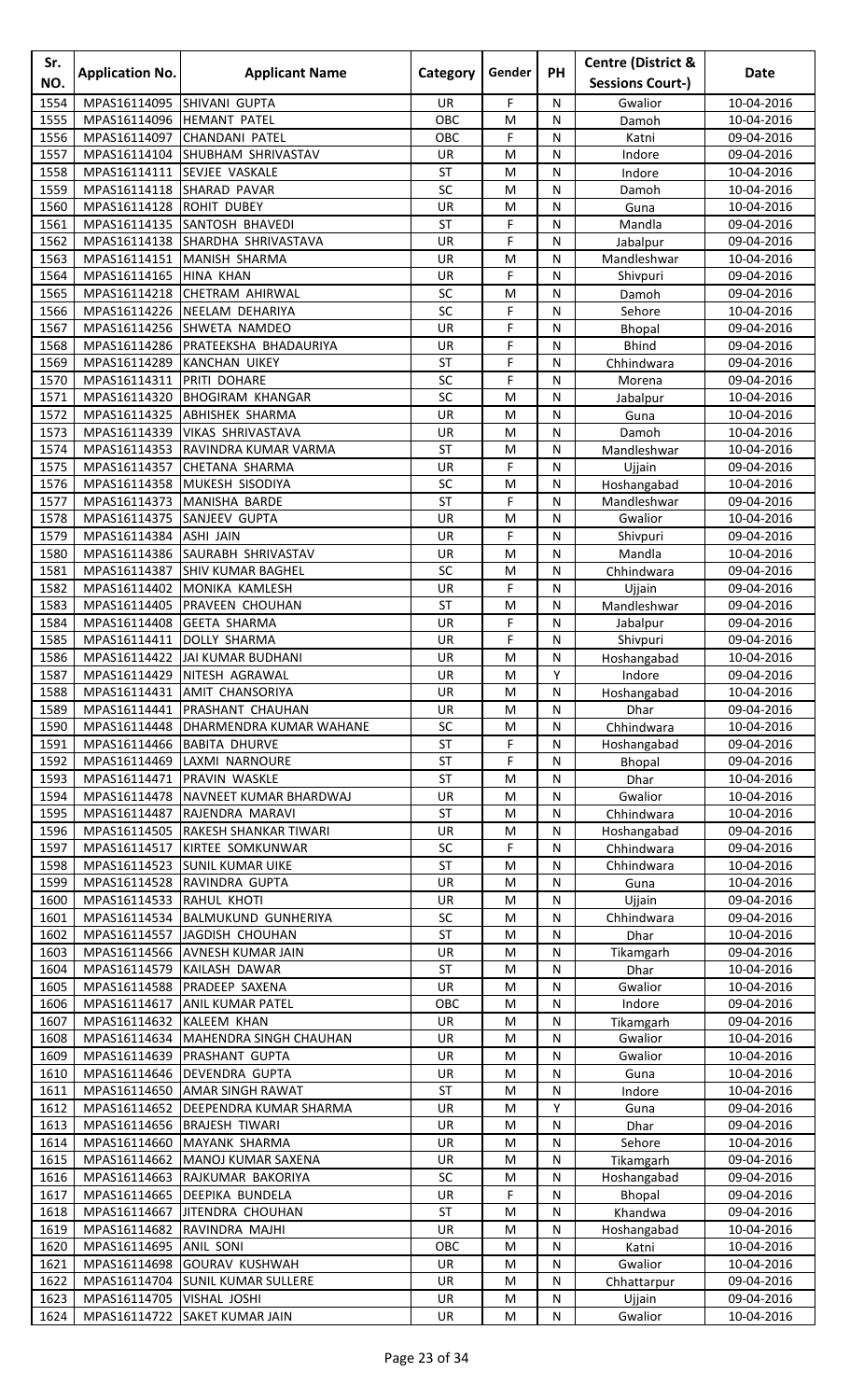| Sr.<br>NO.   | <b>Application No.</b>         | <b>Applicant Name</b>                                              | Category               | Gender | <b>PH</b>      | <b>Centre (District &amp;</b><br><b>Sessions Court-)</b> | Date                     |
|--------------|--------------------------------|--------------------------------------------------------------------|------------------------|--------|----------------|----------------------------------------------------------|--------------------------|
| 1554         | MPAS16114095                   | SHIVANI GUPTA                                                      | <b>UR</b>              | F      | N              | Gwalior                                                  | 10-04-2016               |
| 1555         | MPAS16114096                   | <b>HEMANT PATEL</b>                                                | OBC                    | M      | N              | Damoh                                                    | 10-04-2016               |
| 1556         | MPAS16114097                   | <b>CHANDANI PATEL</b>                                              | OBC                    | F      | N              | Katni                                                    | 09-04-2016               |
| 1557         |                                | MPAS16114104 SHUBHAM SHRIVASTAV                                    | UR                     | M      | N              | Indore                                                   | 09-04-2016               |
| 1558<br>1559 | MPAS16114111<br>MPAS16114118   | SEVJEE VASKALE<br>SHARAD PAVAR                                     | <b>ST</b><br>SC        | M<br>M | ${\sf N}$<br>N | Indore<br>Damoh                                          | 10-04-2016<br>10-04-2016 |
| 1560         | MPAS16114128                   | <b>ROHIT DUBEY</b>                                                 | UR                     | M      | N              | Guna                                                     | 10-04-2016               |
| 1561         |                                | MPAS16114135 SANTOSH BHAVEDI                                       | <b>ST</b>              | F      | N              | Mandla                                                   | 09-04-2016               |
| 1562         |                                | MPAS16114138 SHARDHA SHRIVASTAVA                                   | UR                     | F      | N              | Jabalpur                                                 | 09-04-2016               |
| 1563         | MPAS16114151                   | MANISH SHARMA                                                      | UR                     | M      | N              | Mandleshwar                                              | 10-04-2016               |
| 1564         | MPAS16114165 HINA KHAN         |                                                                    | UR                     | F      | ${\sf N}$      | Shivpuri                                                 | 09-04-2016               |
| 1565         | MPAS16114218                   | <b>CHETRAM AHIRWAL</b>                                             | SC<br>SC               | M      | N              | Damoh                                                    | 09-04-2016               |
| 1566<br>1567 |                                | MPAS16114226 NEELAM DEHARIYA<br>MPAS16114256 SHWETA NAMDEO         | <b>UR</b>              | F<br>F | N<br>N         | Sehore<br><b>Bhopal</b>                                  | 10-04-2016<br>09-04-2016 |
| 1568         | MPAS16114286                   | PRATEEKSHA BHADAURIYA                                              | UR                     | F      | N              | <b>Bhind</b>                                             | 09-04-2016               |
| 1569         | MPAS16114289                   | <b>KANCHAN UIKEY</b>                                               | <b>ST</b>              | F      | N              | Chhindwara                                               | 09-04-2016               |
| 1570         | MPAS16114311                   | PRITI DOHARE                                                       | SC                     | F      | ${\sf N}$      | Morena                                                   | 09-04-2016               |
| 1571         | MPAS16114320                   | <b>BHOGIRAM KHANGAR</b>                                            | SC                     | M      | N              | Jabalpur                                                 | 10-04-2016               |
| 1572         | MPAS16114325                   | <b>ABHISHEK SHARMA</b>                                             | UR                     | M      | N              | Guna                                                     | 10-04-2016               |
| 1573<br>1574 | MPAS16114339<br>MPAS16114353   | <b>VIKAS SHRIVASTAVA</b><br>RAVINDRA KUMAR VARMA                   | <b>UR</b><br>ST        | M<br>M | N<br>N         | Damoh<br>Mandleshwar                                     | 10-04-2016<br>10-04-2016 |
| 1575         | MPAS16114357                   | <b>CHETANA SHARMA</b>                                              | UR                     | F      | N              | Ujjain                                                   | 09-04-2016               |
| 1576         | MPAS16114358                   | MUKESH SISODIYA                                                    | SC                     | M      | N              | Hoshangabad                                              | 10-04-2016               |
| 1577         | MPAS16114373                   | MANISHA BARDE                                                      | <b>ST</b>              | F      | N              | Mandleshwar                                              | 09-04-2016               |
| 1578         | MPAS16114375                   | SANJEEV GUPTA                                                      | UR                     | M      | N              | Gwalior                                                  | 10-04-2016               |
| 1579         | MPAS16114384                   | <b>ASHI JAIN</b>                                                   | <b>UR</b>              | F      | N              | Shivpuri                                                 | 09-04-2016               |
| 1580         | MPAS16114386                   | SAURABH SHRIVASTAV                                                 | UR                     | M      | N              | Mandla                                                   | 10-04-2016               |
| 1581<br>1582 | MPAS16114387<br>MPAS16114402   | <b>SHIV KUMAR BAGHEL</b><br>MONIKA KAMLESH                         | SC<br>UR               | M<br>F | N<br>N         | Chhindwara<br>Ujjain                                     | 09-04-2016<br>09-04-2016 |
| 1583         | MPAS16114405                   | <b>PRAVEEN CHOUHAN</b>                                             | <b>ST</b>              | M      | N              | Mandleshwar                                              | 09-04-2016               |
| 1584         | MPAS16114408                   | <b>GEETA SHARMA</b>                                                | UR                     | F      | N              | Jabalpur                                                 | 09-04-2016               |
| 1585         | MPAS16114411                   | <b>DOLLY SHARMA</b>                                                | UR                     | F      | N              | Shivpuri                                                 | 09-04-2016               |
| 1586         |                                | MPAS16114422 JAI KUMAR BUDHANI                                     | UR                     | M      | N              | Hoshangabad                                              | 10-04-2016               |
| 1587         |                                | MPAS16114429 NITESH AGRAWAL                                        | UR                     | M      | Y              | Indore                                                   | 09-04-2016               |
| 1588<br>1589 | MPAS16114441                   | MPAS16114431 AMIT CHANSORIYA<br><b>PRASHANT CHAUHAN</b>            | <b>UR</b><br>UR        | M<br>M | N<br>N         | Hoshangabad<br>Dhar                                      | 10-04-2016<br>09-04-2016 |
| 1590         |                                | MPAS16114448   DHARMENDRA KUMAR WAHANE                             | SC                     | M      | N              | Chhindwara                                               | 10-04-2016               |
| 1591         | MPAS16114466                   | <b>BABITA DHURVE</b>                                               | <b>ST</b>              | F      | N              | Hoshangabad                                              | 09-04-2016               |
| 1592         | MPAS16114469                   | LAXMI NARNOURE                                                     | <b>ST</b>              | F      | N              | <b>Bhopal</b>                                            | 09-04-2016               |
| 1593         | MPAS16114471                   | <b>PRAVIN WASKLE</b>                                               | <b>ST</b>              | M      | N              | Dhar                                                     | 10-04-2016               |
| 1594         |                                | MPAS16114478   NAVNEET KUMAR BHARDWAJ                              | UR                     | M      | N              | Gwalior                                                  | 10-04-2016               |
| 1595<br>1596 |                                | MPAS16114487 RAJENDRA MARAVI<br>MPAS16114505 RAKESH SHANKAR TIWARI | <b>ST</b><br>UR        | M<br>M | ${\sf N}$<br>N | Chhindwara<br>Hoshangabad                                | 10-04-2016<br>09-04-2016 |
| 1597         |                                | MPAS16114517 KIRTEE SOMKUNWAR                                      | SC                     | F      | N              | Chhindwara                                               | 09-04-2016               |
| 1598         |                                | MPAS16114523 SUNIL KUMAR UIKE                                      | <b>ST</b>              | M      | N              | Chhindwara                                               | 10-04-2016               |
| 1599         |                                | MPAS16114528 RAVINDRA GUPTA                                        | UR                     | M      | N              | Guna                                                     | 10-04-2016               |
| 1600         | MPAS16114533 RAHUL KHOTI       |                                                                    | UR                     | M      | N              | Ujjain                                                   | 09-04-2016               |
| 1601         |                                | MPAS16114534 BALMUKUND GUNHERIYA                                   | SC                     | M      | N              | Chhindwara                                               | 09-04-2016               |
| 1602<br>1603 |                                | MPAS16114557 JAGDISH CHOUHAN<br>MPAS16114566 AVNESH KUMAR JAIN     | <b>ST</b><br>UR        | M<br>M | N<br>N         | Dhar                                                     | 10-04-2016               |
| 1604         |                                | MPAS16114579 KAILASH DAWAR                                         | <b>ST</b>              | M      | N              | Tikamgarh<br>Dhar                                        | 09-04-2016<br>10-04-2016 |
| 1605         |                                | MPAS16114588 PRADEEP SAXENA                                        | UR                     | M      | N              | Gwalior                                                  | 10-04-2016               |
| 1606         | MPAS16114617                   | <b>ANIL KUMAR PATEL</b>                                            | OBC                    | M      | N              | Indore                                                   | 09-04-2016               |
| 1607         | MPAS16114632 KALEEM KHAN       |                                                                    | UR                     | M      | N              | Tikamgarh                                                | 09-04-2016               |
| 1608         |                                | MPAS16114634 MAHENDRA SINGH CHAUHAN                                | UR                     | M      | ${\sf N}$      | Gwalior                                                  | 10-04-2016               |
| 1609         |                                | MPAS16114639 PRASHANT GUPTA                                        | UR                     | M      | N              | Gwalior                                                  | 10-04-2016               |
| 1610         | MPAS16114650                   | MPAS16114646 DEVENDRA GUPTA                                        | <b>UR</b><br><b>ST</b> | M      | N<br>N         | Guna                                                     | 10-04-2016               |
| 1611<br>1612 |                                | <b>AMAR SINGH RAWAT</b><br>MPAS16114652   DEEPENDRA KUMAR SHARMA   | UR                     | M<br>M | Υ              | Indore<br>Guna                                           | 10-04-2016<br>09-04-2016 |
| 1613         |                                | MPAS16114656 BRAJESH TIWARI                                        | UR                     | M      | N              | Dhar                                                     | 09-04-2016               |
| 1614         |                                | MPAS16114660 MAYANK SHARMA                                         | UR                     | M      | ${\sf N}$      | Sehore                                                   | 10-04-2016               |
| 1615         | MPAS16114662                   | <b>MANOJ KUMAR SAXENA</b>                                          | UR                     | M      | N              | Tikamgarh                                                | 09-04-2016               |
| 1616         | MPAS16114663                   | RAJKUMAR BAKORIYA                                                  | SC                     | M      | N              | Hoshangabad                                              | 09-04-2016               |
| 1617         | MPAS16114665                   | <b>DEEPIKA BUNDELA</b>                                             | <b>UR</b>              | F      | N              | <b>Bhopal</b>                                            | 09-04-2016               |
| 1618<br>1619 | MPAS16114667<br>MPAS16114682   | <b>JITENDRA CHOUHAN</b><br>RAVINDRA MAJHI                          | <b>ST</b><br>UR        | M<br>M | N<br>N         | Khandwa<br>Hoshangabad                                   | 09-04-2016<br>10-04-2016 |
| 1620         | MPAS16114695 ANIL SONI         |                                                                    | OBC                    | M      | ${\sf N}$      | Katni                                                    | 10-04-2016               |
| 1621         |                                | MPAS16114698 GOURAV KUSHWAH                                        | UR                     | M      | N              | Gwalior                                                  | 10-04-2016               |
| 1622         |                                | MPAS16114704 SUNIL KUMAR SULLERE                                   | UR                     | M      | N              | Chhattarpur                                              | 09-04-2016               |
|              | 1623 MPAS16114705 VISHAL JOSHI |                                                                    | UR                     | M      | ${\sf N}$      | Ujjain                                                   | 09-04-2016               |
| 1624         |                                | MPAS16114722 SAKET KUMAR JAIN                                      | UR                     | M      | ${\sf N}$      | Gwalior                                                  | 10-04-2016               |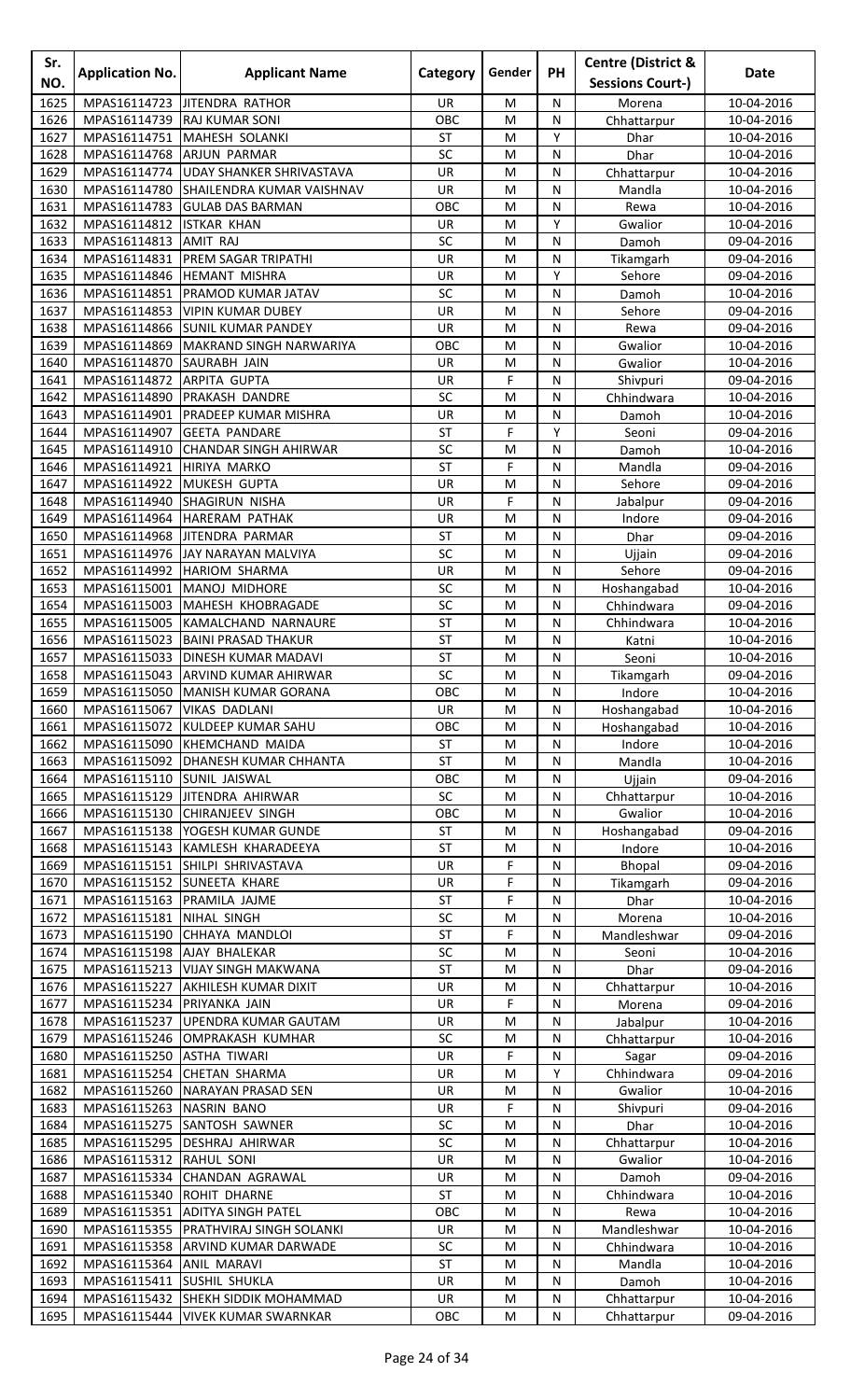| Sr.<br>NO.   | <b>Application No.</b>                   | <b>Applicant Name</b>                                              | Category        | Gender    | <b>PH</b>         | <b>Centre (District &amp;</b><br><b>Sessions Court-)</b> | Date                     |
|--------------|------------------------------------------|--------------------------------------------------------------------|-----------------|-----------|-------------------|----------------------------------------------------------|--------------------------|
| 1625         | MPAS16114723                             | <b>JITENDRA RATHOR</b>                                             | UR.             | M         | N                 | Morena                                                   | 10-04-2016               |
| 1626         | MPAS16114739                             | <b>RAJ KUMAR SONI</b>                                              | OBC             | M         | N                 | Chhattarpur                                              | 10-04-2016               |
| 1627         | MPAS16114751                             | MAHESH SOLANKI                                                     | <b>ST</b>       | M         | Υ                 | Dhar                                                     | 10-04-2016               |
| 1628         | MPAS16114768                             | <b>ARJUN PARMAR</b>                                                | SC              | M         | N                 | Dhar                                                     | 10-04-2016               |
| 1629<br>1630 | MPAS16114774<br>MPAS16114780             | <b>UDAY SHANKER SHRIVASTAVA</b><br>SHAILENDRA KUMAR VAISHNAV       | UR<br>UR        | M<br>M    | ${\sf N}$<br>N    | Chhattarpur<br>Mandla                                    | 10-04-2016<br>10-04-2016 |
| 1631         | MPAS16114783                             | <b>GULAB DAS BARMAN</b>                                            | OBC             | M         | N                 | Rewa                                                     | 10-04-2016               |
| 1632         | MPAS16114812                             | <b>ISTKAR KHAN</b>                                                 | <b>UR</b>       | M         | Y                 | Gwalior                                                  | 10-04-2016               |
| 1633         | MPAS16114813                             | <b>AMIT RAJ</b>                                                    | SC              | M         | N                 | Damoh                                                    | 09-04-2016               |
| 1634         | MPAS16114831                             | PREM SAGAR TRIPATHI                                                | UR              | M         | N                 | Tikamgarh                                                | 09-04-2016               |
| 1635<br>1636 | MPAS16114846<br>MPAS16114851             | <b>HEMANT MISHRA</b><br>PRAMOD KUMAR JATAV                         | UR<br>SC        | M<br>M    | Υ<br>N            | Sehore                                                   | 09-04-2016               |
| 1637         | MPAS16114853                             | <b>VIPIN KUMAR DUBEY</b>                                           | UR              | M         | N                 | Damoh<br>Sehore                                          | 10-04-2016<br>09-04-2016 |
| 1638         | MPAS16114866                             | <b>SUNIL KUMAR PANDEY</b>                                          | <b>UR</b>       | M         | N                 | Rewa                                                     | 09-04-2016               |
| 1639         | MPAS16114869                             | MAKRAND SINGH NARWARIYA                                            | OBC             | M         | N                 | Gwalior                                                  | 10-04-2016               |
| 1640         | MPAS16114870                             | SAURABH JAIN                                                       | UR              | M         | N                 | Gwalior                                                  | 10-04-2016               |
| 1641         | MPAS16114872                             | <b>ARPITA GUPTA</b>                                                | UR              | F         | ${\sf N}$         | Shivpuri                                                 | 09-04-2016               |
| 1642<br>1643 | MPAS16114890<br>MPAS16114901             | PRAKASH DANDRE<br>PRADEEP KUMAR MISHRA                             | SC<br>UR        | M<br>M    | N<br>N            | Chhindwara<br>Damoh                                      | 10-04-2016<br>10-04-2016 |
| 1644         | MPAS16114907                             | <b>GEETA PANDARE</b>                                               | <b>ST</b>       | F         | Y                 | Seoni                                                    | 09-04-2016               |
| 1645         | MPAS16114910                             | <b>CHANDAR SINGH AHIRWAR</b>                                       | SC              | M         | N                 | Damoh                                                    | 10-04-2016               |
| 1646         | MPAS16114921                             | <b>HIRIYA MARKO</b>                                                | <b>ST</b>       | F         | N                 | Mandla                                                   | 09-04-2016               |
| 1647         | MPAS16114922                             | <b>MUKESH GUPTA</b>                                                | UR              | M         | N                 | Sehore                                                   | 09-04-2016               |
| 1648         | MPAS16114940                             | SHAGIRUN NISHA                                                     | UR              | F         | N                 | Jabalpur                                                 | 09-04-2016               |
| 1649         | MPAS16114964                             | <b>HARERAM PATHAK</b>                                              | UR<br><b>ST</b> | M         | N                 | Indore                                                   | 09-04-2016               |
| 1650<br>1651 | MPAS16114968<br>MPAS16114976             | <b>JITENDRA PARMAR</b><br>JAY NARAYAN MALVIYA                      | SC              | M<br>M    | N<br>N            | Dhar<br>Ujjain                                           | 09-04-2016<br>09-04-2016 |
| 1652         | MPAS16114992                             | <b>HARIOM SHARMA</b>                                               | UR              | M         | N                 | Sehore                                                   | 09-04-2016               |
| 1653         | MPAS16115001                             | MANOJ MIDHORE                                                      | SC              | M         | N                 | Hoshangabad                                              | 10-04-2016               |
| 1654         | MPAS16115003                             | MAHESH KHOBRAGADE                                                  | SC              | M         | ${\sf N}$         | Chhindwara                                               | 09-04-2016               |
| 1655         | MPAS16115005                             | KAMALCHAND NARNAURE                                                | <b>ST</b>       | M         | N                 | Chhindwara                                               | 10-04-2016               |
| 1656         | MPAS16115023                             | <b>BAINI PRASAD THAKUR</b>                                         | <b>ST</b>       | M         | N                 | Katni                                                    | 10-04-2016               |
| 1657<br>1658 | MPAS16115033                             | <b>DINESH KUMAR MADAVI</b><br>MPAS16115043 ARVIND KUMAR AHIRWAR    | <b>ST</b><br>SC | M<br>M    | N<br>$\mathsf{N}$ | Seoni                                                    | 10-04-2016<br>09-04-2016 |
| 1659         |                                          | MPAS16115050 MANISH KUMAR GORANA                                   | OBC             | M         | N                 | Tikamgarh<br>Indore                                      | 10-04-2016               |
| 1660         | MPAS16115067 VIKAS DADLANI               |                                                                    | <b>UR</b>       | M         | ${\sf N}$         | Hoshangabad                                              | 10-04-2016               |
| 1661         |                                          | MPAS16115072 KULDEEP KUMAR SAHU                                    | OBC             | M         | N                 | Hoshangabad                                              | 10-04-2016               |
| 1662         | MPAS16115090                             | KHEMCHAND MAIDA                                                    | ST              | M         | N                 | Indore                                                   | 10-04-2016               |
| 1663         |                                          | MPAS16115092   DHANESH KUMAR CHHANTA                               | <b>ST</b>       | M         | N                 | Mandla                                                   | 10-04-2016               |
| 1664<br>1665 | MPAS16115110                             | <b>SUNIL JAISWAL</b><br>MPAS16115129 JITENDRA AHIRWAR              | OBC<br>SC       | M<br>M    | N<br>N            | Ujjain                                                   | 09-04-2016<br>10-04-2016 |
| 1666         |                                          | MPAS16115130 CHIRANJEEV SINGH                                      | OBC             | ${\sf M}$ | ${\sf N}$         | Chhattarpur<br>Gwalior                                   | 10-04-2016               |
| 1667         |                                          | MPAS16115138 YOGESH KUMAR GUNDE                                    | ST              | M         | N                 | Hoshangabad                                              | 09-04-2016               |
| 1668         |                                          | MPAS16115143 KAMLESH KHARADEEYA                                    | <b>ST</b>       | M         | N                 | Indore                                                   | 10-04-2016               |
| 1669         |                                          | MPAS16115151 SHILPI SHRIVASTAVA                                    | UR              | F         | N                 | Bhopal                                                   | 09-04-2016               |
| 1670         |                                          | MPAS16115152 SUNEETA KHARE                                         | UR              | F         | N                 | Tikamgarh                                                | 09-04-2016               |
| 1671         | MPAS16115163                             | PRAMILA JAJME                                                      | <b>ST</b><br>SC | F<br>M    | N                 | Dhar                                                     | 10-04-2016               |
| 1672<br>1673 | MPAS16115181 NIHAL SINGH<br>MPAS16115190 | CHHAYA MANDLOI                                                     | <b>ST</b>       | F         | N<br>N            | Morena<br>Mandleshwar                                    | 10-04-2016<br>09-04-2016 |
| 1674         | MPAS16115198                             | AJAY BHALEKAR                                                      | SC              | M         | N                 | Seoni                                                    | 10-04-2016               |
| 1675         | MPAS16115213                             | <b>VIJAY SINGH MAKWANA</b>                                         | <b>ST</b>       | M         | N                 | Dhar                                                     | 09-04-2016               |
| 1676         | MPAS16115227                             | <b>AKHILESH KUMAR DIXIT</b>                                        | UR              | M         | N                 | Chhattarpur                                              | 10-04-2016               |
| 1677         | MPAS16115234                             | PRIYANKA JAIN                                                      | UR              | F         | N                 | Morena                                                   | 09-04-2016               |
| 1678<br>1679 |                                          | MPAS16115237 UPENDRA KUMAR GAUTAM<br>MPAS16115246 OMPRAKASH KUMHAR | UR<br>SC        | M<br>M    | N<br>${\sf N}$    | Jabalpur                                                 | 10-04-2016<br>10-04-2016 |
| 1680         | MPAS16115250                             | <b>ASTHA TIWARI</b>                                                | UR              | F         | ${\sf N}$         | Chhattarpur<br>Sagar                                     | 09-04-2016               |
| 1681         | MPAS16115254                             | <b>CHETAN SHARMA</b>                                               | UR              | M         | Υ                 | Chhindwara                                               | 09-04-2016               |
| 1682         | MPAS16115260                             | <b>NARAYAN PRASAD SEN</b>                                          | UR              | M         | N                 | Gwalior                                                  | 10-04-2016               |
| 1683         | MPAS16115263                             | NASRIN BANO                                                        | UR              | F         | N                 | Shivpuri                                                 | 09-04-2016               |
| 1684         |                                          | MPAS16115275 SANTOSH SAWNER                                        | SC              | M         | N                 | Dhar                                                     | 10-04-2016               |
| 1685<br>1686 |                                          | MPAS16115295 DESHRAJ AHIRWAR                                       | SC<br>UR        | M<br>M    | ${\sf N}$         | Chhattarpur<br>Gwalior                                   | 10-04-2016               |
| 1687         | MPAS16115312<br>MPAS16115334             | <b>RAHUL SONI</b><br>CHANDAN AGRAWAL                               | UR              | M         | N<br>N            | Damoh                                                    | 10-04-2016<br>09-04-2016 |
| 1688         | MPAS16115340                             | <b>ROHIT DHARNE</b>                                                | <b>ST</b>       | M         | N                 | Chhindwara                                               | 10-04-2016               |
| 1689         | MPAS16115351                             | <b>ADITYA SINGH PATEL</b>                                          | OBC             | M         | N                 | Rewa                                                     | 10-04-2016               |
| 1690         | MPAS16115355                             | <b>PRATHVIRAJ SINGH SOLANKI</b>                                    | UR              | M         | N                 | Mandleshwar                                              | 10-04-2016               |
| 1691         |                                          | MPAS16115358 ARVIND KUMAR DARWADE                                  | SC              | ${\sf M}$ | N                 | Chhindwara                                               | 10-04-2016               |
| 1692         | MPAS16115364                             | <b>ANIL MARAVI</b>                                                 | <b>ST</b>       | M         | N                 | Mandla                                                   | 10-04-2016               |
| 1693<br>1694 | MPAS16115411 SUSHIL SHUKLA               | MPAS16115432 SHEKH SIDDIK MOHAMMAD                                 | UR<br>UR        | M<br>M    | N<br>${\sf N}$    | Damoh<br>Chhattarpur                                     | 10-04-2016<br>10-04-2016 |
| 1695         |                                          | MPAS16115444 VIVEK KUMAR SWARNKAR                                  | OBC             | M         | N                 | Chhattarpur                                              | 09-04-2016               |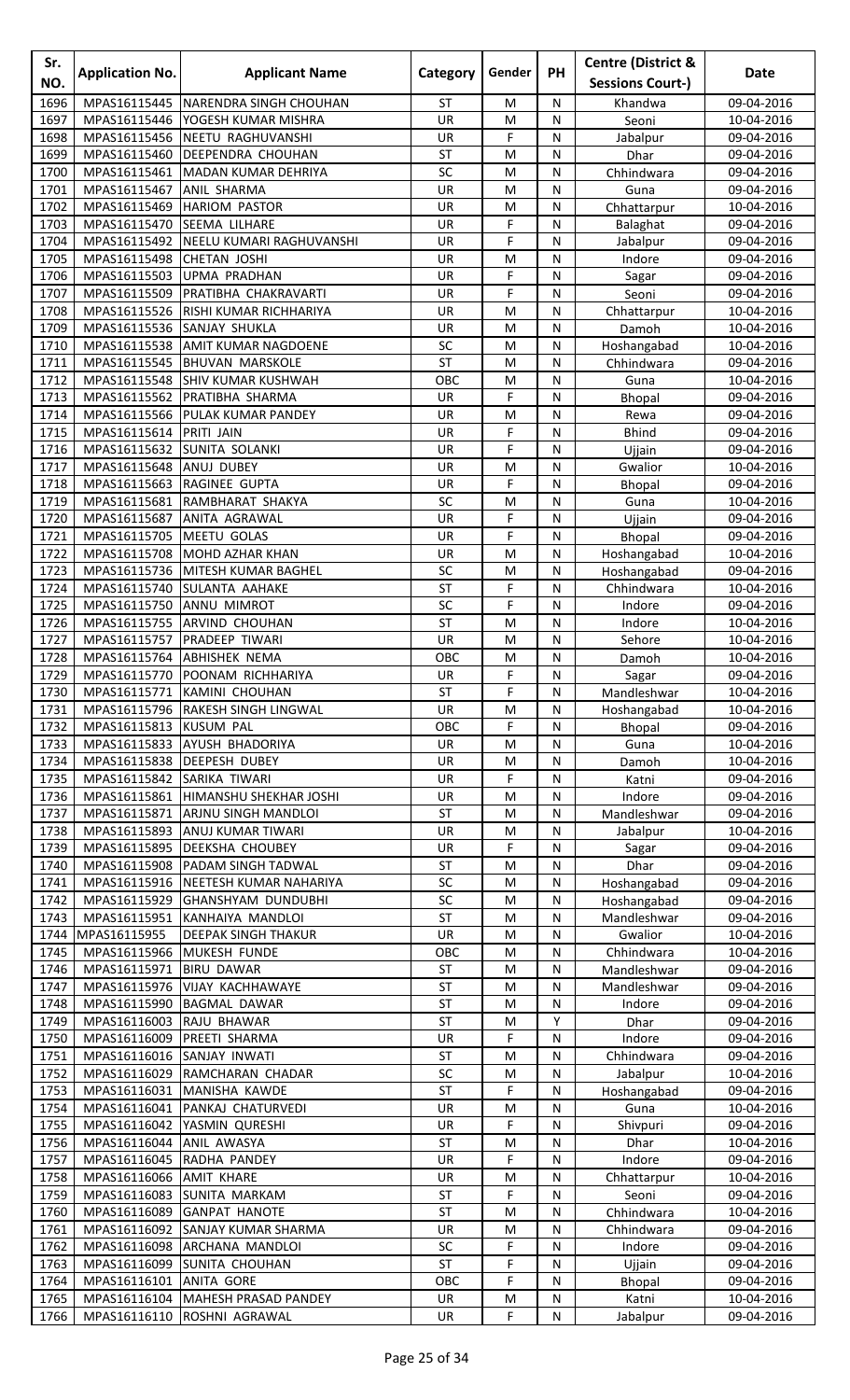| Sr.<br>NO.   | <b>Application No.</b>       | <b>Applicant Name</b>                       | Category  | Gender | PH             | <b>Centre (District &amp;</b><br><b>Sessions Court-)</b> | Date                     |
|--------------|------------------------------|---------------------------------------------|-----------|--------|----------------|----------------------------------------------------------|--------------------------|
| 1696         | MPAS16115445                 | NARENDRA SINGH CHOUHAN                      | <b>ST</b> | M      | N              | Khandwa                                                  | 09-04-2016               |
| 1697         | MPAS16115446                 | YOGESH KUMAR MISHRA                         | UR        | M      | N              | Seoni                                                    | 10-04-2016               |
| 1698         | MPAS16115456                 | NEETU RAGHUVANSHI                           | UR        | F      | N              | Jabalpur                                                 | 09-04-2016               |
| 1699         | MPAS16115460                 | <b>DEEPENDRA CHOUHAN</b>                    | <b>ST</b> | M      | ${\sf N}$      | Dhar                                                     | 09-04-2016               |
| 1700         | MPAS16115461                 | MADAN KUMAR DEHRIYA                         | SC        | M      | N              | Chhindwara                                               | 09-04-2016               |
| 1701         | MPAS16115467                 | <b>ANIL SHARMA</b>                          | <b>UR</b> | M      | N              | Guna                                                     | 09-04-2016               |
| 1702         | MPAS16115469                 | <b>HARIOM PASTOR</b>                        | <b>UR</b> | M      | N              | Chhattarpur                                              | 10-04-2016               |
| 1703         | MPAS16115470                 | <b>SEEMA LILHARE</b>                        | <b>UR</b> | F      | N              | Balaghat                                                 | 09-04-2016               |
| 1704         | MPAS16115492                 | NEELU KUMARI RAGHUVANSHI                    | UR        | F      | N              | Jabalpur                                                 | 09-04-2016               |
| 1705         | MPAS16115498                 | <b>CHETAN JOSHI</b>                         | UR<br>UR  | M<br>F | N              | Indore                                                   | 09-04-2016               |
| 1706<br>1707 | MPAS16115503<br>MPAS16115509 | <b>UPMA PRADHAN</b><br>PRATIBHA CHAKRAVARTI | UR        | F      | N<br>N         | Sagar<br>Seoni                                           | 09-04-2016<br>09-04-2016 |
| 1708         | MPAS16115526                 | RISHI KUMAR RICHHARIYA                      | <b>UR</b> | M      | N              | Chhattarpur                                              | 10-04-2016               |
| 1709         | MPAS16115536                 | SANJAY SHUKLA                               | UR        | M      | N              | Damoh                                                    | 10-04-2016               |
| 1710         | MPAS16115538                 | <b>AMIT KUMAR NAGDOENE</b>                  | SC        | M      | N              | Hoshangabad                                              | 10-04-2016               |
| 1711         | MPAS16115545                 | <b>BHUVAN MARSKOLE</b>                      | <b>ST</b> | M      | N              | Chhindwara                                               | 09-04-2016               |
| 1712         |                              | MPAS16115548 SHIV KUMAR KUSHWAH             | OBC       | M      | N              | Guna                                                     | 10-04-2016               |
| 1713         | MPAS16115562                 | PRATIBHA SHARMA                             | UR        | F      | N              | Bhopal                                                   | 09-04-2016               |
| 1714         | MPAS16115566                 | <b>PULAK KUMAR PANDEY</b>                   | <b>UR</b> | M      | N              | Rewa                                                     | 09-04-2016               |
| 1715         | MPAS16115614                 | <b>PRITI JAIN</b>                           | UR        | F      | N              | <b>Bhind</b>                                             | 09-04-2016               |
| 1716         | MPAS16115632                 | <b>SUNITA SOLANKI</b>                       | UR        | F      | N              | Ujjain                                                   | 09-04-2016               |
| 1717         | MPAS16115648                 | ANUJ DUBEY                                  | UR        | M      | N              | Gwalior                                                  | 10-04-2016               |
| 1718<br>1719 | MPAS16115663<br>MPAS16115681 | RAGINEE GUPTA<br>RAMBHARAT SHAKYA           | UR<br>SC  | F<br>M | ${\sf N}$<br>N | <b>Bhopal</b>                                            | 09-04-2016               |
| 1720         | MPAS16115687                 | <b>ANITA AGRAWAL</b>                        | <b>UR</b> | F      | N              | Guna<br>Ujjain                                           | 10-04-2016<br>09-04-2016 |
| 1721         | MPAS16115705                 | <b>MEETU GOLAS</b>                          | <b>UR</b> | F      | N              | Bhopal                                                   | 09-04-2016               |
| 1722         | MPAS16115708                 | <b>MOHD AZHAR KHAN</b>                      | UR        | M      | N              | Hoshangabad                                              | 10-04-2016               |
| 1723         | MPAS16115736                 | MITESH KUMAR BAGHEL                         | SC        | M      | N              | Hoshangabad                                              | 09-04-2016               |
| 1724         | MPAS16115740                 | SULANTA AAHAKE                              | <b>ST</b> | F      | ${\sf N}$      | Chhindwara                                               | 10-04-2016               |
| 1725         | MPAS16115750                 | <b>ANNU MIMROT</b>                          | SC        | F      | N              | Indore                                                   | 09-04-2016               |
| 1726         | MPAS16115755                 | <b>ARVIND CHOUHAN</b>                       | <b>ST</b> | M      | N              | Indore                                                   | 10-04-2016               |
| 1727         | MPAS16115757                 | <b>PRADEEP TIWARI</b>                       | <b>UR</b> | M      | N              | Sehore                                                   | 10-04-2016               |
| 1728         |                              | MPAS16115764 ABHISHEK NEMA                  | OBC       | M      | N              | Damoh                                                    | 10-04-2016               |
| 1729         |                              | MPAS16115770 POONAM RICHHARIYA              | UR        | F      | ${\sf N}$      | Sagar                                                    | 09-04-2016               |
| 1730         |                              | MPAS16115771 KAMINI CHOUHAN                 | <b>ST</b> | F      | N              | Mandleshwar                                              | 10-04-2016               |
| 1731<br>1732 | MPAS16115813 KUSUM PAL       | MPAS16115796 RAKESH SINGH LINGWAL           | UR<br>OBC | M<br>F | N<br>N         | Hoshangabad                                              | 10-04-2016               |
| 1733         | MPAS16115833                 | <b>AYUSH BHADORIYA</b>                      | <b>UR</b> | M      | N              | Bhopal<br>Guna                                           | 09-04-2016<br>10-04-2016 |
| 1734         | MPAS16115838                 | <b>DEEPESH DUBEY</b>                        | UR        | M      | N              | Damoh                                                    | 10-04-2016               |
| 1735         | MPAS16115842 SARIKA TIWARI   |                                             | UR        | F      | N              | Katni                                                    | 09-04-2016               |
| 1736         | MPAS16115861                 | HIMANSHU SHEKHAR JOSHI                      | UR        | M      | N              | Indore                                                   | 09-04-2016               |
| 1737         | MPAS16115871                 | <b>ARJNU SINGH MANDLOI</b>                  | <b>ST</b> | M      | N              | Mandleshwar                                              | 09-04-2016               |
| 1738         | MPAS16115893                 | ANUJ KUMAR TIWARI                           | UR        | M      | N              | Jabalpur                                                 | 10-04-2016               |
| 1739         |                              | MPAS16115895 DEEKSHA CHOUBEY                | <b>UR</b> | F      | ${\sf N}$      | Sagar                                                    | 09-04-2016               |
| 1740         | MPAS16115908                 | <b>PADAM SINGH TADWAL</b>                   | <b>ST</b> | M      | N              | Dhar                                                     | 09-04-2016               |
| 1741         | MPAS16115916                 | NEETESH KUMAR NAHARIYA                      | SC        | M      | N              | Hoshangabad                                              | 09-04-2016               |
| 1742         |                              | MPAS16115929 GHANSHYAM DUNDUBHI             | SC        | M      | N              | Hoshangabad                                              | 09-04-2016               |
| 1743         | MPAS16115951                 | KANHAIYA MANDLOI                            | <b>ST</b> | M      | ${\sf N}$      | Mandleshwar                                              | 09-04-2016               |
| 1744<br>1745 | MPAS16115955<br>MPAS16115966 | DEEPAK SINGH THAKUR<br>MUKESH FUNDE         | UR<br>OBC | M<br>M | N<br>N         | Gwalior<br>Chhindwara                                    | 10-04-2016<br>10-04-2016 |
| 1746         | MPAS16115971                 | <b>BIRU DAWAR</b>                           | ST        | M      | N              | Mandleshwar                                              | 09-04-2016               |
| 1747         | MPAS16115976                 | <b>VIJAY KACHHAWAYE</b>                     | ST        | M      | N              | Mandleshwar                                              | 09-04-2016               |
| 1748         | MPAS16115990                 | <b>BAGMAL DAWAR</b>                         | <b>ST</b> | M      | N              | Indore                                                   | 09-04-2016               |
| 1749         | MPAS16116003                 | RAJU BHAWAR                                 | <b>ST</b> | M      | Υ              | Dhar                                                     | 09-04-2016               |
| 1750         | MPAS16116009                 | PREETI SHARMA                               | UR        | F      | N              | Indore                                                   | 09-04-2016               |
| 1751         | MPAS16116016 SANJAY INWATI   |                                             | <b>ST</b> | M      | N              | Chhindwara                                               | 09-04-2016               |
| 1752         | MPAS16116029                 | RAMCHARAN CHADAR                            | SC        | M      | N              | Jabalpur                                                 | 10-04-2016               |
| 1753         | MPAS16116031                 | MANISHA KAWDE                               | <b>ST</b> | F      | N              | Hoshangabad                                              | 09-04-2016               |
| 1754         | MPAS16116041                 | PANKAJ CHATURVEDI                           | UR        | M      | N              | Guna                                                     | 10-04-2016               |
| 1755         | MPAS16116042                 | YASMIN QURESHI                              | UR        | F      | N              | Shivpuri                                                 | 09-04-2016               |
| 1756         | MPAS16116044                 | <b>ANIL AWASYA</b>                          | <b>ST</b> | M      | N              | Dhar                                                     | 10-04-2016               |
| 1757<br>1758 | MPAS16116045<br>MPAS16116066 | RADHA PANDEY<br><b>AMIT KHARE</b>           | UR<br>UR  | F<br>M | N<br>N         | Indore                                                   | 09-04-2016<br>10-04-2016 |
| 1759         | MPAS16116083                 | <b>SUNITA MARKAM</b>                        | ST        | F      | N              | Chhattarpur<br>Seoni                                     | 09-04-2016               |
| 1760         |                              | MPAS16116089 GANPAT HANOTE                  | <b>ST</b> | M      | N              | Chhindwara                                               | 10-04-2016               |
| 1761         |                              | MPAS16116092 SANJAY KUMAR SHARMA            | UR        | M      | N              | Chhindwara                                               | 09-04-2016               |
| 1762         |                              | MPAS16116098 ARCHANA MANDLOI                | SC        | F      | ${\sf N}$      | Indore                                                   | 09-04-2016               |
| 1763         | MPAS16116099                 | <b>SUNITA CHOUHAN</b>                       | <b>ST</b> | F      | N              | Ujjain                                                   | 09-04-2016               |
| 1764         | MPAS16116101 ANITA GORE      |                                             | OBC       | F      | N              | <b>Bhopal</b>                                            | 09-04-2016               |
|              |                              | 1765   MPAS16116104 MAHESH PRASAD PANDEY    | UR        | M      | ${\sf N}$      | Katni                                                    | 10-04-2016               |
| 1766         |                              | MPAS16116110 ROSHNI AGRAWAL                 | UR        | F      | N              | Jabalpur                                                 | 09-04-2016               |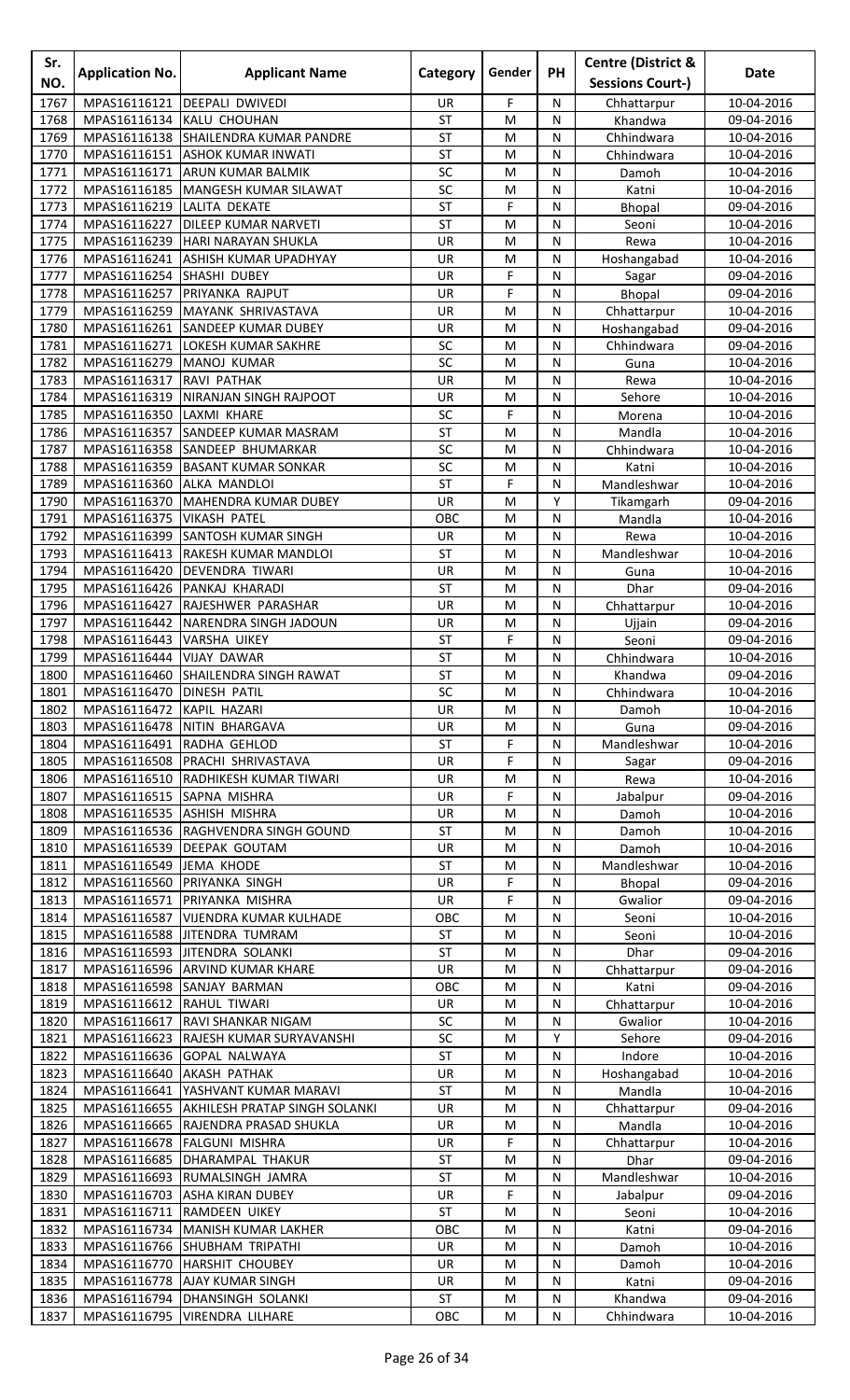| Sr.          | <b>Application No.</b>                    | <b>Applicant Name</b>                               | Category                 | Gender    | <b>PH</b>      | <b>Centre (District &amp;</b> | <b>Date</b>              |
|--------------|-------------------------------------------|-----------------------------------------------------|--------------------------|-----------|----------------|-------------------------------|--------------------------|
| NO.          |                                           |                                                     |                          |           |                | <b>Sessions Court-)</b>       |                          |
| 1767         | MPAS16116121                              | DEEPALI DWIVEDI                                     | UR.                      | F         | N              | Chhattarpur                   | 10-04-2016               |
| 1768         | MPAS16116134                              | KALU CHOUHAN                                        | <b>ST</b>                | M         | N              | Khandwa                       | 09-04-2016               |
| 1769         |                                           | MPAS16116138 SHAILENDRA KUMAR PANDRE                | <b>ST</b>                | M         | N              | Chhindwara                    | 10-04-2016               |
| 1770         | MPAS16116151                              | <b>ASHOK KUMAR INWATI</b>                           | <b>ST</b>                | M         | ${\sf N}$      | Chhindwara                    | 10-04-2016               |
| 1771<br>1772 | MPAS16116171<br>MPAS16116185              | <b>ARUN KUMAR BALMIK</b><br>MANGESH KUMAR SILAWAT   | SC<br>SC                 | M<br>M    | N<br>N         | Damoh<br>Katni                | 10-04-2016               |
| 1773         | MPAS16116219                              | LALITA DEKATE                                       | <b>ST</b>                | F         | N              | Bhopal                        | 10-04-2016<br>09-04-2016 |
| 1774         | MPAS16116227                              | <b>DILEEP KUMAR NARVETI</b>                         | <b>ST</b>                | M         | N              | Seoni                         | 10-04-2016               |
| 1775         | MPAS16116239                              | <b>HARI NARAYAN SHUKLA</b>                          | UR                       | M         | N              | Rewa                          | 10-04-2016               |
| 1776         | MPAS16116241                              | <b>ASHISH KUMAR UPADHYAY</b>                        | UR                       | M         | ${\sf N}$      | Hoshangabad                   | 10-04-2016               |
| 1777         | MPAS16116254                              | SHASHI DUBEY                                        | UR                       | F         | N              | Sagar                         | 09-04-2016               |
| 1778         | MPAS16116257                              | PRIYANKA RAJPUT                                     | UR                       | F         | N              | Bhopal                        | 09-04-2016               |
| 1779         | MPAS16116259                              | MAYANK SHRIVASTAVA                                  | <b>UR</b>                | M         | N              | Chhattarpur                   | 10-04-2016               |
| 1780         | MPAS16116261                              | <b>SANDEEP KUMAR DUBEY</b>                          | UR                       | M         | N              | Hoshangabad                   | 09-04-2016               |
| 1781<br>1782 | MPAS16116271<br>MPAS16116279              | LOKESH KUMAR SAKHRE<br>MANOJ KUMAR                  | SC<br>SC                 | M<br>M    | N              | Chhindwara                    | 09-04-2016               |
| 1783         | MPAS16116317                              | RAVI PATHAK                                         | UR                       | M         | N<br>N         | Guna<br>Rewa                  | 10-04-2016<br>10-04-2016 |
| 1784         | MPAS16116319                              | NIRANJAN SINGH RAJPOOT                              | UR                       | M         | N              | Sehore                        | 10-04-2016               |
| 1785         | MPAS16116350                              | LAXMI KHARE                                         | SC                       | F         | N              | Morena                        | 10-04-2016               |
| 1786         | MPAS16116357                              | <b>SANDEEP KUMAR MASRAM</b>                         | <b>ST</b>                | M         | N              | Mandla                        | 10-04-2016               |
| 1787         | MPAS16116358                              | <b>SANDEEP BHUMARKAR</b>                            | SC                       | M         | N              | Chhindwara                    | 10-04-2016               |
| 1788         | MPAS16116359                              | <b>BASANT KUMAR SONKAR</b>                          | <b>SC</b>                | M         | N              | Katni                         | 10-04-2016               |
| 1789         | MPAS16116360                              | <b>ALKA MANDLOI</b>                                 | <b>ST</b>                | F         | ${\sf N}$      | Mandleshwar                   | 10-04-2016               |
| 1790         | MPAS16116370                              | MAHENDRA KUMAR DUBEY                                | UR                       | M         | Y              | Tikamgarh                     | 09-04-2016               |
| 1791         | MPAS16116375                              | <b>VIKASH PATEL</b>                                 | OBC                      | M         | N              | Mandla                        | 10-04-2016               |
| 1792         | MPAS16116399                              | SANTOSH KUMAR SINGH                                 | UR                       | M         | N              | Rewa                          | 10-04-2016               |
| 1793         | MPAS16116413                              | RAKESH KUMAR MANDLOI                                | <b>ST</b>                | M         | N              | Mandleshwar                   | 10-04-2016               |
| 1794<br>1795 | MPAS16116420<br>MPAS16116426              | DEVENDRA TIWARI<br>PANKAJ KHARADI                   | UR<br><b>ST</b>          | M<br>M    | N<br>${\sf N}$ | Guna<br>Dhar                  | 10-04-2016<br>09-04-2016 |
| 1796         | MPAS16116427                              | RAJESHWER PARASHAR                                  | UR                       | M         | N              | Chhattarpur                   | 10-04-2016               |
| 1797         | MPAS16116442                              | NARENDRA SINGH JADOUN                               | UR                       | M         | N              | Ujjain                        | 09-04-2016               |
| 1798         | MPAS16116443                              | <b>VARSHA UIKEY</b>                                 | <b>ST</b>                | F         | N              | Seoni                         | 09-04-2016               |
| 1799         | MPAS16116444                              | <b>VIJAY DAWAR</b>                                  | <b>ST</b>                | M         | N              | Chhindwara                    | 10-04-2016               |
| 1800         |                                           | MPAS16116460 SHAILENDRA SINGH RAWAT                 | $\overline{\mathsf{ST}}$ | M         | ${\sf N}$      | Khandwa                       | 09-04-2016               |
| 1801         | MPAS16116470 DINESH PATIL                 |                                                     | SC                       | M         | N              | Chhindwara                    | 10-04-2016               |
| 1802         | MPAS16116472                              | KAPIL HAZARI                                        | UR                       | M         | N              | Damoh                         | 10-04-2016               |
| 1803         | MPAS16116478                              | NITIN BHARGAVA                                      | UR                       | M         | N              | Guna                          | 09-04-2016               |
| 1804         | MPAS16116491                              | RADHA GEHLOD                                        | <b>ST</b>                | F         | N              | Mandleshwar                   | 10-04-2016               |
| 1805         | MPAS16116508                              | PRACHI SHRIVASTAVA                                  | UR                       | F         | N<br>N         | Sagar                         | 09-04-2016<br>10-04-2016 |
| 1806<br>1807 | MPAS16116510<br>MPAS16116515 SAPNA MISHRA | RADHIKESH KUMAR TIWARI                              | UR<br>UR                 | M<br>F    | N              | Rewa<br>Jabalpur              | 09-04-2016               |
| 1808         |                                           | MPAS16116535 ASHISH MISHRA                          | UR                       | M         | N              | Damoh                         | 10-04-2016               |
| 1809         |                                           | MPAS16116536 RAGHVENDRA SINGH GOUND                 | <b>ST</b>                | M         | N              | Damoh                         | 10-04-2016               |
| 1810         | MPAS16116539                              | <b>DEEPAK GOUTAM</b>                                | UR                       | M         | N              | Damoh                         | 10-04-2016               |
| 1811         | MPAS16116549                              | <b>JEMA KHODE</b>                                   | ST                       | M         | N              | Mandleshwar                   | 10-04-2016               |
| 1812         | MPAS16116560                              | <b>PRIYANKA SINGH</b>                               | UR                       | F         | N              | Bhopal                        | 09-04-2016               |
| 1813         | MPAS16116571                              | PRIYANKA MISHRA                                     | UR                       | F         | N              | Gwalior                       | 09-04-2016               |
| 1814         | MPAS16116587                              | <b>VIJENDRA KUMAR KULHADE</b>                       | OBC                      | M         | ${\sf N}$      | Seoni                         | 10-04-2016               |
| 1815         | MPAS16116588                              | JITENDRA TUMRAM                                     | ST                       | M         | N              | Seoni                         | 10-04-2016               |
| 1816<br>1817 | MPAS16116593                              | JITENDRA SOLANKI<br>MPAS16116596 ARVIND KUMAR KHARE | ST<br>UR                 | M<br>M    | N<br>N         | Dhar                          | 09-04-2016<br>09-04-2016 |
| 1818         |                                           | MPAS16116598 SANJAY BARMAN                          | OBC                      | M         | N              | Chhattarpur<br>Katni          | 09-04-2016               |
| 1819         | MPAS16116612 RAHUL TIWARI                 |                                                     | UR                       | M         | N              | Chhattarpur                   | 10-04-2016               |
| 1820         | MPAS16116617                              | <b>RAVI SHANKAR NIGAM</b>                           | SC                       | ${\sf M}$ | ${\sf N}$      | Gwalior                       | 10-04-2016               |
| 1821         | MPAS16116623                              | RAJESH KUMAR SURYAVANSHI                            | SC                       | M         | Υ              | Sehore                        | 09-04-2016               |
| 1822         | MPAS16116636                              | <b>GOPAL NALWAYA</b>                                | ST                       | M         | N              | Indore                        | 10-04-2016               |
| 1823         | MPAS16116640                              | <b>AKASH PATHAK</b>                                 | UR                       | M         | N              | Hoshangabad                   | 10-04-2016               |
| 1824         | MPAS16116641                              | YASHVANT KUMAR MARAVI                               | ST                       | M         | N              | Mandla                        | 10-04-2016               |
| 1825         | MPAS16116655                              | <b>AKHILESH PRATAP SINGH SOLANKI</b>                | UR                       | M         | N              | Chhattarpur                   | 09-04-2016               |
| 1826         |                                           | MPAS16116665 RAJENDRA PRASAD SHUKLA                 | UR                       | M         | N              | Mandla                        | 10-04-2016               |
| 1827         | MPAS16116678                              | <b>FALGUNI MISHRA</b>                               | UR<br><b>ST</b>          | F         | N              | Chhattarpur                   | 10-04-2016               |
| 1828<br>1829 | MPAS16116685<br>MPAS16116693              | DHARAMPAL THAKUR<br>RUMALSINGH JAMRA                | <b>ST</b>                | M<br>M    | N<br>N         | <b>Dhar</b><br>Mandleshwar    | 09-04-2016<br>10-04-2016 |
| 1830         | MPAS16116703                              | <b>ASHA KIRAN DUBEY</b>                             | UR                       | F         | N              | Jabalpur                      | 09-04-2016               |
| 1831         | MPAS16116711                              | <b>RAMDEEN UIKEY</b>                                | <b>ST</b>                | M         | N              | Seoni                         | 10-04-2016               |
| 1832         | MPAS16116734                              | MANISH KUMAR LAKHER                                 | OBC                      | M         | N              | Katni                         | 09-04-2016               |
| 1833         |                                           | MPAS16116766 SHUBHAM TRIPATHI                       | UR                       | M         | ${\sf N}$      | Damoh                         | 10-04-2016               |
| 1834         | MPAS16116770                              | <b>HARSHIT CHOUBEY</b>                              | UR                       | M         | N              | Damoh                         | 10-04-2016               |
| 1835         |                                           | MPAS16116778   AJAY KUMAR SINGH                     | UR                       | M         | N              | Katni                         | 09-04-2016               |
| 1836         |                                           | MPAS16116794 DHANSINGH SOLANKI                      | ST                       | ${\sf M}$ | ${\sf N}$      | Khandwa                       | 09-04-2016               |
| 1837         |                                           | MPAS16116795 VIRENDRA LILHARE                       | OBC                      | M         | N              | Chhindwara                    | 10-04-2016               |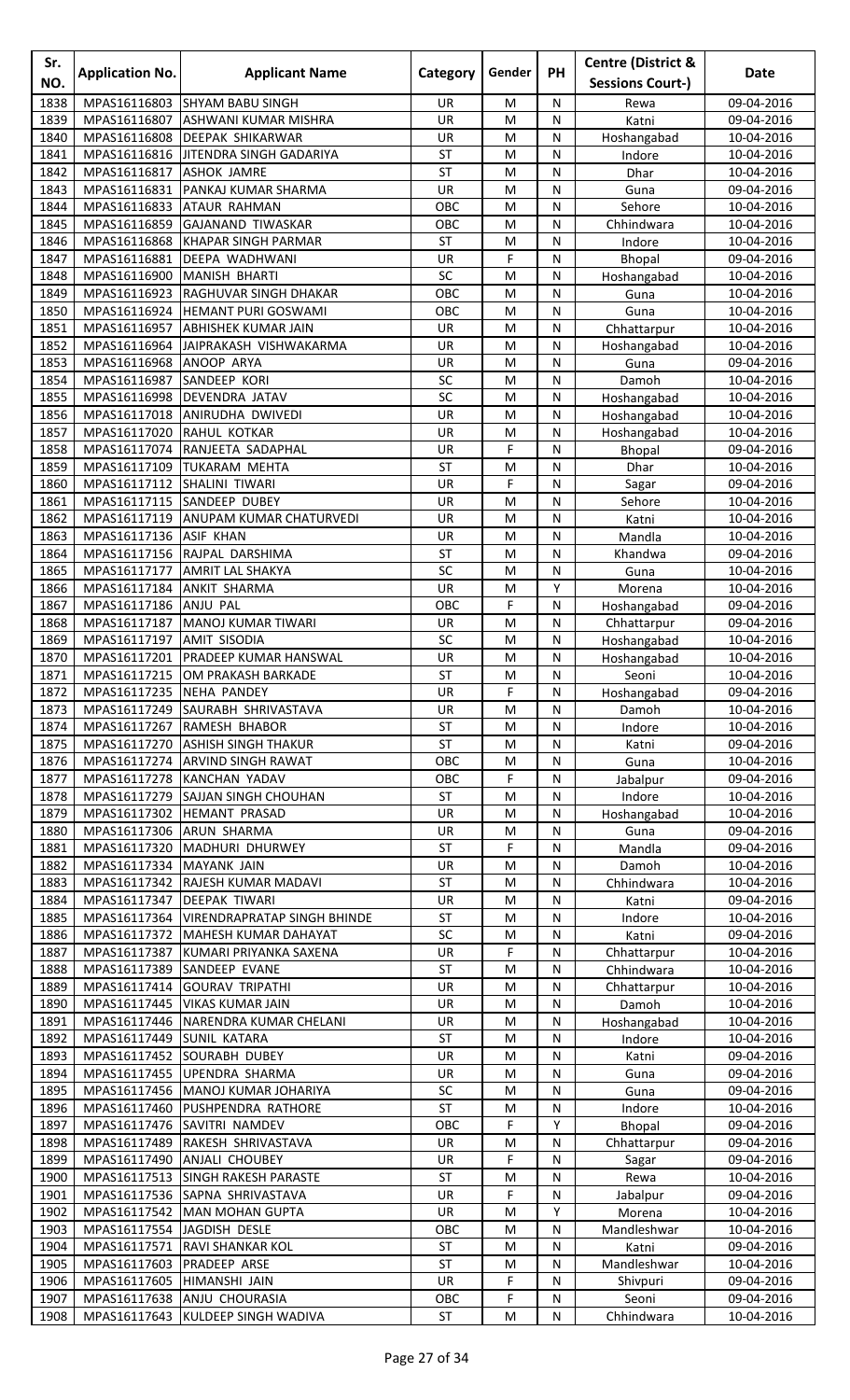| Sr.<br>NO.   | <b>Application No.</b>       | <b>Applicant Name</b>                                    | Category         | Gender      | <b>PH</b>      | <b>Centre (District &amp;</b><br><b>Sessions Court-)</b> | <b>Date</b>              |
|--------------|------------------------------|----------------------------------------------------------|------------------|-------------|----------------|----------------------------------------------------------|--------------------------|
| 1838         | MPAS16116803                 | <b>SHYAM BABU SINGH</b>                                  | UR.              | M           | N              | Rewa                                                     | 09-04-2016               |
| 1839         | MPAS16116807                 | <b>ASHWANI KUMAR MISHRA</b>                              | UR               | M           | N              | Katni                                                    | 09-04-2016               |
| 1840         | MPAS16116808                 | <b>DEEPAK SHIKARWAR</b>                                  | UR               | M           | N              | Hoshangabad                                              | 10-04-2016               |
| 1841         |                              | MPAS16116816 JITENDRA SINGH GADARIYA                     | <b>ST</b>        | M           | ${\sf N}$      | Indore                                                   | 10-04-2016               |
| 1842         | MPAS16116817<br>MPAS16116831 | <b>ASHOK JAMRE</b>                                       | <b>ST</b>        | M           | N<br>N         | Dhar                                                     | 10-04-2016               |
| 1843<br>1844 | MPAS16116833                 | PANKAJ KUMAR SHARMA<br><b>ATAUR RAHMAN</b>               | UR<br>OBC        | M<br>M      | N              | Guna<br>Sehore                                           | 09-04-2016<br>10-04-2016 |
| 1845         | MPAS16116859                 | <b>GAJANAND TIWASKAR</b>                                 | OBC              | M           | N              | Chhindwara                                               | 10-04-2016               |
| 1846         | MPAS16116868                 | <b>KHAPAR SINGH PARMAR</b>                               | <b>ST</b>        | M           | N              | Indore                                                   | 10-04-2016               |
| 1847         | MPAS16116881                 | <b>DEEPA WADHWANI</b>                                    | UR               | F           | ${\sf N}$      | Bhopal                                                   | 09-04-2016               |
| 1848         | MPAS16116900                 | MANISH BHARTI                                            | SC               | M           | N              | Hoshangabad                                              | 10-04-2016               |
| 1849         | MPAS16116923                 | RAGHUVAR SINGH DHAKAR                                    | OBC              | M           | N              | Guna                                                     | 10-04-2016               |
| 1850<br>1851 | MPAS16116924<br>MPAS16116957 | <b>HEMANT PURI GOSWAMI</b><br><b>ABHISHEK KUMAR JAIN</b> | OBC<br>UR        | M<br>M      | N<br>N         | Guna<br>Chhattarpur                                      | 10-04-2016<br>10-04-2016 |
| 1852         | MPAS16116964                 | JAIPRAKASH VISHWAKARMA                                   | UR               | M           | N              | Hoshangabad                                              | 10-04-2016               |
| 1853         | MPAS16116968                 | ANOOP ARYA                                               | UR               | M           | N              | Guna                                                     | 09-04-2016               |
| 1854         | MPAS16116987                 | SANDEEP KORI                                             | SC               | M           | N              | Damoh                                                    | 10-04-2016               |
| 1855         | MPAS16116998                 | DEVENDRA JATAV                                           | SC               | M           | N              | Hoshangabad                                              | 10-04-2016               |
| 1856         | MPAS16117018                 | <b>ANIRUDHA DWIVEDI</b>                                  | UR               | M           | N              | Hoshangabad                                              | 10-04-2016               |
| 1857         | MPAS16117020                 | RAHUL KOTKAR                                             | UR               | M           | N              | Hoshangabad                                              | 10-04-2016               |
| 1858<br>1859 | MPAS16117074<br>MPAS16117109 | RANJEETA SADAPHAL<br><b>TUKARAM MEHTA</b>                | UR<br><b>ST</b>  | F<br>M      | N<br>N         | Bhopal<br>Dhar                                           | 09-04-2016<br>10-04-2016 |
| 1860         | MPAS16117112                 | SHALINI TIWARI                                           | UR               | F           | ${\sf N}$      | Sagar                                                    | 09-04-2016               |
| 1861         | MPAS16117115                 | SANDEEP DUBEY                                            | UR               | M           | N              | Sehore                                                   | 10-04-2016               |
| 1862         | MPAS16117119                 | <b>ANUPAM KUMAR CHATURVEDI</b>                           | UR               | M           | N              | Katni                                                    | 10-04-2016               |
| 1863         | MPAS16117136                 | <b>ASIF KHAN</b>                                         | UR               | M           | N              | Mandla                                                   | 10-04-2016               |
| 1864         | MPAS16117156                 | RAJPAL DARSHIMA                                          | <b>ST</b>        | M           | N              | Khandwa                                                  | 09-04-2016               |
| 1865         | MPAS16117177<br>MPAS16117184 | <b>AMRIT LAL SHAKYA</b><br><b>ANKIT SHARMA</b>           | SC<br>UR         | M<br>M      | N<br>Υ         | Guna                                                     | 10-04-2016               |
| 1866<br>1867 | MPAS16117186                 | ANJU PAL                                                 | OBC              | F           | N              | Morena<br>Hoshangabad                                    | 10-04-2016<br>09-04-2016 |
| 1868         | MPAS16117187                 | MANOJ KUMAR TIWARI                                       | UR               | M           | N              | Chhattarpur                                              | 09-04-2016               |
| 1869         | MPAS16117197                 | <b>AMIT SISODIA</b>                                      | SC               | M           | N              | Hoshangabad                                              | 10-04-2016               |
| 1870         | MPAS16117201                 | <b>PRADEEP KUMAR HANSWAL</b>                             | UR               | M           | N              | Hoshangabad                                              | 10-04-2016               |
| 1871         |                              | MPAS16117215 OM PRAKASH BARKADE                          | <b>ST</b>        | M           | N              | Seoni                                                    | 10-04-2016               |
| 1872         | MPAS16117235 NEHA PANDEY     |                                                          | UR               | F           | N              | Hoshangabad                                              | 09-04-2016               |
| 1873<br>1874 | MPAS16117249                 | SAURABH SHRIVASTAVA<br>MPAS16117267 RAMESH BHABOR        | UR<br>ST         | M<br>M      | N<br>N         | Damoh<br>Indore                                          | 10-04-2016<br>10-04-2016 |
| 1875         | MPAS16117270                 | <b>ASHISH SINGH THAKUR</b>                               | <b>ST</b>        | M           | N              | Katni                                                    | 09-04-2016               |
| 1876         | MPAS16117274                 | <b>ARVIND SINGH RAWAT</b>                                | OBC              | M           | N              | Guna                                                     | 10-04-2016               |
| 1877         | MPAS16117278                 | KANCHAN YADAV                                            | OBC              | F           | N              | Jabalpur                                                 | 09-04-2016               |
| 1878         | MPAS16117279                 | <b>SAJJAN SINGH CHOUHAN</b>                              | <b>ST</b>        | ${\sf M}$   | N              | Indore                                                   | 10-04-2016               |
| 1879         | MPAS16117302                 | <b>HEMANT PRASAD</b>                                     | UR               | M           | N              | Hoshangabad                                              | 10-04-2016               |
| 1880         | MPAS16117306                 | <b>ARUN SHARMA</b>                                       | UR               | M           | N              | Guna                                                     | 09-04-2016               |
| 1881<br>1882 | MPAS16117320<br>MPAS16117334 | MADHURI DHURWEY<br><b>MAYANK JAIN</b>                    | ST<br>UR         | F<br>M      | N<br>N         | Mandla<br>Damoh                                          | 09-04-2016<br>10-04-2016 |
| 1883         | MPAS16117342                 | <b>RAJESH KUMAR MADAVI</b>                               | <b>ST</b>        | M           | N              | Chhindwara                                               | 10-04-2016               |
| 1884         | MPAS16117347 DEEPAK TIWARI   |                                                          | UR               | M           | N              | Katni                                                    | 09-04-2016               |
| 1885         | MPAS16117364                 | <b>VIRENDRAPRATAP SINGH BHINDE</b>                       | <b>ST</b>        | M           | ${\sf N}$      | Indore                                                   | 10-04-2016               |
| 1886         | MPAS16117372                 | MAHESH KUMAR DAHAYAT                                     | SC               | M           | N              | Katni                                                    | 09-04-2016               |
| 1887         | MPAS16117387                 | KUMARI PRIYANKA SAXENA                                   | UR               | F           | N              | Chhattarpur                                              | 10-04-2016               |
| 1888<br>1889 | MPAS16117389                 | <b>SANDEEP EVANE</b>                                     | <b>ST</b>        | M           | N              | Chhindwara                                               | 10-04-2016               |
| 1890         | MPAS16117414<br>MPAS16117445 | <b>GOURAV TRIPATHI</b><br><b>VIKAS KUMAR JAIN</b>        | UR<br>UR         | M<br>M      | N<br>N         | Chhattarpur<br>Damoh                                     | 10-04-2016<br>10-04-2016 |
| 1891         | MPAS16117446                 | NARENDRA KUMAR CHELANI                                   | UR               | ${\sf M}$   | ${\sf N}$      | Hoshangabad                                              | 10-04-2016               |
| 1892         | MPAS16117449                 | <b>SUNIL KATARA</b>                                      | <b>ST</b>        | M           | N              | Indore                                                   | 10-04-2016               |
| 1893         | MPAS16117452                 | SOURABH DUBEY                                            | UR               | M           | N              | Katni                                                    | 09-04-2016               |
| 1894         |                              | MPAS16117455 UPENDRA SHARMA                              | UR               | M           | N              | Guna                                                     | 09-04-2016               |
| 1895         | MPAS16117456                 | MANOJ KUMAR JOHARIYA                                     | SC               | M           | N              | Guna                                                     | 09-04-2016               |
| 1896         | MPAS16117460                 | <b>PUSHPENDRA RATHORE</b><br>MPAS16117476 SAVITRI NAMDEV | <b>ST</b><br>OBC | M<br>F      | N<br>Υ         | Indore                                                   | 10-04-2016               |
| 1897<br>1898 | MPAS16117489                 | RAKESH SHRIVASTAVA                                       | UR               | M           | N              | Bhopal<br>Chhattarpur                                    | 09-04-2016<br>09-04-2016 |
| 1899         | MPAS16117490                 | <b>ANJALI CHOUBEY</b>                                    | UR               | F           | N              | Sagar                                                    | 09-04-2016               |
| 1900         | MPAS16117513                 | SINGH RAKESH PARASTE                                     | <b>ST</b>        | M           | N              | Rewa                                                     | 10-04-2016               |
| 1901         | MPAS16117536                 | SAPNA SHRIVASTAVA                                        | UR               | F           | N              | Jabalpur                                                 | 09-04-2016               |
| 1902         | MPAS16117542                 | <b>MAN MOHAN GUPTA</b>                                   | UR               | M           | Υ              | Morena                                                   | 10-04-2016               |
| 1903         | MPAS16117554 JAGDISH DESLE   |                                                          | OBC              | M           | N              | Mandleshwar                                              | 10-04-2016               |
| 1904<br>1905 | MPAS16117571<br>MPAS16117603 | <b>RAVI SHANKAR KOL</b><br>PRADEEP ARSE                  | ST<br><b>ST</b>  | M<br>M      | ${\sf N}$<br>N | Katni<br>Mandleshwar                                     | 09-04-2016<br>10-04-2016 |
| 1906         | MPAS16117605 HIMANSHI JAIN   |                                                          | UR               | F           | N              | Shivpuri                                                 | 09-04-2016               |
|              |                              | 1907   MPAS16117638 ANJU CHOURASIA                       | OBC              | $\mathsf F$ | ${\sf N}$      | Seoni                                                    | 09-04-2016               |
| 1908         |                              | MPAS16117643 KULDEEP SINGH WADIVA                        | ST               | M           | N              | Chhindwara                                               | 10-04-2016               |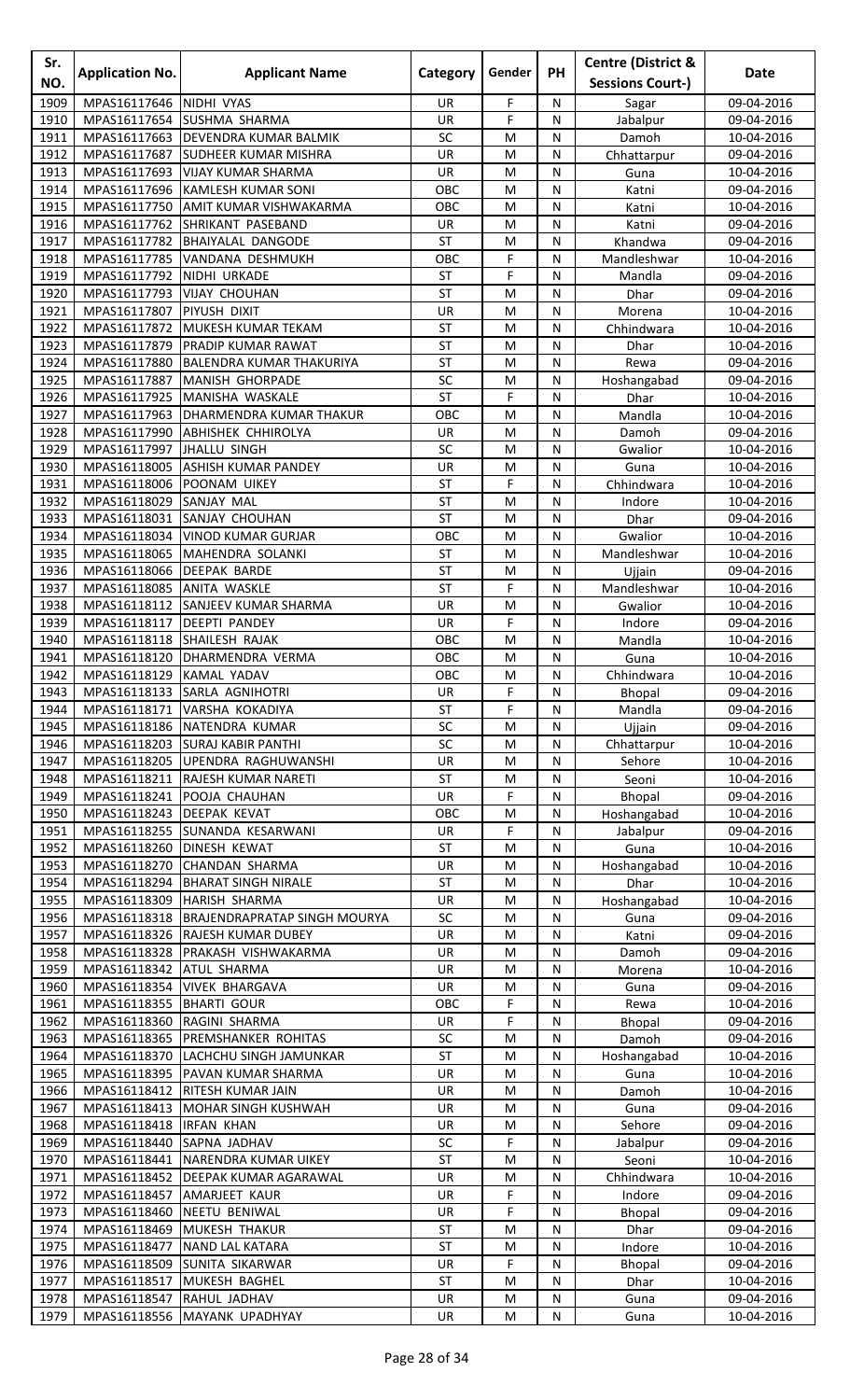| Sr.<br>NO.   | <b>Application No.</b>       | <b>Applicant Name</b>                       | Category               | Gender    | <b>PH</b>      | <b>Centre (District &amp;</b><br><b>Sessions Court-)</b> | Date                     |
|--------------|------------------------------|---------------------------------------------|------------------------|-----------|----------------|----------------------------------------------------------|--------------------------|
| 1909         | MPAS16117646                 | NIDHI VYAS                                  | UR                     | F         | N              | Sagar                                                    | 09-04-2016               |
| 1910         | MPAS16117654                 | <b>SUSHMA SHARMA</b>                        | UR                     | F         | N              | Jabalpur                                                 | 09-04-2016               |
| 1911         | MPAS16117663                 | DEVENDRA KUMAR BALMIK                       | SC                     | M         | ${\sf N}$      | Damoh                                                    | 10-04-2016               |
| 1912         | MPAS16117687                 | <b>SUDHEER KUMAR MISHRA</b>                 | UR                     | M         | N              | Chhattarpur                                              | 09-04-2016               |
| 1913         | MPAS16117693                 | <b>VIJAY KUMAR SHARMA</b>                   | UR                     | M         | N              | Guna                                                     | 10-04-2016               |
| 1914         | MPAS16117696                 | <b>KAMLESH KUMAR SONI</b>                   | OBC                    | M         | N              | Katni                                                    | 09-04-2016               |
| 1915         | MPAS16117750                 | <b>AMIT KUMAR VISHWAKARMA</b>               | OBC                    | M         | N              | Katni                                                    | 10-04-2016               |
| 1916         | MPAS16117762                 | SHRIKANT PASEBAND                           | UR                     | M         | N              | Katni                                                    | 09-04-2016               |
| 1917         | MPAS16117782                 | <b>BHAIYALAL DANGODE</b>                    | <b>ST</b><br>OBC       | M<br>F    | N              | Khandwa                                                  | 09-04-2016               |
| 1918<br>1919 | MPAS16117785<br>MPAS16117792 | VANDANA DESHMUKH<br>NIDHI URKADE            | ST                     | F         | N<br>N         | Mandleshwar<br>Mandla                                    | 10-04-2016<br>09-04-2016 |
| 1920         | MPAS16117793                 | <b>VIJAY CHOUHAN</b>                        | ST                     | M         | N              | <b>Dhar</b>                                              | 09-04-2016               |
| 1921         | MPAS16117807                 | PIYUSH DIXIT                                | UR                     | M         | N              | Morena                                                   | 10-04-2016               |
| 1922         | MPAS16117872                 | MUKESH KUMAR TEKAM                          | <b>ST</b>              | M         | N              | Chhindwara                                               | 10-04-2016               |
| 1923         | MPAS16117879                 | PRADIP KUMAR RAWAT                          | <b>ST</b>              | M         | N              | Dhar                                                     | 10-04-2016               |
| 1924         | MPAS16117880                 | <b>BALENDRA KUMAR THAKURIYA</b>             | <b>ST</b>              | M         | ${\sf N}$      | Rewa                                                     | 09-04-2016               |
| 1925         | MPAS16117887                 | MANISH GHORPADE                             | SC                     | M         | N              | Hoshangabad                                              | 09-04-2016               |
| 1926<br>1927 | MPAS16117925<br>MPAS16117963 | MANISHA WASKALE<br>DHARMENDRA KUMAR THAKUR  | <b>ST</b><br>OBC       | F<br>M    | N<br>N         | Dhar                                                     | 10-04-2016<br>10-04-2016 |
| 1928         | MPAS16117990                 | <b>ABHISHEK CHHIROLYA</b>                   | UR                     | M         | N              | Mandla<br>Damoh                                          | 09-04-2016               |
| 1929         | MPAS16117997                 | JHALLU SINGH                                | SC                     | M         | N              | Gwalior                                                  | 10-04-2016               |
| 1930         | MPAS16118005                 | ASHISH KUMAR PANDEY                         | UR                     | M         | N              | Guna                                                     | 10-04-2016               |
| 1931         | MPAS16118006                 | POONAM UIKEY                                | <b>ST</b>              | F         | N              | Chhindwara                                               | 10-04-2016               |
| 1932         | MPAS16118029                 | SANJAY MAL                                  | <b>ST</b>              | M         | N              | Indore                                                   | 10-04-2016               |
| 1933         | MPAS16118031                 | SANJAY CHOUHAN                              | <b>ST</b>              | M         | N              | Dhar                                                     | 09-04-2016               |
| 1934         | MPAS16118034                 | <b>VINOD KUMAR GURJAR</b>                   | OBC                    | M         | N              | Gwalior                                                  | 10-04-2016               |
| 1935         | MPAS16118065                 | MAHENDRA SOLANKI                            | <b>ST</b>              | M         | N              | Mandleshwar                                              | 10-04-2016               |
| 1936<br>1937 | MPAS16118066<br>MPAS16118085 | <b>DEEPAK BARDE</b><br><b>ANITA WASKLE</b>  | <b>ST</b><br><b>ST</b> | M<br>F    | ${\sf N}$<br>N | Ujjain<br>Mandleshwar                                    | 09-04-2016<br>10-04-2016 |
| 1938         | MPAS16118112                 | <b>SANJEEV KUMAR SHARMA</b>                 | UR                     | M         | N              | Gwalior                                                  | 10-04-2016               |
| 1939         | MPAS16118117                 | <b>DEEPTI PANDEY</b>                        | <b>UR</b>              | F         | N              | Indore                                                   | 09-04-2016               |
| 1940         | MPAS16118118                 | <b>SHAILESH RAJAK</b>                       | OBC                    | M         | N              | Mandla                                                   | 10-04-2016               |
| 1941         |                              | MPAS16118120 DHARMENDRA VERMA               | OBC                    | M         | N              | Guna                                                     | 10-04-2016               |
| 1942         | MPAS16118129 KAMAL YADAV     |                                             | OBC                    | M         | $\overline{N}$ | Chhindwara                                               | 10-04-2016               |
| 1943         |                              | MPAS16118133 SARLA AGNIHOTRI                | UR                     | F         | N              | Bhopal                                                   | 09-04-2016               |
| 1944         | MPAS16118171                 | VARSHA KOKADIYA                             | ST                     | F         | N              | Mandla                                                   | 09-04-2016               |
| 1945<br>1946 | MPAS16118186<br>MPAS16118203 | NATENDRA KUMAR<br><b>SURAJ KABIR PANTHI</b> | SC<br>SC               | M<br>M    | N<br>N         | Ujjain<br>Chhattarpur                                    | 09-04-2016<br>10-04-2016 |
| 1947         |                              | MPAS16118205 UPENDRA RAGHUWANSHI            | UR                     | M         | N              | Sehore                                                   | 10-04-2016               |
| 1948         | MPAS16118211                 | <b>RAJESH KUMAR NARETI</b>                  | ST                     | M         | N              | Seoni                                                    | 10-04-2016               |
| 1949         | MPAS16118241                 | POOJA CHAUHAN                               | UR                     | F         | ${\sf N}$      | Bhopal                                                   | 09-04-2016               |
| 1950         | MPAS16118243                 | <b>DEEPAK KEVAT</b>                         | OBC                    | M         | N              | Hoshangabad                                              | 10-04-2016               |
| 1951         | MPAS16118255                 | SUNANDA KESARWANI                           | <b>UR</b>              | F         | N              | Jabalpur                                                 | 09-04-2016               |
| 1952         | MPAS16118260                 | <b>DINESH KEWAT</b>                         | ST                     | M         | N              | Guna                                                     | 10-04-2016               |
| 1953<br>1954 | MPAS16118270                 | <b>CHANDAN SHARMA</b>                       | UR<br><b>ST</b>        | M<br>M    | N              | Hoshangabad                                              | 10-04-2016               |
| 1955         | MPAS16118294<br>MPAS16118309 | <b>BHARAT SINGH NIRALE</b><br>HARISH SHARMA | UR                     | M         | N<br>${\sf N}$ | Dhar<br>Hoshangabad                                      | 10-04-2016<br>10-04-2016 |
| 1956         | MPAS16118318                 | <b>BRAJENDRAPRATAP SINGH MOURYA</b>         | SC                     | M         | N              | Guna                                                     | 09-04-2016               |
| 1957         | MPAS16118326                 | <b>RAJESH KUMAR DUBEY</b>                   | UR                     | M         | N              | Katni                                                    | 09-04-2016               |
| 1958         | MPAS16118328                 | PRAKASH VISHWAKARMA                         | <b>UR</b>              | M         | N              | Damoh                                                    | 09-04-2016               |
| 1959         | MPAS16118342                 | <b>ATUL SHARMA</b>                          | UR                     | M         | N              | Morena                                                   | 10-04-2016               |
| 1960         | MPAS16118354                 | <b>VIVEK BHARGAVA</b>                       | UR                     | M         | N              | Guna                                                     | 09-04-2016               |
| 1961         | MPAS16118355 BHARTI GOUR     |                                             | OBC                    | F         | ${\sf N}$      | Rewa                                                     | 10-04-2016               |
| 1962<br>1963 | MPAS16118360<br>MPAS16118365 | RAGINI SHARMA<br>PREMSHANKER ROHITAS        | UR<br>SC               | F<br>M    | N<br>N         | Bhopal<br>Damoh                                          | 09-04-2016<br>09-04-2016 |
| 1964         | MPAS16118370                 | LACHCHU SINGH JAMUNKAR                      | ST                     | M         | N              | Hoshangabad                                              | 10-04-2016               |
| 1965         | MPAS16118395                 | PAVAN KUMAR SHARMA                          | UR                     | M         | N              | Guna                                                     | 10-04-2016               |
| 1966         | MPAS16118412                 | <b>RITESH KUMAR JAIN</b>                    | UR                     | M         | N              | Damoh                                                    | 10-04-2016               |
| 1967         | MPAS16118413                 | MOHAR SINGH KUSHWAH                         | UR                     | M         | N              | Guna                                                     | 09-04-2016               |
| 1968         | MPAS16118418                 | <b>IRFAN KHAN</b>                           | UR                     | M         | ${\sf N}$      | Sehore                                                   | 09-04-2016               |
| 1969         | MPAS16118440                 | SAPNA JADHAV                                | SC                     | F         | N              | Jabalpur                                                 | 09-04-2016               |
| 1970         | MPAS16118441                 | NARENDRA KUMAR UIKEY                        | <b>ST</b>              | M         | N              | Seoni                                                    | 10-04-2016               |
| 1971<br>1972 | MPAS16118452<br>MPAS16118457 | DEEPAK KUMAR AGARAWAL<br>AMARJEET KAUR      | UR<br>UR               | M<br>F    | N<br>N         | Chhindwara<br>Indore                                     | 10-04-2016<br>09-04-2016 |
| 1973         | MPAS16118460                 | NEETU BENIWAL                               | UR                     | F         | N              | Bhopal                                                   | 09-04-2016               |
| 1974         | MPAS16118469                 | MUKESH THAKUR                               | <b>ST</b>              | M         | ${\sf N}$      | Dhar                                                     | 09-04-2016               |
| 1975         | MPAS16118477                 | NAND LAL KATARA                             | <b>ST</b>              | M         | N              | Indore                                                   | 10-04-2016               |
| 1976         | MPAS16118509                 | <b>SUNITA SIKARWAR</b>                      | UR                     | F         | N              | <b>Bhopal</b>                                            | 09-04-2016               |
| 1977         |                              | MPAS16118517 MUKESH BAGHEL                  | <b>ST</b>              | M         | N              | Dhar                                                     | 10-04-2016               |
| 1978         | MPAS16118547 RAHUL JADHAV    |                                             | UR                     | ${\sf M}$ | N              | Guna                                                     | 09-04-2016               |
| 1979         |                              | MPAS16118556 MAYANK UPADHYAY                | UR                     | M         | N              | Guna                                                     | 10-04-2016               |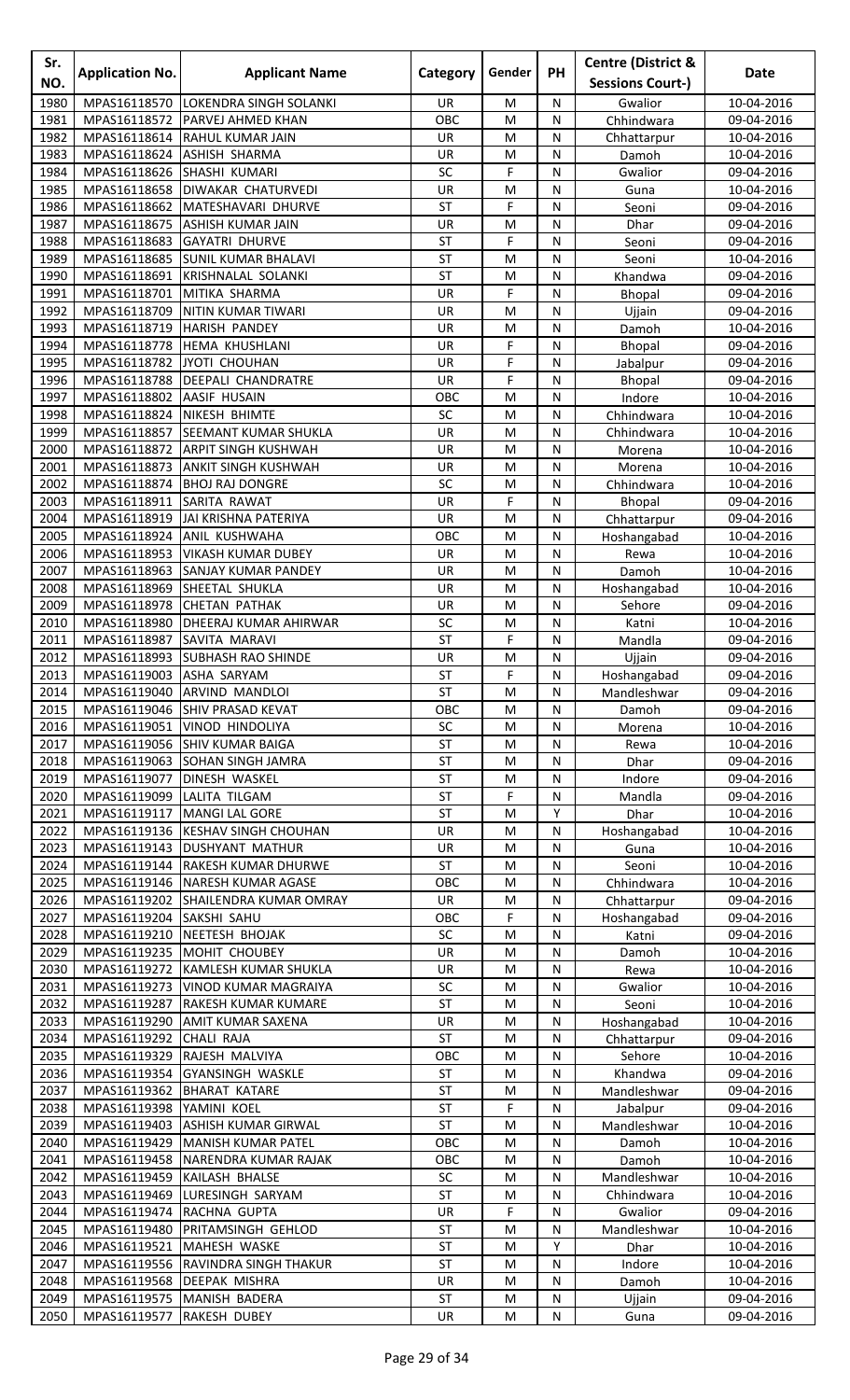| Sr.<br>NO.   | <b>Application No.</b>       | <b>Applicant Name</b>                                   | Category               | Gender  | PH             | <b>Centre (District &amp;</b><br><b>Sessions Court-)</b> | Date                     |
|--------------|------------------------------|---------------------------------------------------------|------------------------|---------|----------------|----------------------------------------------------------|--------------------------|
| 1980         | MPAS16118570                 | LOKENDRA SINGH SOLANKI                                  | <b>UR</b>              | M       | N              |                                                          | 10-04-2016               |
| 1981         | MPAS16118572                 | PARVEJ AHMED KHAN                                       | OBC                    | M       | N              | Gwalior<br>Chhindwara                                    | 09-04-2016               |
| 1982         | MPAS16118614                 | <b>RAHUL KUMAR JAIN</b>                                 | <b>UR</b>              | M       | N              | Chhattarpur                                              | 10-04-2016               |
| 1983         | MPAS16118624                 | <b>ASHISH SHARMA</b>                                    | UR                     | M       | ${\sf N}$      | Damoh                                                    | 10-04-2016               |
| 1984         | MPAS16118626                 | SHASHI KUMARI                                           | SC                     | F       | N              | Gwalior                                                  | 09-04-2016               |
| 1985         | MPAS16118658                 | <b>DIWAKAR CHATURVEDI</b>                               | <b>UR</b>              | M       | N              | Guna                                                     | 10-04-2016               |
| 1986         | MPAS16118662                 | MATESHAVARI DHURVE                                      | <b>ST</b>              | F       | N              | Seoni                                                    | 09-04-2016               |
| 1987         | MPAS16118675                 | <b>ASHISH KUMAR JAIN</b>                                | <b>UR</b>              | M       | N              | Dhar                                                     | 09-04-2016               |
| 1988         | MPAS16118683                 | <b>GAYATRI DHURVE</b>                                   | <b>ST</b>              | F       | N              | Seoni                                                    | 09-04-2016               |
| 1989         |                              | MPAS16118685 SUNIL KUMAR BHALAVI                        | <b>ST</b>              | M       | N              | Seoni                                                    | 10-04-2016               |
| 1990         | MPAS16118691                 | <b>KRISHNALAL SOLANKI</b>                               | <b>ST</b>              | M       | N              | Khandwa                                                  | 09-04-2016               |
| 1991         | MPAS16118701                 | MITIKA SHARMA                                           | UR                     | F       | N              | <b>Bhopal</b>                                            | 09-04-2016               |
| 1992<br>1993 | MPAS16118709                 | NITIN KUMAR TIWARI                                      | <b>UR</b>              | M       | N              | Ujjain                                                   | 09-04-2016               |
| 1994         | MPAS16118719<br>MPAS16118778 | <b>HARISH PANDEY</b><br>HEMA KHUSHLANI                  | UR<br>UR               | M<br>F  | N<br>N         | Damoh<br>Bhopal                                          | 10-04-2016<br>09-04-2016 |
| 1995         | MPAS16118782                 | JYOTI CHOUHAN                                           | UR                     | F       | N              | Jabalpur                                                 | 09-04-2016               |
| 1996         | MPAS16118788                 | <b>DEEPALI CHANDRATRE</b>                               | UR                     | F       | N              | Bhopal                                                   | 09-04-2016               |
| 1997         | MPAS16118802                 | <b>AASIF HUSAIN</b>                                     | OBC                    | M       | N              | Indore                                                   | 10-04-2016               |
| 1998         | MPAS16118824                 | <b>NIKESH BHIMTE</b>                                    | SC                     | M       | N              | Chhindwara                                               | 10-04-2016               |
| 1999         | MPAS16118857                 | <b>SEEMANT KUMAR SHUKLA</b>                             | UR                     | M       | N              | Chhindwara                                               | 10-04-2016               |
| 2000         | MPAS16118872                 | <b>ARPIT SINGH KUSHWAH</b>                              | UR                     | M       | N              | Morena                                                   | 10-04-2016               |
| 2001         | MPAS16118873                 | <b>ANKIT SINGH KUSHWAH</b>                              | <b>UR</b>              | M       | N              | Morena                                                   | 10-04-2016               |
| 2002         | MPAS16118874                 | <b>BHOJ RAJ DONGRE</b>                                  | SC                     | M       | N              | Chhindwara                                               | 10-04-2016               |
| 2003         | MPAS16118911                 | SARITA RAWAT                                            | UR                     | F       | N              | <b>Bhopal</b>                                            | 09-04-2016               |
| 2004         | MPAS16118919                 | JAI KRISHNA PATERIYA                                    | <b>UR</b>              | M       | N              | Chhattarpur                                              | 09-04-2016               |
| 2005         | MPAS16118924                 | ANIL KUSHWAHA                                           | OBC                    | M       | N              | Hoshangabad                                              | 10-04-2016               |
| 2006<br>2007 | MPAS16118953<br>MPAS16118963 | <b>VIKASH KUMAR DUBEY</b><br><b>SANJAY KUMAR PANDEY</b> | UR<br>UR               | M<br>M  | N<br>N         | Rewa<br>Damoh                                            | 10-04-2016<br>10-04-2016 |
| 2008         | MPAS16118969                 | SHEETAL SHUKLA                                          | UR                     | M       | ${\sf N}$      | Hoshangabad                                              | 10-04-2016               |
| 2009         | MPAS16118978                 | <b>CHETAN PATHAK</b>                                    | UR                     | M       | N              | Sehore                                                   | 09-04-2016               |
| 2010         | MPAS16118980                 | <b>DHEERAJ KUMAR AHIRWAR</b>                            | SC                     | M       | N              | Katni                                                    | 10-04-2016               |
| 2011         | MPAS16118987                 | SAVITA MARAVI                                           | <b>ST</b>              | F       | N              | Mandla                                                   | 09-04-2016               |
| 2012         |                              | MPAS16118993 SUBHASH RAO SHINDE                         | <b>UR</b>              | M       | N              | Ujjain                                                   | 09-04-2016               |
| 2013         | MPAS16119003 ASHA SARYAM     |                                                         | <b>ST</b>              | F       | N              | Hoshangabad                                              | 09-04-2016               |
| 2014         |                              | MPAS16119040 ARVIND MANDLOI                             | <b>ST</b>              | M       | N              | Mandleshwar                                              | 09-04-2016               |
| 2015         |                              | MPAS16119046 SHIV PRASAD KEVAT                          | OBC                    | M       | N              | Damoh                                                    | 09-04-2016               |
| 2016         |                              | MPAS16119051 VINOD HINDOLIYA                            | SC                     | M       | N              | Morena                                                   | 10-04-2016               |
| 2017         |                              | MPAS16119056 SHIV KUMAR BAIGA                           | <b>ST</b>              | M       | N              | Rewa                                                     | 10-04-2016               |
| 2018<br>2019 | MPAS16119063<br>MPAS16119077 | <b>SOHAN SINGH JAMRA</b><br><b>DINESH WASKEL</b>        | <b>ST</b><br><b>ST</b> | M<br>M  | N<br>N         | Dhar<br>Indore                                           | 09-04-2016<br>09-04-2016 |
| 2020         | MPAS16119099                 | LALITA TILGAM                                           | <b>ST</b>              | F       | ${\sf N}$      | Mandla                                                   | 09-04-2016               |
| 2021         |                              | MPAS16119117   MANGI LAL GORE                           | <b>ST</b>              | M       | Υ              | Dhar                                                     | 10-04-2016               |
| 2022         |                              | MPAS16119136 KESHAV SINGH CHOUHAN                       | UR                     | M       | N              | Hoshangabad                                              | 10-04-2016               |
| 2023         |                              | MPAS16119143 DUSHYANT MATHUR                            | UR                     | M       | N              | Guna                                                     | 10-04-2016               |
| 2024         |                              | MPAS16119144 RAKESH KUMAR DHURWE                        | <b>ST</b>              | M       | N              | Seoni                                                    | 10-04-2016               |
| 2025         | MPAS16119146                 | <b>NARESH KUMAR AGASE</b>                               | OBC                    | M       | N              | Chhindwara                                               | 10-04-2016               |
| 2026         |                              | MPAS16119202 SHAILENDRA KUMAR OMRAY                     | UR                     | M       | N              | Chhattarpur                                              | 09-04-2016               |
| 2027         | MPAS16119204 SAKSHI SAHU     |                                                         | OBC                    | F       | ${\sf N}$      | Hoshangabad                                              | 09-04-2016               |
| 2028         | MPAS16119210                 | NEETESH BHOJAK                                          | SC                     | M       | N              | Katni                                                    | 09-04-2016               |
| 2029         | MPAS16119235                 | <b>MOHIT CHOUBEY</b>                                    | UR                     | M       | N              | Damoh                                                    | 10-04-2016               |
| 2030         |                              | MPAS16119272 KAMLESH KUMAR SHUKLA                       | UR                     | M       | N              | Rewa                                                     | 10-04-2016               |
| 2031<br>2032 | MPAS16119273                 | <b>VINOD KUMAR MAGRAIYA</b>                             | SC<br><b>ST</b>        | M       | N              | Gwalior                                                  | 10-04-2016               |
| 2033         | MPAS16119287<br>MPAS16119290 | <b>RAKESH KUMAR KUMARE</b><br><b>AMIT KUMAR SAXENA</b>  | UR                     | M<br>M  | N<br>${\sf N}$ | Seoni<br>Hoshangabad                                     | 10-04-2016<br>10-04-2016 |
| 2034         | MPAS16119292                 | <b>CHALI RAJA</b>                                       | <b>ST</b>              | M       | N              | Chhattarpur                                              | 09-04-2016               |
| 2035         | MPAS16119329                 | RAJESH MALVIYA                                          | OBC                    | M       | N              | Sehore                                                   | 10-04-2016               |
| 2036         | MPAS16119354                 | <b>GYANSINGH WASKLE</b>                                 | <b>ST</b>              | M       | N              | Khandwa                                                  | 09-04-2016               |
| 2037         | MPAS16119362                 | <b>BHARAT KATARE</b>                                    | <b>ST</b>              | M       | N              | Mandleshwar                                              | 09-04-2016               |
| 2038         | MPAS16119398                 | YAMINI KOEL                                             | <b>ST</b>              | F       | N              | Jabalpur                                                 | 09-04-2016               |
| 2039         | MPAS16119403                 | <b>ASHISH KUMAR GIRWAL</b>                              | <b>ST</b>              | M       | N              | Mandleshwar                                              | 10-04-2016               |
| 2040         | MPAS16119429                 | MANISH KUMAR PATEL                                      | OBC                    | M       | ${\sf N}$      | Damoh                                                    | 10-04-2016               |
| 2041         | MPAS16119458                 | NARENDRA KUMAR RAJAK                                    | OBC                    | M       | N              | Damoh                                                    | 10-04-2016               |
| 2042         | MPAS16119459                 | KAILASH BHALSE                                          | SC                     | M       | N              | Mandleshwar                                              | 10-04-2016               |
| 2043         | MPAS16119469                 | LURESINGH SARYAM                                        | <b>ST</b>              | M       | N              | Chhindwara                                               | 10-04-2016               |
| 2044<br>2045 | MPAS16119474                 | RACHNA GUPTA                                            | UR<br><b>ST</b>        | F       | N              | Gwalior                                                  | 09-04-2016               |
| 2046         | MPAS16119480<br>MPAS16119521 | PRITAMSINGH GEHLOD<br>MAHESH WASKE                      | <b>ST</b>              | M<br>M  | N<br>Y         | Mandleshwar<br>Dhar                                      | 10-04-2016<br>10-04-2016 |
| 2047         |                              | MPAS16119556 RAVINDRA SINGH THAKUR                      | <b>ST</b>              | M       | N              | Indore                                                   | 10-04-2016               |
| 2048         |                              | MPAS16119568 DEEPAK MISHRA                              | UR                     | M       | N              | Damoh                                                    | 10-04-2016               |
| 2049         |                              | MPAS16119575 MANISH BADERA                              | ST                     | $\sf M$ | ${\sf N}$      | Ujjain                                                   | 09-04-2016               |
| 2050         | MPAS16119577 RAKESH DUBEY    |                                                         | UR                     | M       | N              | Guna                                                     | 09-04-2016               |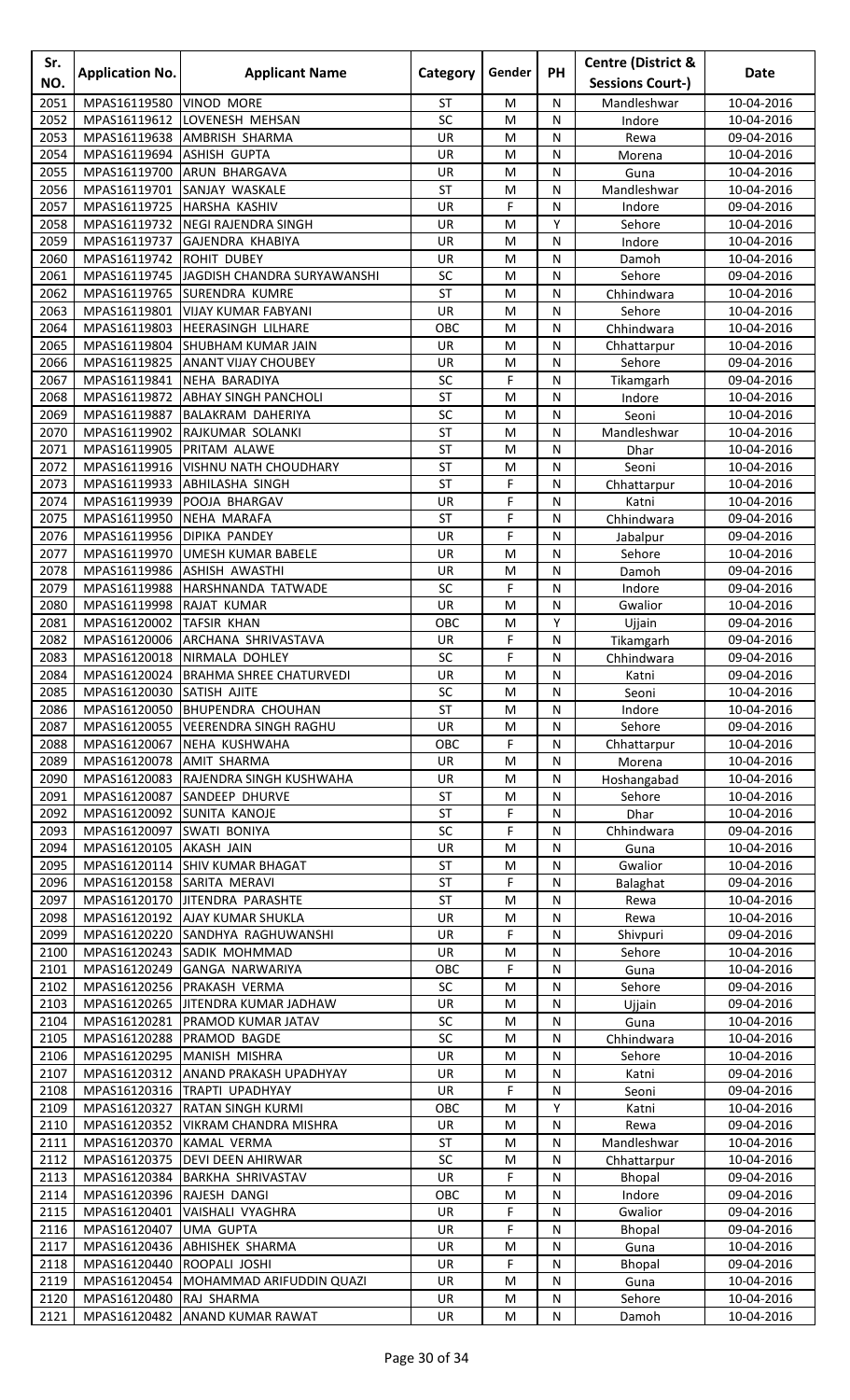| Sr.<br>NO.   | <b>Application No.</b>                                  | <b>Applicant Name</b>                                     | Category               | Gender | <b>PH</b>      | <b>Centre (District &amp;</b><br><b>Sessions Court-)</b> | Date                     |
|--------------|---------------------------------------------------------|-----------------------------------------------------------|------------------------|--------|----------------|----------------------------------------------------------|--------------------------|
| 2051         | MPAS16119580                                            | <b>VINOD MORE</b>                                         | ST                     | M      | N              | Mandleshwar                                              | 10-04-2016               |
| 2052         | MPAS16119612                                            | LOVENESH MEHSAN                                           | SC                     | M      | N              | Indore                                                   | 10-04-2016               |
| 2053         | MPAS16119638                                            | <b>AMBRISH SHARMA</b>                                     | UR                     | M      | N              | Rewa                                                     | 09-04-2016               |
| 2054         | MPAS16119694                                            | <b>ASHISH GUPTA</b>                                       | <b>UR</b>              | M      | N              | Morena                                                   | 10-04-2016               |
| 2055         | MPAS16119700                                            | ARUN BHARGAVA                                             | UR                     | M      | ${\sf N}$      | Guna                                                     | 10-04-2016               |
| 2056<br>2057 | MPAS16119701                                            | SANJAY WASKALE<br>MPAS16119725 HARSHA KASHIV              | ST<br><b>UR</b>        | M<br>F | N<br>N         | Mandleshwar<br>Indore                                    | 10-04-2016<br>09-04-2016 |
| 2058         |                                                         | MPAS16119732 NEGI RAJENDRA SINGH                          | <b>UR</b>              | M      | Υ              | Sehore                                                   | 10-04-2016               |
| 2059         | MPAS16119737                                            | <b>GAJENDRA KHABIYA</b>                                   | UR                     | M      | N              | Indore                                                   | 10-04-2016               |
| 2060         | MPAS16119742 ROHIT DUBEY                                |                                                           | UR                     | M      | N              | Damoh                                                    | 10-04-2016               |
| 2061         |                                                         | MPAS16119745 JAGDISH CHANDRA SURYAWANSHI                  | SC                     | M      | ${\sf N}$      | Sehore                                                   | 09-04-2016               |
| 2062         |                                                         | MPAS16119765 SURENDRA KUMRE                               | <b>ST</b>              | M      | N              | Chhindwara                                               | 10-04-2016               |
| 2063<br>2064 | MPAS16119801<br>MPAS16119803                            | <b>VIJAY KUMAR FABYANI</b><br><b>HEERASINGH LILHARE</b>   | UR<br>OBC              | M<br>M | N<br>N         | Sehore<br>Chhindwara                                     | 10-04-2016<br>10-04-2016 |
| 2065         | MPAS16119804                                            | <b>SHUBHAM KUMAR JAIN</b>                                 | <b>UR</b>              | M      | N              | Chhattarpur                                              | 10-04-2016               |
| 2066         | MPAS16119825                                            | <b>ANANT VIJAY CHOUBEY</b>                                | <b>UR</b>              | M      | N              | Sehore                                                   | 09-04-2016               |
| 2067         | MPAS16119841                                            | NEHA BARADIYA                                             | SC                     | F      | N              | Tikamgarh                                                | 09-04-2016               |
| 2068         | MPAS16119872                                            | <b>ABHAY SINGH PANCHOLI</b>                               | <b>ST</b>              | M      | N              | Indore                                                   | 10-04-2016               |
| 2069         | MPAS16119887                                            | <b>BALAKRAM DAHERIYA</b>                                  | SC                     | M      | N              | Seoni                                                    | 10-04-2016               |
| 2070<br>2071 | MPAS16119902<br>MPAS16119905                            | RAJKUMAR SOLANKI<br>PRITAM ALAWE                          | <b>ST</b><br>ST        | M<br>M | N<br>N         | Mandleshwar                                              | 10-04-2016<br>10-04-2016 |
| 2072         | MPAS16119916                                            | <b>VISHNU NATH CHOUDHARY</b>                              | ST                     | M      | N              | Dhar<br>Seoni                                            | 10-04-2016               |
| 2073         | MPAS16119933                                            | <b>ABHILASHA SINGH</b>                                    | <b>ST</b>              | F      | N              | Chhattarpur                                              | 10-04-2016               |
| 2074         | MPAS16119939                                            | POOJA BHARGAV                                             | UR                     | F      | N              | Katni                                                    | 10-04-2016               |
| 2075         | MPAS16119950                                            | <b>NEHA MARAFA</b>                                        | <b>ST</b>              | F      | N              | Chhindwara                                               | 09-04-2016               |
| 2076         | MPAS16119956                                            | <b>DIPIKA PANDEY</b>                                      | <b>UR</b>              | F      | N              | Jabalpur                                                 | 09-04-2016               |
| 2077         | MPAS16119970                                            | <b>UMESH KUMAR BABELE</b>                                 | UR                     | M      | N              | Sehore                                                   | 10-04-2016               |
| 2078<br>2079 | MPAS16119986<br>MPAS16119988                            | <b>ASHISH AWASTHI</b><br>HARSHNANDA TATWADE               | UR<br>SC               | M<br>F | N<br>N         | Damoh<br>Indore                                          | 09-04-2016<br>09-04-2016 |
| 2080         | MPAS16119998                                            | RAJAT KUMAR                                               | UR                     | M      | ${\sf N}$      | Gwalior                                                  | 10-04-2016               |
| 2081         | MPAS16120002                                            | <b>TAFSIR KHAN</b>                                        | OBC                    | M      | Υ              | Ujjain                                                   | 09-04-2016               |
| 2082         | MPAS16120006                                            | ARCHANA SHRIVASTAVA                                       | UR                     | F      | N              | Tikamgarh                                                | 09-04-2016               |
| 2083         |                                                         | MPAS16120018 NIRMALA DOHLEY                               | SC                     | F      | N              | Chhindwara                                               | 09-04-2016               |
| 2084         |                                                         | MPAS16120024 BRAHMA SHREE CHATURVEDI                      | UR                     | M      | N              | Katni                                                    | 09-04-2016               |
| 2085<br>2086 | MPAS16120030 SATISH AJITE                               | MPAS16120050 BHUPENDRA CHOUHAN                            | <b>SC</b><br><b>ST</b> | M<br>M | N<br>N         | Seoni<br>Indore                                          | 10-04-2016<br>10-04-2016 |
| 2087         |                                                         | MPAS16120055   VEERENDRA SINGH RAGHU                      | UR                     | M      | N              | Sehore                                                   | 09-04-2016               |
| 2088         | MPAS16120067                                            | NEHA KUSHWAHA                                             | OBC                    | F      | N              | Chhattarpur                                              | 10-04-2016               |
| 2089         | MPAS16120078                                            | <b>AMIT SHARMA</b>                                        | <b>UR</b>              | M      | N              | Morena                                                   | 10-04-2016               |
| 2090         | MPAS16120083                                            | RAJENDRA SINGH KUSHWAHA                                   | UR                     | M      | N              | Hoshangabad                                              | 10-04-2016               |
| 2091         | MPAS16120087                                            | <b>SANDEEP DHURVE</b>                                     | <b>ST</b>              | M      | N              | Sehore                                                   | 10-04-2016               |
| 2092<br>2093 | MPAS16120092 SUNITA KANOJE<br>MPAS16120097 SWATI BONIYA |                                                           | <b>ST</b><br>SC        | F<br>F | ${\sf N}$<br>N | Dhar<br>Chhindwara                                       | 10-04-2016<br>09-04-2016 |
| 2094         | MPAS16120105                                            | <b>AKASH JAIN</b>                                         | UR                     | M      | N              | Guna                                                     | 10-04-2016               |
| 2095         | MPAS16120114                                            | <b>SHIV KUMAR BHAGAT</b>                                  | <b>ST</b>              | M      | N              | Gwalior                                                  | 10-04-2016               |
| 2096         | MPAS16120158 SARITA MERAVI                              |                                                           | <b>ST</b>              | F      | N              | Balaghat                                                 | 09-04-2016               |
| 2097         |                                                         | MPAS16120170 JITENDRA PARASHTE                            | <b>ST</b>              | M      | N              | Rewa                                                     | 10-04-2016               |
| 2098         |                                                         | MPAS16120192 AJAY KUMAR SHUKLA                            | UR                     | M      | N              | Rewa                                                     | 10-04-2016               |
| 2099         |                                                         | MPAS16120220 SANDHYA RAGHUWANSHI                          | UR                     | F      | N              | Shivpuri                                                 | 09-04-2016               |
| 2100<br>2101 | MPAS16120243<br>MPAS16120249                            | <b>SADIK MOHMMAD</b><br><b>GANGA NARWARIYA</b>            | UR<br>OBC              | M<br>F | N<br>N         | Sehore<br>Guna                                           | 10-04-2016<br>10-04-2016 |
| 2102         | MPAS16120256                                            | <b>PRAKASH VERMA</b>                                      | SC                     | M      | N              | Sehore                                                   | 09-04-2016               |
| 2103         | MPAS16120265                                            | <b>JITENDRA KUMAR JADHAW</b>                              | UR                     | M      | N              | Ujjain                                                   | 09-04-2016               |
| 2104         | MPAS16120281                                            | <b>PRAMOD KUMAR JATAV</b>                                 | SC                     | M      | N              | Guna                                                     | 10-04-2016               |
| 2105         |                                                         | MPAS16120288 PRAMOD BAGDE                                 | SC                     | M      | ${\sf N}$      | Chhindwara                                               | 10-04-2016               |
| 2106         |                                                         | MPAS16120295 MANISH MISHRA                                | UR                     | M      | N              | Sehore                                                   | 10-04-2016               |
| 2107         |                                                         | MPAS16120312 ANAND PRAKASH UPADHYAY                       | <b>UR</b>              | M      | N              | Katni                                                    | 09-04-2016               |
| 2108<br>2109 | MPAS16120327                                            | MPAS16120316  TRAPTI UPADHYAY<br><b>RATAN SINGH KURMI</b> | <b>UR</b><br>OBC       | F<br>M | N<br>Υ         | Seoni<br>Katni                                           | 09-04-2016<br>10-04-2016 |
| 2110         |                                                         | MPAS16120352 VIKRAM CHANDRA MISHRA                        | <b>UR</b>              | M      | N              | Rewa                                                     | 09-04-2016               |
| 2111         | MPAS16120370                                            | <b>KAMAL VERMA</b>                                        | <b>ST</b>              | M      | N              | Mandleshwar                                              | 10-04-2016               |
| 2112         | MPAS16120375                                            | <b>DEVI DEEN AHIRWAR</b>                                  | SC                     | M      | N              | Chhattarpur                                              | 10-04-2016               |
| 2113         | MPAS16120384                                            | <b>BARKHA SHRIVASTAV</b>                                  | UR                     | F      | N              | <b>Bhopal</b>                                            | 09-04-2016               |
| 2114         | MPAS16120396                                            | IRAJESH DANGI                                             | OBC                    | M      | N              | Indore                                                   | 09-04-2016               |
| 2115<br>2116 | MPAS16120401<br>MPAS16120407                            | <b>VAISHALI VYAGHRA</b><br><b>UMA GUPTA</b>               | UR<br>UR               | F<br>F | N<br>N         | Gwalior<br><b>Bhopal</b>                                 | 09-04-2016<br>09-04-2016 |
| 2117         | MPAS16120436                                            | <b>ABHISHEK SHARMA</b>                                    | UR                     | M      | N              | Guna                                                     | 10-04-2016               |
| 2118         | MPAS16120440                                            | ROOPALI JOSHI                                             | UR                     | F      | N              | Bhopal                                                   | 09-04-2016               |
| 2119         |                                                         | MPAS16120454 MOHAMMAD ARIFUDDIN QUAZI                     | UR                     | M      | N              | Guna                                                     | 10-04-2016               |
|              | 2120 MPAS16120480 RAJ SHARMA                            |                                                           | UR                     | M      | ${\sf N}$      | Sehore                                                   | 10-04-2016               |
| 2121         |                                                         | MPAS16120482 ANAND KUMAR RAWAT                            | UR                     | M      | N              | Damoh                                                    | 10-04-2016               |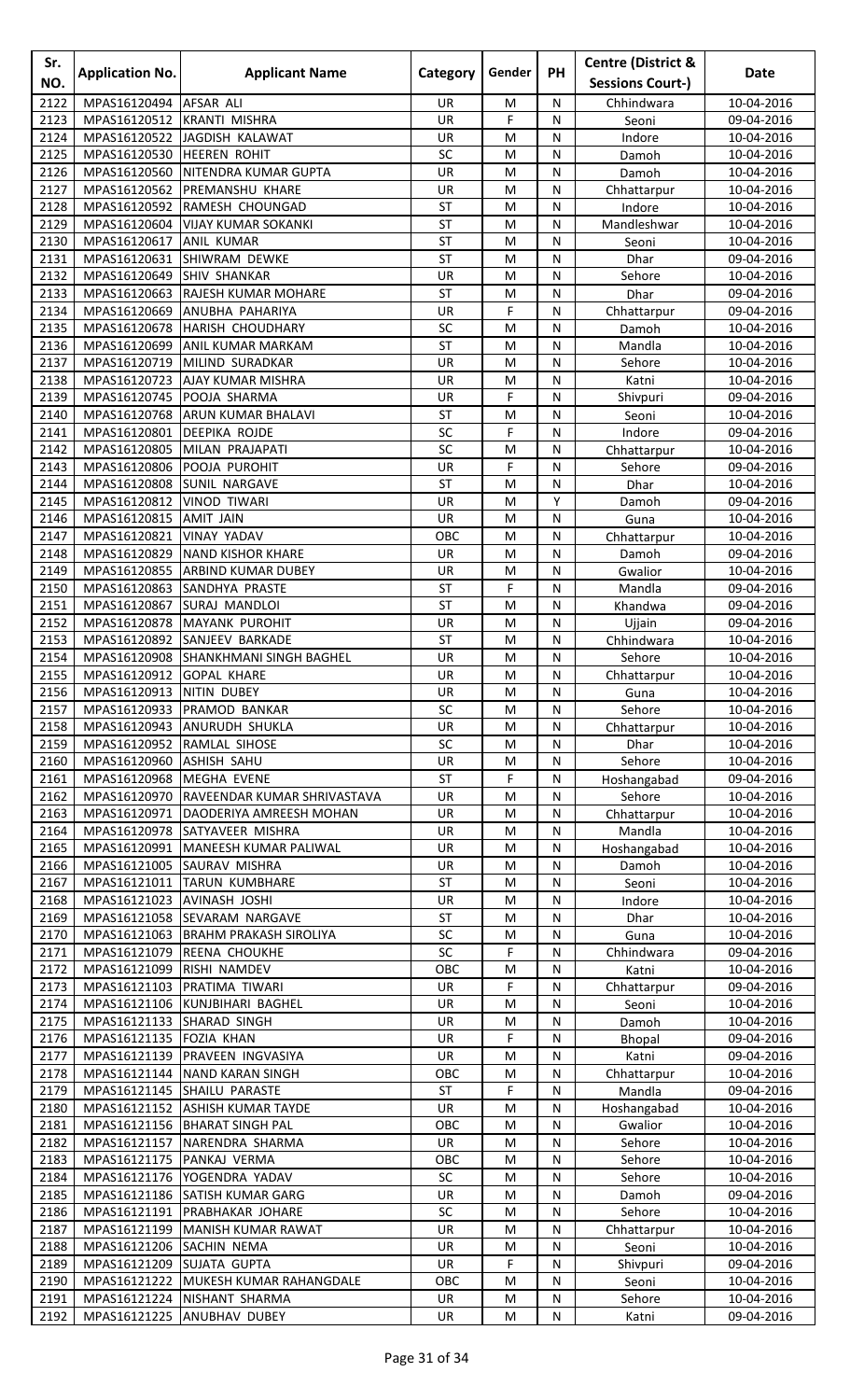| Sr.<br>NO.   | <b>Application No.</b>                   | <b>Applicant Name</b>                                                 | Category               | Gender | <b>PH</b> | <b>Centre (District &amp;</b><br><b>Sessions Court-)</b> | Date                     |
|--------------|------------------------------------------|-----------------------------------------------------------------------|------------------------|--------|-----------|----------------------------------------------------------|--------------------------|
| 2122         | MPAS16120494                             | <b>AFSAR ALI</b>                                                      | <b>UR</b>              | M      | N         | Chhindwara                                               | 10-04-2016               |
| 2123         | MPAS16120512                             | <b>KRANTI MISHRA</b>                                                  | <b>UR</b>              | F      | N         | Seoni                                                    | 09-04-2016               |
| 2124         | MPAS16120522                             | JAGDISH KALAWAT                                                       | UR                     | M      | N         | Indore                                                   | 10-04-2016               |
| 2125         | MPAS16120530                             | <b>HEEREN ROHIT</b>                                                   | SC                     | M      | N         | Damoh                                                    | 10-04-2016               |
| 2126         | MPAS16120560                             | NITENDRA KUMAR GUPTA                                                  | UR                     | M      | N         | Damoh                                                    | 10-04-2016               |
| 2127<br>2128 | MPAS16120562<br>MPAS16120592             | PREMANSHU KHARE<br>RAMESH CHOUNGAD                                    | UR<br>ST               | M<br>M | N<br>N    | Chhattarpur<br>Indore                                    | 10-04-2016<br>10-04-2016 |
| 2129         | MPAS16120604                             | <b>VIJAY KUMAR SOKANKI</b>                                            | <b>ST</b>              | M      | N         | Mandleshwar                                              | 10-04-2016               |
| 2130         | MPAS16120617                             | <b>ANIL KUMAR</b>                                                     | <b>ST</b>              | M      | N         | Seoni                                                    | 10-04-2016               |
| 2131         | MPAS16120631                             | <b>SHIWRAM DEWKE</b>                                                  | <b>ST</b>              | M      | N         | Dhar                                                     | 09-04-2016               |
| 2132         | MPAS16120649 SHIV SHANKAR                |                                                                       | UR                     | M      | ${\sf N}$ | Sehore                                                   | 10-04-2016               |
| 2133         | MPAS16120663                             | <b>RAJESH KUMAR MOHARE</b>                                            | <b>ST</b>              | M      | N         | Dhar                                                     | 09-04-2016               |
| 2134<br>2135 | MPAS16120669<br>MPAS16120678             | ANUBHA PAHARIYA<br>HARISH CHOUDHARY                                   | UR<br>SC               | F<br>M | N<br>N    | Chhattarpur<br>Damoh                                     | 09-04-2016<br>10-04-2016 |
| 2136         | MPAS16120699                             | <b>ANIL KUMAR MARKAM</b>                                              | <b>ST</b>              | M      | N         | Mandla                                                   | 10-04-2016               |
| 2137         | MPAS16120719                             | MILIND SURADKAR                                                       | <b>UR</b>              | M      | N         | Sehore                                                   | 10-04-2016               |
| 2138         | MPAS16120723                             | <b>AJAY KUMAR MISHRA</b>                                              | UR                     | M      | ${\sf N}$ | Katni                                                    | 10-04-2016               |
| 2139         | MPAS16120745                             | POOJA SHARMA                                                          | UR                     | F      | N         | Shivpuri                                                 | 09-04-2016               |
| 2140         | MPAS16120768                             | ARUN KUMAR BHALAVI                                                    | ST                     | M      | N         | Seoni                                                    | 10-04-2016               |
| 2141         | MPAS16120801                             | <b>DEEPIKA ROJDE</b><br>MILAN PRAJAPATI                               | SC<br>SC               | F      | N         | Indore                                                   | 09-04-2016               |
| 2142<br>2143 | MPAS16120805<br>MPAS16120806             | POOJA PUROHIT                                                         | UR                     | M<br>F | N<br>N    | Chhattarpur<br>Sehore                                    | 10-04-2016<br>09-04-2016 |
| 2144         | MPAS16120808                             | <b>SUNIL NARGAVE</b>                                                  | <b>ST</b>              | M      | N         | Dhar                                                     | 10-04-2016               |
| 2145         | MPAS16120812                             | <b>VINOD TIWARI</b>                                                   | UR                     | M      | Y         | Damoh                                                    | 09-04-2016               |
| 2146         | MPAS16120815                             | <b>AMIT JAIN</b>                                                      | UR                     | M      | N         | Guna                                                     | 10-04-2016               |
| 2147         | MPAS16120821                             | <b>VINAY YADAV</b>                                                    | OBC                    | M      | N         | Chhattarpur                                              | 10-04-2016               |
| 2148         | MPAS16120829                             | <b>NAND KISHOR KHARE</b>                                              | UR                     | M      | N         | Damoh                                                    | 09-04-2016               |
| 2149<br>2150 | MPAS16120855<br>MPAS16120863             | <b>ARBIND KUMAR DUBEY</b><br><b>SANDHYA PRASTE</b>                    | UR<br><b>ST</b>        | M<br>F | N<br>N    | Gwalior<br>Mandla                                        | 10-04-2016<br>09-04-2016 |
| 2151         | MPAS16120867                             | <b>SURAJ MANDLOI</b>                                                  | <b>ST</b>              | M      | ${\sf N}$ | Khandwa                                                  | 09-04-2016               |
| 2152         | MPAS16120878                             | <b>MAYANK PUROHIT</b>                                                 | UR                     | M      | N         | Ujjain                                                   | 09-04-2016               |
| 2153         | MPAS16120892                             | <b>SANJEEV BARKADE</b>                                                | <b>ST</b>              | M      | N         | Chhindwara                                               | 10-04-2016               |
| 2154         |                                          | MPAS16120908 SHANKHMANI SINGH BAGHEL                                  | <b>UR</b>              | M      | N         | Sehore                                                   | 10-04-2016               |
| 2155         | MPAS16120912 GOPAL KHARE                 |                                                                       | UR                     | M      | N         | Chhattarpur                                              | 10-04-2016               |
| 2156         | MPAS16120913 NITIN DUBEY                 |                                                                       | <b>UR</b><br>SC        | M<br>M | N         | Guna<br>Sehore                                           | 10-04-2016               |
| 2157<br>2158 |                                          | MPAS16120933 PRAMOD BANKAR<br>MPAS16120943 ANURUDH SHUKLA             | UR                     | M      | N<br>N    | Chhattarpur                                              | 10-04-2016<br>10-04-2016 |
| 2159         | MPAS16120952                             | RAMLAL SIHOSE                                                         | SC                     | M      | N         | Dhar                                                     | 10-04-2016               |
| 2160         | MPAS16120960                             | <b>ASHISH SAHU</b>                                                    | <b>UR</b>              | M      | N         | Sehore                                                   | 10-04-2016               |
| 2161         | MPAS16120968                             | <b>MEGHA EVENE</b>                                                    | <b>ST</b>              | F      | N         | Hoshangabad                                              | 09-04-2016               |
| 2162         | MPAS16120970                             | RAVEENDAR KUMAR SHRIVASTAVA                                           | UR                     | M      | N         | Sehore                                                   | 10-04-2016               |
| 2163         | MPAS16120971                             | DAODERIYA AMREESH MOHAN                                               | UR                     | M      | ${\sf N}$ | Chhattarpur                                              | 10-04-2016               |
| 2164<br>2165 |                                          | MPAS16120978 SATYAVEER MISHRA<br>MPAS16120991   MANEESH KUMAR PALIWAL | UR<br>UR               | M<br>M | N<br>N    | Mandla<br>Hoshangabad                                    | 10-04-2016<br>10-04-2016 |
| 2166         |                                          | MPAS16121005 SAURAV MISHRA                                            | <b>UR</b>              | M      | N         | Damoh                                                    | 10-04-2016               |
| 2167         |                                          | MPAS16121011 TARUN KUMBHARE                                           | <b>ST</b>              | M      | N         | Seoni                                                    | 10-04-2016               |
| 2168         | MPAS16121023 AVINASH JOSHI               |                                                                       | UR                     | M      | N         | Indore                                                   | 10-04-2016               |
| 2169         |                                          | MPAS16121058 SEVARAM NARGAVE                                          | <b>ST</b>              | M      | N         | Dhar                                                     | 10-04-2016               |
| 2170         |                                          | MPAS16121063 BRAHM PRAKASH SIROLIYA                                   | SC                     | M      | N         | Guna                                                     | 10-04-2016               |
| 2171         |                                          | MPAS16121079 REENA CHOUKHE                                            | SC                     | F      | N         | Chhindwara                                               | 09-04-2016               |
| 2172<br>2173 | MPAS16121099<br>MPAS16121103             | <b>RISHI NAMDEV</b><br>PRATIMA TIWARI                                 | OBC<br>UR              | M<br>F | N<br>N    | Katni<br>Chhattarpur                                     | 10-04-2016<br>09-04-2016 |
| 2174         |                                          | MPAS16121106 KUNJBIHARI BAGHEL                                        | UR                     | M      | N         | Seoni                                                    | 10-04-2016               |
| 2175         | MPAS16121133 SHARAD SINGH                |                                                                       | UR                     | M      | N         | Damoh                                                    | 10-04-2016               |
| 2176         | MPAS16121135 FOZIA KHAN                  |                                                                       | UR                     | F      | ${\sf N}$ | Bhopal                                                   | 09-04-2016               |
| 2177         |                                          | MPAS16121139 PRAVEEN INGVASIYA                                        | UR                     | M      | N         | Katni                                                    | 09-04-2016               |
| 2178         |                                          | MPAS16121144 NAND KARAN SINGH                                         | OBC                    | M      | N         | Chhattarpur                                              | 10-04-2016               |
| 2179<br>2180 |                                          | MPAS16121145 SHAILU PARASTE<br>MPAS16121152 ASHISH KUMAR TAYDE        | <b>ST</b><br><b>UR</b> | F<br>M | N<br>N    | Mandla                                                   | 09-04-2016               |
| 2181         |                                          | MPAS16121156 BHARAT SINGH PAL                                         | OBC                    | M      | N         | Hoshangabad<br>Gwalior                                   | 10-04-2016<br>10-04-2016 |
| 2182         |                                          | MPAS16121157 NARENDRA SHARMA                                          | UR                     | M      | N         | Sehore                                                   | 10-04-2016               |
| 2183         | MPAS16121175 PANKAJ VERMA                |                                                                       | OBC                    | M      | N         | Sehore                                                   | 10-04-2016               |
| 2184         |                                          | MPAS16121176 YOGENDRA YADAV                                           | SC                     | M      | N         | Sehore                                                   | 10-04-2016               |
| 2185         | MPAS16121186                             | <b>SATISH KUMAR GARG</b>                                              | <b>UR</b>              | M      | N         | Damoh                                                    | 09-04-2016               |
| 2186         | MPAS16121191                             | <b>PRABHAKAR JOHARE</b>                                               | SC                     | M      | N         | Sehore                                                   | 10-04-2016               |
| 2187<br>2188 | MPAS16121199<br>MPAS16121206 SACHIN NEMA | MANISH KUMAR RAWAT                                                    | UR<br>UR               | M<br>M | N<br>N    | Chhattarpur<br>Seoni                                     | 10-04-2016<br>10-04-2016 |
| 2189         | MPAS16121209 SUJATA GUPTA                |                                                                       | UR                     | F      | N         | Shivpuri                                                 | 09-04-2016               |
| 2190         |                                          | MPAS16121222 MUKESH KUMAR RAHANGDALE                                  | OBC                    | M      | N         | Seoni                                                    | 10-04-2016               |
|              |                                          | 2191   MPAS16121224   NISHANT SHARMA                                  | UR                     | M      | ${\sf N}$ | Sehore                                                   | 10-04-2016               |
| 2192         |                                          | MPAS16121225 ANUBHAV DUBEY                                            | UR                     | M      | N         | Katni                                                    | 09-04-2016               |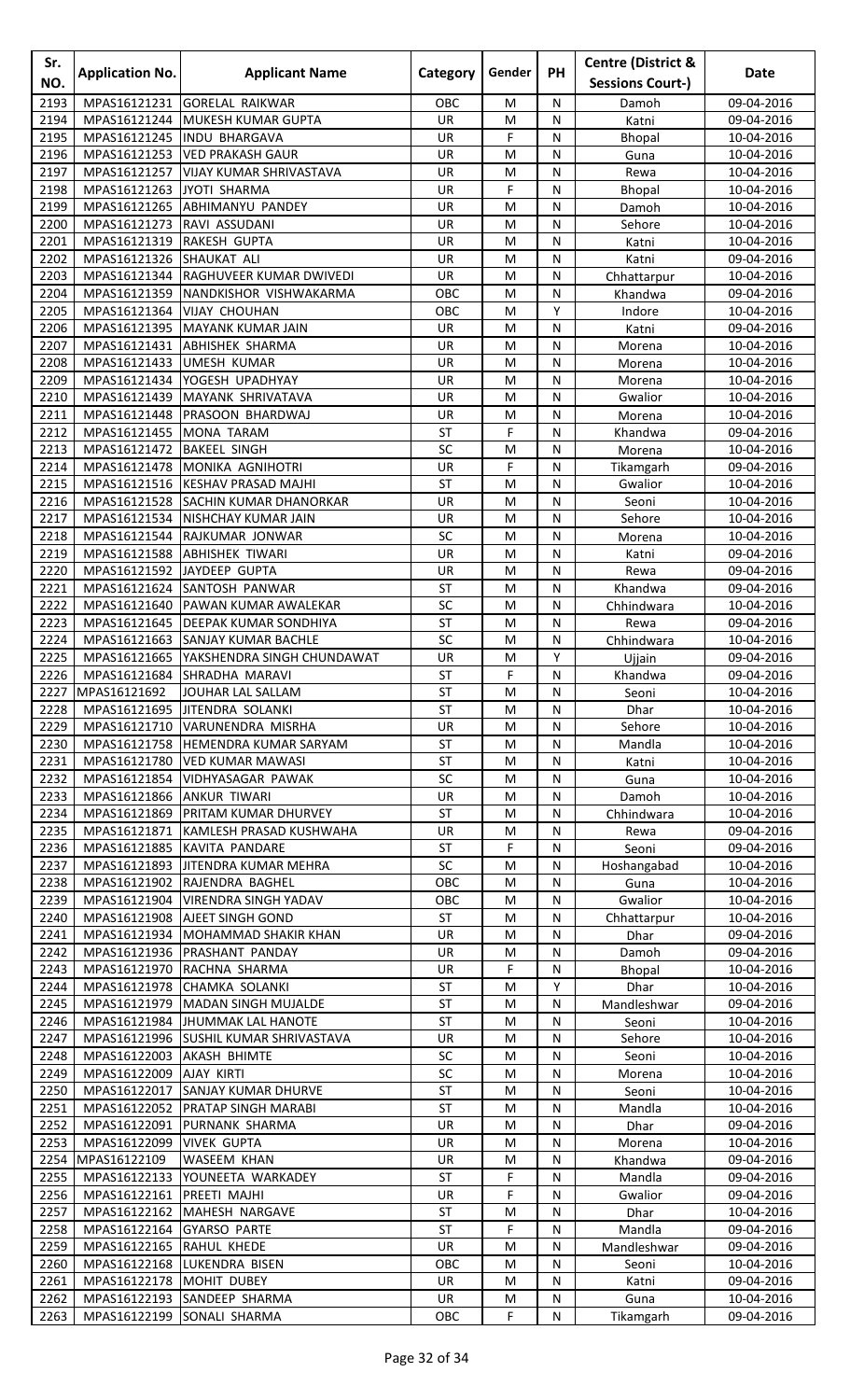| Sr.          | <b>Application No.</b>       | <b>Applicant Name</b>                                                    | Category               | Gender       | <b>PH</b>    | <b>Centre (District &amp;</b> | Date                     |
|--------------|------------------------------|--------------------------------------------------------------------------|------------------------|--------------|--------------|-------------------------------|--------------------------|
| NO.          |                              |                                                                          |                        |              |              | <b>Sessions Court-)</b>       |                          |
| 2193         | MPAS16121231                 | <b>GORELAL RAIKWAR</b>                                                   | OBC                    | M            | N            | Damoh                         | 09-04-2016               |
| 2194<br>2195 | MPAS16121244                 | <b>MUKESH KUMAR GUPTA</b>                                                | <b>UR</b><br><b>UR</b> | M<br>F       | N            | Katni                         | 09-04-2016               |
| 2196         | MPAS16121245<br>MPAS16121253 | <b>INDU BHARGAVA</b><br><b>VED PRAKASH GAUR</b>                          | UR                     | M            | N<br>N       | <b>Bhopal</b><br>Guna         | 10-04-2016<br>10-04-2016 |
| 2197         | MPAS16121257                 | <b>VIJAY KUMAR SHRIVASTAVA</b>                                           | UR                     | M            | N            | Rewa                          | 10-04-2016               |
| 2198         | MPAS16121263                 | <b>JYOTI SHARMA</b>                                                      | UR                     | F            | N            | Bhopal                        | 10-04-2016               |
| 2199         | MPAS16121265                 | <b>ABHIMANYU PANDEY</b>                                                  | UR                     | M            | N            | Damoh                         | 10-04-2016               |
| 2200         | MPAS16121273                 | RAVI ASSUDANI                                                            | <b>UR</b>              | M            | N            | Sehore                        | 10-04-2016               |
| 2201         | MPAS16121319                 | <b>RAKESH GUPTA</b>                                                      | UR                     | M            | N            | Katni                         | 10-04-2016               |
| 2202         | MPAS16121326                 | <b>SHAUKAT ALI</b>                                                       | UR                     | M            | N            | Katni                         | 09-04-2016               |
| 2203         | MPAS16121344                 | <b>RAGHUVEER KUMAR DWIVEDI</b>                                           | UR                     | M            | N            | Chhattarpur                   | 10-04-2016               |
| 2204         | MPAS16121359                 | NANDKISHOR VISHWAKARMA                                                   | OBC                    | M            | N            | Khandwa                       | 09-04-2016               |
| 2205         | MPAS16121364                 | <b>VIJAY CHOUHAN</b>                                                     | OBC                    | M            | Y            | Indore                        | 10-04-2016               |
| 2206         | MPAS16121395                 | MAYANK KUMAR JAIN                                                        | <b>UR</b><br><b>UR</b> | M            | N            | Katni                         | 09-04-2016               |
| 2207<br>2208 | MPAS16121431<br>MPAS16121433 | <b>ABHISHEK SHARMA</b><br><b>UMESH KUMAR</b>                             | UR                     | M<br>M       | N<br>N       | Morena                        | 10-04-2016<br>10-04-2016 |
| 2209         | MPAS16121434                 | <b>YOGESH UPADHYAY</b>                                                   | <b>UR</b>              | M            | N            | Morena<br>Morena              | 10-04-2016               |
| 2210         | MPAS16121439                 | MAYANK SHRIVATAVA                                                        | UR                     | M            | ${\sf N}$    | Gwalior                       | 10-04-2016               |
| 2211         | MPAS16121448                 | PRASOON BHARDWAJ                                                         | UR                     | M            | N            | Morena                        | 10-04-2016               |
| 2212         | MPAS16121455                 | <b>MONA TARAM</b>                                                        | ST                     | F            | N            | Khandwa                       | 09-04-2016               |
| 2213         | MPAS16121472                 | <b>BAKEEL SINGH</b>                                                      | SC                     | M            | N            | Morena                        | 10-04-2016               |
| 2214         | MPAS16121478                 | MONIKA AGNIHOTRI                                                         | UR                     | F            | N            | Tikamgarh                     | 09-04-2016               |
| 2215         | MPAS16121516                 | <b>KESHAV PRASAD MAJHI</b>                                               | <b>ST</b>              | M            | N            | Gwalior                       | 10-04-2016               |
| 2216         |                              | MPAS16121528 SACHIN KUMAR DHANORKAR                                      | UR                     | M            | ${\sf N}$    | Seoni                         | 10-04-2016               |
| 2217         | MPAS16121534                 | <b>NISHCHAY KUMAR JAIN</b>                                               | UR                     | M            | N            | Sehore                        | 10-04-2016               |
| 2218         | MPAS16121544                 | RAJKUMAR JONWAR                                                          | SC                     | M            | N            | Morena                        | 10-04-2016               |
| 2219         | MPAS16121588                 | <b>ABHISHEK TIWARI</b>                                                   | <b>UR</b>              | M            | N            | Katni                         | 09-04-2016               |
| 2220         | MPAS16121592                 | JAYDEEP GUPTA                                                            | UR                     | M            | N            | Rewa                          | 09-04-2016               |
| 2221<br>2222 | MPAS16121624<br>MPAS16121640 | <b>SANTOSH PANWAR</b><br>PAWAN KUMAR AWALEKAR                            | ST<br>SC               | M<br>M       | N<br>N       | Khandwa<br>Chhindwara         | 09-04-2016<br>10-04-2016 |
| 2223         | MPAS16121645                 | <b>DEEPAK KUMAR SONDHIYA</b>                                             | <b>ST</b>              | M            | N            | Rewa                          | 09-04-2016               |
| 2224         | MPAS16121663                 | <b>SANJAY KUMAR BACHLE</b>                                               | SC                     | M            | N            | Chhindwara                    | 10-04-2016               |
| 2225         |                              | MPAS16121665   YAKSHENDRA SINGH CHUNDAWAT                                | <b>UR</b>              | M            | Y            | Ujjain                        | 09-04-2016               |
| 2226         |                              | MPAS16121684 SHRADHA MARAVI                                              | ST                     | $\mathsf F$  | $\mathsf{N}$ | Khandwa                       | 09-04-2016               |
| 2227         | MPAS16121692                 | JOUHAR LAL SALLAM                                                        | <b>ST</b>              | М            | N            | Seoni                         | 10-04-2016               |
| 2228         |                              | MPAS16121695 JITENDRA SOLANKI                                            | <b>ST</b>              | M            | N            | Dhar                          | 10-04-2016               |
| 2229         |                              | MPAS16121710 VARUNENDRA MISRHA                                           | UR                     | M            | ${\sf N}$    | Sehore                        | 10-04-2016               |
| 2230         | MPAS16121758                 | <b>HEMENDRA KUMAR SARYAM</b>                                             | <b>ST</b>              | M            | N            | Mandla                        | 10-04-2016               |
| 2231         | MPAS16121780                 | <b>VED KUMAR MAWASI</b>                                                  | <b>ST</b>              | M            | N            | Katni                         | 10-04-2016               |
| 2232         | MPAS16121854                 | VIDHYASAGAR PAWAK                                                        | SC                     | M            | N            | Guna                          | 10-04-2016               |
| 2233<br>2234 | MPAS16121866                 | <b>ANKUR TIWARI</b>                                                      | UR<br><b>ST</b>        | M            | N            | Damoh                         | 10-04-2016               |
| 2235         | MPAS16121871                 | MPAS16121869   PRITAM KUMAR DHURVEY<br>KAMLESH PRASAD KUSHWAHA           | UR                     | M<br>M       | N<br>N       | Chhindwara<br>Rewa            | 10-04-2016<br>09-04-2016 |
| 2236         |                              | MPAS16121885 KAVITA PANDARE                                              | <b>ST</b>              | F            | N            | Seoni                         | 09-04-2016               |
| 2237         |                              | MPAS16121893 JITENDRA KUMAR MEHRA                                        | SC                     | M            | N            | Hoshangabad                   | 10-04-2016               |
| 2238         |                              | MPAS16121902 RAJENDRA BAGHEL                                             | OBC                    | M            | N            | Guna                          | 10-04-2016               |
| 2239         |                              | MPAS16121904   VIRENDRA SINGH YADAV                                      | OBC                    | M            | N            | Gwalior                       | 10-04-2016               |
| 2240         |                              | MPAS16121908 AJEET SINGH GOND                                            | <b>ST</b>              | M            | N            | Chhattarpur                   | 10-04-2016               |
| 2241         |                              | MPAS16121934 MOHAMMAD SHAKIR KHAN                                        | UR                     | M            | N            | Dhar                          | 09-04-2016               |
| 2242         |                              | MPAS16121936 PRASHANT PANDAY                                             | UR                     | M            | N            | Damoh                         | 09-04-2016               |
| 2243         |                              | MPAS16121970 RACHNA SHARMA                                               | UR                     | F            | N            | <b>Bhopal</b>                 | 10-04-2016               |
| 2244         |                              | MPAS16121978 CHAMKA SOLANKI                                              | <b>ST</b>              | M            | Y            | Dhar                          | 10-04-2016               |
| 2245         | MPAS16121979                 | MADAN SINGH MUJALDE                                                      | <b>ST</b>              | M            | N            | Mandleshwar                   | 09-04-2016               |
| 2246<br>2247 |                              | MPAS16121984 JHUMMAK LAL HANOTE<br>MPAS16121996 SUSHIL KUMAR SHRIVASTAVA | ST<br><b>UR</b>        | M<br>M       | N<br>N       | Seoni<br>Sehore               | 10-04-2016<br>10-04-2016 |
| 2248         | MPAS16122003 AKASH BHIMTE    |                                                                          | SC                     | M            | ${\sf N}$    | Seoni                         | 10-04-2016               |
| 2249         | MPAS16122009                 | <b>AJAY KIRTI</b>                                                        | SC                     | M            | N            | Morena                        | 10-04-2016               |
| 2250         |                              | MPAS16122017 SANJAY KUMAR DHURVE                                         | <b>ST</b>              | M            | N            | Seoni                         | 10-04-2016               |
| 2251         |                              | MPAS16122052 PRATAP SINGH MARABI                                         | <b>ST</b>              | M            | N            | Mandla                        | 10-04-2016               |
| 2252         | MPAS16122091                 | PURNANK SHARMA                                                           | UR                     | M            | N            | Dhar                          | 09-04-2016               |
| 2253         | MPAS16122099                 | <b>VIVEK GUPTA</b>                                                       | UR                     | M            | N            | Morena                        | 10-04-2016               |
| 2254         | MPAS16122109                 | <b>WASEEM KHAN</b>                                                       | UR                     | M            | N            | Khandwa                       | 09-04-2016               |
| 2255         | MPAS16122133                 | YOUNEETA WARKADEY                                                        | <b>ST</b>              | F            | N            | Mandla                        | 09-04-2016               |
| 2256         | MPAS16122161                 | PREETI MAJHI                                                             | UR.                    | F            | N            | Gwalior                       | 09-04-2016               |
| 2257         |                              | MPAS16122162 MAHESH NARGAVE                                              | <b>ST</b>              | M            | N            | Dhar                          | 10-04-2016               |
| 2258         | MPAS16122164                 | <b>GYARSO PARTE</b>                                                      | ST                     | F            | N            | Mandla                        | 09-04-2016               |
| 2259         | MPAS16122165 RAHUL KHEDE     |                                                                          | UR                     | M            | N            | Mandleshwar                   | 09-04-2016               |
| 2260<br>2261 | MPAS16122178 MOHIT DUBEY     | MPAS16122168 LUKENDRA BISEN                                              | OBC<br>UR              | M<br>M       | N<br>N       | Seoni<br>Katni                | 10-04-2016<br>09-04-2016 |
|              |                              | 2262 MPAS16122193 SANDEEP SHARMA                                         | UR                     | M            | ${\sf N}$    | Guna                          | 10-04-2016               |
| 2263         |                              | MPAS16122199 SONALI SHARMA                                               | OBC                    | $\mathsf{F}$ | ${\sf N}$    | Tikamgarh                     | 09-04-2016               |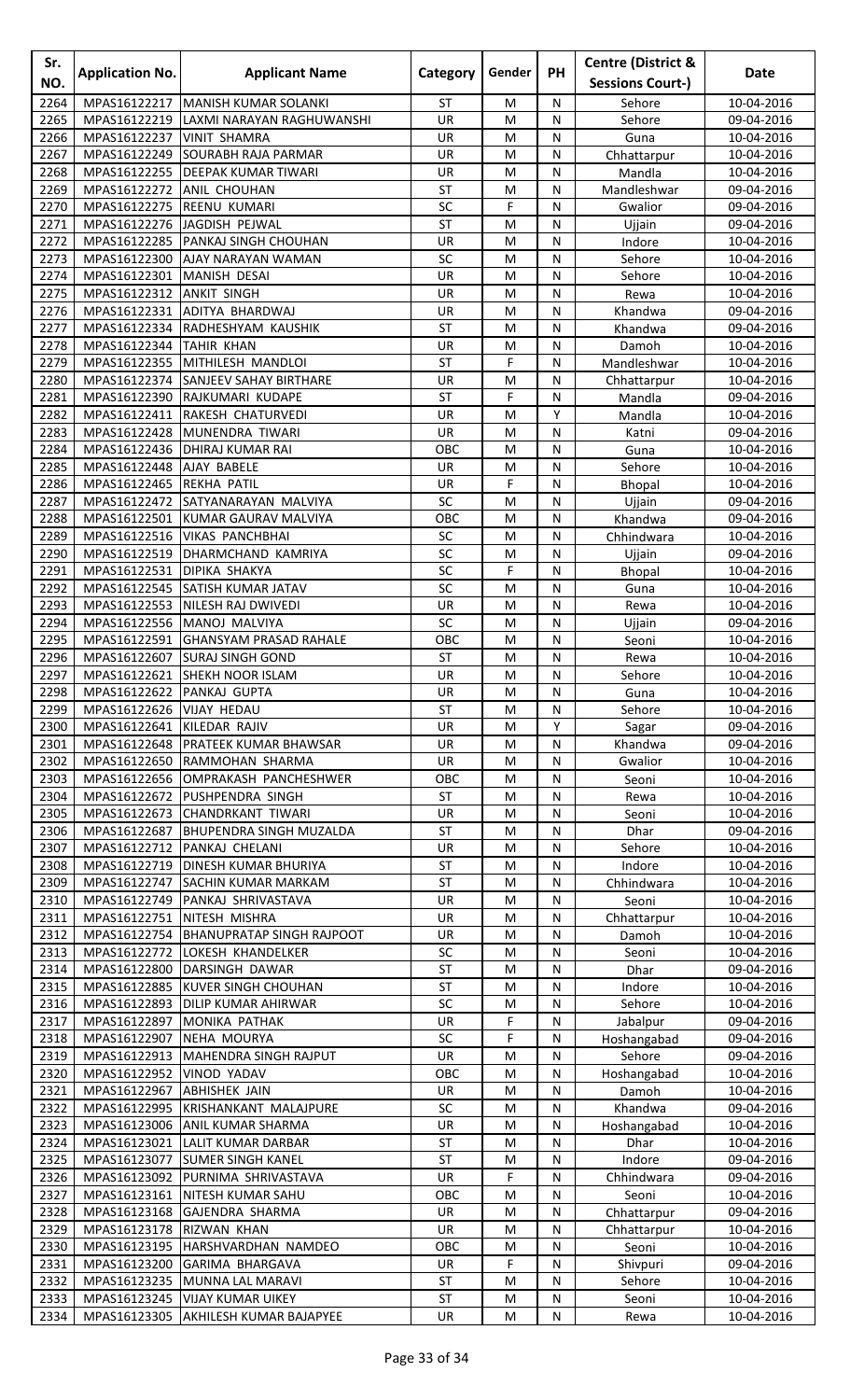| Sr.<br>NO.   | <b>Application No.</b>                   | <b>Applicant Name</b>                                              | Category                 | Gender                                                                                | PH             | <b>Centre (District &amp;</b><br><b>Sessions Court-)</b> | <b>Date</b>              |
|--------------|------------------------------------------|--------------------------------------------------------------------|--------------------------|---------------------------------------------------------------------------------------|----------------|----------------------------------------------------------|--------------------------|
| 2264         | MPAS16122217                             | <b>MANISH KUMAR SOLANKI</b>                                        | <b>ST</b>                | M                                                                                     | N              | Sehore                                                   | 10-04-2016               |
| 2265         | MPAS16122219                             | LAXMI NARAYAN RAGHUWANSHI                                          | UR                       | M                                                                                     | N              | Sehore                                                   | 09-04-2016               |
| 2266         | MPAS16122237                             | <b>VINIT SHAMRA</b>                                                | UR                       | M                                                                                     | ${\sf N}$      | Guna                                                     | 10-04-2016               |
| 2267         | MPAS16122249                             | <b>SOURABH RAJA PARMAR</b>                                         | UR                       | M                                                                                     | N              | Chhattarpur                                              | 10-04-2016               |
| 2268         | MPAS16122255                             | <b>DEEPAK KUMAR TIWARI</b>                                         | <b>UR</b>                | M                                                                                     | N              | Mandla                                                   | 10-04-2016               |
| 2269         | MPAS16122272                             | <b>ANIL CHOUHAN</b>                                                | <b>ST</b>                | M                                                                                     | N              | Mandleshwar                                              | 09-04-2016               |
| 2270         | MPAS16122275                             | <b>REENU KUMARI</b>                                                | SC                       | F                                                                                     | N              | Gwalior                                                  | 09-04-2016               |
| 2271         | MPAS16122276                             | JAGDISH PEJWAL                                                     | <b>ST</b>                | M                                                                                     | N              | Ujjain                                                   | 09-04-2016               |
| 2272         |                                          | MPAS16122285 PANKAJ SINGH CHOUHAN                                  | UR                       | M                                                                                     | N              | Indore                                                   | 10-04-2016               |
| 2273         | MPAS16122300                             | AJAY NARAYAN WAMAN                                                 | SC                       | M                                                                                     | N              | Sehore                                                   | 10-04-2016               |
| 2274<br>2275 | MPAS16122301<br>MPAS16122312             | MANISH DESAI<br><b>ANKIT SINGH</b>                                 | UR<br><b>UR</b>          | M<br>M                                                                                | N<br>N         | Sehore<br>Rewa                                           | 10-04-2016<br>10-04-2016 |
| 2276         | MPAS16122331                             | ADITYA BHARDWAJ                                                    | UR                       | M                                                                                     | N              | Khandwa                                                  | 09-04-2016               |
| 2277         | MPAS16122334                             | RADHESHYAM KAUSHIK                                                 | <b>ST</b>                | M                                                                                     | N              | Khandwa                                                  | 09-04-2016               |
| 2278         | MPAS16122344                             | <b>TAHIR KHAN</b>                                                  | UR                       | M                                                                                     | N              | Damoh                                                    | 10-04-2016               |
| 2279         | MPAS16122355                             | MITHILESH MANDLOI                                                  | <b>ST</b>                | F                                                                                     | N              | Mandleshwar                                              | 10-04-2016               |
| 2280         | MPAS16122374                             | <b>SANJEEV SAHAY BIRTHARE</b>                                      | UR                       | M                                                                                     | N              | Chhattarpur                                              | 10-04-2016               |
| 2281         | MPAS16122390                             | RAJKUMARI KUDAPE                                                   | <b>ST</b>                | F                                                                                     | N              | Mandla                                                   | 09-04-2016               |
| 2282         | MPAS16122411                             | <b>RAKESH CHATURVEDI</b>                                           | UR                       | M                                                                                     | Y              | Mandla                                                   | 10-04-2016               |
| 2283         | MPAS16122428                             | MUNENDRA TIWARI                                                    | UR                       | M                                                                                     | N              | Katni                                                    | 09-04-2016               |
| 2284         | MPAS16122436                             | <b>DHIRAJ KUMAR RAI</b>                                            | OBC                      | M                                                                                     | N              | Guna                                                     | 10-04-2016               |
| 2285         | MPAS16122448                             | AJAY BABELE                                                        | UR                       | M                                                                                     | N              | Sehore                                                   | 10-04-2016               |
| 2286<br>2287 | MPAS16122465                             | <b>REKHA PATIL</b>                                                 | UR<br>SC                 | F                                                                                     | N              | <b>Bhopal</b>                                            | 10-04-2016               |
| 2288         | MPAS16122472<br>MPAS16122501             | SATYANARAYAN MALVIYA<br>KUMAR GAURAV MALVIYA                       | овс                      | M<br>M                                                                                | N<br>N         | Ujjain<br>Khandwa                                        | 09-04-2016<br>09-04-2016 |
| 2289         | MPAS16122516                             | <b>VIKAS PANCHBHAI</b>                                             | SC                       | M                                                                                     | N              | Chhindwara                                               | 10-04-2016               |
| 2290         | MPAS16122519                             | DHARMCHAND KAMRIYA                                                 | SC                       | M                                                                                     | N              | Ujjain                                                   | 09-04-2016               |
| 2291         | MPAS16122531                             | <b>DIPIKA SHAKYA</b>                                               | SC                       | F                                                                                     | ${\sf N}$      | Bhopal                                                   | 10-04-2016               |
| 2292         |                                          | MPAS16122545 SATISH KUMAR JATAV                                    | SC                       | M                                                                                     | N              | Guna                                                     | 10-04-2016               |
| 2293         | MPAS16122553                             | NILESH RAJ DWIVEDI                                                 | UR                       | M                                                                                     | N              | Rewa                                                     | 10-04-2016               |
| 2294         |                                          | MPAS16122556 MANOJ MALVIYA                                         | SC                       | M                                                                                     | N              | Ujjain                                                   | 09-04-2016               |
| 2295         | MPAS16122591                             | <b>GHANSYAM PRASAD RAHALE</b>                                      | OBC                      | M                                                                                     | N              | Seoni                                                    | 10-04-2016               |
| 2296         |                                          | MPAS16122607 SURAJ SINGH GOND                                      | ST                       | M                                                                                     | N              | Rewa                                                     | 10-04-2016               |
| 2297         |                                          | MPAS16122621 SHEKH NOOR ISLAM                                      | $\overline{\mathsf{UR}}$ | $\mathsf{M}% _{T}=\mathsf{M}_{T}\!\left( a,b\right) ,\ \mathsf{M}_{T}=\mathsf{M}_{T}$ | $\overline{N}$ | Sehore                                                   | 10-04-2016               |
| 2298         | MPAS16122622 PANKAJ GUPTA                |                                                                    | UR                       | M                                                                                     | N              | Guna                                                     | 10-04-2016               |
| 2299<br>2300 | MPAS16122626 VIJAY HEDAU<br>MPAS16122641 | KILEDAR RAJIV                                                      | <b>ST</b><br><b>UR</b>   | M<br>M                                                                                | N<br>Υ         | Sehore                                                   | 10-04-2016<br>09-04-2016 |
| 2301         | MPAS16122648                             | <b>PRATEEK KUMAR BHAWSAR</b>                                       | UR                       | M                                                                                     | N              | Sagar<br>Khandwa                                         | 09-04-2016               |
| 2302         | MPAS16122650                             | RAMMOHAN SHARMA                                                    | UR                       | M                                                                                     | N              | Gwalior                                                  | 10-04-2016               |
| 2303         |                                          | MPAS16122656 OMPRAKASH PANCHESHWER                                 | OBC                      | M                                                                                     | N              | Seoni                                                    | 10-04-2016               |
| 2304         | MPAS16122672                             | <b>PUSHPENDRA SINGH</b>                                            | ST                       | M                                                                                     | ${\sf N}$      | Rewa                                                     | 10-04-2016               |
| 2305         | MPAS16122673                             | <b>CHANDRKANT TIWARI</b>                                           | UR                       | M                                                                                     | N              | Seoni                                                    | 10-04-2016               |
| 2306         |                                          | MPAS16122687 BHUPENDRA SINGH MUZALDA                               | <b>ST</b>                | M                                                                                     | N              | Dhar                                                     | 09-04-2016               |
| 2307         |                                          | MPAS16122712 PANKAJ CHELANI                                        | UR                       | M                                                                                     | N              | Sehore                                                   | 10-04-2016               |
| 2308         | MPAS16122719                             | <b>DINESH KUMAR BHURIYA</b>                                        | ST                       | M                                                                                     | N              | Indore                                                   | 10-04-2016               |
| 2309         |                                          | MPAS16122747 SACHIN KUMAR MARKAM                                   | <b>ST</b>                | M                                                                                     | N              | Chhindwara                                               | 10-04-2016               |
| 2310         |                                          | MPAS16122749 PANKAJ SHRIVASTAVA                                    | UR                       | M                                                                                     | ${\sf N}$      | Seoni                                                    | 10-04-2016               |
| 2311         | MPAS16122751                             | NITESH MISHRA                                                      | UR                       | M                                                                                     | N              | Chhattarpur                                              | 10-04-2016               |
| 2312<br>2313 | MPAS16122754                             | <b>BHANUPRATAP SINGH RAJPOOT</b><br>MPAS16122772 LOKESH KHANDELKER | UR<br>SC                 | M<br>M                                                                                | N<br>N         | Damoh<br>Seoni                                           | 10-04-2016<br>10-04-2016 |
| 2314         | MPAS16122800                             | DARSINGH DAWAR                                                     | ST                       | M                                                                                     | N              | Dhar                                                     | 09-04-2016               |
| 2315         |                                          | MPAS16122885 KUVER SINGH CHOUHAN                                   | <b>ST</b>                | M                                                                                     | N              | Indore                                                   | 10-04-2016               |
| 2316         |                                          | MPAS16122893   DILIP KUMAR AHIRWAR                                 | SC                       | M                                                                                     | ${\sf N}$      | Sehore                                                   | 10-04-2016               |
| 2317         | MPAS16122897                             | <b>MONIKA PATHAK</b>                                               | UR                       | F                                                                                     | N              | Jabalpur                                                 | 09-04-2016               |
| 2318         | MPAS16122907                             | <b>NEHA MOURYA</b>                                                 | <b>SC</b>                | F                                                                                     | N              | Hoshangabad                                              | 09-04-2016               |
| 2319         | MPAS16122913                             | <b>MAHENDRA SINGH RAJPUT</b>                                       | UR                       | M                                                                                     | N              | Sehore                                                   | 09-04-2016               |
| 2320         | MPAS16122952                             | VINOD YADAV                                                        | OBC                      | M                                                                                     | N              | Hoshangabad                                              | 10-04-2016               |
| 2321         | MPAS16122967                             | <b>ABHISHEK JAIN</b>                                               | UR                       | M                                                                                     | N              | Damoh                                                    | 10-04-2016               |
| 2322         | MPAS16122995                             | KRISHANKANT MALAJPURE                                              | SC                       | M                                                                                     | N              | Khandwa                                                  | 09-04-2016               |
| 2323         | MPAS16123006                             | ANIL KUMAR SHARMA                                                  | UR                       | M                                                                                     | ${\sf N}$      | Hoshangabad                                              | 10-04-2016               |
| 2324<br>2325 | MPAS16123021                             | <b>LALIT KUMAR DARBAR</b><br>MPAS16123077 SUMER SINGH KANEL        | <b>ST</b><br><b>ST</b>   | M<br>M                                                                                | N<br>N         | Dhar<br>Indore                                           | 10-04-2016               |
| 2326         |                                          | MPAS16123092 PURNIMA SHRIVASTAVA                                   | <b>UR</b>                | F                                                                                     | N              | Chhindwara                                               | 09-04-2016<br>09-04-2016 |
| 2327         | MPAS16123161                             | <b>NITESH KUMAR SAHU</b>                                           | OBC                      | M                                                                                     | N              | Seoni                                                    | 10-04-2016               |
| 2328         |                                          | MPAS16123168 GAJENDRA SHARMA                                       | UR                       | M                                                                                     | N              | Chhattarpur                                              | 09-04-2016               |
| 2329         | MPAS16123178 RIZWAN KHAN                 |                                                                    | UR                       | M                                                                                     | ${\sf N}$      | Chhattarpur                                              | 10-04-2016               |
| 2330         |                                          | MPAS16123195 HARSHVARDHAN NAMDEO                                   | OBC                      | M                                                                                     | N              | Seoni                                                    | 10-04-2016               |
| 2331         | MPAS16123200                             | GARIMA BHARGAVA                                                    | <b>UR</b>                | F                                                                                     | N              | Shivpuri                                                 | 09-04-2016               |
| 2332         |                                          | MPAS16123235 MUNNA LAL MARAVI                                      | ST                       | M                                                                                     | N              | Sehore                                                   | 10-04-2016               |
| 2333         |                                          | MPAS16123245 VIJAY KUMAR UIKEY                                     | ST                       | ${\sf M}$                                                                             | ${\sf N}$      | Seoni                                                    | 10-04-2016               |
| 2334         |                                          | MPAS16123305 AKHILESH KUMAR BAJAPYEE                               | UR                       | M                                                                                     | N              | Rewa                                                     | 10-04-2016               |